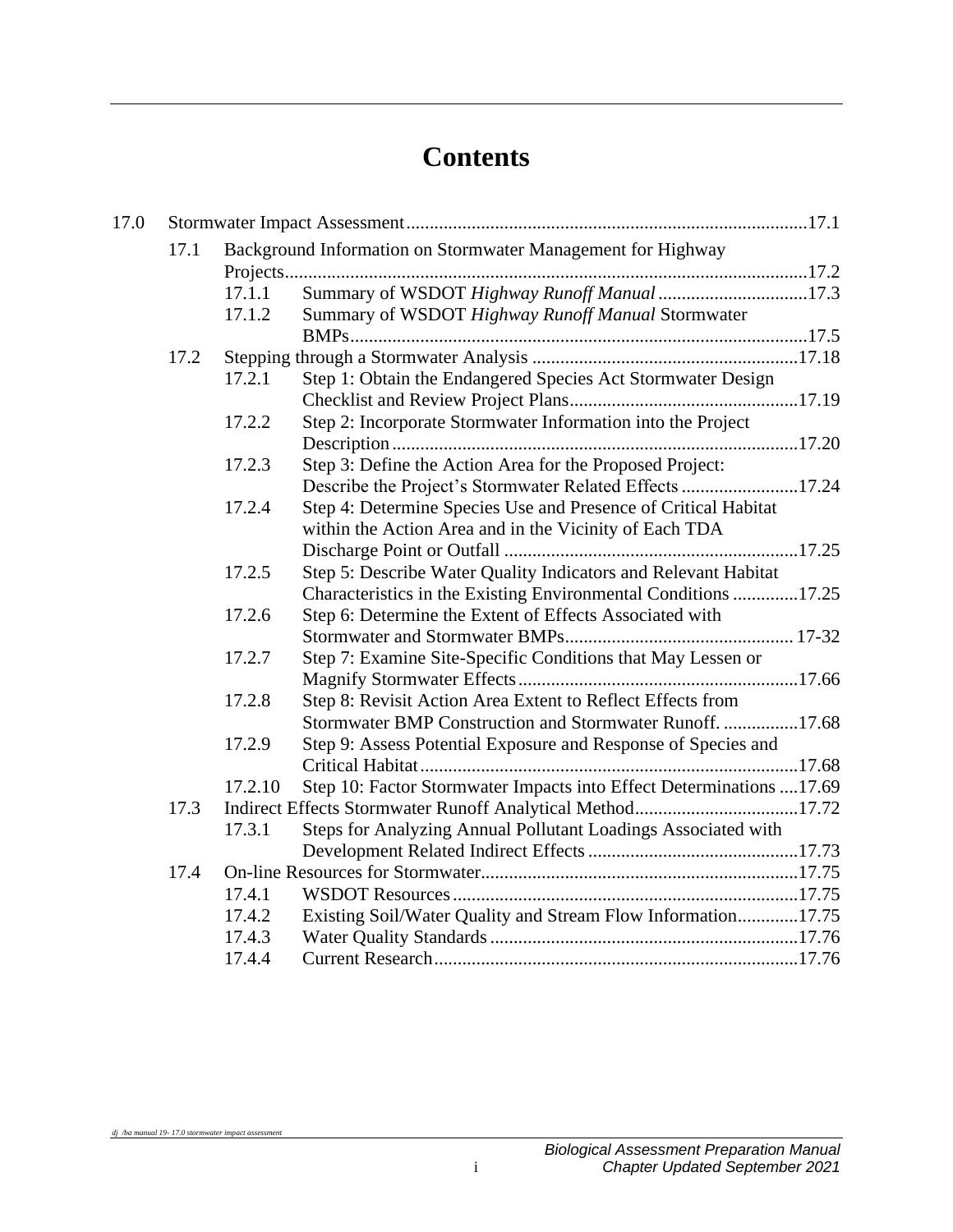# **Contents**

| 17.0 |      |         |                                                                     |  |  |  |
|------|------|---------|---------------------------------------------------------------------|--|--|--|
|      | 17.1 |         | Background Information on Stormwater Management for Highway         |  |  |  |
|      |      |         |                                                                     |  |  |  |
|      |      | 17.1.1  | Summary of WSDOT Highway Runoff Manual 17.3                         |  |  |  |
|      |      | 17.1.2  | Summary of WSDOT Highway Runoff Manual Stormwater                   |  |  |  |
|      |      |         |                                                                     |  |  |  |
|      | 17.2 |         |                                                                     |  |  |  |
|      |      | 17.2.1  | Step 1: Obtain the Endangered Species Act Stormwater Design         |  |  |  |
|      |      |         |                                                                     |  |  |  |
|      |      | 17.2.2  | Step 2: Incorporate Stormwater Information into the Project         |  |  |  |
|      |      |         |                                                                     |  |  |  |
|      |      | 17.2.3  | Step 3: Define the Action Area for the Proposed Project:            |  |  |  |
|      |      |         | Describe the Project's Stormwater Related Effects 17.24             |  |  |  |
|      |      | 17.2.4  | Step 4: Determine Species Use and Presence of Critical Habitat      |  |  |  |
|      |      |         | within the Action Area and in the Vicinity of Each TDA              |  |  |  |
|      |      |         |                                                                     |  |  |  |
|      |      | 17.2.5  | Step 5: Describe Water Quality Indicators and Relevant Habitat      |  |  |  |
|      |      |         | Characteristics in the Existing Environmental Conditions 17.25      |  |  |  |
|      |      | 17.2.6  | Step 6: Determine the Extent of Effects Associated with             |  |  |  |
|      |      |         |                                                                     |  |  |  |
|      |      | 17.2.7  | Step 7: Examine Site-Specific Conditions that May Lessen or         |  |  |  |
|      |      |         |                                                                     |  |  |  |
|      |      | 17.2.8  | Step 8: Revisit Action Area Extent to Reflect Effects from          |  |  |  |
|      |      |         | Stormwater BMP Construction and Stormwater Runoff. 17.68            |  |  |  |
|      |      | 17.2.9  | Step 9: Assess Potential Exposure and Response of Species and       |  |  |  |
|      |      |         |                                                                     |  |  |  |
|      |      | 17.2.10 | Step 10: Factor Stormwater Impacts into Effect Determinations 17.69 |  |  |  |
|      | 17.3 |         | Indirect Effects Stormwater Runoff Analytical Method17.72           |  |  |  |
|      |      | 17.3.1  | Steps for Analyzing Annual Pollutant Loadings Associated with       |  |  |  |
|      |      |         |                                                                     |  |  |  |
|      | 17.4 |         |                                                                     |  |  |  |
|      |      | 17.4.1  |                                                                     |  |  |  |
|      |      | 17.4.2  | Existing Soil/Water Quality and Stream Flow Information17.75        |  |  |  |
|      |      | 17.4.3  |                                                                     |  |  |  |
|      |      | 17.4.4  |                                                                     |  |  |  |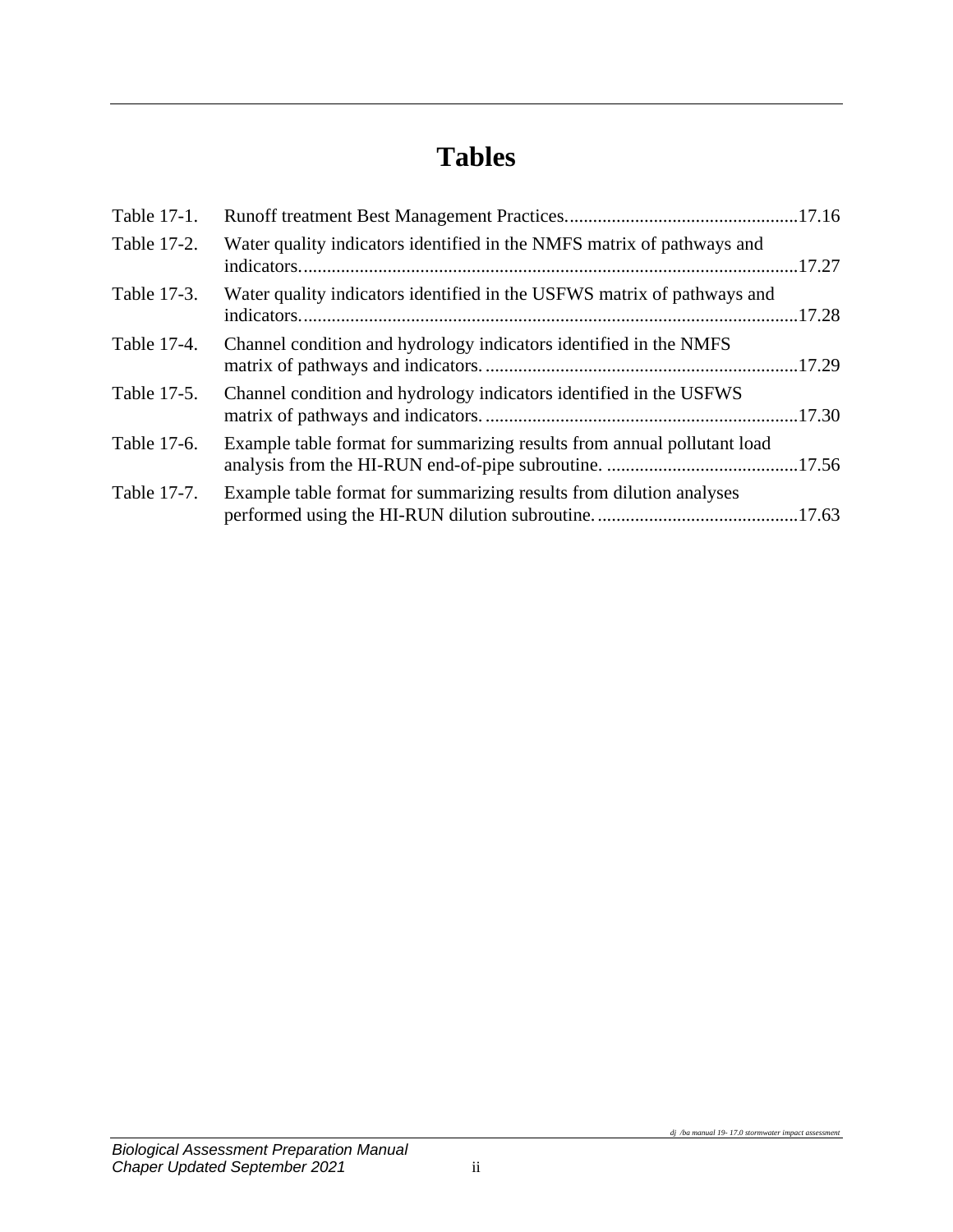# **Tables**

| Table 17-1. |                                                                         |  |
|-------------|-------------------------------------------------------------------------|--|
| Table 17-2. | Water quality indicators identified in the NMFS matrix of pathways and  |  |
| Table 17-3. | Water quality indicators identified in the USFWS matrix of pathways and |  |
| Table 17-4. | Channel condition and hydrology indicators identified in the NMFS       |  |
| Table 17-5. | Channel condition and hydrology indicators identified in the USFWS      |  |
| Table 17-6. | Example table format for summarizing results from annual pollutant load |  |
| Table 17-7. | Example table format for summarizing results from dilution analyses     |  |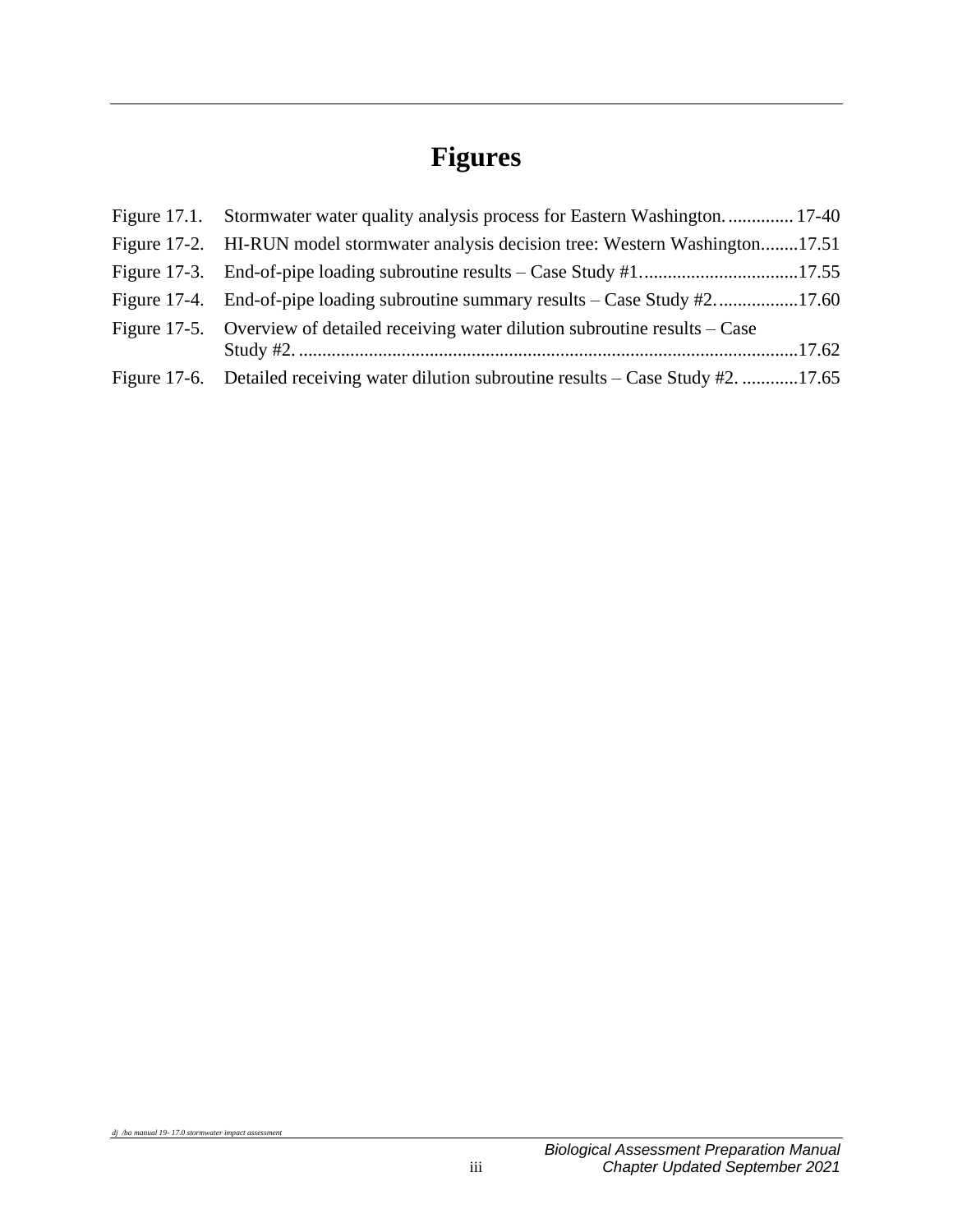# **Figures**

| Figure 17.1. Stormwater water quality analysis process for Eastern Washington 17-40      |  |
|------------------------------------------------------------------------------------------|--|
| Figure 17-2. HI-RUN model stormwater analysis decision tree: Western Washington17.51     |  |
|                                                                                          |  |
| Figure 17-4. End-of-pipe loading subroutine summary results – Case Study #217.60         |  |
| Figure 17-5. Overview of detailed receiving water dilution subroutine results – Case     |  |
|                                                                                          |  |
| Figure 17-6. Detailed receiving water dilution subroutine results – Case Study #2. 17.65 |  |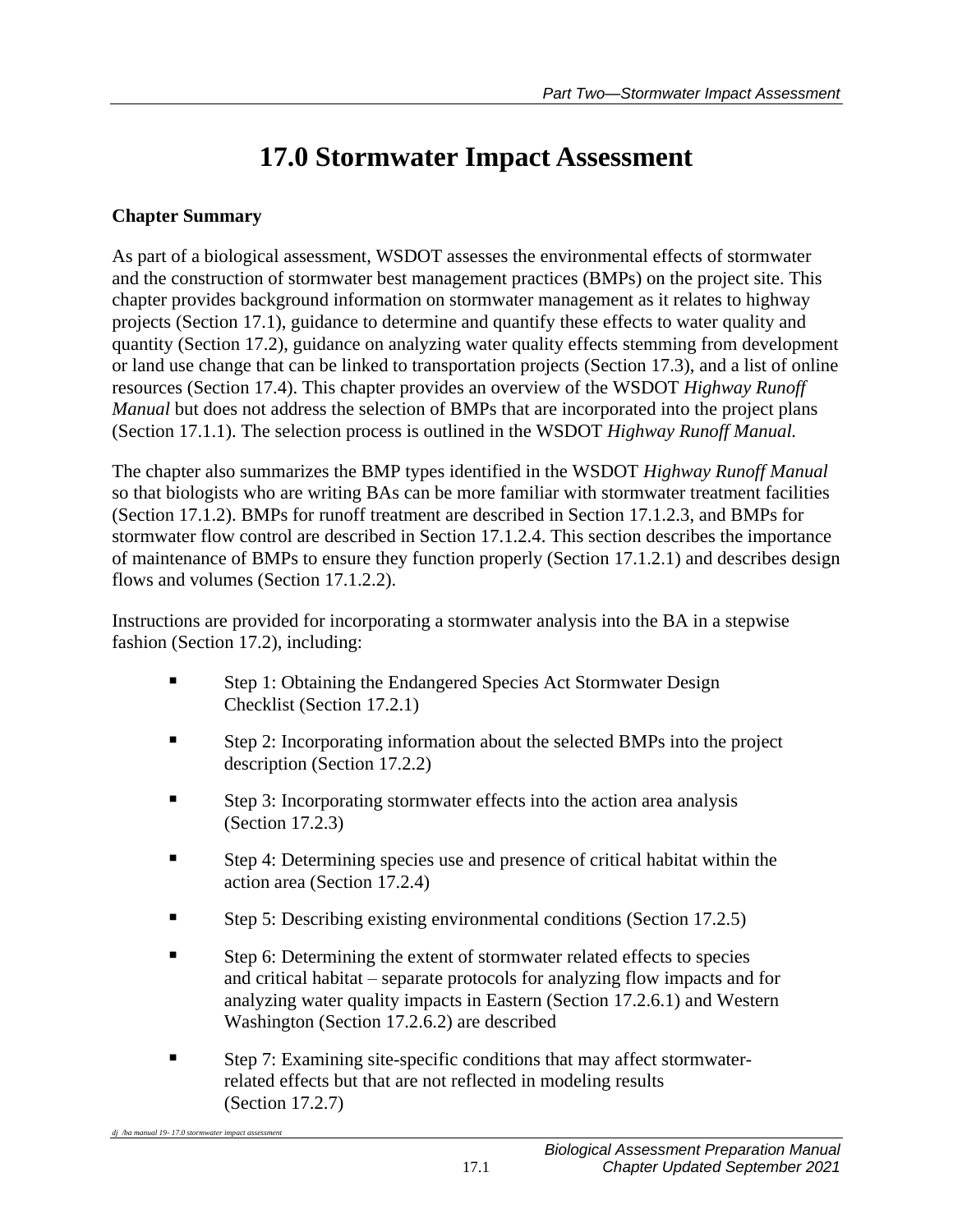# **17.0 Stormwater Impact Assessment**

## **Chapter Summary**

As part of a biological assessment, WSDOT assesses the environmental effects of stormwater and the construction of stormwater best management practices (BMPs) on the project site. This chapter provides background information on stormwater management as it relates to highway projects (Section 17.1), guidance to determine and quantify these effects to water quality and quantity (Section 17.2), guidance on analyzing water quality effects stemming from development or land use change that can be linked to transportation projects (Section 17.3), and a list of online resources (Section 17.4). This chapter provides an overview of the WSDOT *Highway Runoff Manual* but does not address the selection of BMPs that are incorporated into the project plans (Section 17.1.1). The selection process is outlined in the WSDOT *Highway Runoff Manual.*

The chapter also summarizes the BMP types identified in the WSDOT *Highway Runoff Manual* so that biologists who are writing BAs can be more familiar with stormwater treatment facilities (Section 17.1.2). BMPs for runoff treatment are described in Section 17.1.2.3, and BMPs for stormwater flow control are described in Section 17.1.2.4. This section describes the importance of maintenance of BMPs to ensure they function properly (Section 17.1.2.1) and describes design flows and volumes (Section 17.1.2.2).

Instructions are provided for incorporating a stormwater analysis into the BA in a stepwise fashion (Section 17.2), including:

- Step 1: Obtaining the Endangered Species Act Stormwater Design Checklist (Section 17.2.1)
- Step 2: Incorporating information about the selected BMPs into the project description (Section 17.2.2)
- Step 3: Incorporating stormwater effects into the action area analysis (Section 17.2.3)
- Step 4: Determining species use and presence of critical habitat within the action area (Section 17.2.4)
- **Example 5:** Describing existing environmental conditions (Section 17.2.5)
- Step 6: Determining the extent of stormwater related effects to species and critical habitat – separate protocols for analyzing flow impacts and for analyzing water quality impacts in Eastern (Section 17.2.6.1) and Western Washington (Section 17.2.6.2) are described
- Step 7: Examining site-specific conditions that may affect stormwaterrelated effects but that are not reflected in modeling results (Section 17.2.7)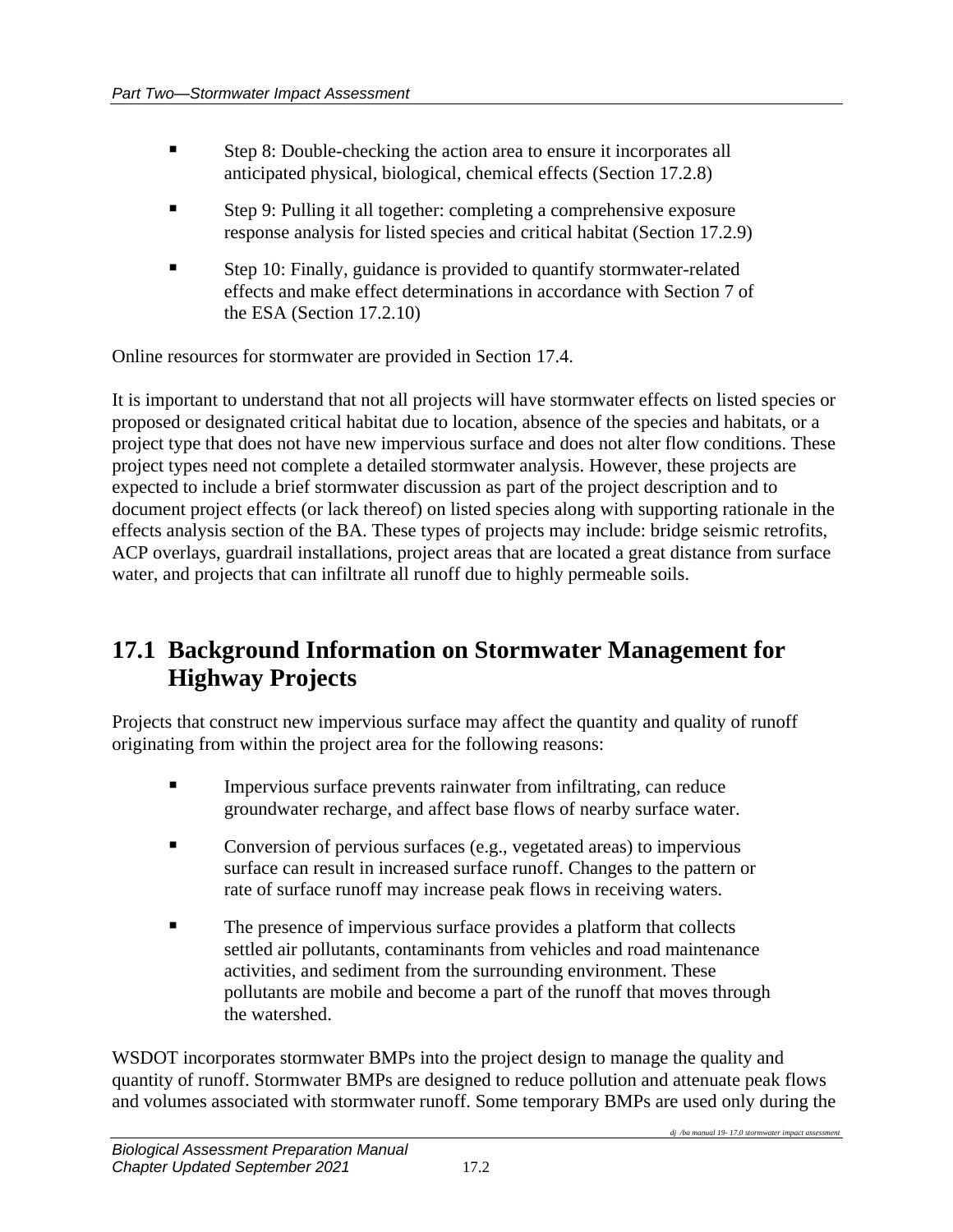- Step 8: Double-checking the action area to ensure it incorporates all anticipated physical, biological, chemical effects (Section 17.2.8)
- Step 9: Pulling it all together: completing a comprehensive exposure response analysis for listed species and critical habitat (Section 17.2.9)
- Step 10: Finally, guidance is provided to quantify stormwater-related effects and make effect determinations in accordance with Section 7 of the ESA (Section 17.2.10)

Online resources for stormwater are provided in Section 17.4.

It is important to understand that not all projects will have stormwater effects on listed species or proposed or designated critical habitat due to location, absence of the species and habitats, or a project type that does not have new impervious surface and does not alter flow conditions. These project types need not complete a detailed stormwater analysis. However, these projects are expected to include a brief stormwater discussion as part of the project description and to document project effects (or lack thereof) on listed species along with supporting rationale in the effects analysis section of the BA. These types of projects may include: bridge seismic retrofits, ACP overlays, guardrail installations, project areas that are located a great distance from surface water, and projects that can infiltrate all runoff due to highly permeable soils.

## **17.1 Background Information on Stormwater Management for Highway Projects**

Projects that construct new impervious surface may affect the quantity and quality of runoff originating from within the project area for the following reasons:

- **IMPER** Impervious surface prevents rainwater from infiltrating, can reduce groundwater recharge, and affect base flows of nearby surface water.
- Conversion of pervious surfaces (e.g., vegetated areas) to impervious surface can result in increased surface runoff. Changes to the pattern or rate of surface runoff may increase peak flows in receiving waters.
- The presence of impervious surface provides a platform that collects settled air pollutants, contaminants from vehicles and road maintenance activities, and sediment from the surrounding environment. These pollutants are mobile and become a part of the runoff that moves through the watershed.

WSDOT incorporates stormwater BMPs into the project design to manage the quality and quantity of runoff. Stormwater BMPs are designed to reduce pollution and attenuate peak flows and volumes associated with stormwater runoff. Some temporary BMPs are used only during the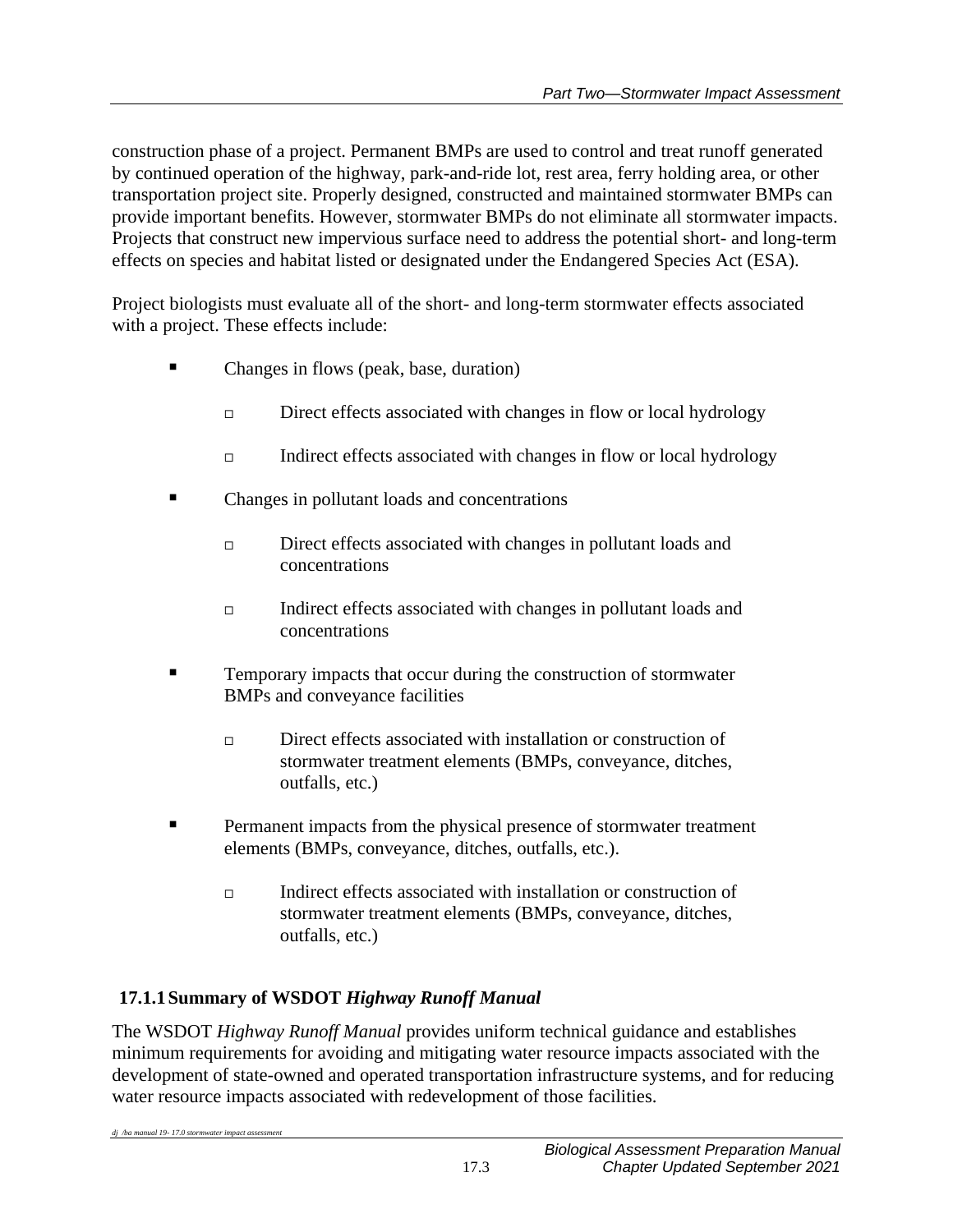construction phase of a project. Permanent BMPs are used to control and treat runoff generated by continued operation of the highway, park-and-ride lot, rest area, ferry holding area, or other transportation project site. Properly designed, constructed and maintained stormwater BMPs can provide important benefits. However, stormwater BMPs do not eliminate all stormwater impacts. Projects that construct new impervious surface need to address the potential short- and long-term effects on species and habitat listed or designated under the Endangered Species Act (ESA).

Project biologists must evaluate all of the short- and long-term stormwater effects associated with a project. These effects include:

- Changes in flows (peak, base, duration)
	- $\Box$  Direct effects associated with changes in flow or local hydrology
	- $\Box$  Indirect effects associated with changes in flow or local hydrology
- Changes in pollutant loads and concentrations
	- □ Direct effects associated with changes in pollutant loads and concentrations
	- Indirect effects associated with changes in pollutant loads and concentrations
- **EXECUTE:** Temporary impacts that occur during the construction of stormwater BMPs and conveyance facilities
	- $\Box$  Direct effects associated with installation or construction of stormwater treatment elements (BMPs, conveyance, ditches, outfalls, etc.)
- **Permanent impacts from the physical presence of stormwater treatment** elements (BMPs, conveyance, ditches, outfalls, etc.).
	- Indirect effects associated with installation or construction of stormwater treatment elements (BMPs, conveyance, ditches, outfalls, etc.)

## **17.1.1Summary of WSDOT** *Highway Runoff Manual*

The WSDOT *Highway Runoff Manual* provides uniform technical guidance and establishes minimum requirements for avoiding and mitigating water resource impacts associated with the development of state-owned and operated transportation infrastructure systems, and for reducing water resource impacts associated with redevelopment of those facilities.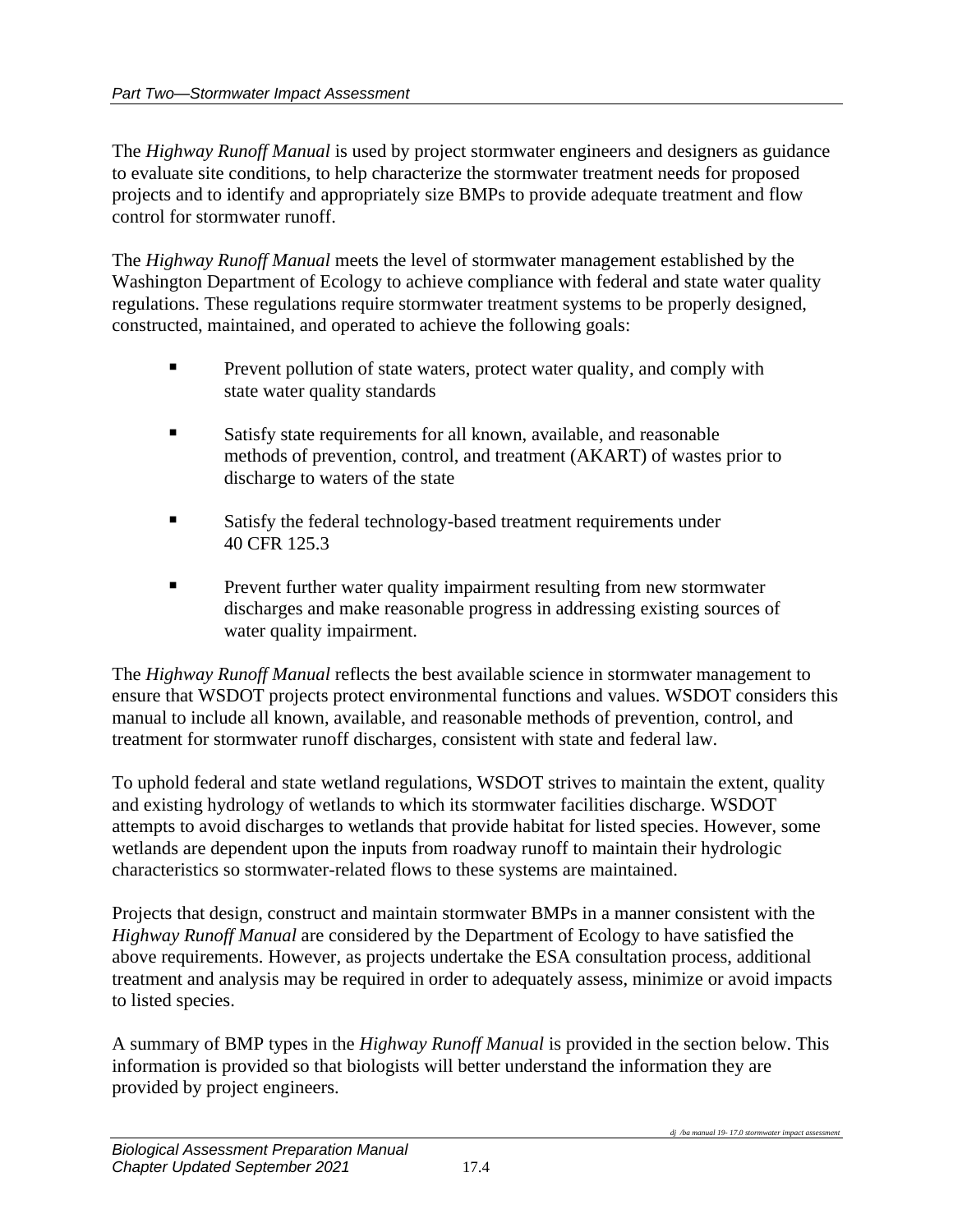The *Highway Runoff Manual* is used by project stormwater engineers and designers as guidance to evaluate site conditions, to help characterize the stormwater treatment needs for proposed projects and to identify and appropriately size BMPs to provide adequate treatment and flow control for stormwater runoff.

The *Highway Runoff Manual* meets the level of stormwater management established by the Washington Department of Ecology to achieve compliance with federal and state water quality regulations. These regulations require stormwater treatment systems to be properly designed, constructed, maintained, and operated to achieve the following goals:

- **•** Prevent pollution of state waters, protect water quality, and comply with state water quality standards
- Satisfy state requirements for all known, available, and reasonable methods of prevention, control, and treatment (AKART) of wastes prior to discharge to waters of the state
- Satisfy the federal technology-based treatment requirements under 40 CFR 125.3
- **EXECUTE:** Prevent further water quality impairment resulting from new stormwater discharges and make reasonable progress in addressing existing sources of water quality impairment.

The *Highway Runoff Manual* reflects the best available science in stormwater management to ensure that WSDOT projects protect environmental functions and values. WSDOT considers this manual to include all known, available, and reasonable methods of prevention, control, and treatment for stormwater runoff discharges, consistent with state and federal law.

To uphold federal and state wetland regulations, WSDOT strives to maintain the extent, quality and existing hydrology of wetlands to which its stormwater facilities discharge. WSDOT attempts to avoid discharges to wetlands that provide habitat for listed species. However, some wetlands are dependent upon the inputs from roadway runoff to maintain their hydrologic characteristics so stormwater-related flows to these systems are maintained.

Projects that design, construct and maintain stormwater BMPs in a manner consistent with the *Highway Runoff Manual* are considered by the Department of Ecology to have satisfied the above requirements. However, as projects undertake the ESA consultation process, additional treatment and analysis may be required in order to adequately assess, minimize or avoid impacts to listed species.

A summary of BMP types in the *Highway Runoff Manual* is provided in the section below. This information is provided so that biologists will better understand the information they are provided by project engineers.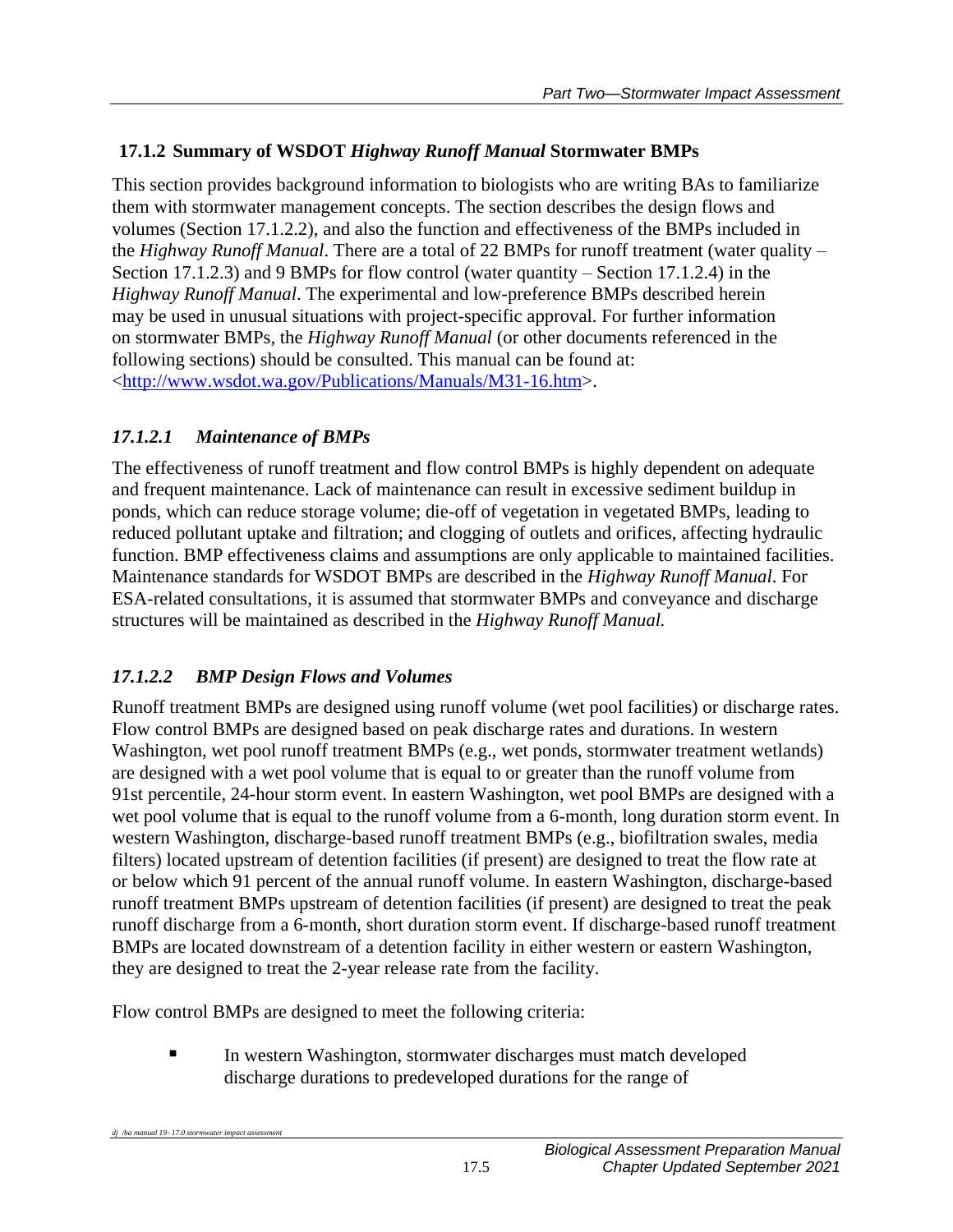## **17.1.2 Summary of WSDOT** *Highway Runoff Manual* **Stormwater BMPs**

This section provides background information to biologists who are writing BAs to familiarize them with stormwater management concepts. The section describes the design flows and volumes (Section 17.1.2.2), and also the function and effectiveness of the BMPs included in the *Highway Runoff Manual*. There are a total of 22 BMPs for runoff treatment (water quality – Section 17.1.2.3) and 9 BMPs for flow control (water quantity – Section 17.1.2.4) in the *Highway Runoff Manual*. The experimental and low-preference BMPs described herein may be used in unusual situations with project-specific approval. For further information on stormwater BMPs, the *Highway Runoff Manual* (or other documents referenced in the following sections) should be consulted. This manual can be found at: [<http://www.wsdot.wa.gov/Publications/Manuals/M31-16.htm>](http://www.wsdot.wa.gov/Publications/Manuals/M31-16.htm).

## *17.1.2.1 Maintenance of BMPs*

The effectiveness of runoff treatment and flow control BMPs is highly dependent on adequate and frequent maintenance. Lack of maintenance can result in excessive sediment buildup in ponds, which can reduce storage volume; die-off of vegetation in vegetated BMPs, leading to reduced pollutant uptake and filtration; and clogging of outlets and orifices, affecting hydraulic function. BMP effectiveness claims and assumptions are only applicable to maintained facilities. Maintenance standards for WSDOT BMPs are described in the *Highway Runoff Manual*. For ESA-related consultations, it is assumed that stormwater BMPs and conveyance and discharge structures will be maintained as described in the *Highway Runoff Manual.*

## *17.1.2.2 BMP Design Flows and Volumes*

Runoff treatment BMPs are designed using runoff volume (wet pool facilities) or discharge rates. Flow control BMPs are designed based on peak discharge rates and durations. In western Washington, wet pool runoff treatment BMPs (e.g., wet ponds, stormwater treatment wetlands) are designed with a wet pool volume that is equal to or greater than the runoff volume from 91st percentile, 24-hour storm event. In eastern Washington, wet pool BMPs are designed with a wet pool volume that is equal to the runoff volume from a 6-month, long duration storm event. In western Washington, discharge-based runoff treatment BMPs (e.g., biofiltration swales, media filters) located upstream of detention facilities (if present) are designed to treat the flow rate at or below which 91 percent of the annual runoff volume. In eastern Washington, discharge-based runoff treatment BMPs upstream of detention facilities (if present) are designed to treat the peak runoff discharge from a 6-month, short duration storm event. If discharge-based runoff treatment BMPs are located downstream of a detention facility in either western or eastern Washington, they are designed to treat the 2-year release rate from the facility.

Flow control BMPs are designed to meet the following criteria:

*dj* /ba manual 19-17.0 stormwater impact as

**In western Washington, stormwater discharges must match developed** discharge durations to predeveloped durations for the range of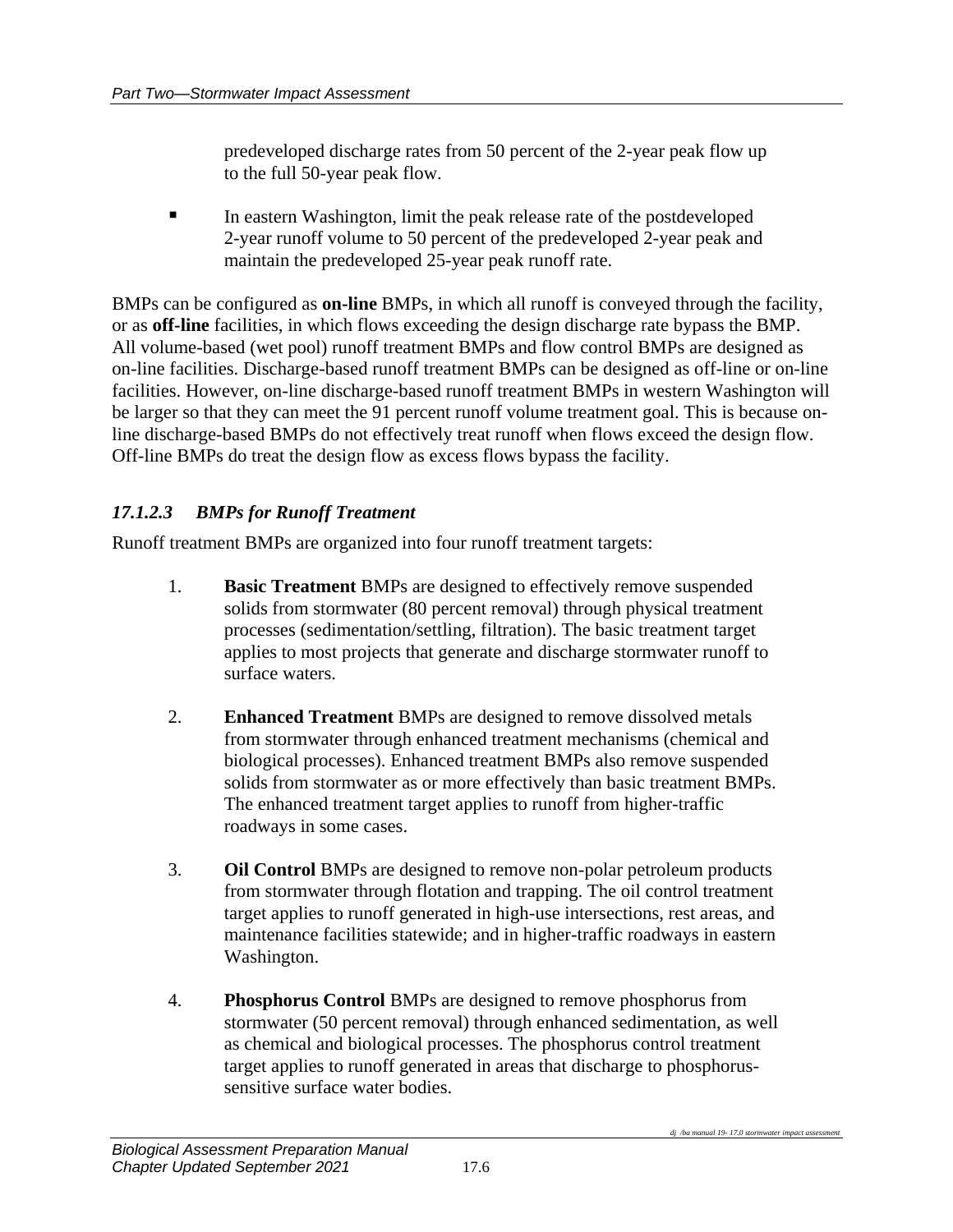predeveloped discharge rates from 50 percent of the 2-year peak flow up to the full 50-year peak flow.

**IF** In eastern Washington, limit the peak release rate of the postdeveloped 2-year runoff volume to 50 percent of the predeveloped 2-year peak and maintain the predeveloped 25-year peak runoff rate.

BMPs can be configured as **on-line** BMPs, in which all runoff is conveyed through the facility, or as **off-line** facilities, in which flows exceeding the design discharge rate bypass the BMP. All volume-based (wet pool) runoff treatment BMPs and flow control BMPs are designed as on-line facilities. Discharge-based runoff treatment BMPs can be designed as off-line or on-line facilities. However, on-line discharge-based runoff treatment BMPs in western Washington will be larger so that they can meet the 91 percent runoff volume treatment goal. This is because online discharge-based BMPs do not effectively treat runoff when flows exceed the design flow. Off-line BMPs do treat the design flow as excess flows bypass the facility.

## *17.1.2.3 BMPs for Runoff Treatment*

Runoff treatment BMPs are organized into four runoff treatment targets:

- 1. **Basic Treatment** BMPs are designed to effectively remove suspended solids from stormwater (80 percent removal) through physical treatment processes (sedimentation/settling, filtration). The basic treatment target applies to most projects that generate and discharge stormwater runoff to surface waters.
- 2. **Enhanced Treatment** BMPs are designed to remove dissolved metals from stormwater through enhanced treatment mechanisms (chemical and biological processes). Enhanced treatment BMPs also remove suspended solids from stormwater as or more effectively than basic treatment BMPs. The enhanced treatment target applies to runoff from higher-traffic roadways in some cases.
- 3. **Oil Control** BMPs are designed to remove non-polar petroleum products from stormwater through flotation and trapping. The oil control treatment target applies to runoff generated in high-use intersections, rest areas, and maintenance facilities statewide; and in higher-traffic roadways in eastern Washington.
- 4. **Phosphorus Control** BMPs are designed to remove phosphorus from stormwater (50 percent removal) through enhanced sedimentation, as well as chemical and biological processes. The phosphorus control treatment target applies to runoff generated in areas that discharge to phosphorussensitive surface water bodies.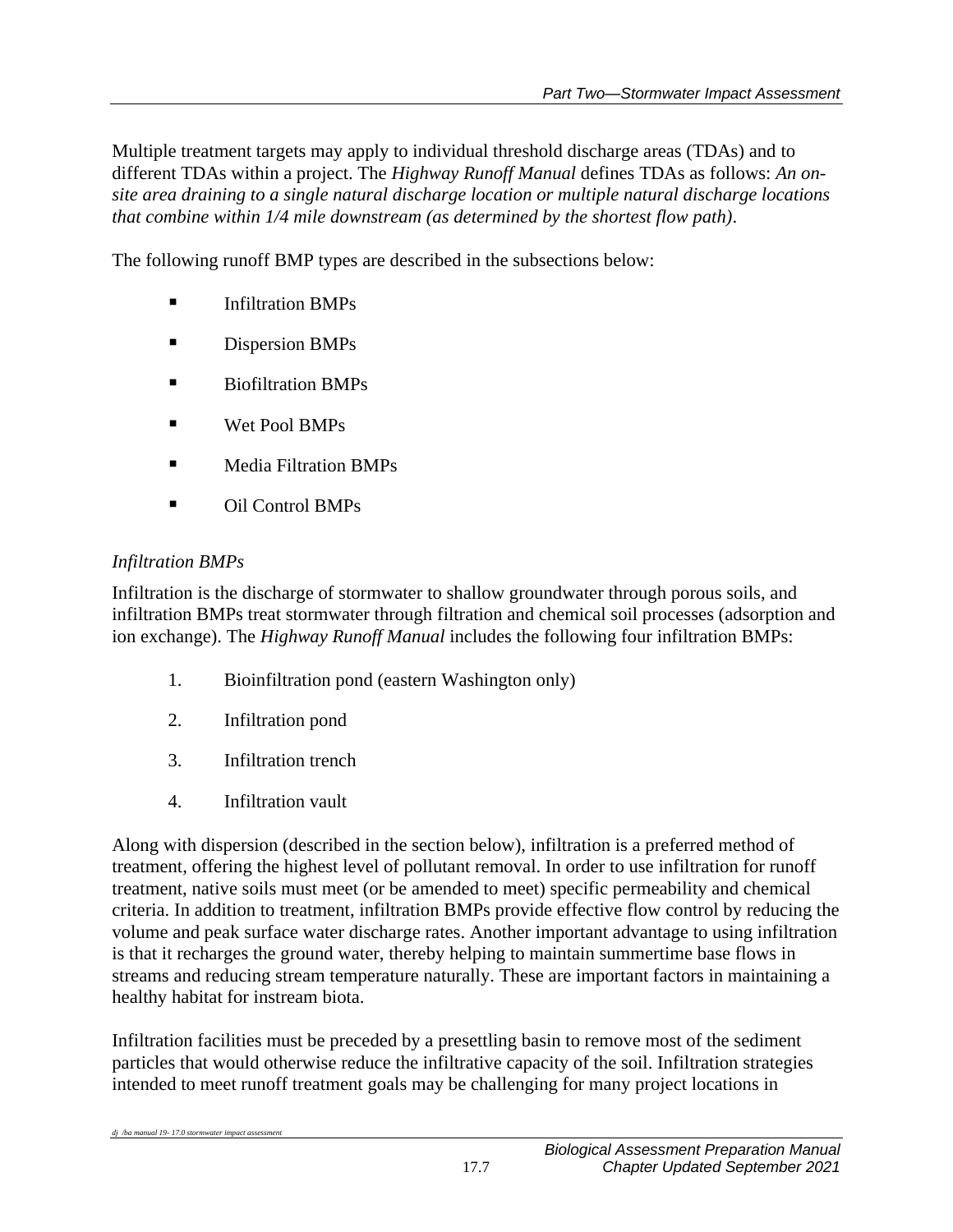Multiple treatment targets may apply to individual threshold discharge areas (TDAs) and to different TDAs within a project. The *Highway Runoff Manual* defines TDAs as follows: *An onsite area draining to a single natural discharge location or multiple natural discharge locations that combine within 1/4 mile downstream (as determined by the shortest flow path)*.

The following runoff BMP types are described in the subsections below:

- Infiltration BMPs
- Dispersion BMPs
- Biofiltration BMPs
- Wet Pool BMPs
- Media Filtration BMPs
- Oil Control BMPs

## *Infiltration BMPs*

*dj /ba manual 19-17.0 stormwater impact asse* 

Infiltration is the discharge of stormwater to shallow groundwater through porous soils, and infiltration BMPs treat stormwater through filtration and chemical soil processes (adsorption and ion exchange). The *Highway Runoff Manual* includes the following four infiltration BMPs:

- 1. Bioinfiltration pond (eastern Washington only)
- 2. Infiltration pond
- 3. Infiltration trench
- 4. Infiltration vault

Along with dispersion (described in the section below), infiltration is a preferred method of treatment, offering the highest level of pollutant removal. In order to use infiltration for runoff treatment, native soils must meet (or be amended to meet) specific permeability and chemical criteria. In addition to treatment, infiltration BMPs provide effective flow control by reducing the volume and peak surface water discharge rates. Another important advantage to using infiltration is that it recharges the ground water, thereby helping to maintain summertime base flows in streams and reducing stream temperature naturally. These are important factors in maintaining a healthy habitat for instream biota.

Infiltration facilities must be preceded by a presettling basin to remove most of the sediment particles that would otherwise reduce the infiltrative capacity of the soil. Infiltration strategies intended to meet runoff treatment goals may be challenging for many project locations in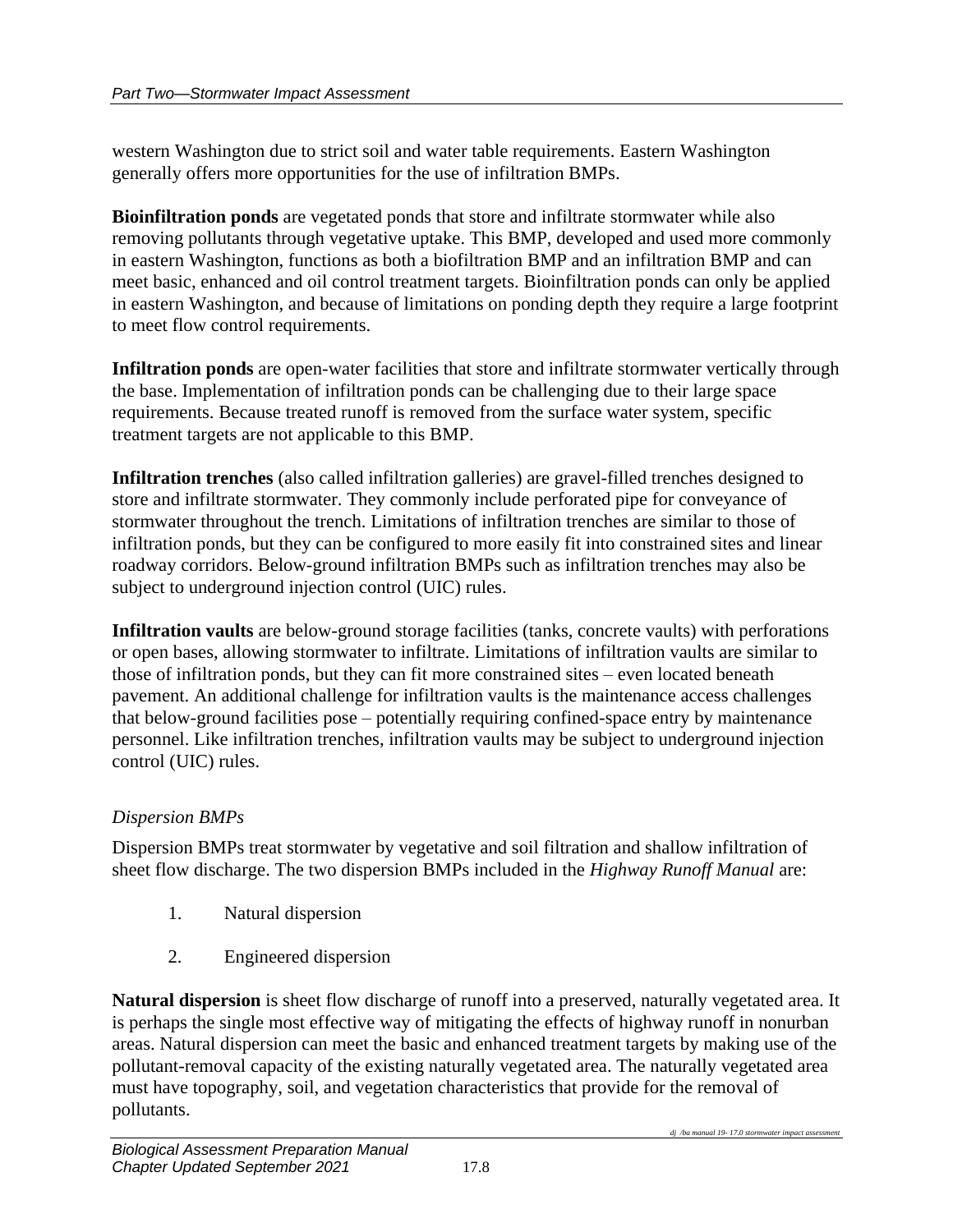western Washington due to strict soil and water table requirements. Eastern Washington generally offers more opportunities for the use of infiltration BMPs.

**Bioinfiltration ponds** are vegetated ponds that store and infiltrate stormwater while also removing pollutants through vegetative uptake. This BMP, developed and used more commonly in eastern Washington, functions as both a biofiltration BMP and an infiltration BMP and can meet basic, enhanced and oil control treatment targets. Bioinfiltration ponds can only be applied in eastern Washington, and because of limitations on ponding depth they require a large footprint to meet flow control requirements.

**Infiltration ponds** are open-water facilities that store and infiltrate stormwater vertically through the base. Implementation of infiltration ponds can be challenging due to their large space requirements. Because treated runoff is removed from the surface water system, specific treatment targets are not applicable to this BMP.

**Infiltration trenches** (also called infiltration galleries) are gravel-filled trenches designed to store and infiltrate stormwater. They commonly include perforated pipe for conveyance of stormwater throughout the trench. Limitations of infiltration trenches are similar to those of infiltration ponds, but they can be configured to more easily fit into constrained sites and linear roadway corridors. Below-ground infiltration BMPs such as infiltration trenches may also be subject to underground injection control (UIC) rules.

**Infiltration vaults** are below-ground storage facilities (tanks, concrete vaults) with perforations or open bases, allowing stormwater to infiltrate. Limitations of infiltration vaults are similar to those of infiltration ponds, but they can fit more constrained sites – even located beneath pavement. An additional challenge for infiltration vaults is the maintenance access challenges that below-ground facilities pose – potentially requiring confined-space entry by maintenance personnel. Like infiltration trenches, infiltration vaults may be subject to underground injection control (UIC) rules.

## *Dispersion BMPs*

Dispersion BMPs treat stormwater by vegetative and soil filtration and shallow infiltration of sheet flow discharge. The two dispersion BMPs included in the *Highway Runoff Manual* are:

- 1. Natural dispersion
- 2. Engineered dispersion

**Natural dispersion** is sheet flow discharge of runoff into a preserved, naturally vegetated area. It is perhaps the single most effective way of mitigating the effects of highway runoff in nonurban areas. Natural dispersion can meet the basic and enhanced treatment targets by making use of the pollutant-removal capacity of the existing naturally vegetated area. The naturally vegetated area must have topography, soil, and vegetation characteristics that provide for the removal of pollutants.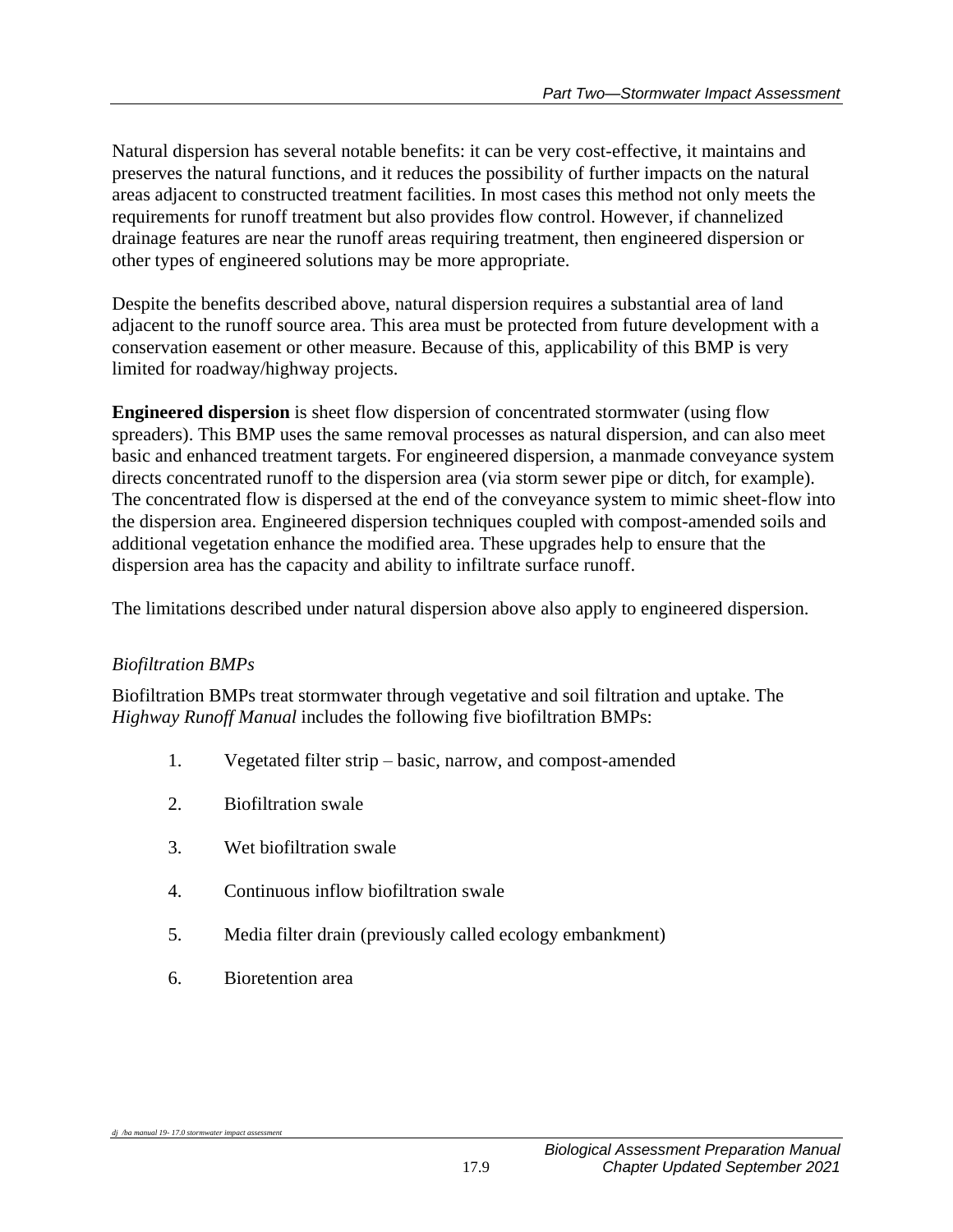Natural dispersion has several notable benefits: it can be very cost-effective, it maintains and preserves the natural functions, and it reduces the possibility of further impacts on the natural areas adjacent to constructed treatment facilities. In most cases this method not only meets the requirements for runoff treatment but also provides flow control. However, if channelized drainage features are near the runoff areas requiring treatment, then engineered dispersion or other types of engineered solutions may be more appropriate.

Despite the benefits described above, natural dispersion requires a substantial area of land adjacent to the runoff source area. This area must be protected from future development with a conservation easement or other measure. Because of this, applicability of this BMP is very limited for roadway/highway projects.

**Engineered dispersion** is sheet flow dispersion of concentrated stormwater (using flow spreaders). This BMP uses the same removal processes as natural dispersion, and can also meet basic and enhanced treatment targets. For engineered dispersion, a manmade conveyance system directs concentrated runoff to the dispersion area (via storm sewer pipe or ditch, for example). The concentrated flow is dispersed at the end of the conveyance system to mimic sheet-flow into the dispersion area. Engineered dispersion techniques coupled with compost-amended soils and additional vegetation enhance the modified area. These upgrades help to ensure that the dispersion area has the capacity and ability to infiltrate surface runoff.

The limitations described under natural dispersion above also apply to engineered dispersion.

## *Biofiltration BMPs*

*dj* /ba manual 19-17.0 stormwater impact asses

Biofiltration BMPs treat stormwater through vegetative and soil filtration and uptake. The *Highway Runoff Manual* includes the following five biofiltration BMPs:

- 1. Vegetated filter strip basic, narrow, and compost-amended
- 2. Biofiltration swale
- 3. Wet biofiltration swale
- 4. Continuous inflow biofiltration swale
- 5. Media filter drain (previously called ecology embankment)
- 6. Bioretention area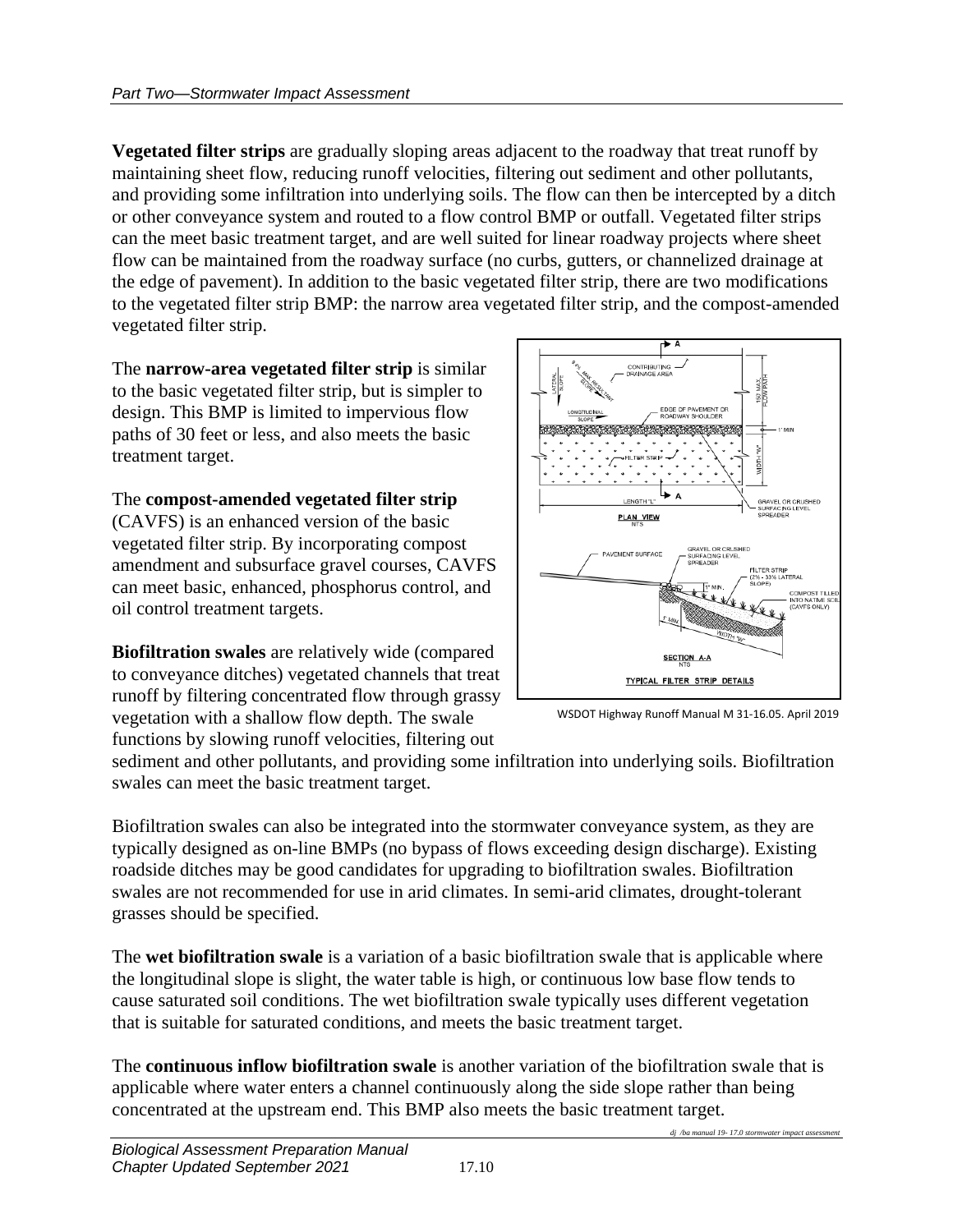**Vegetated filter strips** are gradually sloping areas adjacent to the roadway that treat runoff by maintaining sheet flow, reducing runoff velocities, filtering out sediment and other pollutants, and providing some infiltration into underlying soils. The flow can then be intercepted by a ditch or other conveyance system and routed to a flow control BMP or outfall. Vegetated filter strips can the meet basic treatment target, and are well suited for linear roadway projects where sheet flow can be maintained from the roadway surface (no curbs, gutters, or channelized drainage at the edge of pavement). In addition to the basic vegetated filter strip, there are two modifications to the vegetated filter strip BMP: the narrow area vegetated filter strip, and the compost-amended vegetated filter strip.

The **narrow-area vegetated filter strip** is similar to the basic vegetated filter strip, but is simpler to design. This BMP is limited to impervious flow paths of 30 feet or less, and also meets the basic treatment target.

The **compost-amended vegetated filter strip**  (CAVFS) is an enhanced version of the basic vegetated filter strip. By incorporating compost amendment and subsurface gravel courses, CAVFS can meet basic, enhanced, phosphorus control, and oil control treatment targets.

**Biofiltration swales** are relatively wide (compared to conveyance ditches) vegetated channels that treat runoff by filtering concentrated flow through grassy vegetation with a shallow flow depth. The swale functions by slowing runoff velocities, filtering out



WSDOT Highway Runoff Manual M 31-16.05. April 2019

sediment and other pollutants, and providing some infiltration into underlying soils. Biofiltration swales can meet the basic treatment target.

Biofiltration swales can also be integrated into the stormwater conveyance system, as they are typically designed as on-line BMPs (no bypass of flows exceeding design discharge). Existing roadside ditches may be good candidates for upgrading to biofiltration swales. Biofiltration swales are not recommended for use in arid climates. In semi-arid climates, drought-tolerant grasses should be specified.

The **wet biofiltration swale** is a variation of a basic biofiltration swale that is applicable where the longitudinal slope is slight, the water table is high, or continuous low base flow tends to cause saturated soil conditions. The wet biofiltration swale typically uses different vegetation that is suitable for saturated conditions, and meets the basic treatment target.

The **continuous inflow biofiltration swale** is another variation of the biofiltration swale that is applicable where water enters a channel continuously along the side slope rather than being concentrated at the upstream end. This BMP also meets the basic treatment target.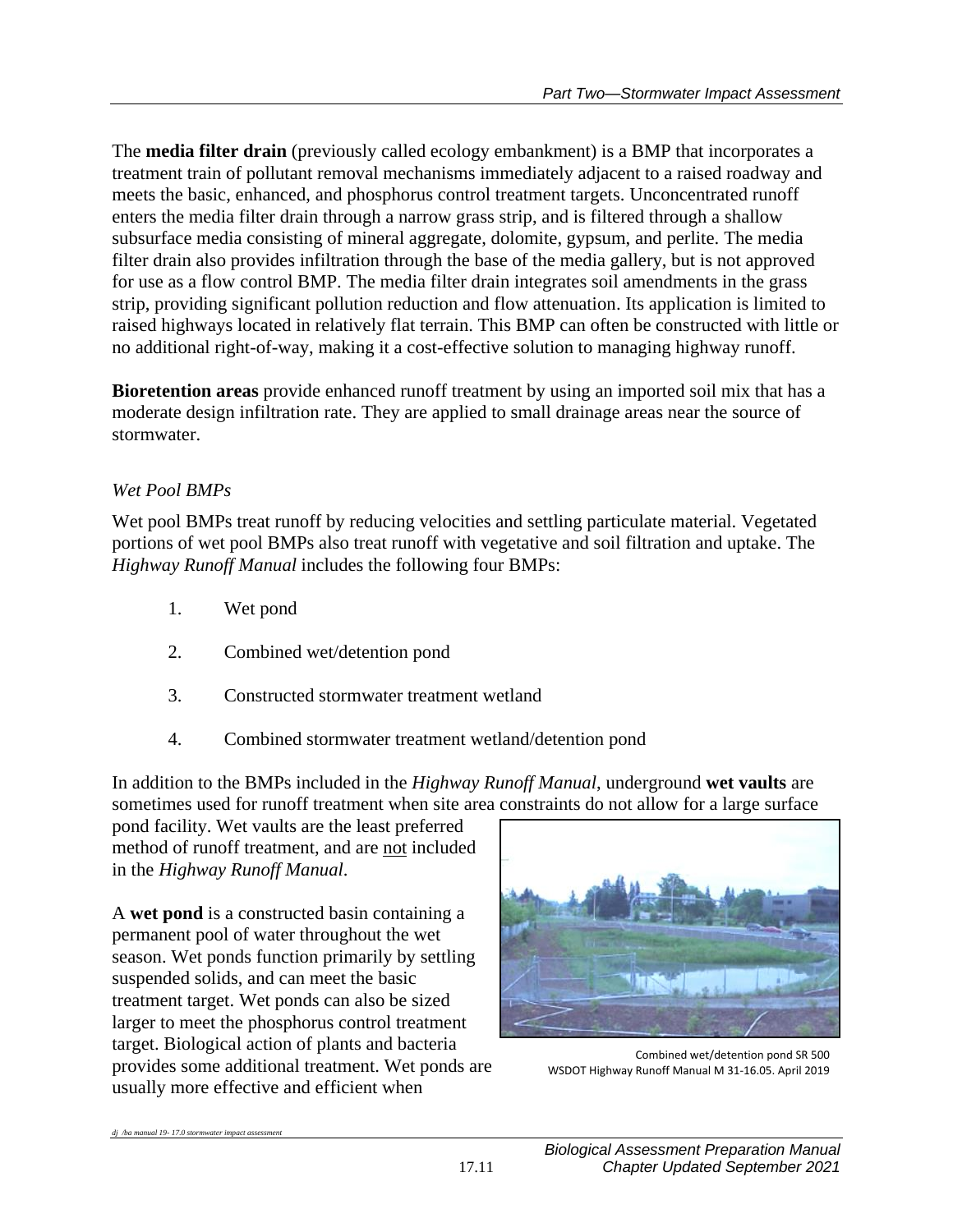The **media filter drain** (previously called ecology embankment) is a BMP that incorporates a treatment train of pollutant removal mechanisms immediately adjacent to a raised roadway and meets the basic, enhanced, and phosphorus control treatment targets. Unconcentrated runoff enters the media filter drain through a narrow grass strip, and is filtered through a shallow subsurface media consisting of mineral aggregate, dolomite, gypsum, and perlite. The media filter drain also provides infiltration through the base of the media gallery, but is not approved for use as a flow control BMP. The media filter drain integrates soil amendments in the grass strip, providing significant pollution reduction and flow attenuation. Its application is limited to raised highways located in relatively flat terrain. This BMP can often be constructed with little or no additional right-of-way, making it a cost-effective solution to managing highway runoff.

**Bioretention areas** provide enhanced runoff treatment by using an imported soil mix that has a moderate design infiltration rate. They are applied to small drainage areas near the source of stormwater.

## *Wet Pool BMPs*

Wet pool BMPs treat runoff by reducing velocities and settling particulate material. Vegetated portions of wet pool BMPs also treat runoff with vegetative and soil filtration and uptake. The *Highway Runoff Manual* includes the following four BMPs:

- 1. Wet pond
- 2. Combined wet/detention pond
- 3. Constructed stormwater treatment wetland
- 4. Combined stormwater treatment wetland/detention pond

In addition to the BMPs included in the *Highway Runoff Manual*, underground **wet vaults** are sometimes used for runoff treatment when site area constraints do not allow for a large surface

pond facility. Wet vaults are the least preferred method of runoff treatment, and are not included in the *Highway Runoff Manual*.

A **wet pond** is a constructed basin containing a permanent pool of water throughout the wet season. Wet ponds function primarily by settling suspended solids, and can meet the basic treatment target. Wet ponds can also be sized larger to meet the phosphorus control treatment target. Biological action of plants and bacteria provides some additional treatment. Wet ponds are usually more effective and efficient when

*dj /ba manual 19- 17.0 stormwater impact assessment*



Combined wet/detention pond SR 500 WSDOT Highway Runoff Manual M 31-16.05. April 2019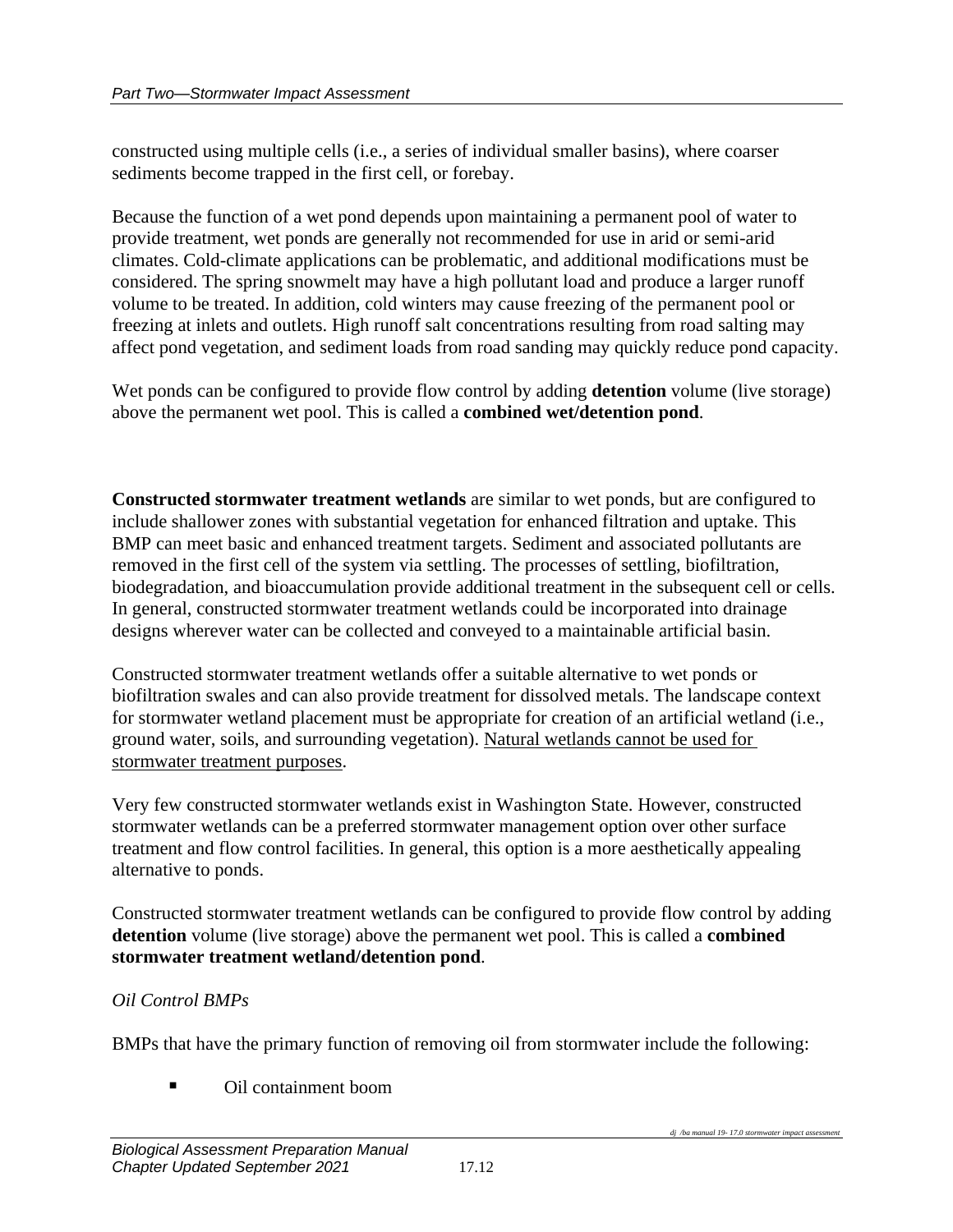constructed using multiple cells (i.e., a series of individual smaller basins), where coarser sediments become trapped in the first cell, or forebay.

Because the function of a wet pond depends upon maintaining a permanent pool of water to provide treatment, wet ponds are generally not recommended for use in arid or semi-arid climates. Cold-climate applications can be problematic, and additional modifications must be considered. The spring snowmelt may have a high pollutant load and produce a larger runoff volume to be treated. In addition, cold winters may cause freezing of the permanent pool or freezing at inlets and outlets. High runoff salt concentrations resulting from road salting may affect pond vegetation, and sediment loads from road sanding may quickly reduce pond capacity.

Wet ponds can be configured to provide flow control by adding **detention** volume (live storage) above the permanent wet pool. This is called a **combined wet/detention pond**.

**Constructed stormwater treatment wetlands** are similar to wet ponds, but are configured to include shallower zones with substantial vegetation for enhanced filtration and uptake. This BMP can meet basic and enhanced treatment targets. Sediment and associated pollutants are removed in the first cell of the system via settling. The processes of settling, biofiltration, biodegradation, and bioaccumulation provide additional treatment in the subsequent cell or cells. In general, constructed stormwater treatment wetlands could be incorporated into drainage designs wherever water can be collected and conveyed to a maintainable artificial basin.

Constructed stormwater treatment wetlands offer a suitable alternative to wet ponds or biofiltration swales and can also provide treatment for dissolved metals. The landscape context for stormwater wetland placement must be appropriate for creation of an artificial wetland (i.e., ground water, soils, and surrounding vegetation). Natural wetlands cannot be used for stormwater treatment purposes.

Very few constructed stormwater wetlands exist in Washington State. However, constructed stormwater wetlands can be a preferred stormwater management option over other surface treatment and flow control facilities. In general, this option is a more aesthetically appealing alternative to ponds.

Constructed stormwater treatment wetlands can be configured to provide flow control by adding **detention** volume (live storage) above the permanent wet pool. This is called a **combined stormwater treatment wetland/detention pond**.

### *Oil Control BMPs*

BMPs that have the primary function of removing oil from stormwater include the following:

■ Oil containment boom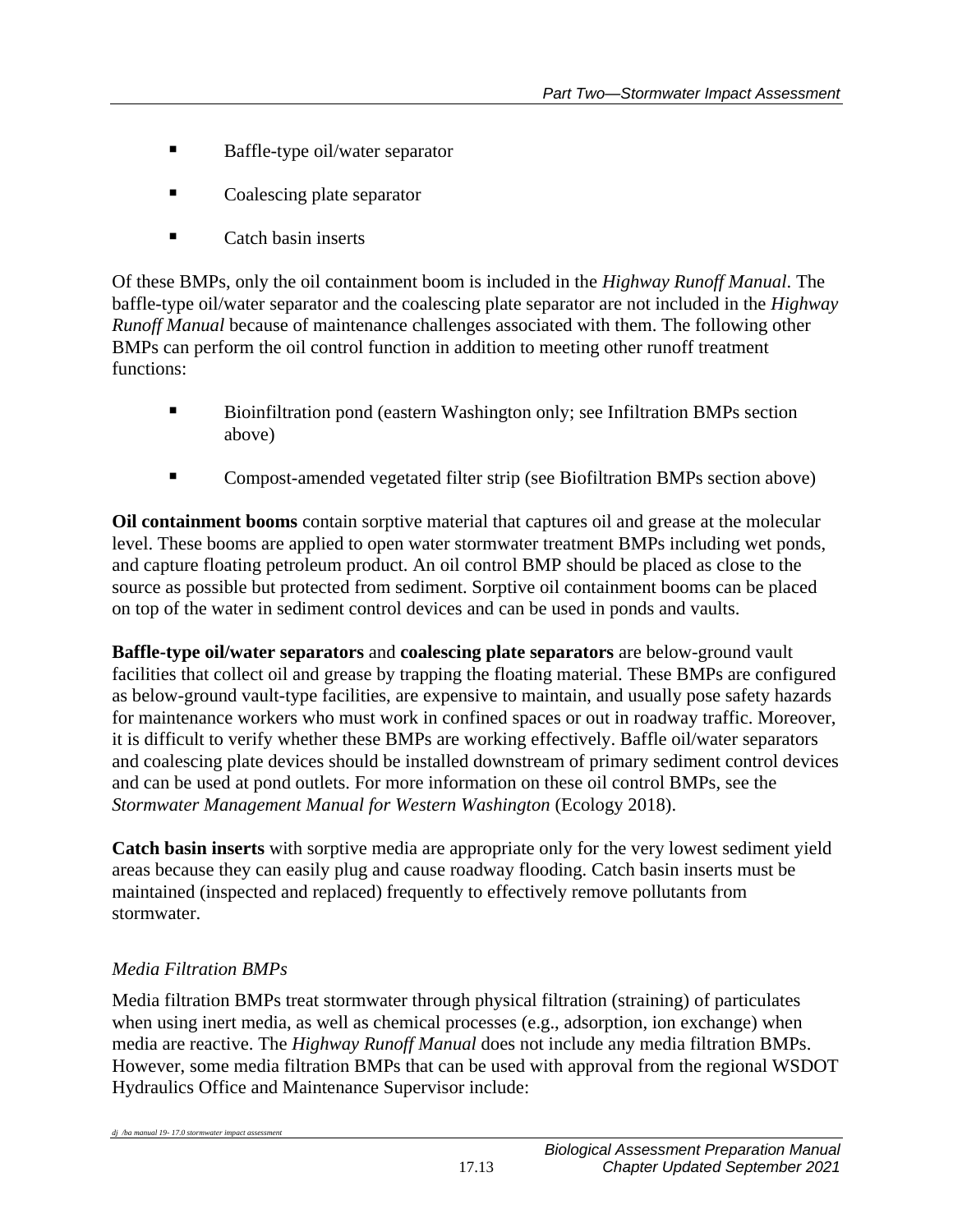- Baffle-type oil/water separator
- Coalescing plate separator
- Catch basin inserts

Of these BMPs, only the oil containment boom is included in the *Highway Runoff Manual*. The baffle-type oil/water separator and the coalescing plate separator are not included in the *Highway Runoff Manual* because of maintenance challenges associated with them. The following other BMPs can perform the oil control function in addition to meeting other runoff treatment functions:

- Bioinfiltration pond (eastern Washington only; see Infiltration BMPs section above)
- Compost-amended vegetated filter strip (see Biofiltration BMPs section above)

**Oil containment booms** contain sorptive material that captures oil and grease at the molecular level. These booms are applied to open water stormwater treatment BMPs including wet ponds, and capture floating petroleum product. An oil control BMP should be placed as close to the source as possible but protected from sediment. Sorptive oil containment booms can be placed on top of the water in sediment control devices and can be used in ponds and vaults.

**Baffle-type oil/water separators** and **coalescing plate separators** are below-ground vault facilities that collect oil and grease by trapping the floating material. These BMPs are configured as below-ground vault-type facilities, are expensive to maintain, and usually pose safety hazards for maintenance workers who must work in confined spaces or out in roadway traffic. Moreover, it is difficult to verify whether these BMPs are working effectively. Baffle oil/water separators and coalescing plate devices should be installed downstream of primary sediment control devices and can be used at pond outlets. For more information on these oil control BMPs, see the *Stormwater Management Manual for Western Washington* (Ecology 2018).

**Catch basin inserts** with sorptive media are appropriate only for the very lowest sediment yield areas because they can easily plug and cause roadway flooding. Catch basin inserts must be maintained (inspected and replaced) frequently to effectively remove pollutants from stormwater.

## *Media Filtration BMPs*

*dj* /ba manual 19-17.0 stormwater impact asses

Media filtration BMPs treat stormwater through physical filtration (straining) of particulates when using inert media, as well as chemical processes (e.g., adsorption, ion exchange) when media are reactive. The *Highway Runoff Manual* does not include any media filtration BMPs. However, some media filtration BMPs that can be used with approval from the regional WSDOT Hydraulics Office and Maintenance Supervisor include: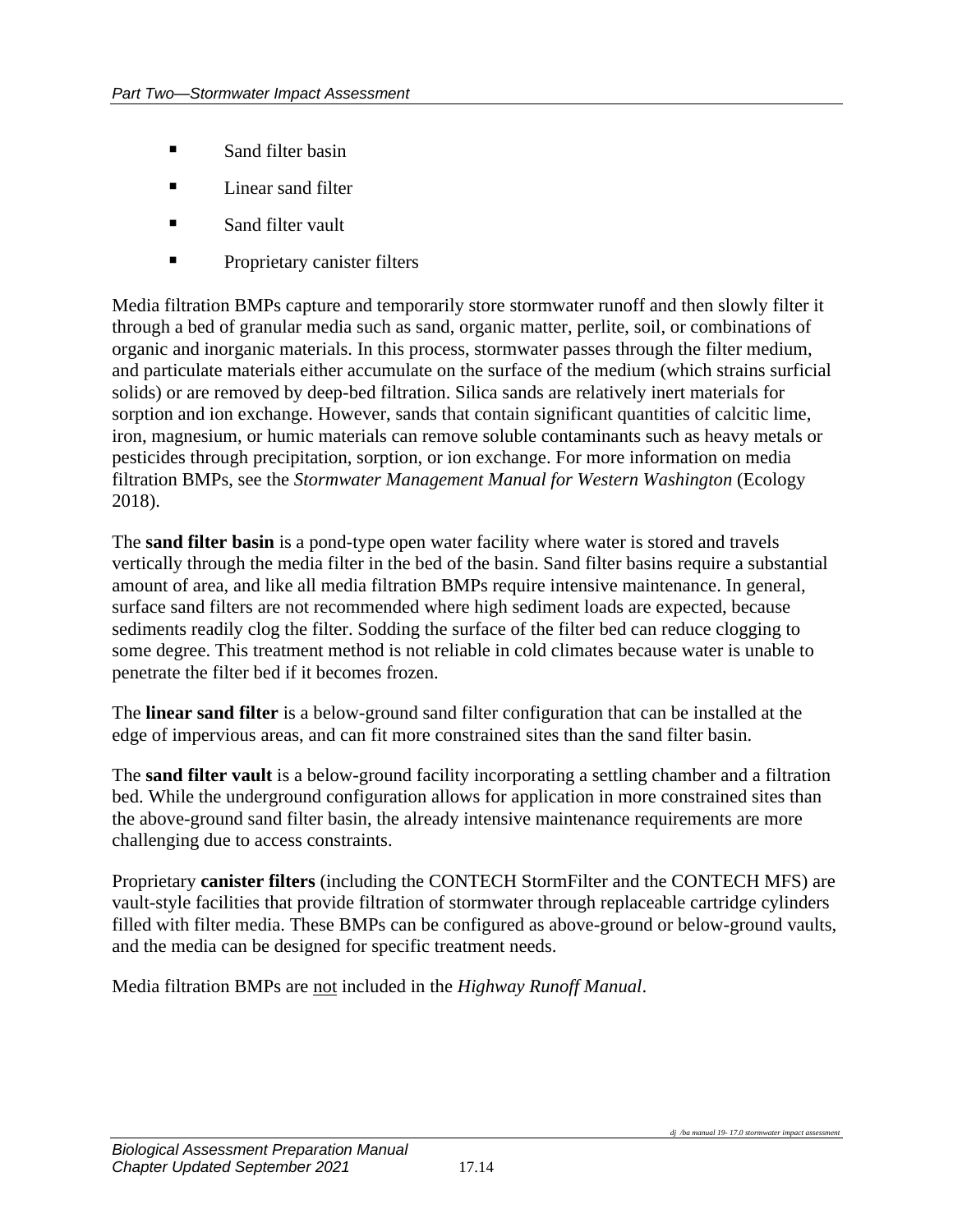- Sand filter basin
- Linear sand filter
- Sand filter vault
- **Proprietary canister filters**

Media filtration BMPs capture and temporarily store stormwater runoff and then slowly filter it through a bed of granular media such as sand, organic matter, perlite, soil, or combinations of organic and inorganic materials. In this process, stormwater passes through the filter medium, and particulate materials either accumulate on the surface of the medium (which strains surficial solids) or are removed by deep-bed filtration. Silica sands are relatively inert materials for sorption and ion exchange. However, sands that contain significant quantities of calcitic lime, iron, magnesium, or humic materials can remove soluble contaminants such as heavy metals or pesticides through precipitation, sorption, or ion exchange. For more information on media filtration BMPs, see the *Stormwater Management Manual for Western Washington* (Ecology 2018).

The **sand filter basin** is a pond-type open water facility where water is stored and travels vertically through the media filter in the bed of the basin. Sand filter basins require a substantial amount of area, and like all media filtration BMPs require intensive maintenance. In general, surface sand filters are not recommended where high sediment loads are expected, because sediments readily clog the filter. Sodding the surface of the filter bed can reduce clogging to some degree. This treatment method is not reliable in cold climates because water is unable to penetrate the filter bed if it becomes frozen.

The **linear sand filter** is a below-ground sand filter configuration that can be installed at the edge of impervious areas, and can fit more constrained sites than the sand filter basin.

The **sand filter vault** is a below-ground facility incorporating a settling chamber and a filtration bed. While the underground configuration allows for application in more constrained sites than the above-ground sand filter basin, the already intensive maintenance requirements are more challenging due to access constraints.

Proprietary **canister filters** (including the CONTECH StormFilter and the CONTECH MFS) are vault-style facilities that provide filtration of stormwater through replaceable cartridge cylinders filled with filter media. These BMPs can be configured as above-ground or below-ground vaults, and the media can be designed for specific treatment needs.

Media filtration BMPs are not included in the *Highway Runoff Manual*.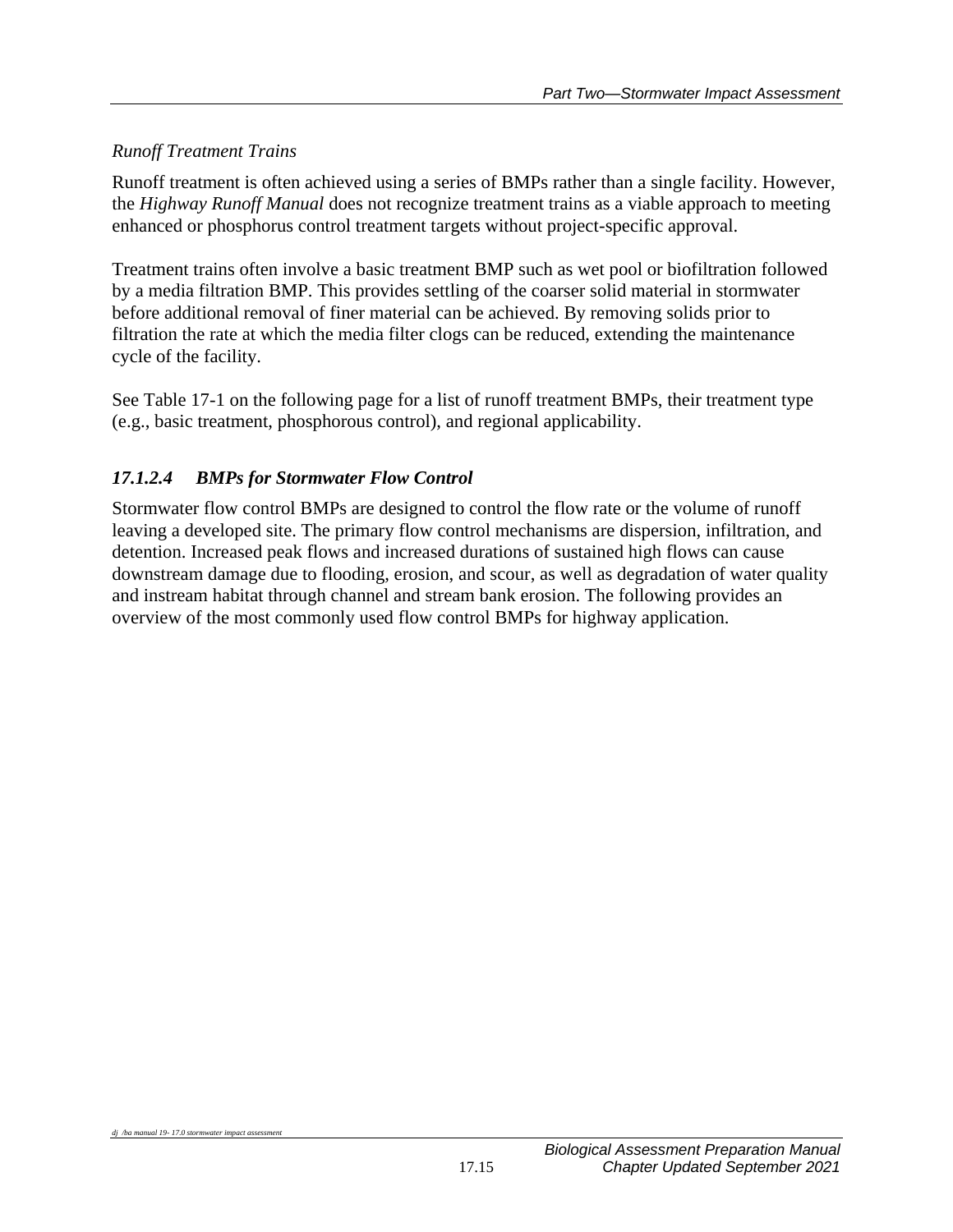## *Runoff Treatment Trains*

Runoff treatment is often achieved using a series of BMPs rather than a single facility. However, the *Highway Runoff Manual* does not recognize treatment trains as a viable approach to meeting enhanced or phosphorus control treatment targets without project-specific approval.

Treatment trains often involve a basic treatment BMP such as wet pool or biofiltration followed by a media filtration BMP. This provides settling of the coarser solid material in stormwater before additional removal of finer material can be achieved. By removing solids prior to filtration the rate at which the media filter clogs can be reduced, extending the maintenance cycle of the facility.

See Table 17-1 on the following page for a list of runoff treatment BMPs, their treatment type (e.g., basic treatment, phosphorous control), and regional applicability.

## *17.1.2.4 BMPs for Stormwater Flow Control*

Stormwater flow control BMPs are designed to control the flow rate or the volume of runoff leaving a developed site. The primary flow control mechanisms are dispersion, infiltration, and detention. Increased peak flows and increased durations of sustained high flows can cause downstream damage due to flooding, erosion, and scour, as well as degradation of water quality and instream habitat through channel and stream bank erosion. The following provides an overview of the most commonly used flow control BMPs for highway application.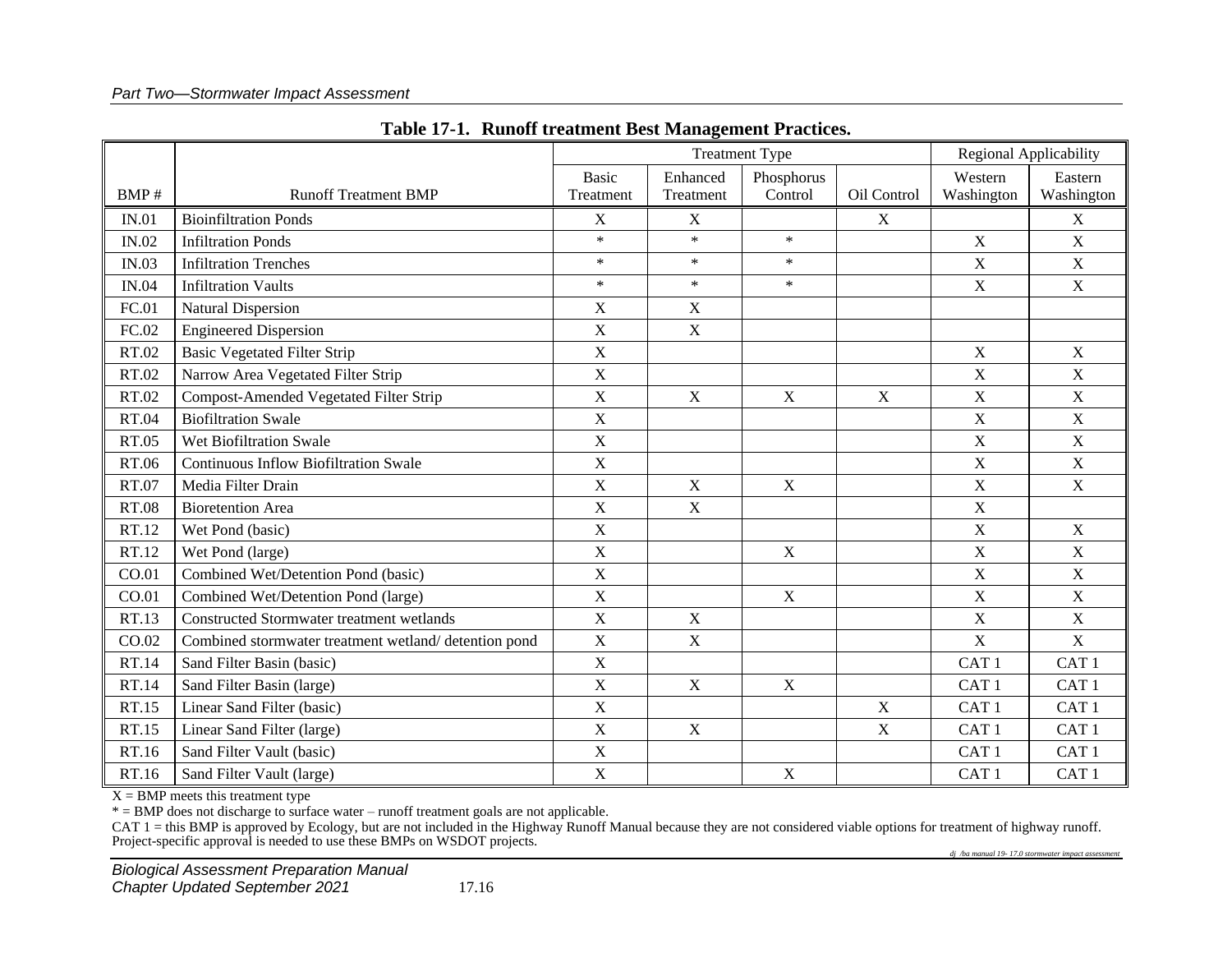#### *Part Two—Stormwater Impact Assessment*

|              |                                                      | <b>Treatment Type</b>     |                       |                       |             | Regional Applicability |                       |
|--------------|------------------------------------------------------|---------------------------|-----------------------|-----------------------|-------------|------------------------|-----------------------|
| BMP#         | <b>Runoff Treatment BMP</b>                          | <b>Basic</b><br>Treatment | Enhanced<br>Treatment | Phosphorus<br>Control | Oil Control | Western<br>Washington  | Eastern<br>Washington |
| IN.01        | <b>Bioinfiltration Ponds</b>                         | X                         | X                     |                       | X           |                        | X                     |
| IN.02        | <b>Infiltration Ponds</b>                            | $\ast$                    | $\ast$                | $\ast$                |             | $\mathbf X$            | $\mathbf X$           |
| IN.03        | <b>Infiltration Trenches</b>                         | $\ast$                    | $\ast$                | $\ast$                |             | $\mathbf X$            | $\mathbf X$           |
| <b>IN.04</b> | <b>Infiltration Vaults</b>                           | $\ast$                    | $\ast$                | $\ast$                |             | $\mathbf X$            | $\mathbf X$           |
| FC.01        | <b>Natural Dispersion</b>                            | $\mathbf X$               | $\mathbf X$           |                       |             |                        |                       |
| FC.02        | <b>Engineered Dispersion</b>                         | $\mathbf X$               | $\mathbf X$           |                       |             |                        |                       |
| RT.02        | <b>Basic Vegetated Filter Strip</b>                  | $\mathbf X$               |                       |                       |             | $\mathbf X$            | $\mathbf X$           |
| RT.02        | Narrow Area Vegetated Filter Strip                   | $\mathbf X$               |                       |                       |             | X                      | $\mathbf X$           |
| RT.02        | Compost-Amended Vegetated Filter Strip               | $\mathbf X$               | X                     | $\mathbf X$           | $\mathbf X$ | $\mathbf X$            | $\mathbf X$           |
| RT.04        | <b>Biofiltration Swale</b>                           | $\mathbf X$               |                       |                       |             | $\mathbf X$            | $\mathbf X$           |
| RT.05        | Wet Biofiltration Swale                              | $\mathbf X$               |                       |                       |             | $\mathbf X$            | $\mathbf X$           |
| RT.06        | <b>Continuous Inflow Biofiltration Swale</b>         | $\mathbf X$               |                       |                       |             | X                      | $\mathbf X$           |
| RT.07        | Media Filter Drain                                   | $\mathbf X$               | $\mathbf X$           | $\mathbf X$           |             | $\mathbf X$            | $\mathbf X$           |
| <b>RT.08</b> | <b>Bioretention Area</b>                             | $\mathbf X$               | X                     |                       |             | $\mathbf X$            |                       |
| RT.12        | Wet Pond (basic)                                     | $\mathbf X$               |                       |                       |             | $\mathbf X$            | $\mathbf X$           |
| RT.12        | Wet Pond (large)                                     | $\mathbf X$               |                       | $\mathbf X$           |             | $\mathbf X$            | $\mathbf X$           |
| CO.01        | Combined Wet/Detention Pond (basic)                  | $\mathbf X$               |                       |                       |             | $\mathbf X$            | $\mathbf X$           |
| CO.01        | Combined Wet/Detention Pond (large)                  | $\mathbf X$               |                       | $\mathbf X$           |             | $\mathbf X$            | $\mathbf X$           |
| RT.13        | <b>Constructed Stormwater treatment wetlands</b>     | $\mathbf X$               | $\mathbf X$           |                       |             | $\mathbf X$            | $\mathbf X$           |
| CO.02        | Combined stormwater treatment wetland/detention pond | $\mathbf X$               | X                     |                       |             | $\mathbf X$            | $\mathbf X$           |
| <b>RT.14</b> | Sand Filter Basin (basic)                            | $\mathbf X$               |                       |                       |             | CAT <sub>1</sub>       | CAT <sub>1</sub>      |
| RT.14        | Sand Filter Basin (large)                            | $\mathbf X$               | $\mathbf X$           | $\mathbf X$           |             | CAT <sub>1</sub>       | CAT <sub>1</sub>      |
| RT.15        | Linear Sand Filter (basic)                           | $\mathbf X$               |                       |                       | $\mathbf X$ | CAT <sub>1</sub>       | CAT <sub>1</sub>      |
| RT.15        | Linear Sand Filter (large)                           | $\mathbf X$               | $\mathbf X$           |                       | X           | CAT <sub>1</sub>       | CAT <sub>1</sub>      |
| RT.16        | Sand Filter Vault (basic)                            | $\mathbf X$               |                       |                       |             | CAT <sub>1</sub>       | CAT <sub>1</sub>      |
| RT.16        | Sand Filter Vault (large)                            | $\mathbf X$               |                       | $\mathbf X$           |             | CAT <sub>1</sub>       | CAT <sub>1</sub>      |

#### **Table 17-1. Runoff treatment Best Management Practices.**

 $X = BMP$  meets this treatment type

\* = BMP does not discharge to surface water – runoff treatment goals are not applicable.

CAT 1 = this BMP is approved by Ecology, but are not included in the Highway Runoff Manual because they are not considered viable options for treatment of highway runoff. Project-specific approval is needed to use these BMPs on WSDOT projects.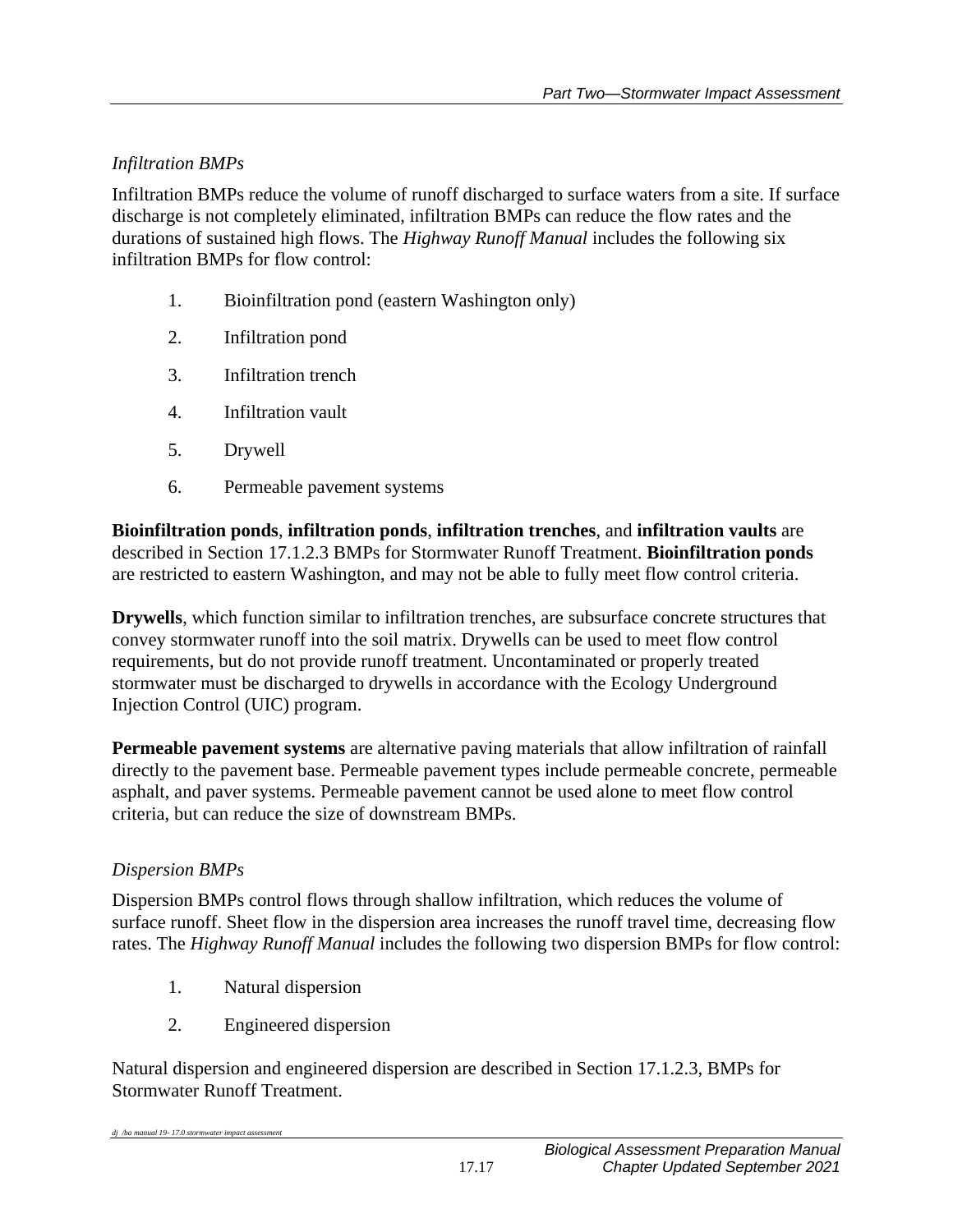## *Infiltration BMPs*

Infiltration BMPs reduce the volume of runoff discharged to surface waters from a site. If surface discharge is not completely eliminated, infiltration BMPs can reduce the flow rates and the durations of sustained high flows. The *Highway Runoff Manual* includes the following six infiltration BMPs for flow control:

- 1. Bioinfiltration pond (eastern Washington only)
- 2. Infiltration pond
- 3. Infiltration trench
- 4. Infiltration vault
- 5. Drywell
- 6. Permeable pavement systems

**Bioinfiltration ponds**, **infiltration ponds**, **infiltration trenches**, and **infiltration vaults** are described in Section 17.1.2.3 BMPs for Stormwater Runoff Treatment. **Bioinfiltration ponds** are restricted to eastern Washington, and may not be able to fully meet flow control criteria.

**Drywells**, which function similar to infiltration trenches, are subsurface concrete structures that convey stormwater runoff into the soil matrix. Drywells can be used to meet flow control requirements, but do not provide runoff treatment. Uncontaminated or properly treated stormwater must be discharged to drywells in accordance with the Ecology Underground Injection Control (UIC) program.

**Permeable pavement systems** are alternative paving materials that allow infiltration of rainfall directly to the pavement base. Permeable pavement types include permeable concrete, permeable asphalt, and paver systems. Permeable pavement cannot be used alone to meet flow control criteria, but can reduce the size of downstream BMPs.

## *Dispersion BMPs*

*dj /ba manual 19- 17.0 stormwater impact assessment*

Dispersion BMPs control flows through shallow infiltration, which reduces the volume of surface runoff. Sheet flow in the dispersion area increases the runoff travel time, decreasing flow rates. The *Highway Runoff Manual* includes the following two dispersion BMPs for flow control:

- 1. Natural dispersion
- 2. Engineered dispersion

Natural dispersion and engineered dispersion are described in Section 17.1.2.3, BMPs for Stormwater Runoff Treatment.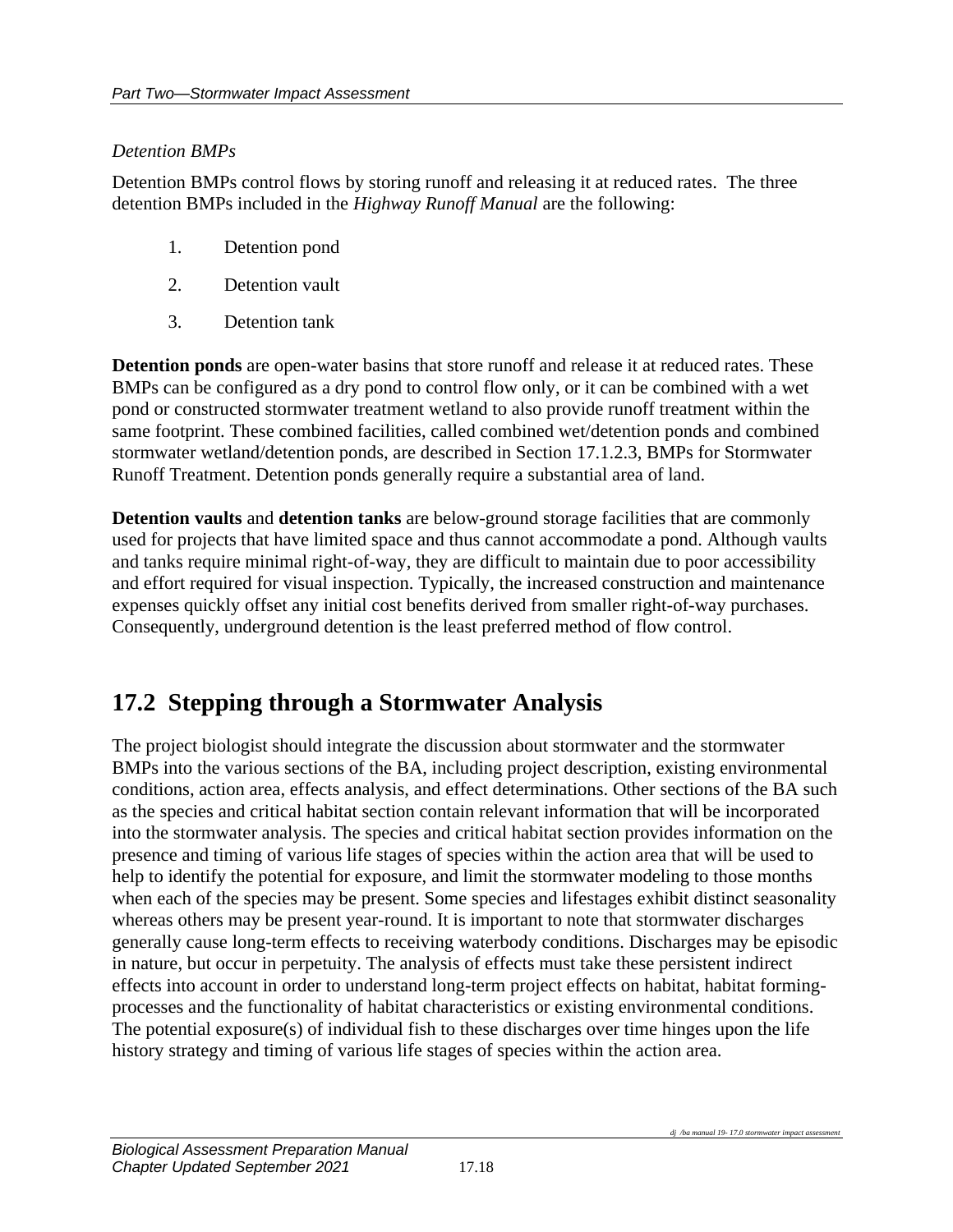### *Detention BMPs*

Detention BMPs control flows by storing runoff and releasing it at reduced rates. The three detention BMPs included in the *Highway Runoff Manual* are the following:

- 1. Detention pond
- 2. Detention vault
- 3. Detention tank

**Detention ponds** are open-water basins that store runoff and release it at reduced rates. These BMPs can be configured as a dry pond to control flow only, or it can be combined with a wet pond or constructed stormwater treatment wetland to also provide runoff treatment within the same footprint. These combined facilities, called combined wet/detention ponds and combined stormwater wetland/detention ponds, are described in Section 17.1.2.3, BMPs for Stormwater Runoff Treatment. Detention ponds generally require a substantial area of land.

**Detention vaults** and **detention tanks** are below-ground storage facilities that are commonly used for projects that have limited space and thus cannot accommodate a pond. Although vaults and tanks require minimal right-of-way, they are difficult to maintain due to poor accessibility and effort required for visual inspection. Typically, the increased construction and maintenance expenses quickly offset any initial cost benefits derived from smaller right-of-way purchases. Consequently, underground detention is the least preferred method of flow control.

## **17.2 Stepping through a Stormwater Analysis**

The project biologist should integrate the discussion about stormwater and the stormwater BMPs into the various sections of the BA, including project description, existing environmental conditions, action area, effects analysis, and effect determinations. Other sections of the BA such as the species and critical habitat section contain relevant information that will be incorporated into the stormwater analysis. The species and critical habitat section provides information on the presence and timing of various life stages of species within the action area that will be used to help to identify the potential for exposure, and limit the stormwater modeling to those months when each of the species may be present. Some species and lifestages exhibit distinct seasonality whereas others may be present year-round. It is important to note that stormwater discharges generally cause long-term effects to receiving waterbody conditions. Discharges may be episodic in nature, but occur in perpetuity. The analysis of effects must take these persistent indirect effects into account in order to understand long-term project effects on habitat, habitat formingprocesses and the functionality of habitat characteristics or existing environmental conditions. The potential exposure(s) of individual fish to these discharges over time hinges upon the life history strategy and timing of various life stages of species within the action area.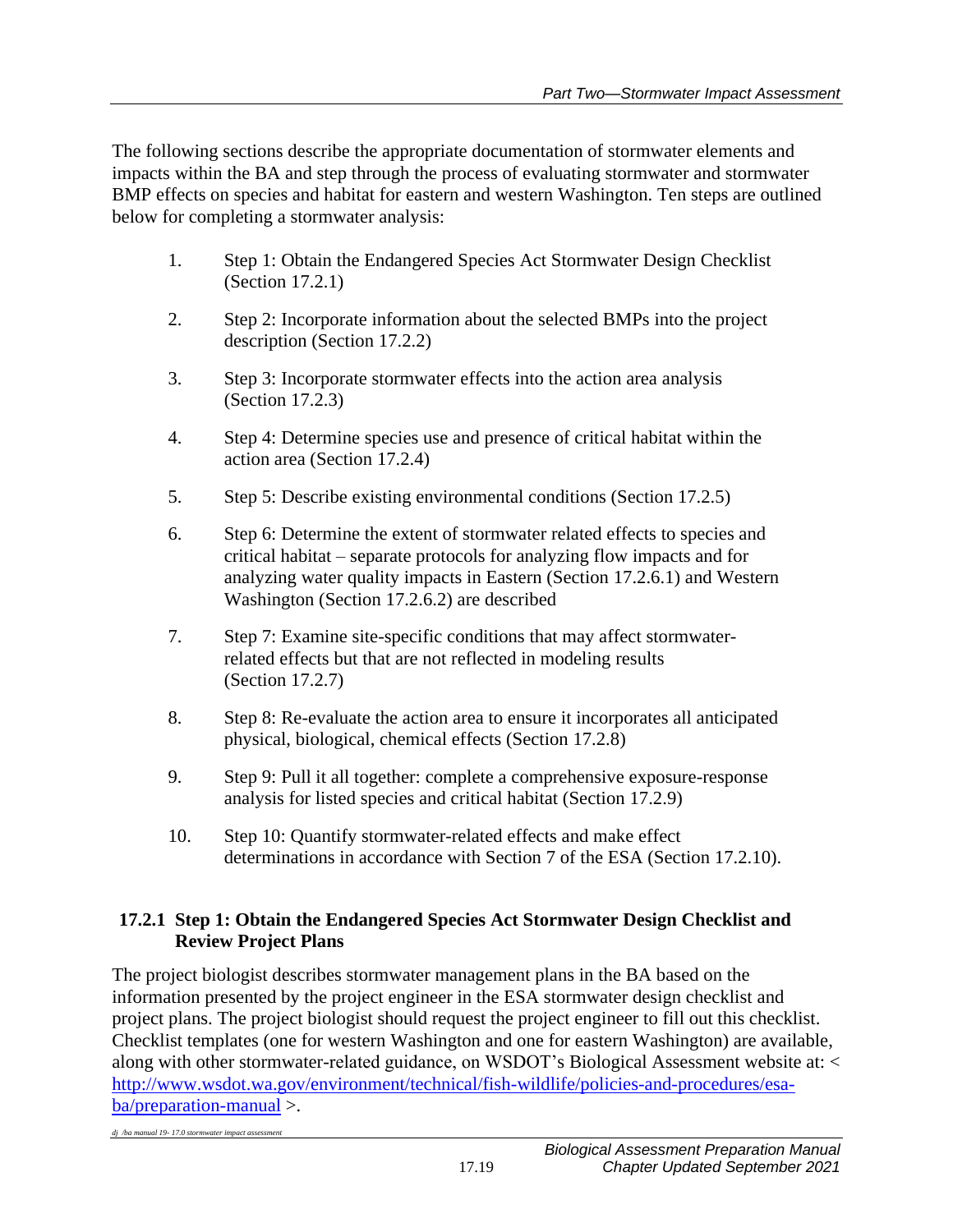The following sections describe the appropriate documentation of stormwater elements and impacts within the BA and step through the process of evaluating stormwater and stormwater BMP effects on species and habitat for eastern and western Washington. Ten steps are outlined below for completing a stormwater analysis:

- 1. Step 1: Obtain the Endangered Species Act Stormwater Design Checklist (Section 17.2.1)
- 2. Step 2: Incorporate information about the selected BMPs into the project description (Section 17.2.2)
- 3. Step 3: Incorporate stormwater effects into the action area analysis (Section 17.2.3)
- 4. Step 4: Determine species use and presence of critical habitat within the action area (Section 17.2.4)
- 5. Step 5: Describe existing environmental conditions (Section 17.2.5)
- 6. Step 6: Determine the extent of stormwater related effects to species and critical habitat – separate protocols for analyzing flow impacts and for analyzing water quality impacts in Eastern (Section 17.2.6.1) and Western Washington (Section 17.2.6.2) are described
- 7. Step 7: Examine site-specific conditions that may affect stormwaterrelated effects but that are not reflected in modeling results (Section 17.2.7)
- 8. Step 8: Re-evaluate the action area to ensure it incorporates all anticipated physical, biological, chemical effects (Section 17.2.8)
- 9. Step 9: Pull it all together: complete a comprehensive exposure-response analysis for listed species and critical habitat (Section 17.2.9)
- 10. Step 10: Quantify stormwater-related effects and make effect determinations in accordance with Section 7 of the ESA (Section 17.2.10).

## **17.2.1 Step 1: Obtain the Endangered Species Act Stormwater Design Checklist and Review Project Plans**

The project biologist describes stormwater management plans in the BA based on the information presented by the project engineer in the ESA stormwater design checklist and project plans. The project biologist should request the project engineer to fill out this checklist. Checklist templates (one for western Washington and one for eastern Washington) are available, along with other stormwater-related guidance, on WSDOT's Biological Assessment website at: < [http://www.wsdot.wa.gov/environment/technical/fish-wildlife/policies-and-procedures/esa](http://www.wsdot.wa.gov/environment/technical/fish-wildlife/policies-and-procedures/esa-ba/preparation-manual)[ba/preparation-manual](http://www.wsdot.wa.gov/environment/technical/fish-wildlife/policies-and-procedures/esa-ba/preparation-manual) >.

*dj /ba manual 19- 17.0 stormwater impact assessment*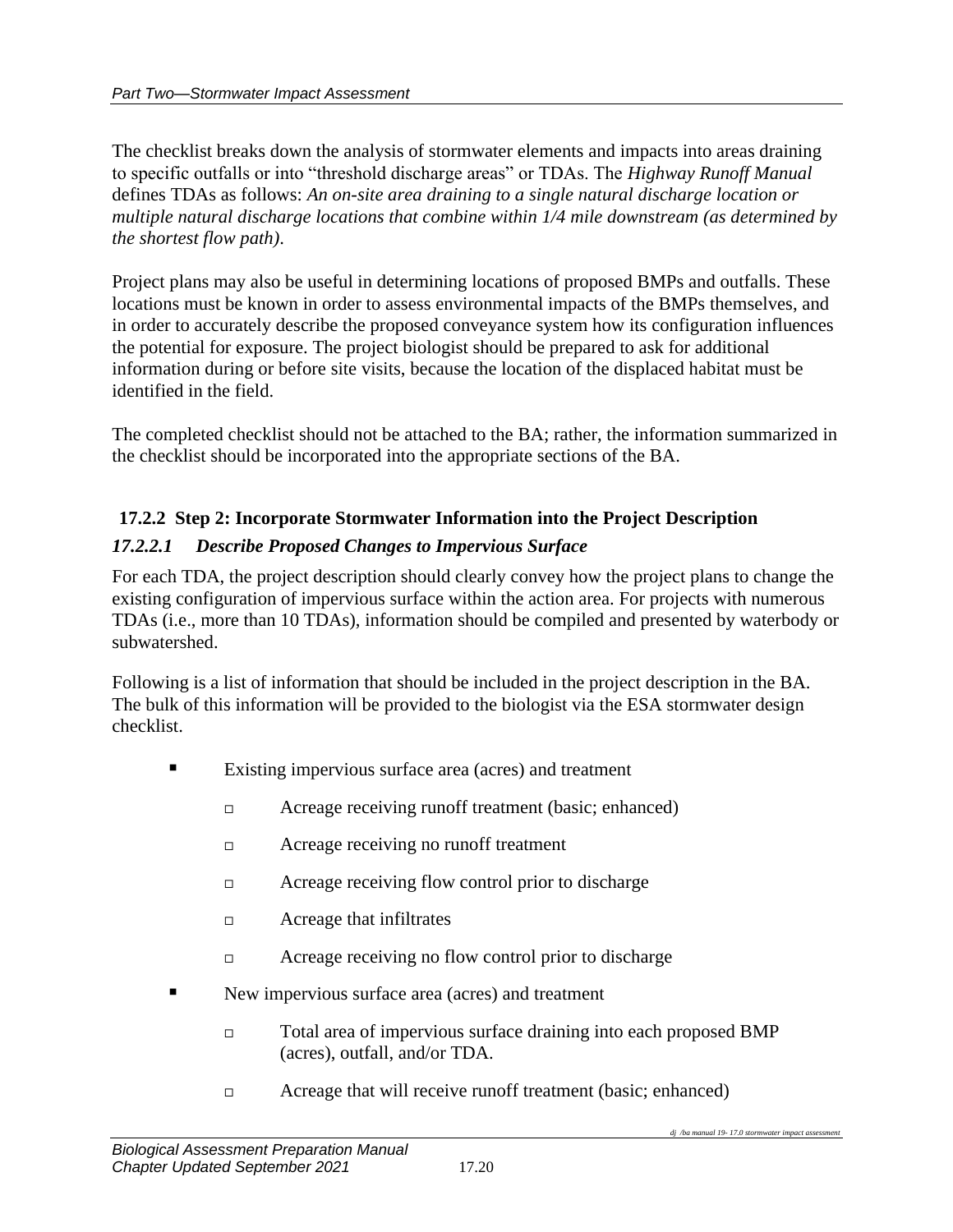The checklist breaks down the analysis of stormwater elements and impacts into areas draining to specific outfalls or into "threshold discharge areas" or TDAs. The *Highway Runoff Manual* defines TDAs as follows: *An on-site area draining to a single natural discharge location or multiple natural discharge locations that combine within 1/4 mile downstream (as determined by the shortest flow path)*.

Project plans may also be useful in determining locations of proposed BMPs and outfalls. These locations must be known in order to assess environmental impacts of the BMPs themselves, and in order to accurately describe the proposed conveyance system how its configuration influences the potential for exposure. The project biologist should be prepared to ask for additional information during or before site visits, because the location of the displaced habitat must be identified in the field.

The completed checklist should not be attached to the BA; rather, the information summarized in the checklist should be incorporated into the appropriate sections of the BA.

# **17.2.2 Step 2: Incorporate Stormwater Information into the Project Description**

## *17.2.2.1 Describe Proposed Changes to Impervious Surface*

For each TDA, the project description should clearly convey how the project plans to change the existing configuration of impervious surface within the action area. For projects with numerous TDAs (i.e., more than 10 TDAs), information should be compiled and presented by waterbody or subwatershed.

Following is a list of information that should be included in the project description in the BA. The bulk of this information will be provided to the biologist via the ESA stormwater design checklist.

- Existing impervious surface area (acres) and treatment
	- □ Acreage receiving runoff treatment (basic; enhanced)
	- □ Acreage receiving no runoff treatment
	- $\Box$  Acreage receiving flow control prior to discharge
	- $\Box$  Acreage that infiltrates
	- $\Box$  Acreage receiving no flow control prior to discharge
- New impervious surface area (acres) and treatment
	- Total area of impervious surface draining into each proposed BMP (acres), outfall, and/or TDA.
	- □ Acreage that will receive runoff treatment (basic; enhanced)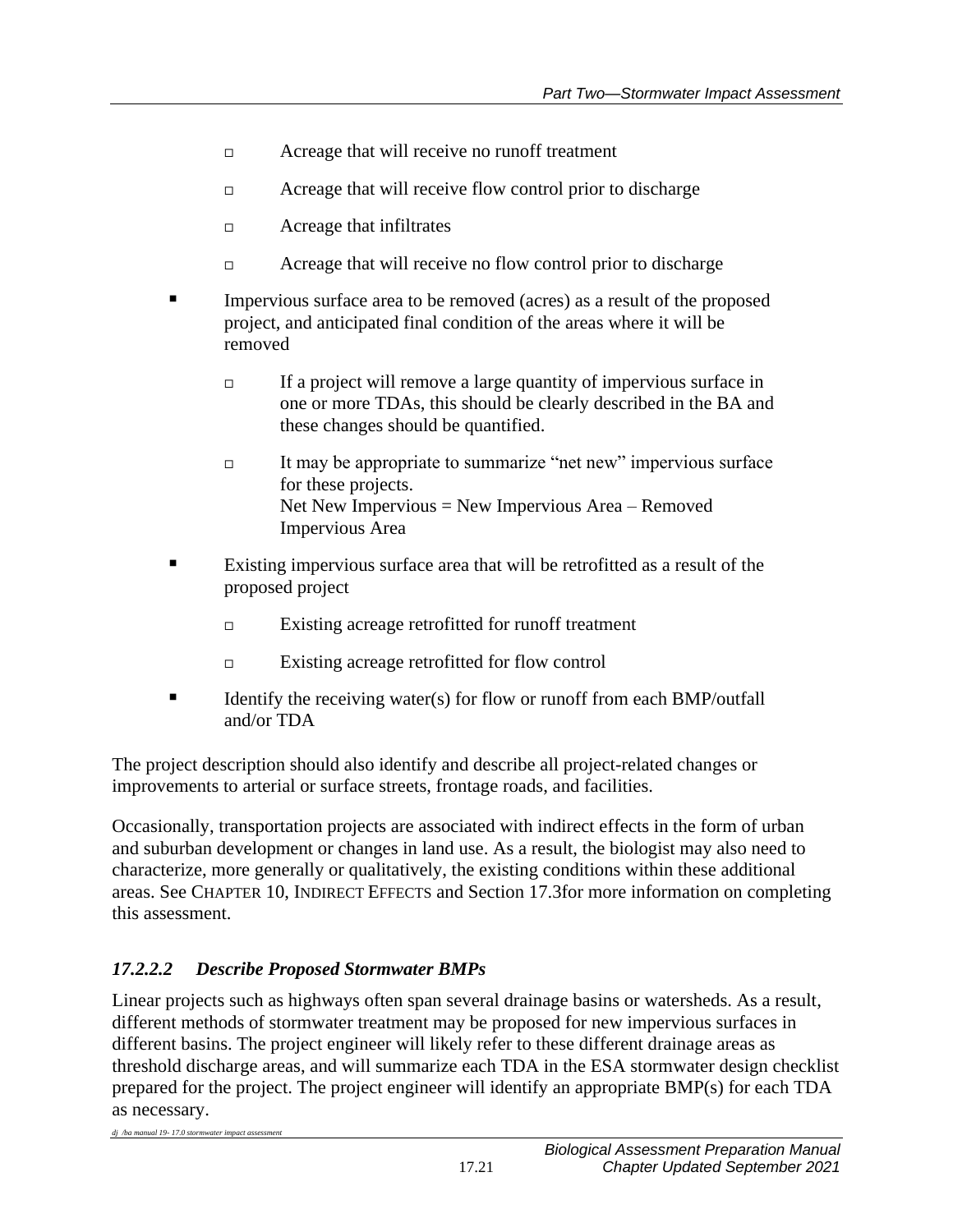- □ Acreage that will receive no runoff treatment
- Acreage that will receive flow control prior to discharge
- $\Box$  Acreage that infiltrates
- $\Box$  Acreage that will receive no flow control prior to discharge
- Impervious surface area to be removed (acres) as a result of the proposed project, and anticipated final condition of the areas where it will be removed
	- $\Box$  If a project will remove a large quantity of impervious surface in one or more TDAs, this should be clearly described in the BA and these changes should be quantified.
	- $\Box$  It may be appropriate to summarize "net new" impervious surface for these projects. Net New Impervious = New Impervious Area – Removed Impervious Area
- Existing impervious surface area that will be retrofitted as a result of the proposed project
	- Existing acreage retrofitted for runoff treatment
	- Existing acreage retrofitted for flow control
- **Example 1** Identify the receiving water(s) for flow or runoff from each BMP/outfall and/or TDA

The project description should also identify and describe all project-related changes or improvements to arterial or surface streets, frontage roads, and facilities.

Occasionally, transportation projects are associated with indirect effects in the form of urban and suburban development or changes in land use. As a result, the biologist may also need to characterize, more generally or qualitatively, the existing conditions within these additional areas. See CHAPTER 10, INDIRECT EFFECTS and Section 17.3for more information on completing this assessment.

## *17.2.2.2 Describe Proposed Stormwater BMPs*

*dj /ba manual 19- 17.0 stormwater impact assessment*

Linear projects such as highways often span several drainage basins or watersheds. As a result, different methods of stormwater treatment may be proposed for new impervious surfaces in different basins. The project engineer will likely refer to these different drainage areas as threshold discharge areas, and will summarize each TDA in the ESA stormwater design checklist prepared for the project. The project engineer will identify an appropriate BMP(s) for each TDA as necessary.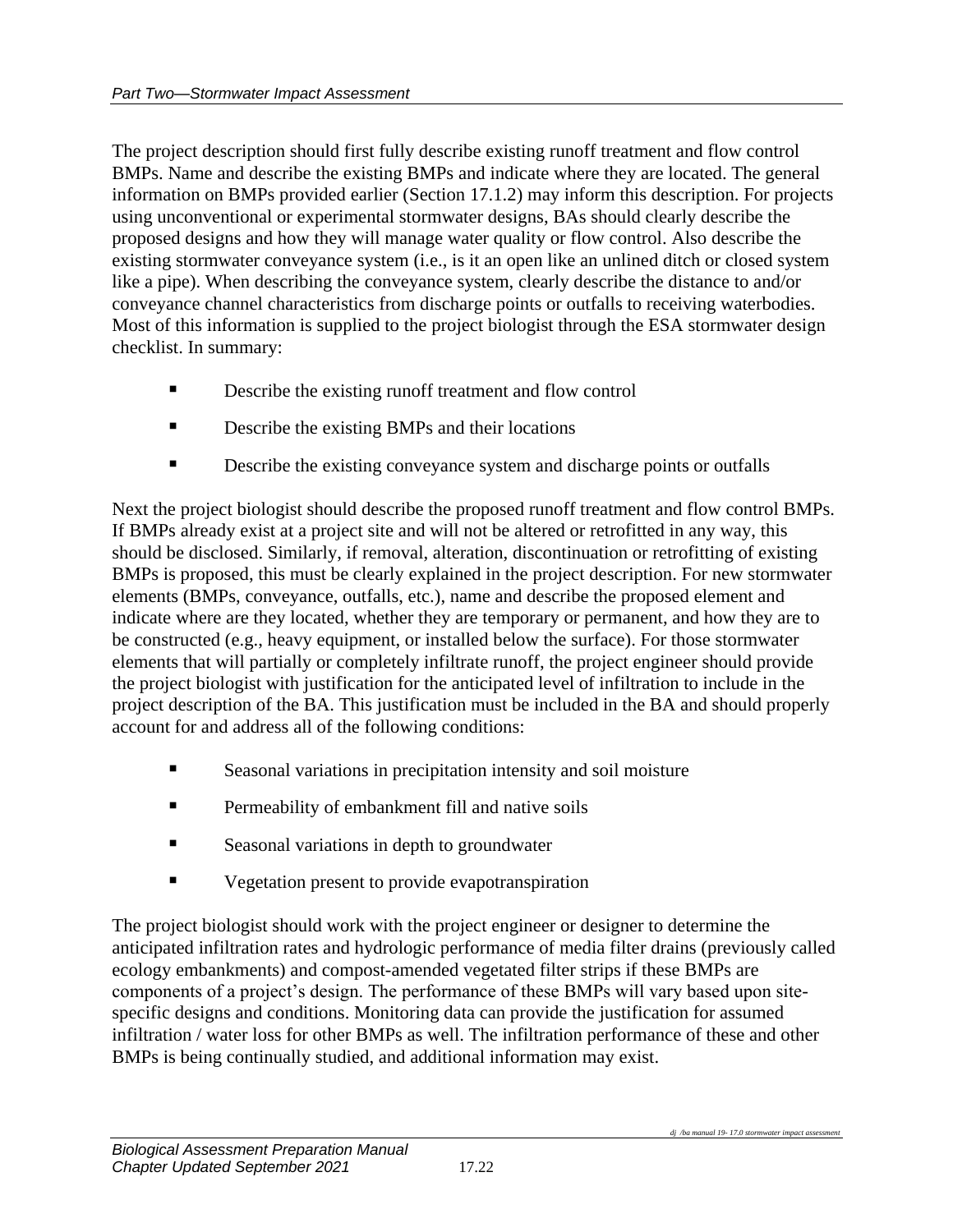The project description should first fully describe existing runoff treatment and flow control BMPs. Name and describe the existing BMPs and indicate where they are located. The general information on BMPs provided earlier (Section 17.1.2) may inform this description. For projects using unconventional or experimental stormwater designs, BAs should clearly describe the proposed designs and how they will manage water quality or flow control. Also describe the existing stormwater conveyance system (i.e., is it an open like an unlined ditch or closed system like a pipe). When describing the conveyance system, clearly describe the distance to and/or conveyance channel characteristics from discharge points or outfalls to receiving waterbodies. Most of this information is supplied to the project biologist through the ESA stormwater design checklist. In summary:

- Describe the existing runoff treatment and flow control
- **Describe the existing BMPs and their locations**
- **EXECRED** Describe the existing conveyance system and discharge points or outfalls

Next the project biologist should describe the proposed runoff treatment and flow control BMPs. If BMPs already exist at a project site and will not be altered or retrofitted in any way, this should be disclosed. Similarly, if removal, alteration, discontinuation or retrofitting of existing BMPs is proposed, this must be clearly explained in the project description. For new stormwater elements (BMPs, conveyance, outfalls, etc.), name and describe the proposed element and indicate where are they located, whether they are temporary or permanent, and how they are to be constructed (e.g., heavy equipment, or installed below the surface). For those stormwater elements that will partially or completely infiltrate runoff, the project engineer should provide the project biologist with justification for the anticipated level of infiltration to include in the project description of the BA. This justification must be included in the BA and should properly account for and address all of the following conditions:

- Seasonal variations in precipitation intensity and soil moisture
- **•** Permeability of embankment fill and native soils
- Seasonal variations in depth to groundwater
- Vegetation present to provide evapotranspiration

The project biologist should work with the project engineer or designer to determine the anticipated infiltration rates and hydrologic performance of media filter drains (previously called ecology embankments) and compost-amended vegetated filter strips if these BMPs are components of a project's design. The performance of these BMPs will vary based upon sitespecific designs and conditions. Monitoring data can provide the justification for assumed infiltration / water loss for other BMPs as well. The infiltration performance of these and other BMPs is being continually studied, and additional information may exist.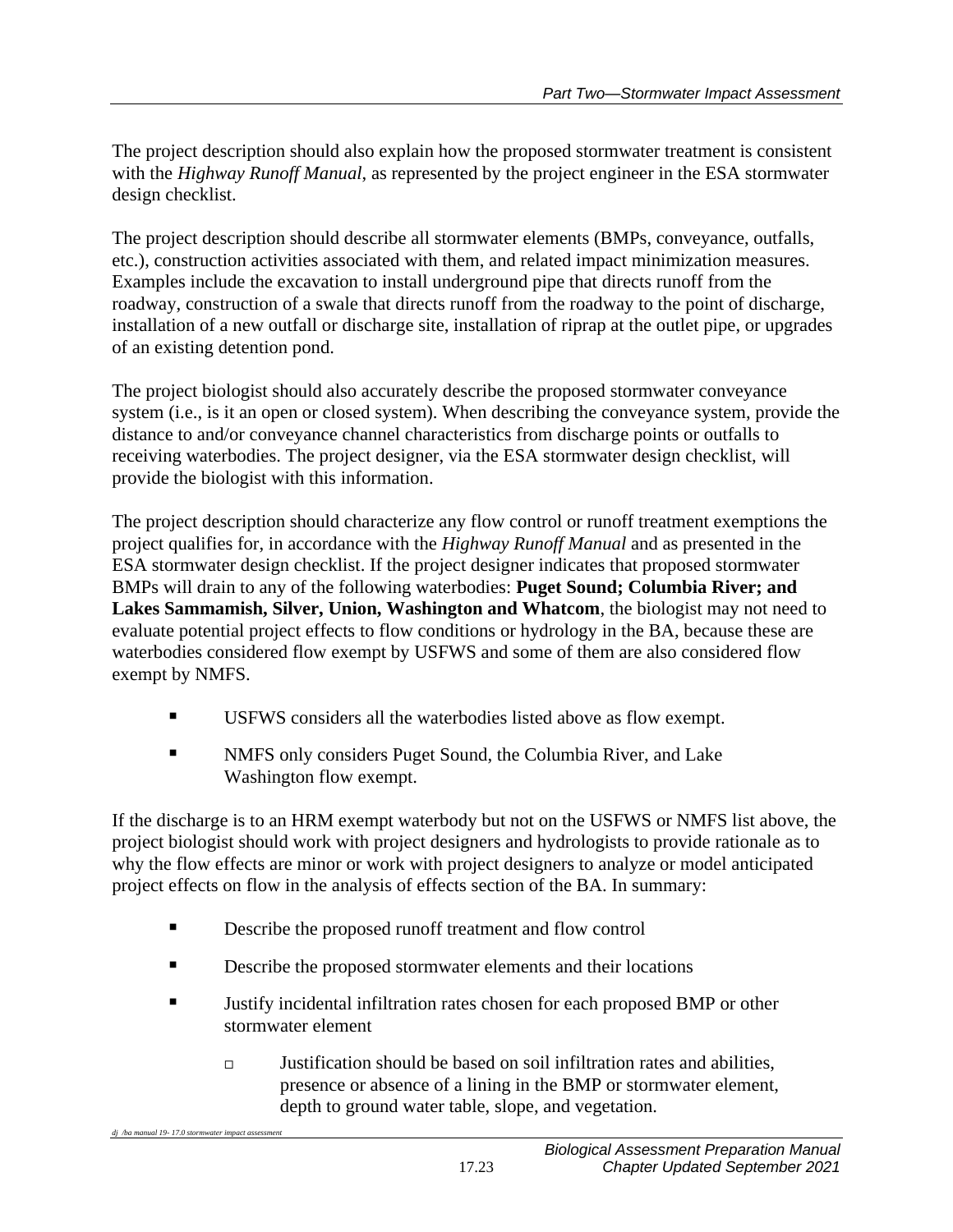The project description should also explain how the proposed stormwater treatment is consistent with the *Highway Runoff Manual*, as represented by the project engineer in the ESA stormwater design checklist.

The project description should describe all stormwater elements (BMPs, conveyance, outfalls, etc.), construction activities associated with them, and related impact minimization measures. Examples include the excavation to install underground pipe that directs runoff from the roadway, construction of a swale that directs runoff from the roadway to the point of discharge, installation of a new outfall or discharge site, installation of riprap at the outlet pipe, or upgrades of an existing detention pond.

The project biologist should also accurately describe the proposed stormwater conveyance system (i.e., is it an open or closed system). When describing the conveyance system, provide the distance to and/or conveyance channel characteristics from discharge points or outfalls to receiving waterbodies. The project designer, via the ESA stormwater design checklist, will provide the biologist with this information.

The project description should characterize any flow control or runoff treatment exemptions the project qualifies for, in accordance with the *Highway Runoff Manual* and as presented in the ESA stormwater design checklist. If the project designer indicates that proposed stormwater BMPs will drain to any of the following waterbodies: **Puget Sound; Columbia River; and Lakes Sammamish, Silver, Union, Washington and Whatcom**, the biologist may not need to evaluate potential project effects to flow conditions or hydrology in the BA, because these are waterbodies considered flow exempt by USFWS and some of them are also considered flow exempt by NMFS.

- USFWS considers all the waterbodies listed above as flow exempt.
- NMFS only considers Puget Sound, the Columbia River, and Lake Washington flow exempt.

If the discharge is to an HRM exempt waterbody but not on the USFWS or NMFS list above, the project biologist should work with project designers and hydrologists to provide rationale as to why the flow effects are minor or work with project designers to analyze or model anticipated project effects on flow in the analysis of effects section of the BA. In summary:

■ Describe the proposed runoff treatment and flow control

*dj /ba manual 19-17.0 stormwater impact as* 

- **EXECUTE:** Describe the proposed stormwater elements and their locations
- Justify incidental infiltration rates chosen for each proposed BMP or other stormwater element
	- $\Box$  Justification should be based on soil infiltration rates and abilities, presence or absence of a lining in the BMP or stormwater element, depth to ground water table, slope, and vegetation.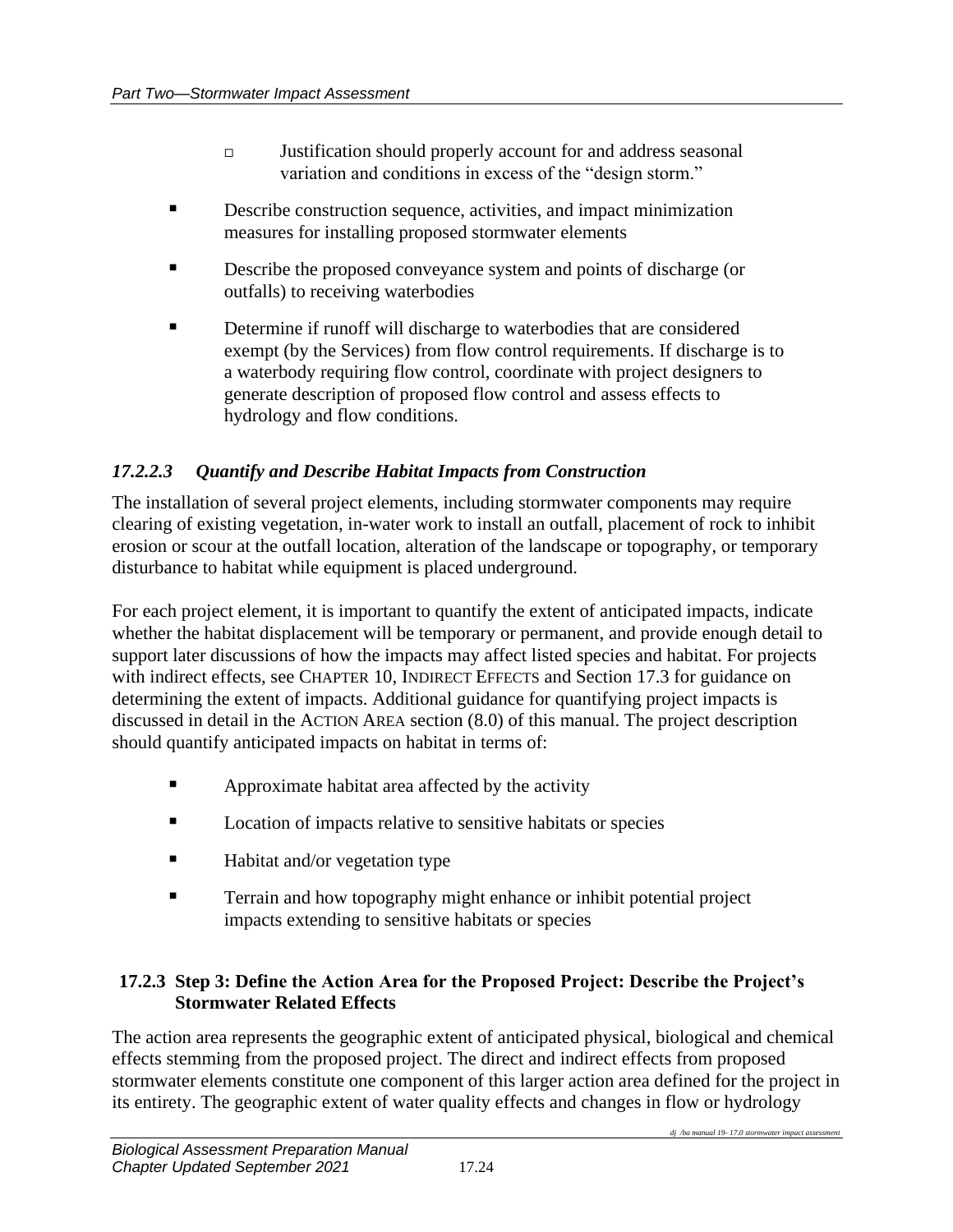- Justification should properly account for and address seasonal variation and conditions in excess of the "design storm."
- **EXECUTE:** Describe construction sequence, activities, and impact minimization measures for installing proposed stormwater elements
- Describe the proposed conveyance system and points of discharge (or outfalls) to receiving waterbodies
- Determine if runoff will discharge to waterbodies that are considered exempt (by the Services) from flow control requirements. If discharge is to a waterbody requiring flow control, coordinate with project designers to generate description of proposed flow control and assess effects to hydrology and flow conditions.

## *17.2.2.3 Quantify and Describe Habitat Impacts from Construction*

The installation of several project elements, including stormwater components may require clearing of existing vegetation, in-water work to install an outfall, placement of rock to inhibit erosion or scour at the outfall location, alteration of the landscape or topography, or temporary disturbance to habitat while equipment is placed underground.

For each project element, it is important to quantify the extent of anticipated impacts, indicate whether the habitat displacement will be temporary or permanent, and provide enough detail to support later discussions of how the impacts may affect listed species and habitat. For projects with indirect effects, see CHAPTER 10, INDIRECT EFFECTS and Section 17.3 for guidance on determining the extent of impacts. Additional guidance for quantifying project impacts is discussed in detail in the ACTION AREA section (8.0) of this manual. The project description should quantify anticipated impacts on habitat in terms of:

- **EXECUTE:** Approximate habitat area affected by the activity
- Location of impacts relative to sensitive habitats or species
- Habitat and/or vegetation type
- **Example 1** Terrain and how topography might enhance or inhibit potential project impacts extending to sensitive habitats or species

### **17.2.3 Step 3: Define the Action Area for the Proposed Project: Describe the Project's Stormwater Related Effects**

The action area represents the geographic extent of anticipated physical, biological and chemical effects stemming from the proposed project. The direct and indirect effects from proposed stormwater elements constitute one component of this larger action area defined for the project in its entirety. The geographic extent of water quality effects and changes in flow or hydrology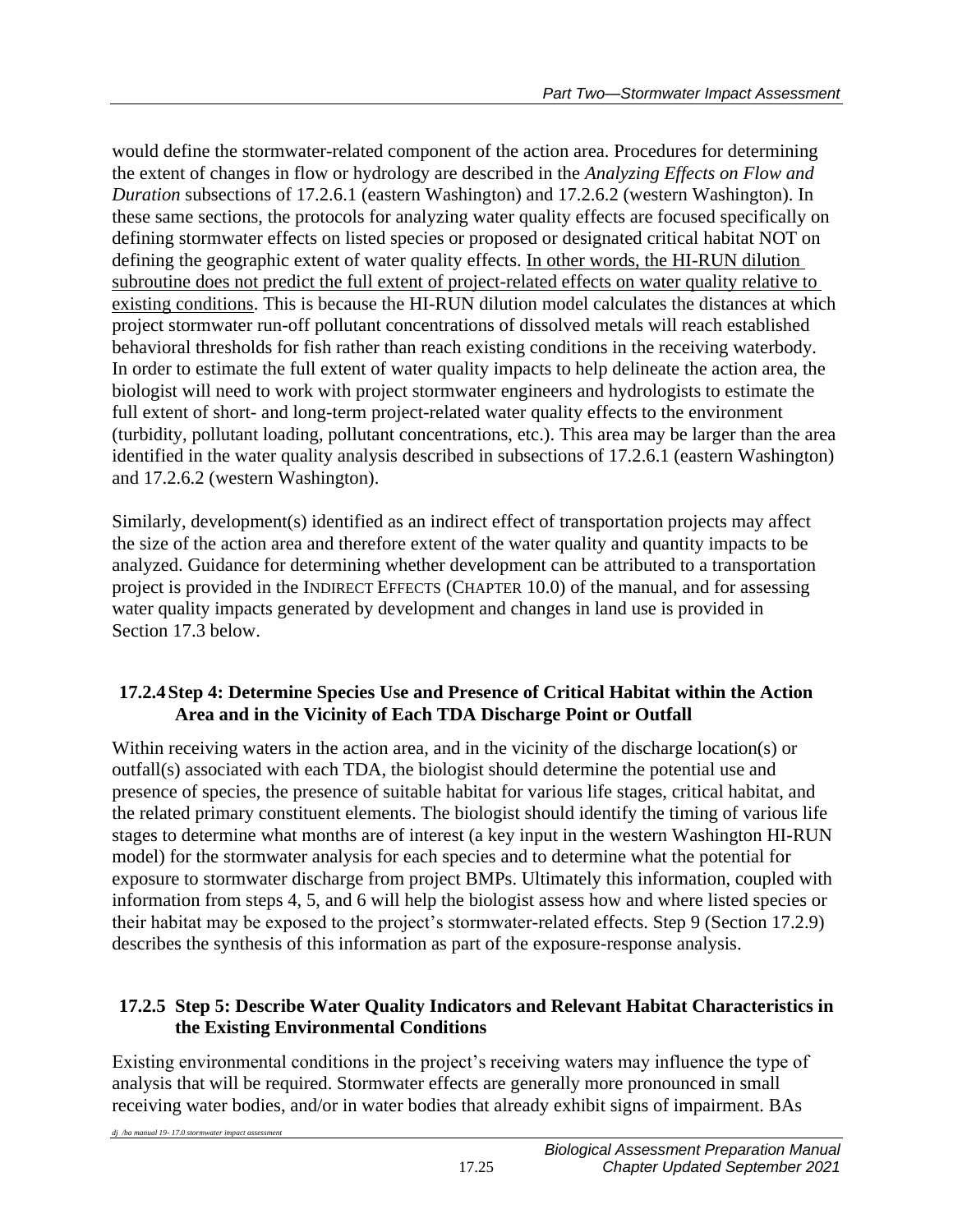would define the stormwater-related component of the action area. Procedures for determining the extent of changes in flow or hydrology are described in the *Analyzing Effects on Flow and Duration* subsections of 17.2.6.1 (eastern Washington) and 17.2.6.2 (western Washington). In these same sections, the protocols for analyzing water quality effects are focused specifically on defining stormwater effects on listed species or proposed or designated critical habitat NOT on defining the geographic extent of water quality effects. In other words, the HI-RUN dilution subroutine does not predict the full extent of project-related effects on water quality relative to existing conditions. This is because the HI-RUN dilution model calculates the distances at which project stormwater run-off pollutant concentrations of dissolved metals will reach established behavioral thresholds for fish rather than reach existing conditions in the receiving waterbody. In order to estimate the full extent of water quality impacts to help delineate the action area, the biologist will need to work with project stormwater engineers and hydrologists to estimate the full extent of short- and long-term project-related water quality effects to the environment (turbidity, pollutant loading, pollutant concentrations, etc.). This area may be larger than the area identified in the water quality analysis described in subsections of 17.2.6.1 (eastern Washington) and 17.2.6.2 (western Washington).

Similarly, development(s) identified as an indirect effect of transportation projects may affect the size of the action area and therefore extent of the water quality and quantity impacts to be analyzed. Guidance for determining whether development can be attributed to a transportation project is provided in the INDIRECT EFFECTS (CHAPTER 10.0) of the manual, and for assessing water quality impacts generated by development and changes in land use is provided in Section 17.3 below.

## **17.2.4Step 4: Determine Species Use and Presence of Critical Habitat within the Action Area and in the Vicinity of Each TDA Discharge Point or Outfall**

Within receiving waters in the action area, and in the vicinity of the discharge location(s) or outfall(s) associated with each TDA, the biologist should determine the potential use and presence of species, the presence of suitable habitat for various life stages, critical habitat, and the related primary constituent elements. The biologist should identify the timing of various life stages to determine what months are of interest (a key input in the western Washington HI-RUN model) for the stormwater analysis for each species and to determine what the potential for exposure to stormwater discharge from project BMPs. Ultimately this information, coupled with information from steps 4, 5, and 6 will help the biologist assess how and where listed species or their habitat may be exposed to the project's stormwater-related effects. Step 9 (Section 17.2.9) describes the synthesis of this information as part of the exposure-response analysis.

## **17.2.5 Step 5: Describe Water Quality Indicators and Relevant Habitat Characteristics in the Existing Environmental Conditions**

Existing environmental conditions in the project's receiving waters may influence the type of analysis that will be required. Stormwater effects are generally more pronounced in small receiving water bodies, and/or in water bodies that already exhibit signs of impairment. BAs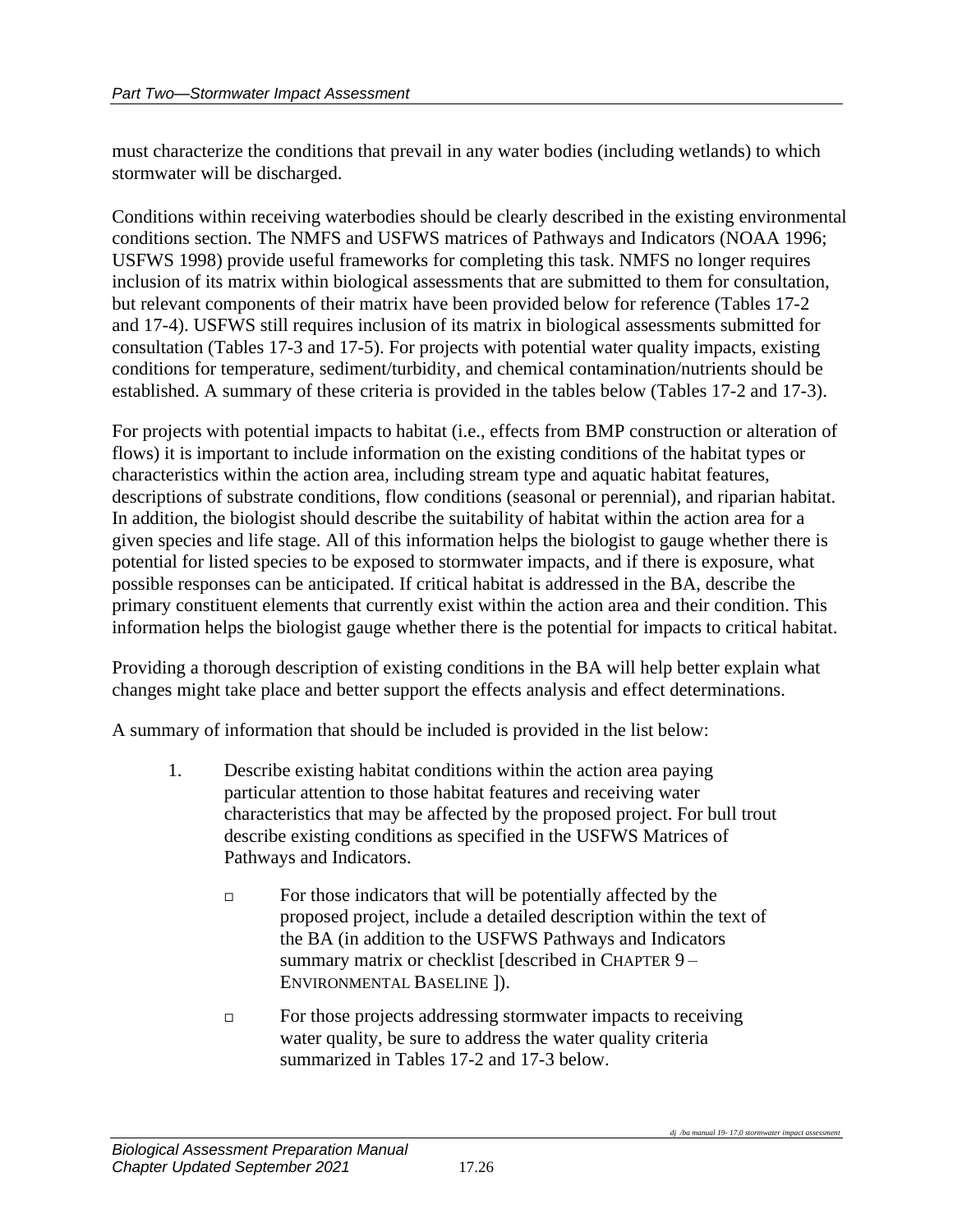must characterize the conditions that prevail in any water bodies (including wetlands) to which stormwater will be discharged.

Conditions within receiving waterbodies should be clearly described in the existing environmental conditions section. The NMFS and USFWS matrices of Pathways and Indicators (NOAA 1996; USFWS 1998) provide useful frameworks for completing this task. NMFS no longer requires inclusion of its matrix within biological assessments that are submitted to them for consultation, but relevant components of their matrix have been provided below for reference (Tables 17-2 and 17-4). USFWS still requires inclusion of its matrix in biological assessments submitted for consultation (Tables 17-3 and 17-5). For projects with potential water quality impacts, existing conditions for temperature, sediment/turbidity, and chemical contamination/nutrients should be established. A summary of these criteria is provided in the tables below (Tables 17-2 and 17-3).

For projects with potential impacts to habitat (i.e., effects from BMP construction or alteration of flows) it is important to include information on the existing conditions of the habitat types or characteristics within the action area, including stream type and aquatic habitat features, descriptions of substrate conditions, flow conditions (seasonal or perennial), and riparian habitat. In addition, the biologist should describe the suitability of habitat within the action area for a given species and life stage. All of this information helps the biologist to gauge whether there is potential for listed species to be exposed to stormwater impacts, and if there is exposure, what possible responses can be anticipated. If critical habitat is addressed in the BA, describe the primary constituent elements that currently exist within the action area and their condition. This information helps the biologist gauge whether there is the potential for impacts to critical habitat.

Providing a thorough description of existing conditions in the BA will help better explain what changes might take place and better support the effects analysis and effect determinations.

A summary of information that should be included is provided in the list below:

- 1. Describe existing habitat conditions within the action area paying particular attention to those habitat features and receiving water characteristics that may be affected by the proposed project. For bull trout describe existing conditions as specified in the USFWS Matrices of Pathways and Indicators.
	- $\Box$  For those indicators that will be potentially affected by the proposed project, include a detailed description within the text of the BA (in addition to the USFWS Pathways and Indicators summary matrix or checklist [described in CHAPTER 9 – ENVIRONMENTAL BASELINE ]).
	- $\Box$  For those projects addressing stormwater impacts to receiving water quality, be sure to address the water quality criteria summarized in Tables 17-2 and 17-3 below.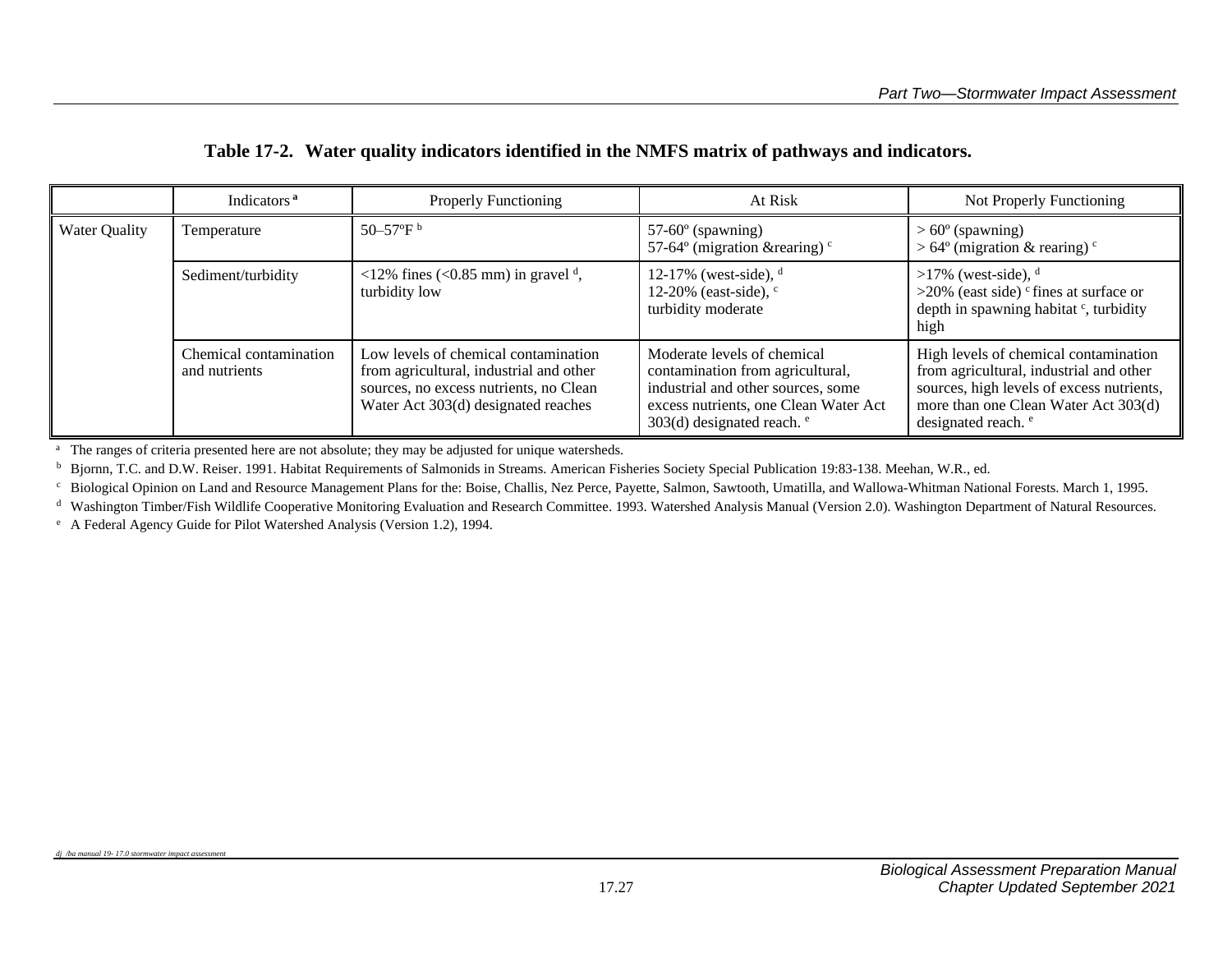|               | Indicators <sup>a</sup>                 | <b>Properly Functioning</b>                                                                                                                                      | At Risk                                                                                                                                                                              | Not Properly Functioning                                                                                                                                                                                |
|---------------|-----------------------------------------|------------------------------------------------------------------------------------------------------------------------------------------------------------------|--------------------------------------------------------------------------------------------------------------------------------------------------------------------------------------|---------------------------------------------------------------------------------------------------------------------------------------------------------------------------------------------------------|
| Water Quality | Temperature                             | 50–57 $\rm{P}^{\rm b}$                                                                                                                                           | $57-60^\circ$ (spawning)<br>57-64 $\degree$ (migration & rearing) $\degree$                                                                                                          | $> 60^{\circ}$ (spawning)<br>$>64^{\circ}$ (migration & rearing) <sup>c</sup>                                                                                                                           |
|               | Sediment/turbidity                      | <12% fines (<0.85 mm) in gravel $\frac{d}{dx}$ ,<br>turbidity low                                                                                                | 12-17% (west-side), $d$<br>12-20% (east-side), $\degree$<br>turbidity moderate                                                                                                       | $>17\%$ (west-side), <sup>d</sup><br>$>20\%$ (east side) <sup>c</sup> fines at surface or<br>depth in spawning habitat <sup>c</sup> , turbidity<br>high                                                 |
|               | Chemical contamination<br>and nutrients | Low levels of chemical contamination<br>from agricultural, industrial and other<br>sources, no excess nutrients, no Clean<br>Water Act 303(d) designated reaches | Moderate levels of chemical<br>contamination from agricultural,<br>industrial and other sources, some<br>excess nutrients, one Clean Water Act<br>303(d) designated reach. $\degree$ | High levels of chemical contamination<br>from agricultural, industrial and other<br>sources, high levels of excess nutrients,<br>more than one Clean Water Act 303(d)<br>designated reach. <sup>e</sup> |

### **Table 17-2. Water quality indicators identified in the NMFS matrix of pathways and indicators.**

<sup>a</sup> The ranges of criteria presented here are not absolute; they may be adjusted for unique watersheds.

<sup>b</sup> Bjornn, T.C. and D.W. Reiser. 1991. Habitat Requirements of Salmonids in Streams. American Fisheries Society Special Publication 19:83-138. Meehan, W.R., ed.

<sup>c</sup> Biological Opinion on Land and Resource Management Plans for the: Boise, Challis, Nez Perce, Payette, Salmon, Sawtooth, Umatilla, and Wallowa-Whitman National Forests. March 1, 1995.

d Washington Timber/Fish Wildlife Cooperative Monitoring Evaluation and Research Committee. 1993. Watershed Analysis Manual (Version 2.0). Washington Department of Natural Resources.

<sup>e</sup> A Federal Agency Guide for Pilot Watershed Analysis (Version 1.2), 1994.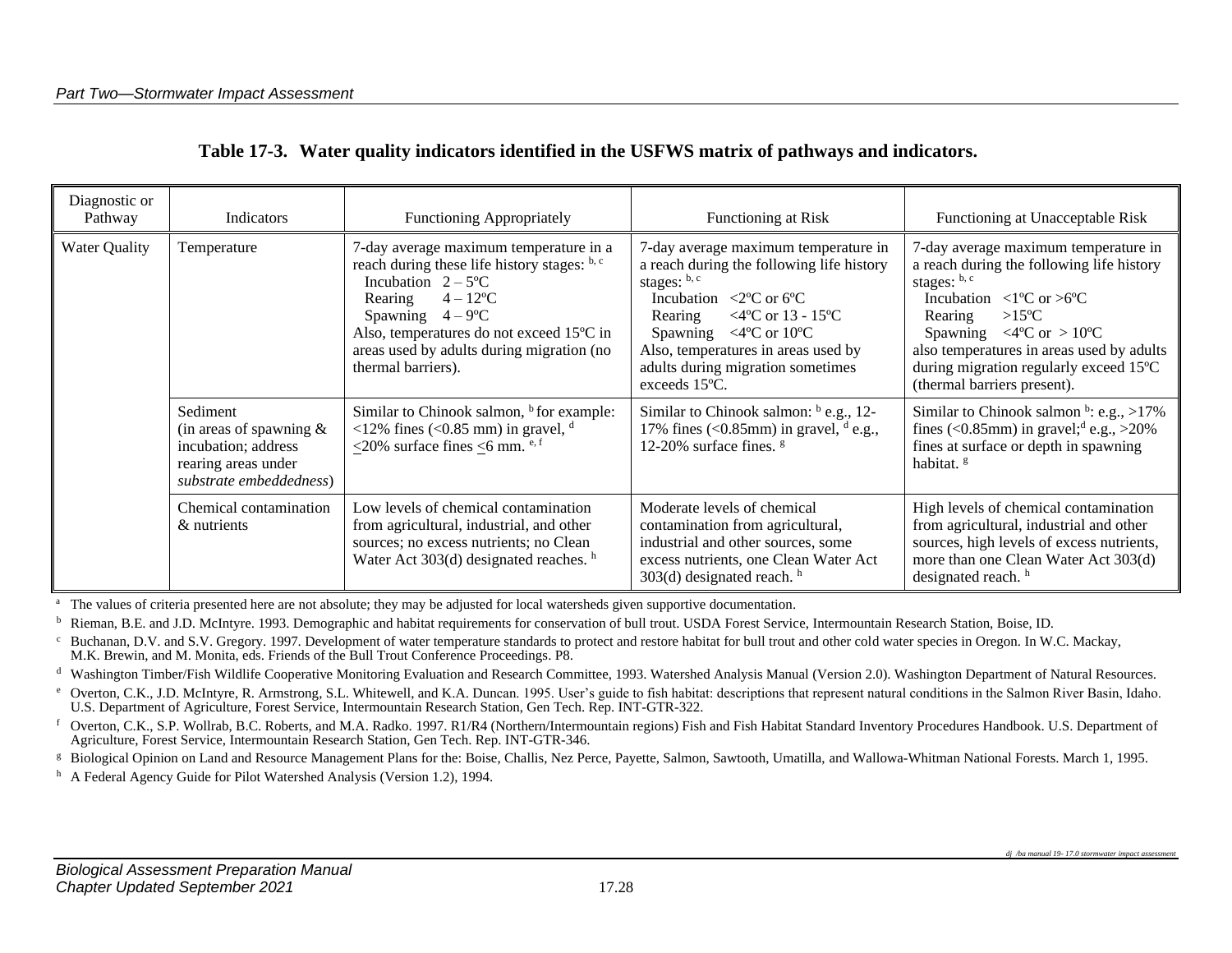| Diagnostic or<br>Pathway | Indicators                                                                                                      | Functioning Appropriately                                                                                                                                                                                                                                                                          | Functioning at Risk                                                                                                                                                                                                                                                                                                                                      | Functioning at Unacceptable Risk                                                                                                                                                                                                                                                                                                                                                                |
|--------------------------|-----------------------------------------------------------------------------------------------------------------|----------------------------------------------------------------------------------------------------------------------------------------------------------------------------------------------------------------------------------------------------------------------------------------------------|----------------------------------------------------------------------------------------------------------------------------------------------------------------------------------------------------------------------------------------------------------------------------------------------------------------------------------------------------------|-------------------------------------------------------------------------------------------------------------------------------------------------------------------------------------------------------------------------------------------------------------------------------------------------------------------------------------------------------------------------------------------------|
| <b>Water Quality</b>     | Temperature                                                                                                     | 7-day average maximum temperature in a<br>reach during these life history stages: b, c<br>Incubation $2 - 5^{\circ}C$<br>$4 - 12$ <sup>o</sup> C<br>Rearing<br>$4-9$ °C<br>Spawning<br>Also, temperatures do not exceed 15°C in<br>areas used by adults during migration (no<br>thermal barriers). | 7-day average maximum temperature in<br>a reach during the following life history<br>stages: b, c<br>Incubation $\langle 2^{\circ}$ C or 6 <sup>o</sup> C<br>$<$ 4°C or 13 - 15°C<br>Rearing<br>Spawning $\langle 4^{\circ}$ C or 10 $^{\circ}$ C<br>Also, temperatures in areas used by<br>adults during migration sometimes<br>exceeds $15^{\circ}$ C. | 7-day average maximum temperature in<br>a reach during the following life history<br>stages: $b, c$<br>Incubation $\langle 1^{\circ}$ C or $>6^{\circ}$ C<br>$>15^{\circ}C$<br>Rearing<br>Spawning $\langle 4^{\circ} \text{C} \text{ or } > 10^{\circ} \text{C} \rangle$<br>also temperatures in areas used by adults<br>during migration regularly exceed 15°C<br>(thermal barriers present). |
|                          | Sediment<br>(in areas of spawning $\&$<br>incubation; address<br>rearing areas under<br>substrate embeddedness) | Similar to Chinook salmon, <sup>b</sup> for example:<br><12% fines (<0.85 mm) in gravel, $d$<br><20% surface fines <6 mm. $e, f$                                                                                                                                                                   | Similar to Chinook salmon: b e.g., 12-<br>17% fines (<0.85mm) in gravel, $d$ e.g.,<br>12-20% surface fines. <sup>g</sup>                                                                                                                                                                                                                                 | Similar to Chinook salmon $\frac{b}{c}$ : e.g., >17%<br>fines (<0.85mm) in gravel; <sup>d</sup> e.g., >20%<br>fines at surface or depth in spawning<br>habitat. <sup>g</sup>                                                                                                                                                                                                                    |
|                          | Chemical contamination<br>& nutrients                                                                           | Low levels of chemical contamination<br>from agricultural, industrial, and other<br>sources; no excess nutrients; no Clean<br>Water Act $303(d)$ designated reaches. $h$                                                                                                                           | Moderate levels of chemical<br>contamination from agricultural,<br>industrial and other sources, some<br>excess nutrients, one Clean Water Act<br>$303(d)$ designated reach. $^h$                                                                                                                                                                        | High levels of chemical contamination<br>from agricultural, industrial and other<br>sources, high levels of excess nutrients,<br>more than one Clean Water Act 303(d)<br>designated reach. h                                                                                                                                                                                                    |

| Table 17-3. Water quality indicators identified in the USFWS matrix of pathways and indicators. |  |  |  |
|-------------------------------------------------------------------------------------------------|--|--|--|

<sup>a</sup> The values of criteria presented here are not absolute; they may be adjusted for local watersheds given supportive documentation.

<sup>b</sup> Rieman, B.E. and J.D. McIntyre. 1993. Demographic and habitat requirements for conservation of bull trout. USDA Forest Service, Intermountain Research Station, Boise, ID.

<sup>c</sup> Buchanan, D.V. and S.V. Gregory. 1997. Development of water temperature standards to protect and restore habitat for bull trout and other cold water species in Oregon. In W.C. Mackay, M.K. Brewin, and M. Monita, eds. Friends of the Bull Trout Conference Proceedings. P8.

<sup>d</sup> Washington Timber/Fish Wildlife Cooperative Monitoring Evaluation and Research Committee, 1993. Watershed Analysis Manual (Version 2.0). Washington Department of Natural Resources.

<sup>e</sup> Overton, C.K., J.D. McIntyre, R. Armstrong, S.L. Whitewell, and K.A. Duncan. 1995. User's guide to fish habitat: descriptions that represent natural conditions in the Salmon River Basin, Idaho. U.S. Department of Agriculture, Forest Service, Intermountain Research Station, Gen Tech. Rep. INT-GTR-322.

<sup>f</sup> Overton, C.K., S.P. Wollrab, B.C. Roberts, and M.A. Radko. 1997. R1/R4 (Northern/Intermountain regions) Fish and Fish Habitat Standard Inventory Procedures Handbook. U.S. Department of Agriculture, Forest Service, Intermountain Research Station, Gen Tech. Rep. INT-GTR-346.

<sup>g</sup> Biological Opinion on Land and Resource Management Plans for the: Boise, Challis, Nez Perce, Payette, Salmon, Sawtooth, Umatilla, and Wallowa-Whitman National Forests. March 1, 1995.

h A Federal Agency Guide for Pilot Watershed Analysis (Version 1.2), 1994.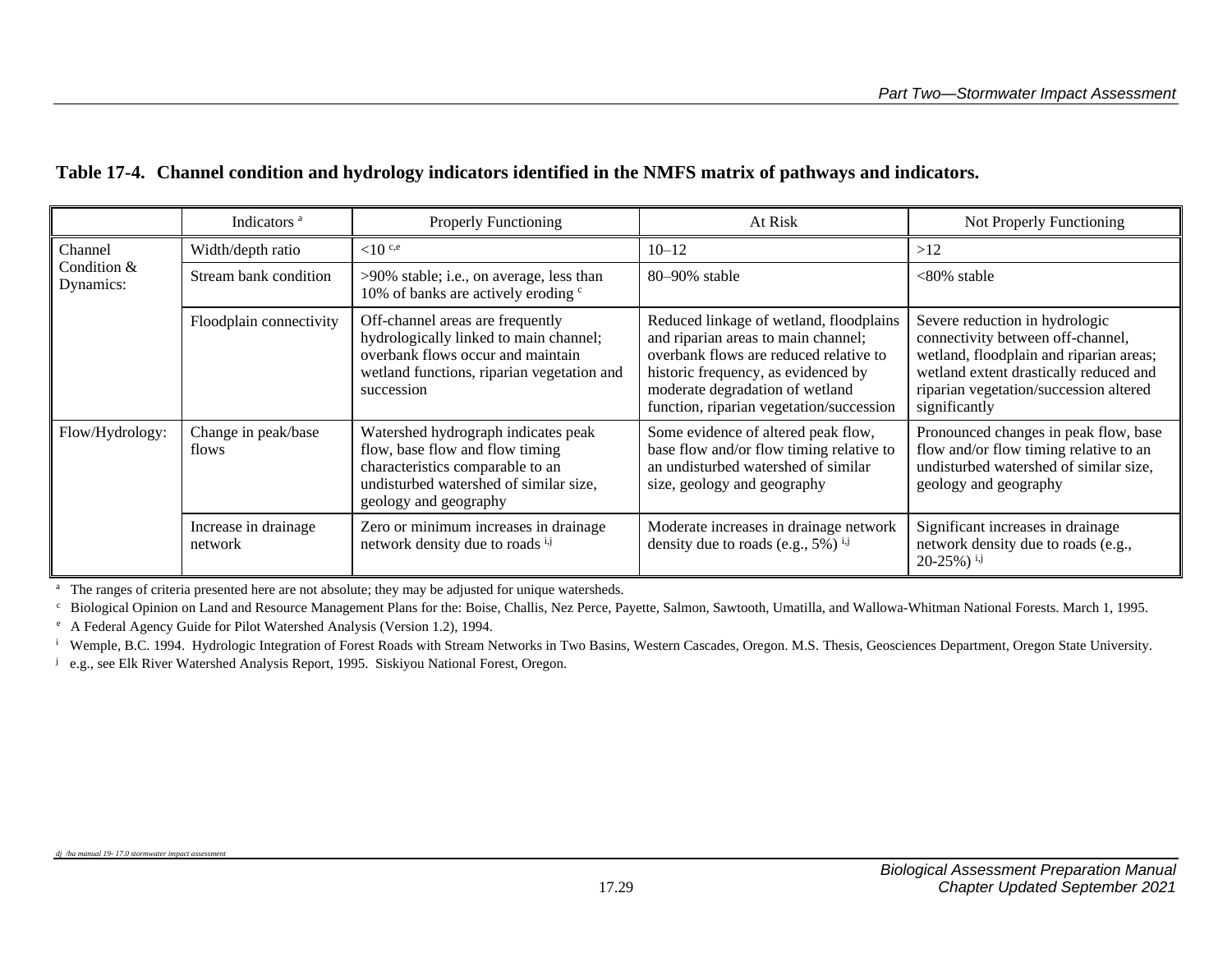|                          | Indicators <sup>a</sup>         | Properly Functioning                                                                                                                                                          | At Risk                                                                                                                                                                                                                                        | Not Properly Functioning                                                                                                                                                                                            |
|--------------------------|---------------------------------|-------------------------------------------------------------------------------------------------------------------------------------------------------------------------------|------------------------------------------------------------------------------------------------------------------------------------------------------------------------------------------------------------------------------------------------|---------------------------------------------------------------------------------------------------------------------------------------------------------------------------------------------------------------------|
| Channel                  | Width/depth ratio               | ${<}10^{c,e}$                                                                                                                                                                 | $10 - 12$                                                                                                                                                                                                                                      | >12                                                                                                                                                                                                                 |
| Condition &<br>Dynamics: | Stream bank condition           | >90% stable; i.e., on average, less than<br>10% of banks are actively eroding $\degree$                                                                                       | 80-90% stable                                                                                                                                                                                                                                  | $<80\%$ stable                                                                                                                                                                                                      |
|                          | Floodplain connectivity         | Off-channel areas are frequently<br>hydrologically linked to main channel;<br>overbank flows occur and maintain<br>wetland functions, riparian vegetation and<br>succession   | Reduced linkage of wetland, floodplains<br>and riparian areas to main channel;<br>overbank flows are reduced relative to<br>historic frequency, as evidenced by<br>moderate degradation of wetland<br>function, riparian vegetation/succession | Severe reduction in hydrologic<br>connectivity between off-channel,<br>wetland, floodplain and riparian areas;<br>wetland extent drastically reduced and<br>riparian vegetation/succession altered<br>significantly |
| Flow/Hydrology:          | Change in peak/base<br>flows    | Watershed hydrograph indicates peak<br>flow, base flow and flow timing<br>characteristics comparable to an<br>undisturbed watershed of similar size,<br>geology and geography | Some evidence of altered peak flow,<br>base flow and/or flow timing relative to<br>an undisturbed watershed of similar<br>size, geology and geography                                                                                          | Pronounced changes in peak flow, base<br>flow and/or flow timing relative to an<br>undisturbed watershed of similar size,<br>geology and geography                                                                  |
|                          | Increase in drainage<br>network | Zero or minimum increases in drainage<br>network density due to roads i,j                                                                                                     | Moderate increases in drainage network<br>density due to roads (e.g., $5\%$ ) <sup>i,j</sup>                                                                                                                                                   | Significant increases in drainage<br>network density due to roads (e.g.,<br>$20-25\%$ ) $^{i,j}$                                                                                                                    |

### **Table 17-4. Channel condition and hydrology indicators identified in the NMFS matrix of pathways and indicators.**

<sup>a</sup> The ranges of criteria presented here are not absolute; they may be adjusted for unique watersheds.

<sup>c</sup> Biological Opinion on Land and Resource Management Plans for the: Boise, Challis, Nez Perce, Payette, Salmon, Sawtooth, Umatilla, and Wallowa-Whitman National Forests. March 1, 1995.

<sup>e</sup> A Federal Agency Guide for Pilot Watershed Analysis (Version 1.2), 1994.

<sup>i</sup> Wemple, B.C. 1994. Hydrologic Integration of Forest Roads with Stream Networks in Two Basins, Western Cascades, Oregon. M.S. Thesis, Geosciences Department, Oregon State University.

<sup>j</sup> e.g., see Elk River Watershed Analysis Report, 1995. Siskiyou National Forest, Oregon.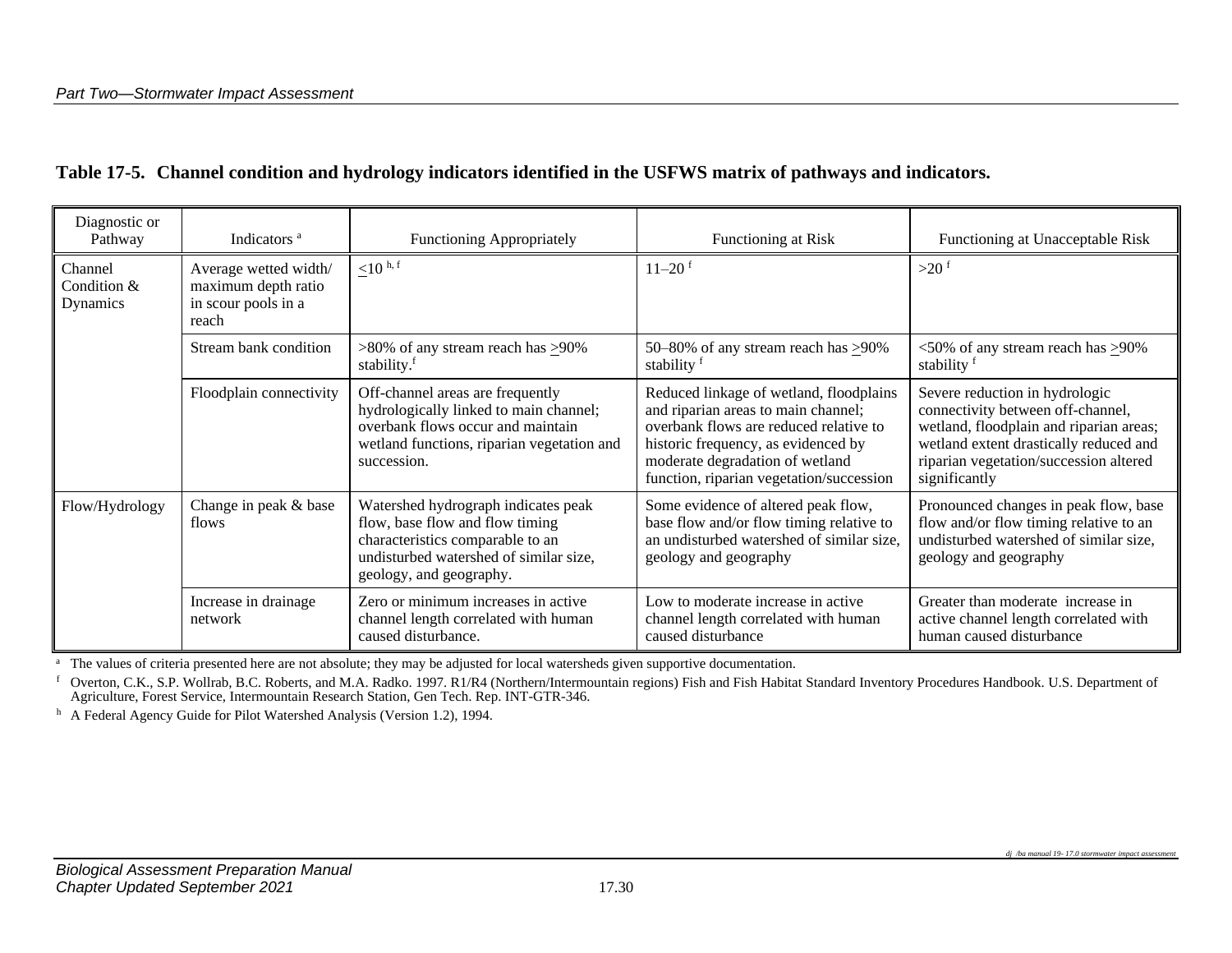|  |  |  |  |  | Table 17-5. Channel condition and hydrology indicators identified in the USFWS matrix of pathways and indicators. |
|--|--|--|--|--|-------------------------------------------------------------------------------------------------------------------|
|--|--|--|--|--|-------------------------------------------------------------------------------------------------------------------|

| Diagnostic or<br>Pathway           | Indicators <sup>a</sup>                                                      | <b>Functioning Appropriately</b>                                                                                                                                                | Functioning at Risk                                                                                                                                                                                                                            | Functioning at Unacceptable Risk                                                                                                                                                                                    |
|------------------------------------|------------------------------------------------------------------------------|---------------------------------------------------------------------------------------------------------------------------------------------------------------------------------|------------------------------------------------------------------------------------------------------------------------------------------------------------------------------------------------------------------------------------------------|---------------------------------------------------------------------------------------------------------------------------------------------------------------------------------------------------------------------|
| Channel<br>Condition &<br>Dynamics | Average wetted width/<br>maximum depth ratio<br>in scour pools in a<br>reach | $\leq$ 10 <sup>h, f</sup>                                                                                                                                                       | $11 - 20$ <sup>f</sup>                                                                                                                                                                                                                         | $>20$ <sup>f</sup>                                                                                                                                                                                                  |
|                                    | Stream bank condition                                                        | $>80\%$ of any stream reach has $\geq 90\%$<br>stability. <sup>f</sup>                                                                                                          | 50–80% of any stream reach has $\geq$ 90%<br>stability f                                                                                                                                                                                       | $<50\%$ of any stream reach has $>90\%$<br>stability f                                                                                                                                                              |
|                                    | Floodplain connectivity                                                      | Off-channel areas are frequently<br>hydrologically linked to main channel;<br>overbank flows occur and maintain<br>wetland functions, riparian vegetation and<br>succession.    | Reduced linkage of wetland, floodplains<br>and riparian areas to main channel;<br>overbank flows are reduced relative to<br>historic frequency, as evidenced by<br>moderate degradation of wetland<br>function, riparian vegetation/succession | Severe reduction in hydrologic<br>connectivity between off-channel,<br>wetland, floodplain and riparian areas;<br>wetland extent drastically reduced and<br>riparian vegetation/succession altered<br>significantly |
| Flow/Hydrology                     | Change in peak & base<br>flows                                               | Watershed hydrograph indicates peak<br>flow, base flow and flow timing<br>characteristics comparable to an<br>undisturbed watershed of similar size,<br>geology, and geography. | Some evidence of altered peak flow,<br>base flow and/or flow timing relative to<br>an undisturbed watershed of similar size,<br>geology and geography                                                                                          | Pronounced changes in peak flow, base<br>flow and/or flow timing relative to an<br>undisturbed watershed of similar size,<br>geology and geography                                                                  |
|                                    | Increase in drainage<br>network                                              | Zero or minimum increases in active<br>channel length correlated with human<br>caused disturbance.                                                                              | Low to moderate increase in active<br>channel length correlated with human<br>caused disturbance                                                                                                                                               | Greater than moderate increase in<br>active channel length correlated with<br>human caused disturbance                                                                                                              |

<sup>a</sup> The values of criteria presented here are not absolute; they may be adjusted for local watersheds given supportive documentation.

f Overton, C.K., S.P. Wollrab, B.C. Roberts, and M.A. Radko. 1997. R1/R4 (Northern/Intermountain regions) Fish and Fish Habitat Standard Inventory Procedures Handbook. U.S. Department of Agriculture, Forest Service, Intermountain Research Station, Gen Tech. Rep. INT-GTR-346.

h A Federal Agency Guide for Pilot Watershed Analysis (Version 1.2), 1994.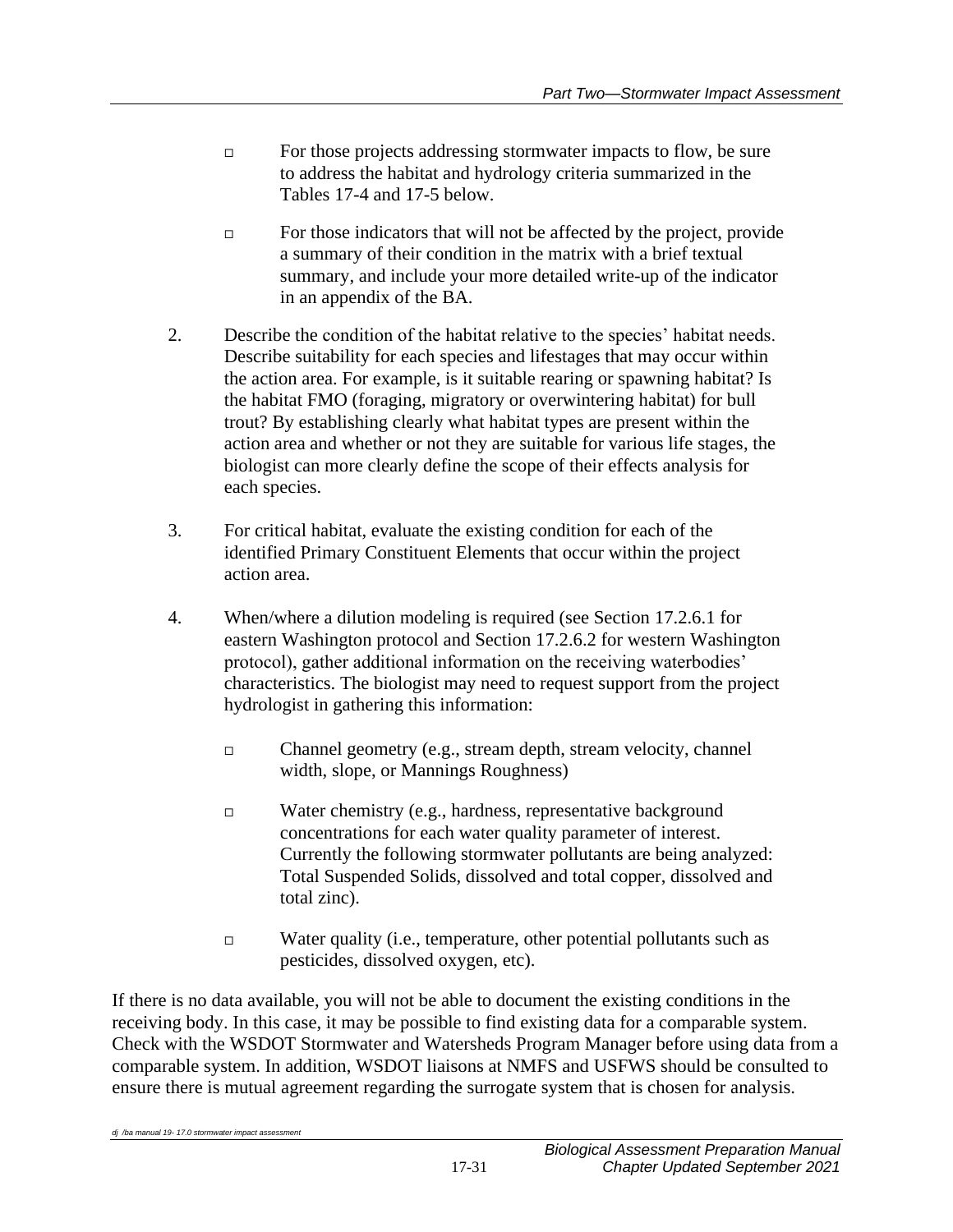- $\Box$  For those projects addressing stormwater impacts to flow, be sure to address the habitat and hydrology criteria summarized in the Tables 17-4 and 17-5 below.
- $\Box$  For those indicators that will not be affected by the project, provide a summary of their condition in the matrix with a brief textual summary, and include your more detailed write-up of the indicator in an appendix of the BA.
- 2. Describe the condition of the habitat relative to the species' habitat needs. Describe suitability for each species and lifestages that may occur within the action area. For example, is it suitable rearing or spawning habitat? Is the habitat FMO (foraging, migratory or overwintering habitat) for bull trout? By establishing clearly what habitat types are present within the action area and whether or not they are suitable for various life stages, the biologist can more clearly define the scope of their effects analysis for each species.
- 3. For critical habitat, evaluate the existing condition for each of the identified Primary Constituent Elements that occur within the project action area.
- 4. When/where a dilution modeling is required (see Section 17.2.6.1 for eastern Washington protocol and Section 17.2.6.2 for western Washington protocol), gather additional information on the receiving waterbodies' characteristics. The biologist may need to request support from the project hydrologist in gathering this information:
	- Channel geometry (e.g., stream depth, stream velocity, channel width, slope, or Mannings Roughness)
	- □ Water chemistry (e.g., hardness, representative background concentrations for each water quality parameter of interest. Currently the following stormwater pollutants are being analyzed: Total Suspended Solids, dissolved and total copper, dissolved and total zinc).
	- $\Box$  Water quality (i.e., temperature, other potential pollutants such as pesticides, dissolved oxygen, etc).

If there is no data available, you will not be able to document the existing conditions in the receiving body. In this case, it may be possible to find existing data for a comparable system. Check with the WSDOT Stormwater and Watersheds Program Manager before using data from a comparable system. In addition, WSDOT liaisons at NMFS and USFWS should be consulted to ensure there is mutual agreement regarding the surrogate system that is chosen for analysis.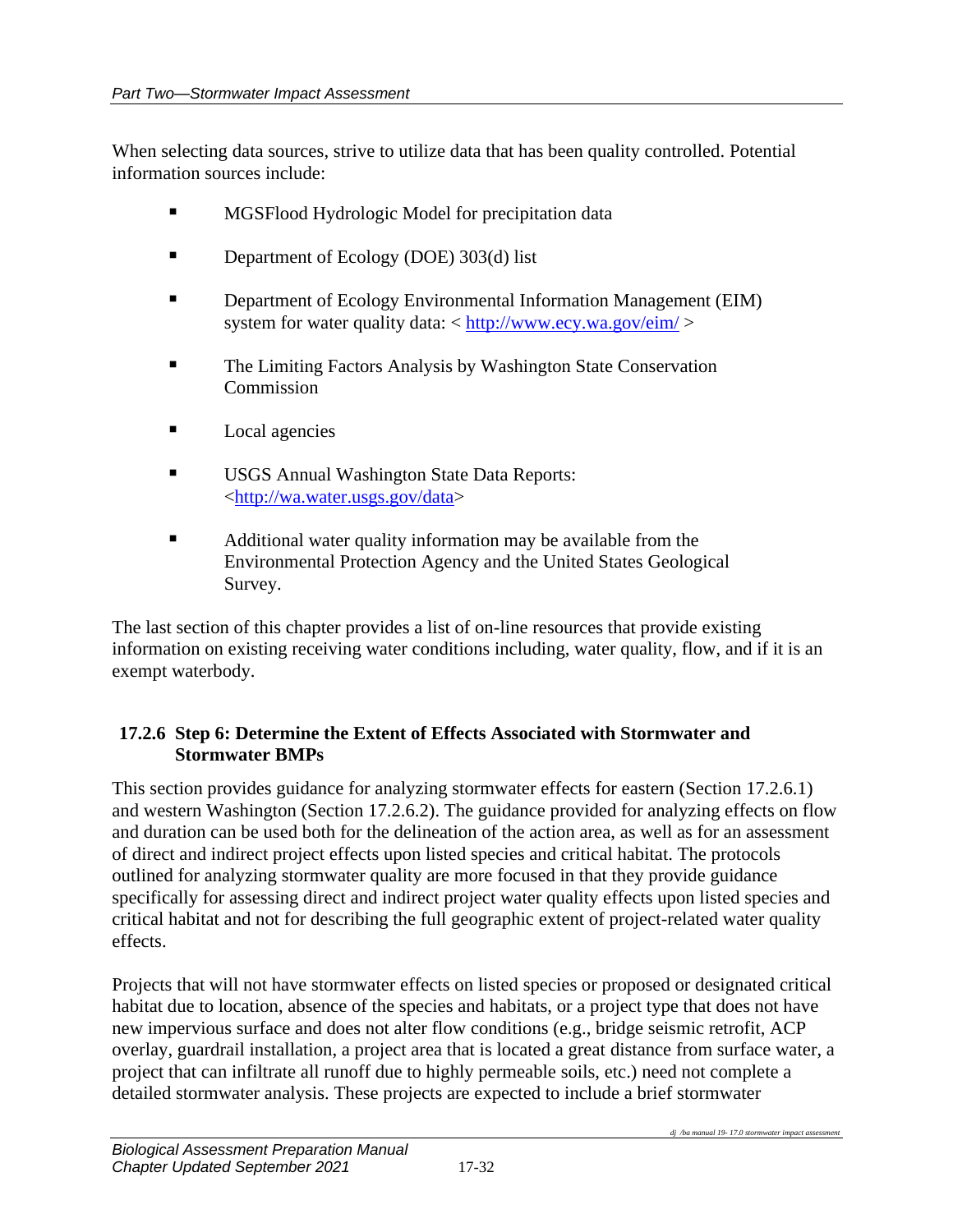When selecting data sources, strive to utilize data that has been quality controlled. Potential information sources include:

- MGSFlood Hydrologic Model for precipitation data
- Department of Ecology (DOE) 303(d) list
- **Department of Ecology Environmental Information Management (EIM)** system for water quality data: < <http://www.ecy.wa.gov/eim/>>
- The Limiting Factors Analysis by Washington State Conservation **Commission**
- Local agencies
- **USGS Annual Washington State Data Reports:** [<http://wa.water.usgs.gov/data>](http://wa.water.usgs.gov/data)
- Additional water quality information may be available from the Environmental Protection Agency and the United States Geological Survey.

The last section of this chapter provides a list of on-line resources that provide existing information on existing receiving water conditions including, water quality, flow, and if it is an exempt waterbody.

#### **17.2.6 Step 6: Determine the Extent of Effects Associated with Stormwater and Stormwater BMPs**

This section provides guidance for analyzing stormwater effects for eastern (Section 17.2.6.1) and western Washington (Section 17.2.6.2). The guidance provided for analyzing effects on flow and duration can be used both for the delineation of the action area, as well as for an assessment of direct and indirect project effects upon listed species and critical habitat. The protocols outlined for analyzing stormwater quality are more focused in that they provide guidance specifically for assessing direct and indirect project water quality effects upon listed species and critical habitat and not for describing the full geographic extent of project-related water quality effects.

Projects that will not have stormwater effects on listed species or proposed or designated critical habitat due to location, absence of the species and habitats, or a project type that does not have new impervious surface and does not alter flow conditions (e.g., bridge seismic retrofit, ACP overlay, guardrail installation, a project area that is located a great distance from surface water, a project that can infiltrate all runoff due to highly permeable soils, etc.) need not complete a detailed stormwater analysis. These projects are expected to include a brief stormwater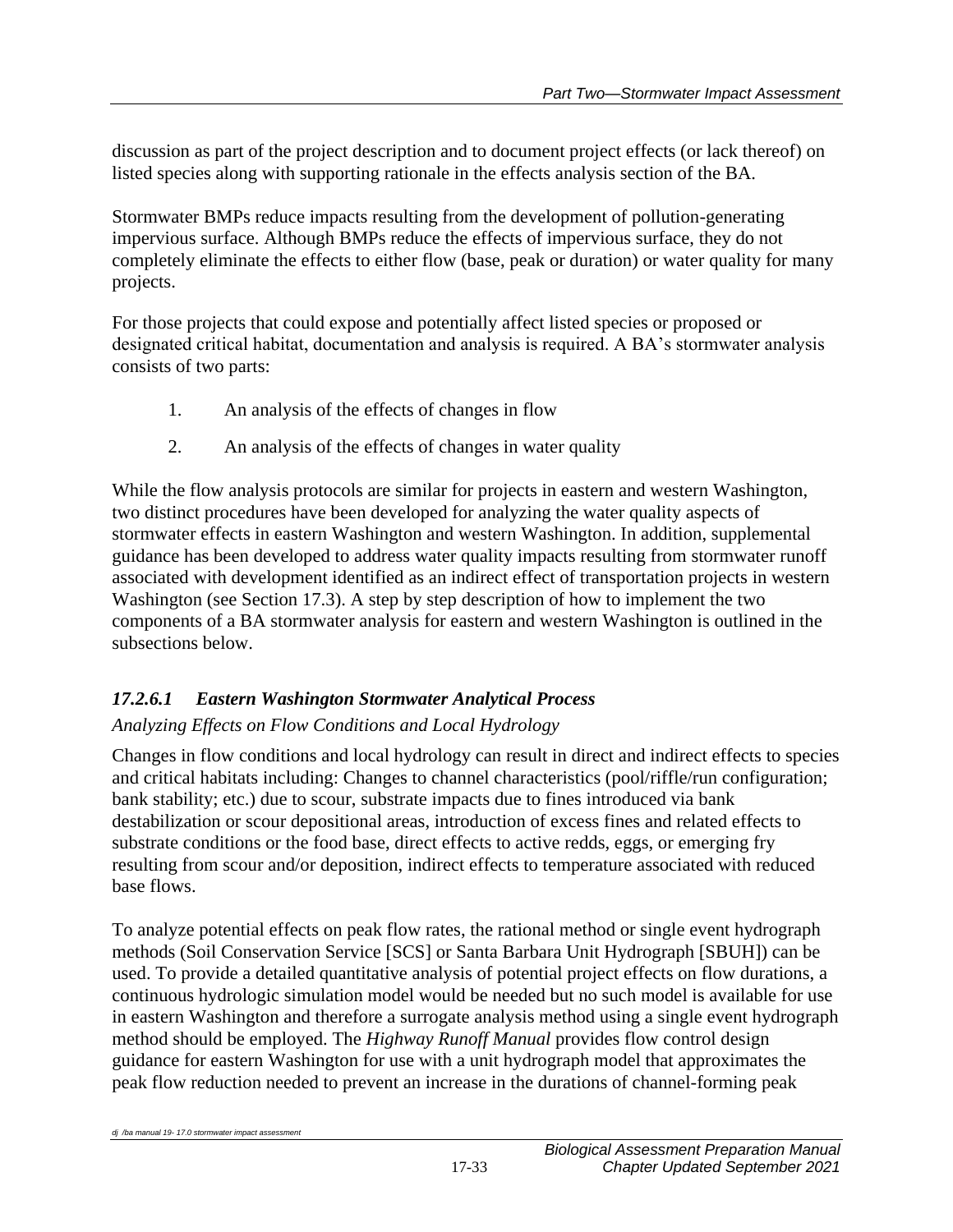discussion as part of the project description and to document project effects (or lack thereof) on listed species along with supporting rationale in the effects analysis section of the BA.

Stormwater BMPs reduce impacts resulting from the development of pollution-generating impervious surface. Although BMPs reduce the effects of impervious surface, they do not completely eliminate the effects to either flow (base, peak or duration) or water quality for many projects.

For those projects that could expose and potentially affect listed species or proposed or designated critical habitat, documentation and analysis is required. A BA's stormwater analysis consists of two parts:

- 1. An analysis of the effects of changes in flow
- 2. An analysis of the effects of changes in water quality

While the flow analysis protocols are similar for projects in eastern and western Washington, two distinct procedures have been developed for analyzing the water quality aspects of stormwater effects in eastern Washington and western Washington. In addition, supplemental guidance has been developed to address water quality impacts resulting from stormwater runoff associated with development identified as an indirect effect of transportation projects in western Washington (see Section 17.3). A step by step description of how to implement the two components of a BA stormwater analysis for eastern and western Washington is outlined in the subsections below.

# *17.2.6.1 Eastern Washington Stormwater Analytical Process*

# *Analyzing Effects on Flow Conditions and Local Hydrology*

Changes in flow conditions and local hydrology can result in direct and indirect effects to species and critical habitats including: Changes to channel characteristics (pool/riffle/run configuration; bank stability; etc.) due to scour, substrate impacts due to fines introduced via bank destabilization or scour depositional areas, introduction of excess fines and related effects to substrate conditions or the food base, direct effects to active redds, eggs, or emerging fry resulting from scour and/or deposition, indirect effects to temperature associated with reduced base flows.

To analyze potential effects on peak flow rates, the rational method or single event hydrograph methods (Soil Conservation Service [SCS] or Santa Barbara Unit Hydrograph [SBUH]) can be used. To provide a detailed quantitative analysis of potential project effects on flow durations, a continuous hydrologic simulation model would be needed but no such model is available for use in eastern Washington and therefore a surrogate analysis method using a single event hydrograph method should be employed. The *Highway Runoff Manual* provides flow control design guidance for eastern Washington for use with a unit hydrograph model that approximates the peak flow reduction needed to prevent an increase in the durations of channel-forming peak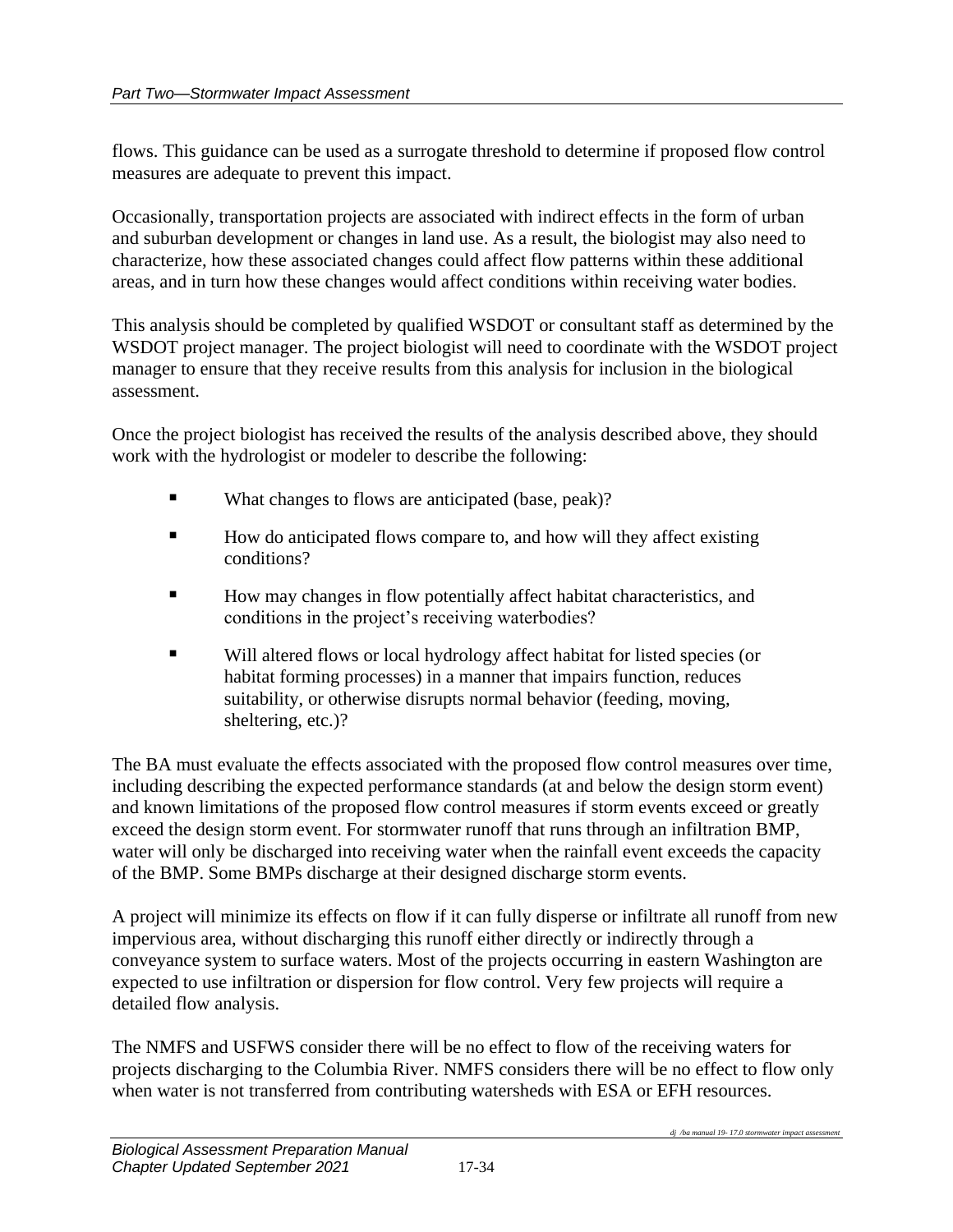flows. This guidance can be used as a surrogate threshold to determine if proposed flow control measures are adequate to prevent this impact.

Occasionally, transportation projects are associated with indirect effects in the form of urban and suburban development or changes in land use. As a result, the biologist may also need to characterize, how these associated changes could affect flow patterns within these additional areas, and in turn how these changes would affect conditions within receiving water bodies.

This analysis should be completed by qualified WSDOT or consultant staff as determined by the WSDOT project manager. The project biologist will need to coordinate with the WSDOT project manager to ensure that they receive results from this analysis for inclusion in the biological assessment.

Once the project biologist has received the results of the analysis described above, they should work with the hydrologist or modeler to describe the following:

- What changes to flows are anticipated (base, peak)?
- How do anticipated flows compare to, and how will they affect existing conditions?
- How may changes in flow potentially affect habitat characteristics, and conditions in the project's receiving waterbodies?
- Will altered flows or local hydrology affect habitat for listed species (or habitat forming processes) in a manner that impairs function, reduces suitability, or otherwise disrupts normal behavior (feeding, moving, sheltering, etc.)?

The BA must evaluate the effects associated with the proposed flow control measures over time, including describing the expected performance standards (at and below the design storm event) and known limitations of the proposed flow control measures if storm events exceed or greatly exceed the design storm event. For stormwater runoff that runs through an infiltration BMP, water will only be discharged into receiving water when the rainfall event exceeds the capacity of the BMP. Some BMPs discharge at their designed discharge storm events.

A project will minimize its effects on flow if it can fully disperse or infiltrate all runoff from new impervious area, without discharging this runoff either directly or indirectly through a conveyance system to surface waters. Most of the projects occurring in eastern Washington are expected to use infiltration or dispersion for flow control. Very few projects will require a detailed flow analysis.

The NMFS and USFWS consider there will be no effect to flow of the receiving waters for projects discharging to the Columbia River. NMFS considers there will be no effect to flow only when water is not transferred from contributing watersheds with ESA or EFH resources.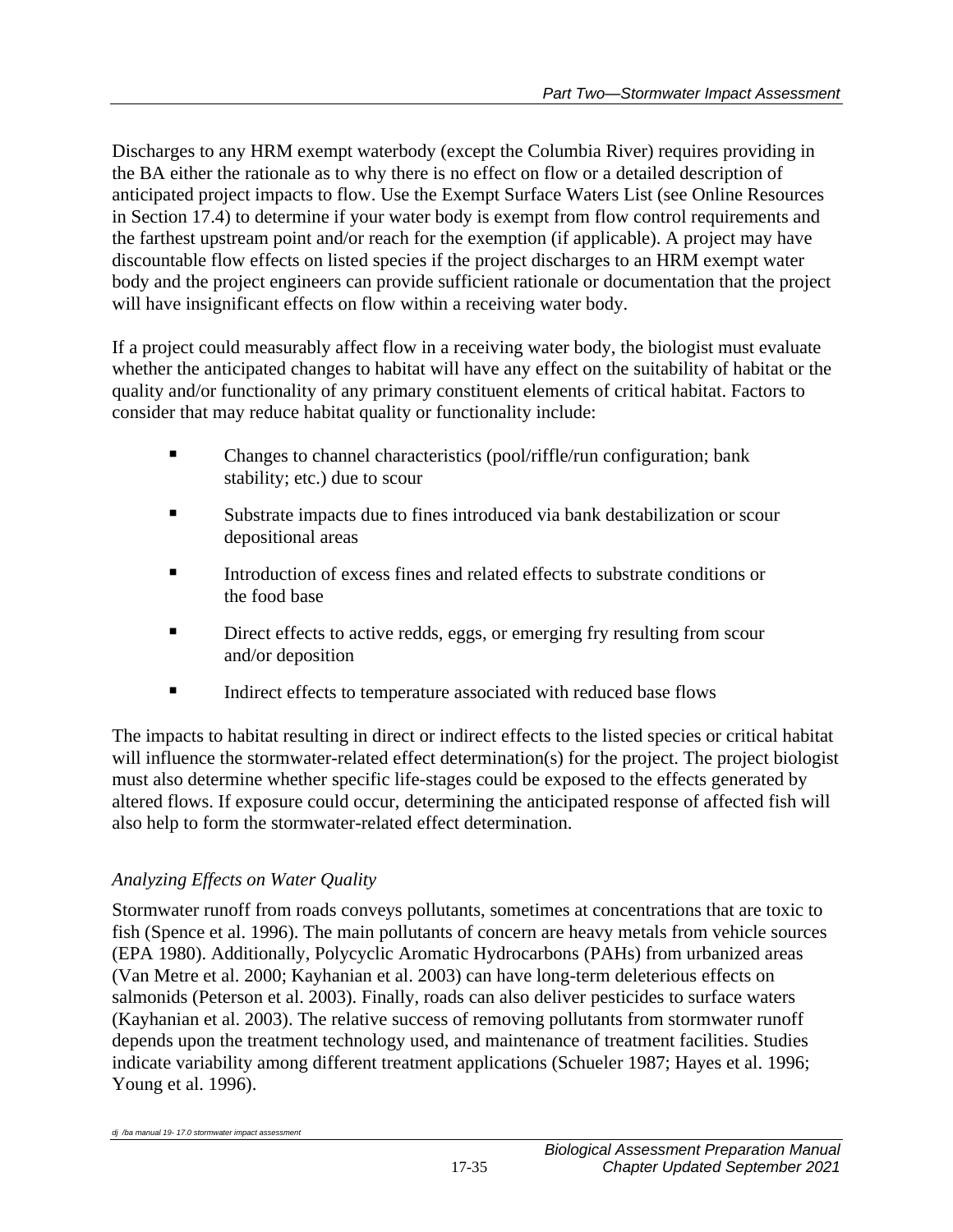Discharges to any HRM exempt waterbody (except the Columbia River) requires providing in the BA either the rationale as to why there is no effect on flow or a detailed description of anticipated project impacts to flow. Use the Exempt Surface Waters List (see Online Resources in Section 17.4) to determine if your water body is exempt from flow control requirements and the farthest upstream point and/or reach for the exemption (if applicable). A project may have discountable flow effects on listed species if the project discharges to an HRM exempt water body and the project engineers can provide sufficient rationale or documentation that the project will have insignificant effects on flow within a receiving water body.

If a project could measurably affect flow in a receiving water body, the biologist must evaluate whether the anticipated changes to habitat will have any effect on the suitability of habitat or the quality and/or functionality of any primary constituent elements of critical habitat. Factors to consider that may reduce habitat quality or functionality include:

- Changes to channel characteristics (pool/riffle/run configuration; bank stability; etc.) due to scour
- Substrate impacts due to fines introduced via bank destabilization or scour depositional areas
- Introduction of excess fines and related effects to substrate conditions or the food base
- **EXECUTE:** Direct effects to active redds, eggs, or emerging fry resulting from scour and/or deposition
- Indirect effects to temperature associated with reduced base flows

The impacts to habitat resulting in direct or indirect effects to the listed species or critical habitat will influence the stormwater-related effect determination(s) for the project. The project biologist must also determine whether specific life-stages could be exposed to the effects generated by altered flows. If exposure could occur, determining the anticipated response of affected fish will also help to form the stormwater-related effect determination.

# *Analyzing Effects on Water Quality*

Stormwater runoff from roads conveys pollutants, sometimes at concentrations that are toxic to fish (Spence et al. 1996). The main pollutants of concern are heavy metals from vehicle sources (EPA 1980). Additionally, Polycyclic Aromatic Hydrocarbons (PAHs) from urbanized areas (Van Metre et al. 2000; Kayhanian et al. 2003) can have long-term deleterious effects on salmonids (Peterson et al. 2003). Finally, roads can also deliver pesticides to surface waters (Kayhanian et al. 2003). The relative success of removing pollutants from stormwater runoff depends upon the treatment technology used, and maintenance of treatment facilities. Studies indicate variability among different treatment applications (Schueler 1987; Hayes et al. 1996; Young et al. 1996).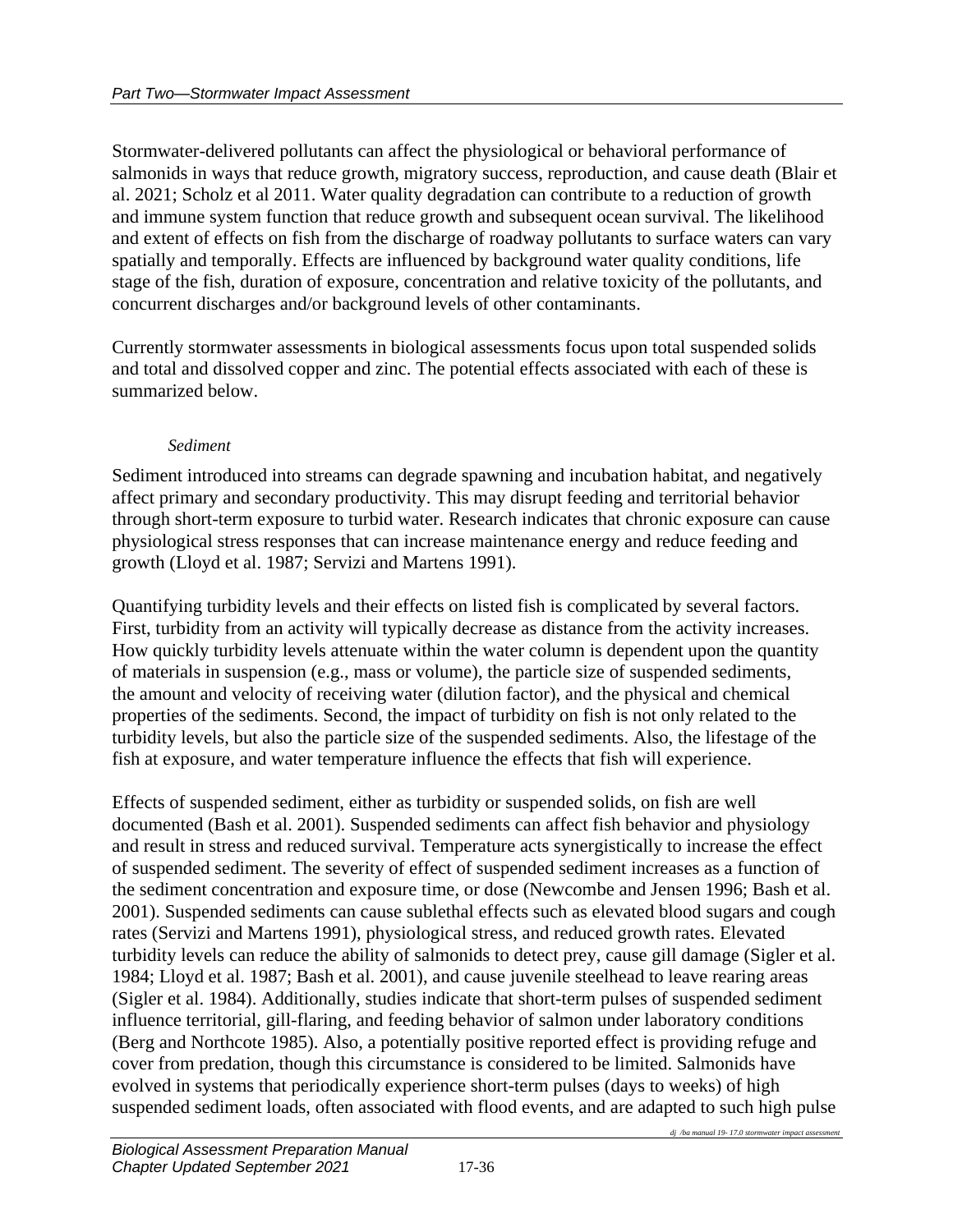Stormwater-delivered pollutants can affect the physiological or behavioral performance of salmonids in ways that reduce growth, migratory success, reproduction, and cause death (Blair et al. 2021; Scholz et al 2011. Water quality degradation can contribute to a reduction of growth and immune system function that reduce growth and subsequent ocean survival. The likelihood and extent of effects on fish from the discharge of roadway pollutants to surface waters can vary spatially and temporally. Effects are influenced by background water quality conditions, life stage of the fish, duration of exposure, concentration and relative toxicity of the pollutants, and concurrent discharges and/or background levels of other contaminants.

Currently stormwater assessments in biological assessments focus upon total suspended solids and total and dissolved copper and zinc. The potential effects associated with each of these is summarized below.

#### *Sediment*

Sediment introduced into streams can degrade spawning and incubation habitat, and negatively affect primary and secondary productivity. This may disrupt feeding and territorial behavior through short-term exposure to turbid water. Research indicates that chronic exposure can cause physiological stress responses that can increase maintenance energy and reduce feeding and growth (Lloyd et al. 1987; Servizi and Martens 1991).

Quantifying turbidity levels and their effects on listed fish is complicated by several factors. First, turbidity from an activity will typically decrease as distance from the activity increases. How quickly turbidity levels attenuate within the water column is dependent upon the quantity of materials in suspension (e.g., mass or volume), the particle size of suspended sediments, the amount and velocity of receiving water (dilution factor), and the physical and chemical properties of the sediments. Second, the impact of turbidity on fish is not only related to the turbidity levels, but also the particle size of the suspended sediments. Also, the lifestage of the fish at exposure, and water temperature influence the effects that fish will experience.

Effects of suspended sediment, either as turbidity or suspended solids, on fish are well documented (Bash et al. 2001). Suspended sediments can affect fish behavior and physiology and result in stress and reduced survival. Temperature acts synergistically to increase the effect of suspended sediment. The severity of effect of suspended sediment increases as a function of the sediment concentration and exposure time, or dose (Newcombe and Jensen 1996; Bash et al. 2001). Suspended sediments can cause sublethal effects such as elevated blood sugars and cough rates (Servizi and Martens 1991), physiological stress, and reduced growth rates. Elevated turbidity levels can reduce the ability of salmonids to detect prey, cause gill damage (Sigler et al. 1984; Lloyd et al. 1987; Bash et al. 2001), and cause juvenile steelhead to leave rearing areas (Sigler et al. 1984). Additionally, studies indicate that short-term pulses of suspended sediment influence territorial, gill-flaring, and feeding behavior of salmon under laboratory conditions (Berg and Northcote 1985). Also, a potentially positive reported effect is providing refuge and cover from predation, though this circumstance is considered to be limited. Salmonids have evolved in systems that periodically experience short-term pulses (days to weeks) of high suspended sediment loads, often associated with flood events, and are adapted to such high pulse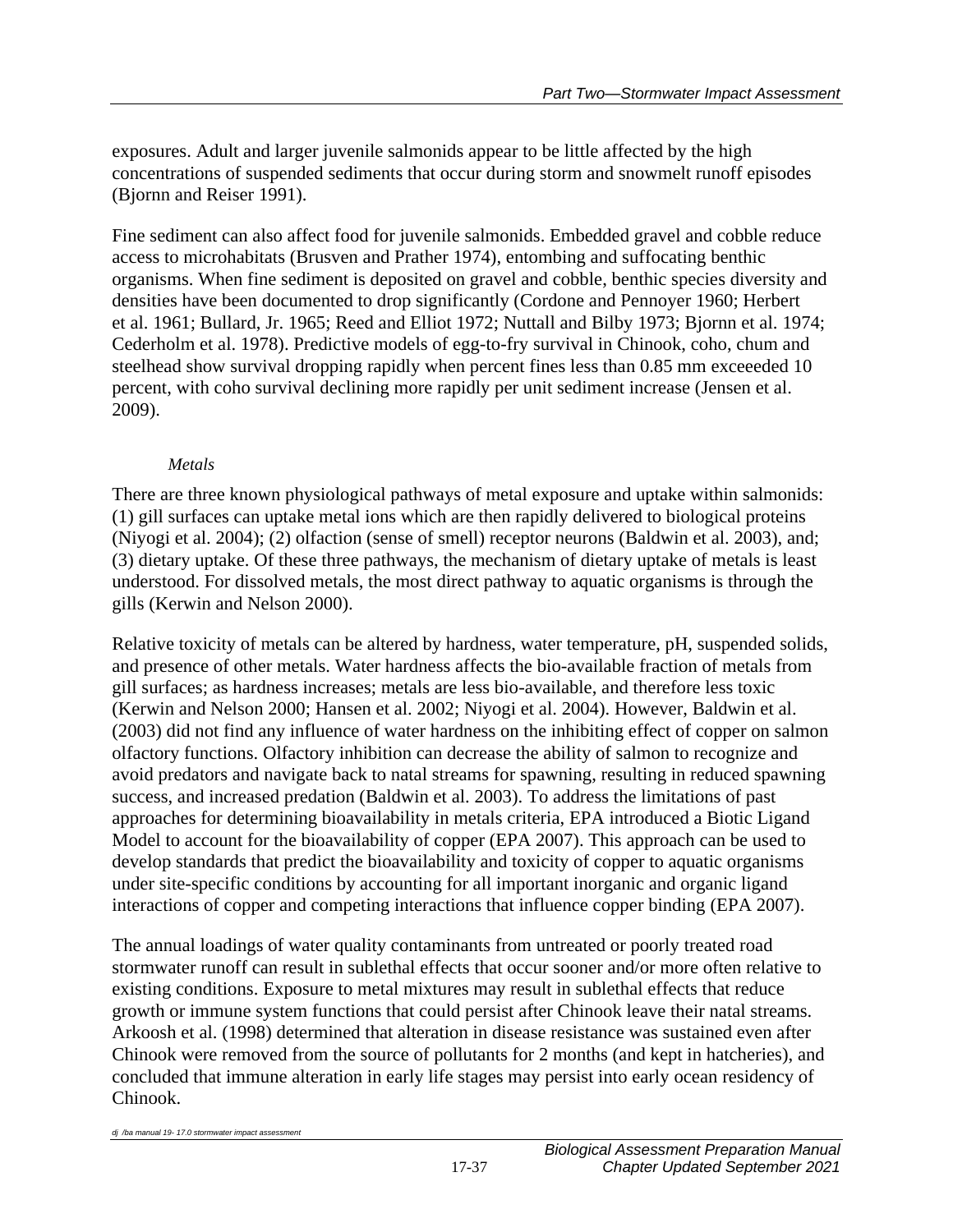exposures. Adult and larger juvenile salmonids appear to be little affected by the high concentrations of suspended sediments that occur during storm and snowmelt runoff episodes (Bjornn and Reiser 1991).

Fine sediment can also affect food for juvenile salmonids. Embedded gravel and cobble reduce access to microhabitats (Brusven and Prather 1974), entombing and suffocating benthic organisms. When fine sediment is deposited on gravel and cobble, benthic species diversity and densities have been documented to drop significantly (Cordone and Pennoyer 1960; Herbert et al. 1961; Bullard, Jr. 1965; Reed and Elliot 1972; Nuttall and Bilby 1973; Bjornn et al. 1974; Cederholm et al. 1978). Predictive models of egg-to-fry survival in Chinook, coho, chum and steelhead show survival dropping rapidly when percent fines less than 0.85 mm exceeeded 10 percent, with coho survival declining more rapidly per unit sediment increase (Jensen et al. 2009).

## *Metals*

There are three known physiological pathways of metal exposure and uptake within salmonids: (1) gill surfaces can uptake metal ions which are then rapidly delivered to biological proteins (Niyogi et al. 2004); (2) olfaction (sense of smell) receptor neurons (Baldwin et al. 2003), and; (3) dietary uptake. Of these three pathways, the mechanism of dietary uptake of metals is least understood. For dissolved metals, the most direct pathway to aquatic organisms is through the gills (Kerwin and Nelson 2000).

Relative toxicity of metals can be altered by hardness, water temperature, pH, suspended solids, and presence of other metals. Water hardness affects the bio-available fraction of metals from gill surfaces; as hardness increases; metals are less bio-available, and therefore less toxic (Kerwin and Nelson 2000; Hansen et al. 2002; Niyogi et al. 2004). However, Baldwin et al. (2003) did not find any influence of water hardness on the inhibiting effect of copper on salmon olfactory functions. Olfactory inhibition can decrease the ability of salmon to recognize and avoid predators and navigate back to natal streams for spawning, resulting in reduced spawning success, and increased predation (Baldwin et al. 2003). To address the limitations of past approaches for determining bioavailability in metals criteria, EPA introduced a Biotic Ligand Model to account for the bioavailability of copper (EPA 2007). This approach can be used to develop standards that predict the bioavailability and toxicity of copper to aquatic organisms under site-specific conditions by accounting for all important inorganic and organic ligand interactions of copper and competing interactions that influence copper binding (EPA 2007).

The annual loadings of water quality contaminants from untreated or poorly treated road stormwater runoff can result in sublethal effects that occur sooner and/or more often relative to existing conditions. Exposure to metal mixtures may result in sublethal effects that reduce growth or immune system functions that could persist after Chinook leave their natal streams. Arkoosh et al. (1998) determined that alteration in disease resistance was sustained even after Chinook were removed from the source of pollutants for 2 months (and kept in hatcheries), and concluded that immune alteration in early life stages may persist into early ocean residency of Chinook.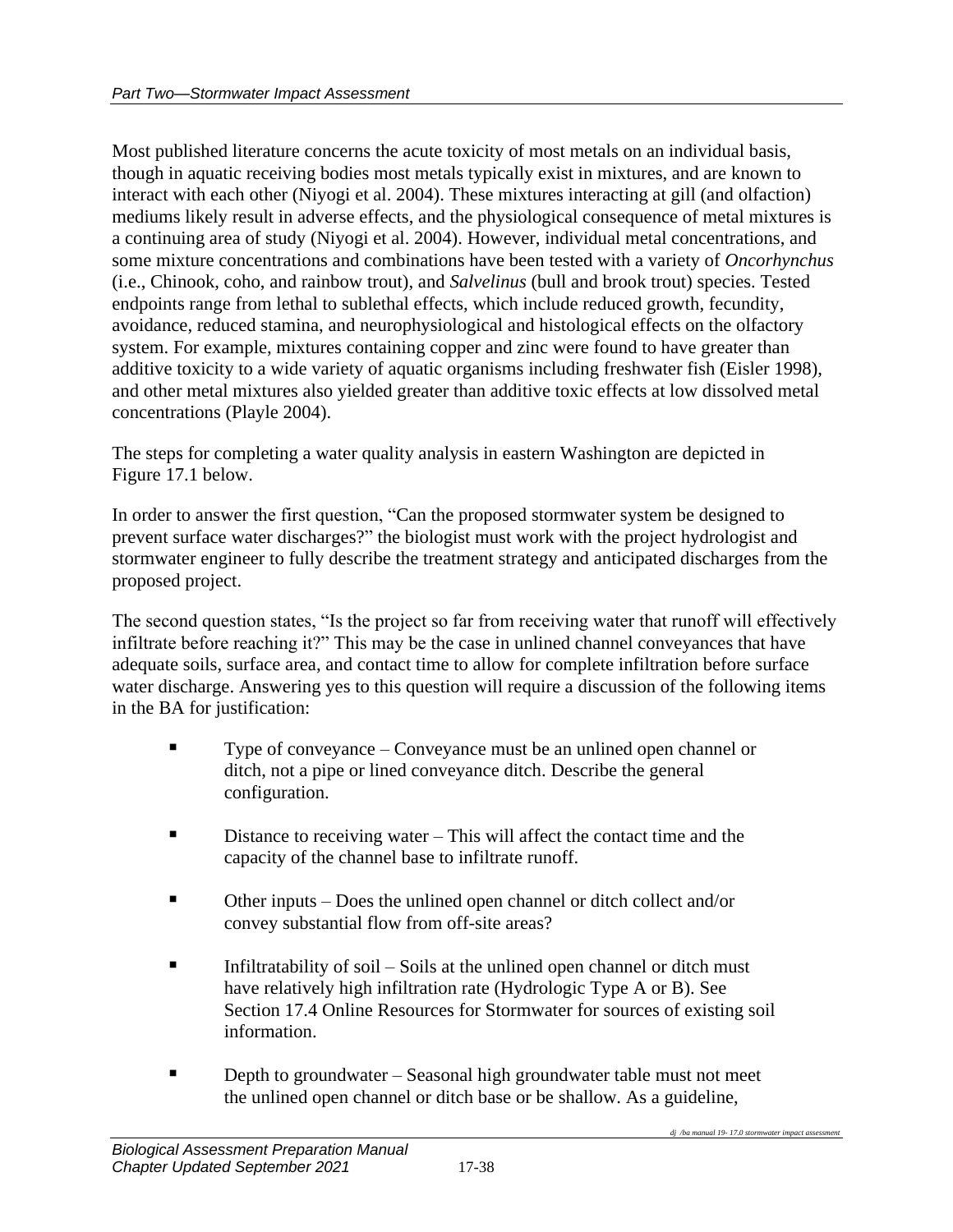Most published literature concerns the acute toxicity of most metals on an individual basis, though in aquatic receiving bodies most metals typically exist in mixtures, and are known to interact with each other (Niyogi et al. 2004). These mixtures interacting at gill (and olfaction) mediums likely result in adverse effects, and the physiological consequence of metal mixtures is a continuing area of study (Niyogi et al. 2004). However, individual metal concentrations, and some mixture concentrations and combinations have been tested with a variety of *Oncorhynchus* (i.e., Chinook, coho, and rainbow trout), and *Salvelinus* (bull and brook trout) species. Tested endpoints range from lethal to sublethal effects, which include reduced growth, fecundity, avoidance, reduced stamina, and neurophysiological and histological effects on the olfactory system. For example, mixtures containing copper and zinc were found to have greater than additive toxicity to a wide variety of aquatic organisms including freshwater fish (Eisler 1998), and other metal mixtures also yielded greater than additive toxic effects at low dissolved metal concentrations (Playle 2004).

The steps for completing a water quality analysis in eastern Washington are depicted in Figure 17.1 below.

In order to answer the first question, "Can the proposed stormwater system be designed to prevent surface water discharges?" the biologist must work with the project hydrologist and stormwater engineer to fully describe the treatment strategy and anticipated discharges from the proposed project.

The second question states, "Is the project so far from receiving water that runoff will effectively infiltrate before reaching it?" This may be the case in unlined channel conveyances that have adequate soils, surface area, and contact time to allow for complete infiltration before surface water discharge. Answering yes to this question will require a discussion of the following items in the BA for justification:

- Type of conveyance Conveyance must be an unlined open channel or ditch, not a pipe or lined conveyance ditch. Describe the general configuration.
- Distance to receiving water This will affect the contact time and the capacity of the channel base to infiltrate runoff.
- Other inputs Does the unlined open channel or ditch collect and/or convey substantial flow from off-site areas?
- **Example 1** Infiltratability of soil Soils at the unlined open channel or ditch must have relatively high infiltration rate (Hydrologic Type A or B). See Section 17.4 Online Resources for Stormwater for sources of existing soil information.
- **Depth to groundwater Seasonal high groundwater table must not meet** the unlined open channel or ditch base or be shallow. As a guideline,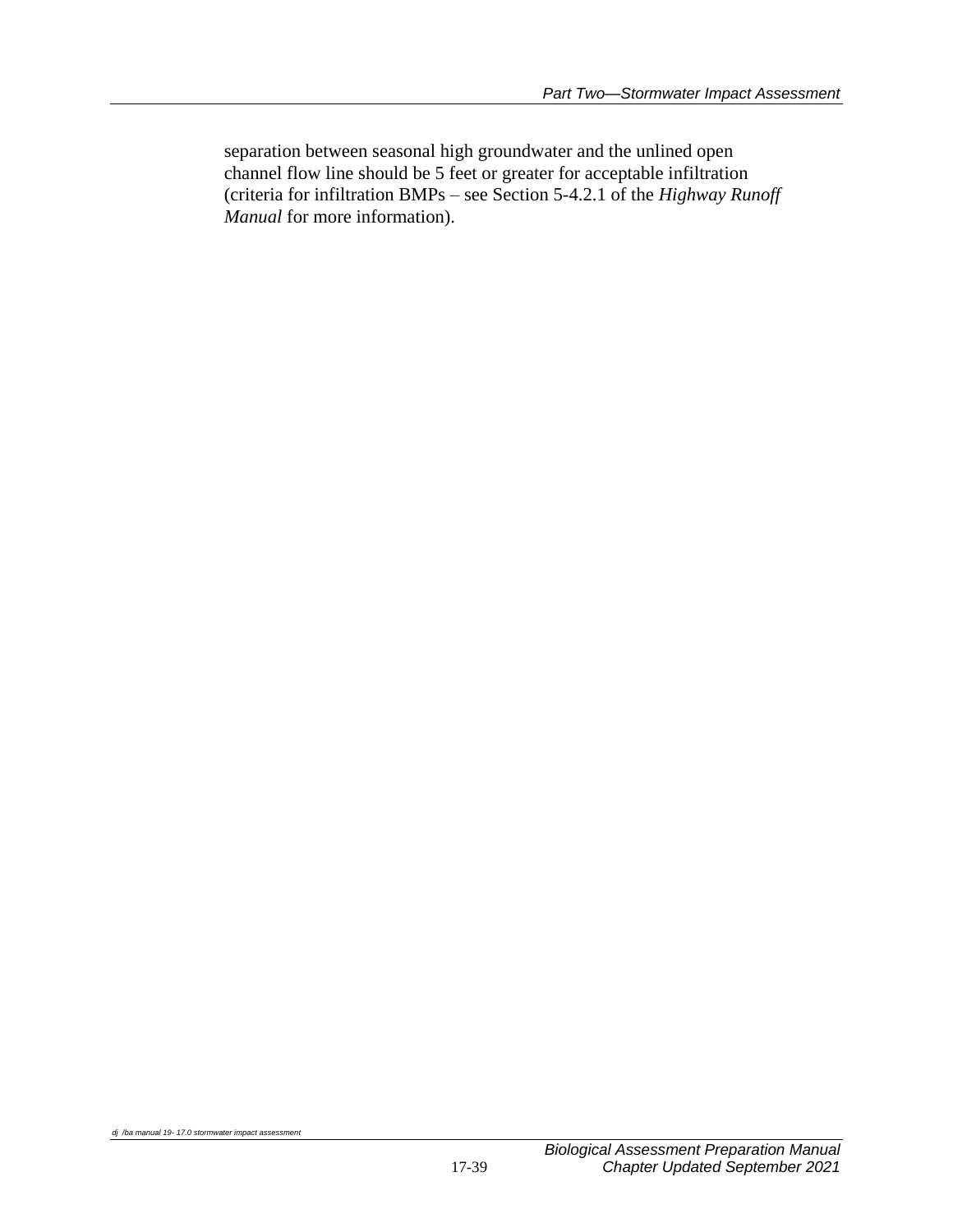separation between seasonal high groundwater and the unlined open channel flow line should be 5 feet or greater for acceptable infiltration (criteria for infiltration BMPs – see Section 5-4.2.1 of the *Highway Runoff Manual* for more information).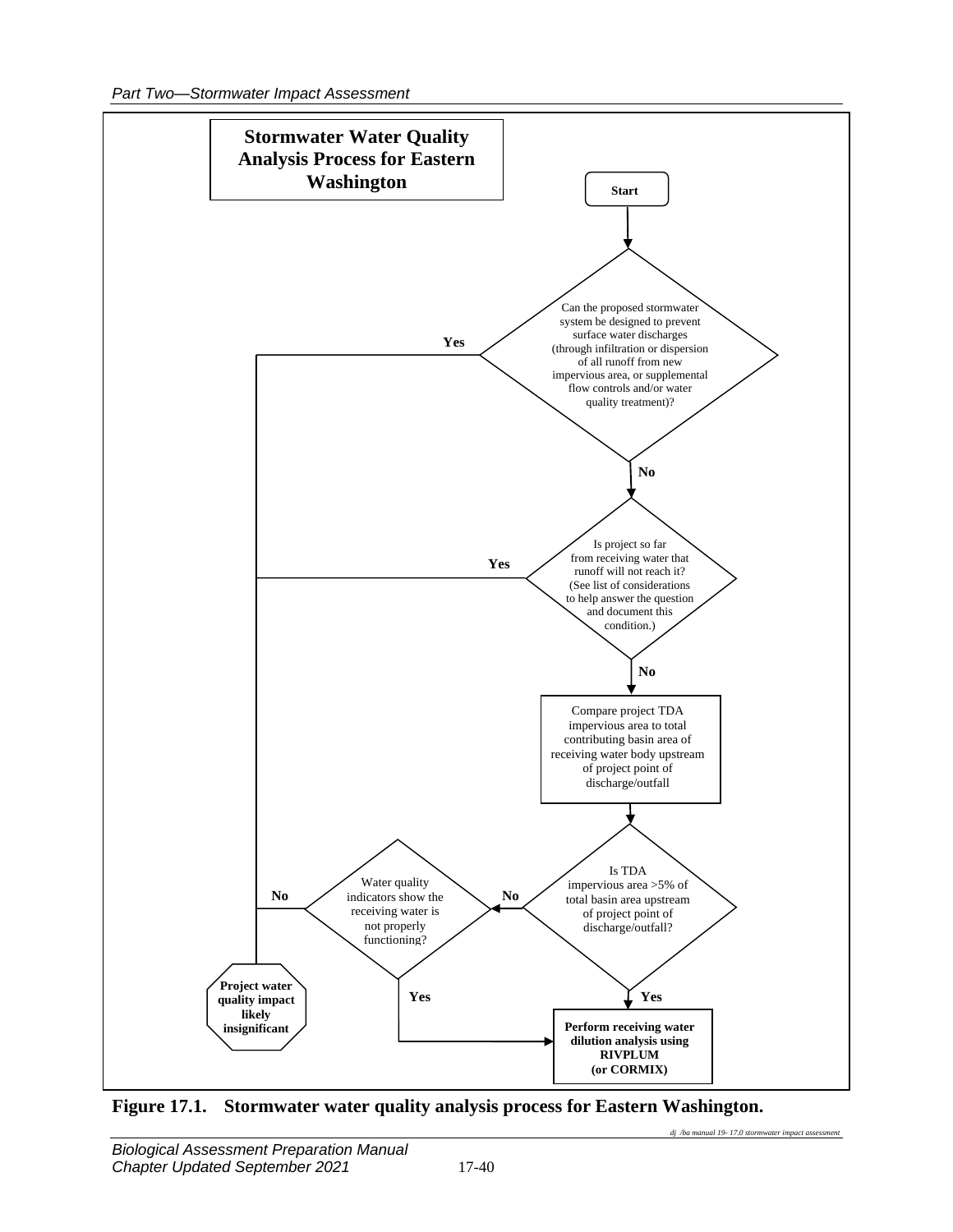

**Figure 17.1. Stormwater water quality analysis process for Eastern Washington.**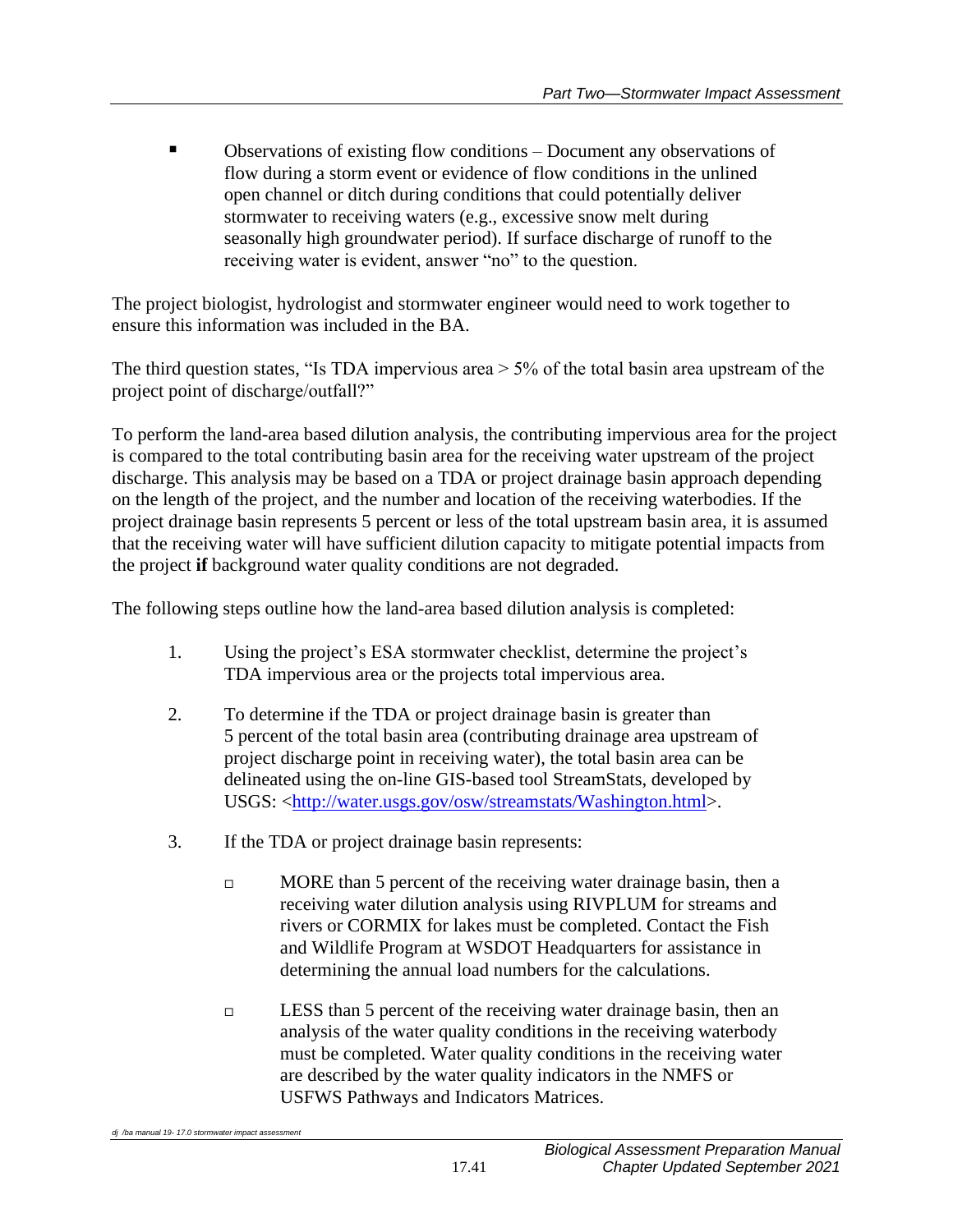Observations of existing flow conditions – Document any observations of flow during a storm event or evidence of flow conditions in the unlined open channel or ditch during conditions that could potentially deliver stormwater to receiving waters (e.g., excessive snow melt during seasonally high groundwater period). If surface discharge of runoff to the receiving water is evident, answer "no" to the question.

The project biologist, hydrologist and stormwater engineer would need to work together to ensure this information was included in the BA.

The third question states, "Is TDA impervious area > 5% of the total basin area upstream of the project point of discharge/outfall?"

To perform the land-area based dilution analysis, the contributing impervious area for the project is compared to the total contributing basin area for the receiving water upstream of the project discharge. This analysis may be based on a TDA or project drainage basin approach depending on the length of the project, and the number and location of the receiving waterbodies. If the project drainage basin represents 5 percent or less of the total upstream basin area, it is assumed that the receiving water will have sufficient dilution capacity to mitigate potential impacts from the project **if** background water quality conditions are not degraded.

The following steps outline how the land-area based dilution analysis is completed:

- 1. Using the project's ESA stormwater checklist, determine the project's TDA impervious area or the projects total impervious area.
- 2. To determine if the TDA or project drainage basin is greater than 5 percent of the total basin area (contributing drainage area upstream of project discharge point in receiving water), the total basin area can be delineated using the on-line GIS-based tool StreamStats, developed by USGS: [<http://water.usgs.gov/osw/streamstats/Washington.html>](http://water.usgs.gov/osw/streamstats/Washington.html).
- 3. If the TDA or project drainage basin represents:
	- $\Box$  MORE than 5 percent of the receiving water drainage basin, then a receiving water dilution analysis using RIVPLUM for streams and rivers or CORMIX for lakes must be completed. Contact the Fish and Wildlife Program at WSDOT Headquarters for assistance in determining the annual load numbers for the calculations.
	- LESS than 5 percent of the receiving water drainage basin, then an analysis of the water quality conditions in the receiving waterbody must be completed. Water quality conditions in the receiving water are described by the water quality indicators in the NMFS or USFWS Pathways and Indicators Matrices.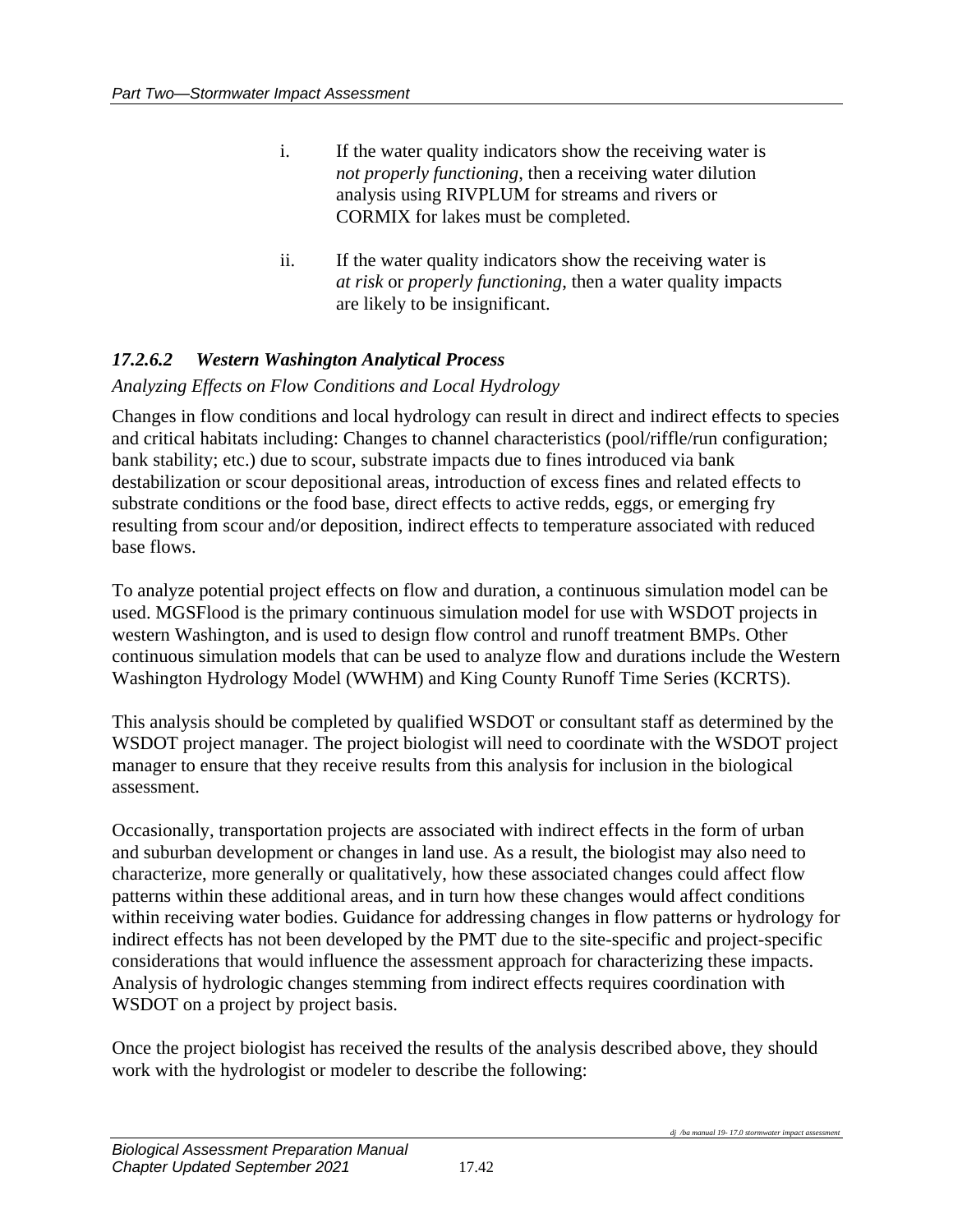- i. If the water quality indicators show the receiving water is *not properly functioning*, then a receiving water dilution analysis using RIVPLUM for streams and rivers or CORMIX for lakes must be completed.
- ii. If the water quality indicators show the receiving water is *at risk* or *properly functioning*, then a water quality impacts are likely to be insignificant.

# *17.2.6.2 Western Washington Analytical Process*

### *Analyzing Effects on Flow Conditions and Local Hydrology*

Changes in flow conditions and local hydrology can result in direct and indirect effects to species and critical habitats including: Changes to channel characteristics (pool/riffle/run configuration; bank stability; etc.) due to scour, substrate impacts due to fines introduced via bank destabilization or scour depositional areas, introduction of excess fines and related effects to substrate conditions or the food base, direct effects to active redds, eggs, or emerging fry resulting from scour and/or deposition, indirect effects to temperature associated with reduced base flows.

To analyze potential project effects on flow and duration, a continuous simulation model can be used. MGSFlood is the primary continuous simulation model for use with WSDOT projects in western Washington, and is used to design flow control and runoff treatment BMPs. Other continuous simulation models that can be used to analyze flow and durations include the Western Washington Hydrology Model (WWHM) and King County Runoff Time Series (KCRTS).

This analysis should be completed by qualified WSDOT or consultant staff as determined by the WSDOT project manager. The project biologist will need to coordinate with the WSDOT project manager to ensure that they receive results from this analysis for inclusion in the biological assessment.

Occasionally, transportation projects are associated with indirect effects in the form of urban and suburban development or changes in land use. As a result, the biologist may also need to characterize, more generally or qualitatively, how these associated changes could affect flow patterns within these additional areas, and in turn how these changes would affect conditions within receiving water bodies. Guidance for addressing changes in flow patterns or hydrology for indirect effects has not been developed by the PMT due to the site-specific and project-specific considerations that would influence the assessment approach for characterizing these impacts. Analysis of hydrologic changes stemming from indirect effects requires coordination with WSDOT on a project by project basis.

Once the project biologist has received the results of the analysis described above, they should work with the hydrologist or modeler to describe the following: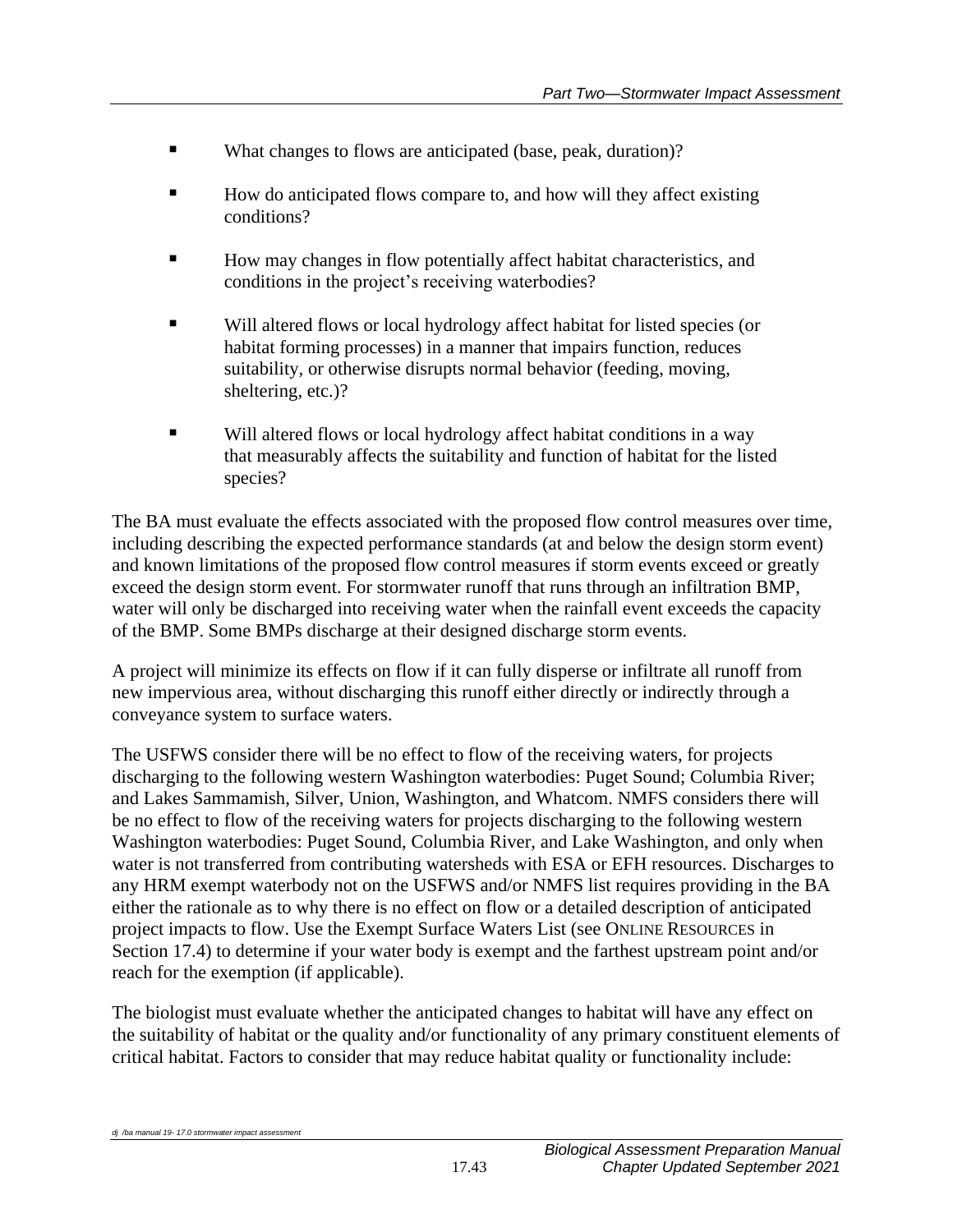- What changes to flows are anticipated (base, peak, duration)?
- How do anticipated flows compare to, and how will they affect existing conditions?
- How may changes in flow potentially affect habitat characteristics, and conditions in the project's receiving waterbodies?
- Will altered flows or local hydrology affect habitat for listed species (or habitat forming processes) in a manner that impairs function, reduces suitability, or otherwise disrupts normal behavior (feeding, moving, sheltering, etc.)?
- Will altered flows or local hydrology affect habitat conditions in a way that measurably affects the suitability and function of habitat for the listed species?

The BA must evaluate the effects associated with the proposed flow control measures over time, including describing the expected performance standards (at and below the design storm event) and known limitations of the proposed flow control measures if storm events exceed or greatly exceed the design storm event. For stormwater runoff that runs through an infiltration BMP, water will only be discharged into receiving water when the rainfall event exceeds the capacity of the BMP. Some BMPs discharge at their designed discharge storm events.

A project will minimize its effects on flow if it can fully disperse or infiltrate all runoff from new impervious area, without discharging this runoff either directly or indirectly through a conveyance system to surface waters.

The USFWS consider there will be no effect to flow of the receiving waters, for projects discharging to the following western Washington waterbodies: Puget Sound; Columbia River; and Lakes Sammamish, Silver, Union, Washington, and Whatcom. NMFS considers there will be no effect to flow of the receiving waters for projects discharging to the following western Washington waterbodies: Puget Sound, Columbia River, and Lake Washington, and only when water is not transferred from contributing watersheds with ESA or EFH resources. Discharges to any HRM exempt waterbody not on the USFWS and/or NMFS list requires providing in the BA either the rationale as to why there is no effect on flow or a detailed description of anticipated project impacts to flow. Use the Exempt Surface Waters List (see ONLINE RESOURCES in Section 17.4) to determine if your water body is exempt and the farthest upstream point and/or reach for the exemption (if applicable).

The biologist must evaluate whether the anticipated changes to habitat will have any effect on the suitability of habitat or the quality and/or functionality of any primary constituent elements of critical habitat. Factors to consider that may reduce habitat quality or functionality include: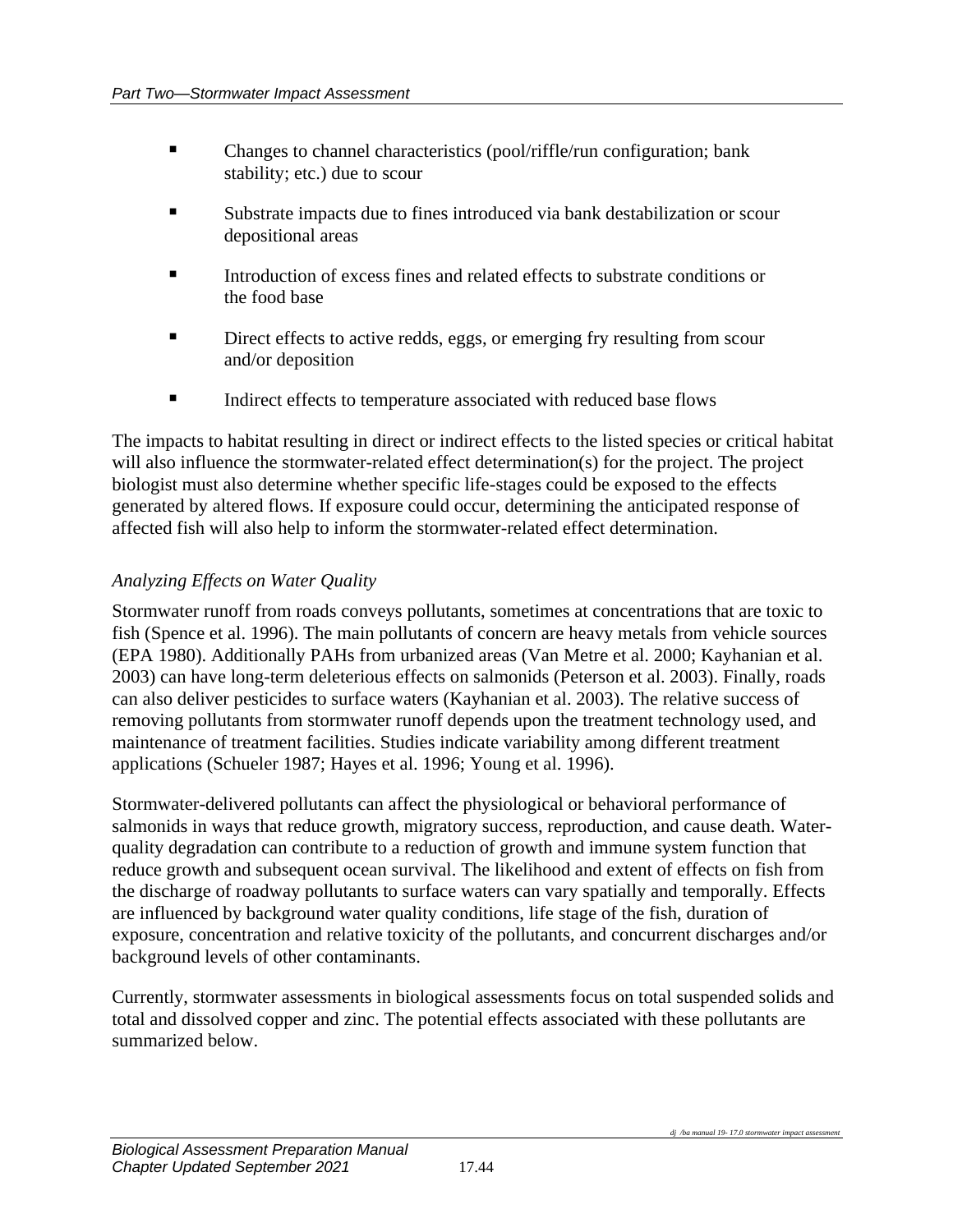- Changes to channel characteristics (pool/riffle/run configuration; bank stability; etc.) due to scour
- Substrate impacts due to fines introduced via bank destabilization or scour depositional areas
- Introduction of excess fines and related effects to substrate conditions or the food base
- **EXECUTE:** Direct effects to active redds, eggs, or emerging fry resulting from scour and/or deposition
- **IF** Indirect effects to temperature associated with reduced base flows

The impacts to habitat resulting in direct or indirect effects to the listed species or critical habitat will also influence the stormwater-related effect determination(s) for the project. The project biologist must also determine whether specific life-stages could be exposed to the effects generated by altered flows. If exposure could occur, determining the anticipated response of affected fish will also help to inform the stormwater-related effect determination.

## *Analyzing Effects on Water Quality*

Stormwater runoff from roads conveys pollutants, sometimes at concentrations that are toxic to fish (Spence et al. 1996). The main pollutants of concern are heavy metals from vehicle sources (EPA 1980). Additionally PAHs from urbanized areas (Van Metre et al. 2000; Kayhanian et al. 2003) can have long-term deleterious effects on salmonids (Peterson et al. 2003). Finally, roads can also deliver pesticides to surface waters (Kayhanian et al. 2003). The relative success of removing pollutants from stormwater runoff depends upon the treatment technology used, and maintenance of treatment facilities. Studies indicate variability among different treatment applications (Schueler 1987; Hayes et al. 1996; Young et al. 1996).

Stormwater-delivered pollutants can affect the physiological or behavioral performance of salmonids in ways that reduce growth, migratory success, reproduction, and cause death. Waterquality degradation can contribute to a reduction of growth and immune system function that reduce growth and subsequent ocean survival. The likelihood and extent of effects on fish from the discharge of roadway pollutants to surface waters can vary spatially and temporally. Effects are influenced by background water quality conditions, life stage of the fish, duration of exposure, concentration and relative toxicity of the pollutants, and concurrent discharges and/or background levels of other contaminants.

Currently, stormwater assessments in biological assessments focus on total suspended solids and total and dissolved copper and zinc. The potential effects associated with these pollutants are summarized below.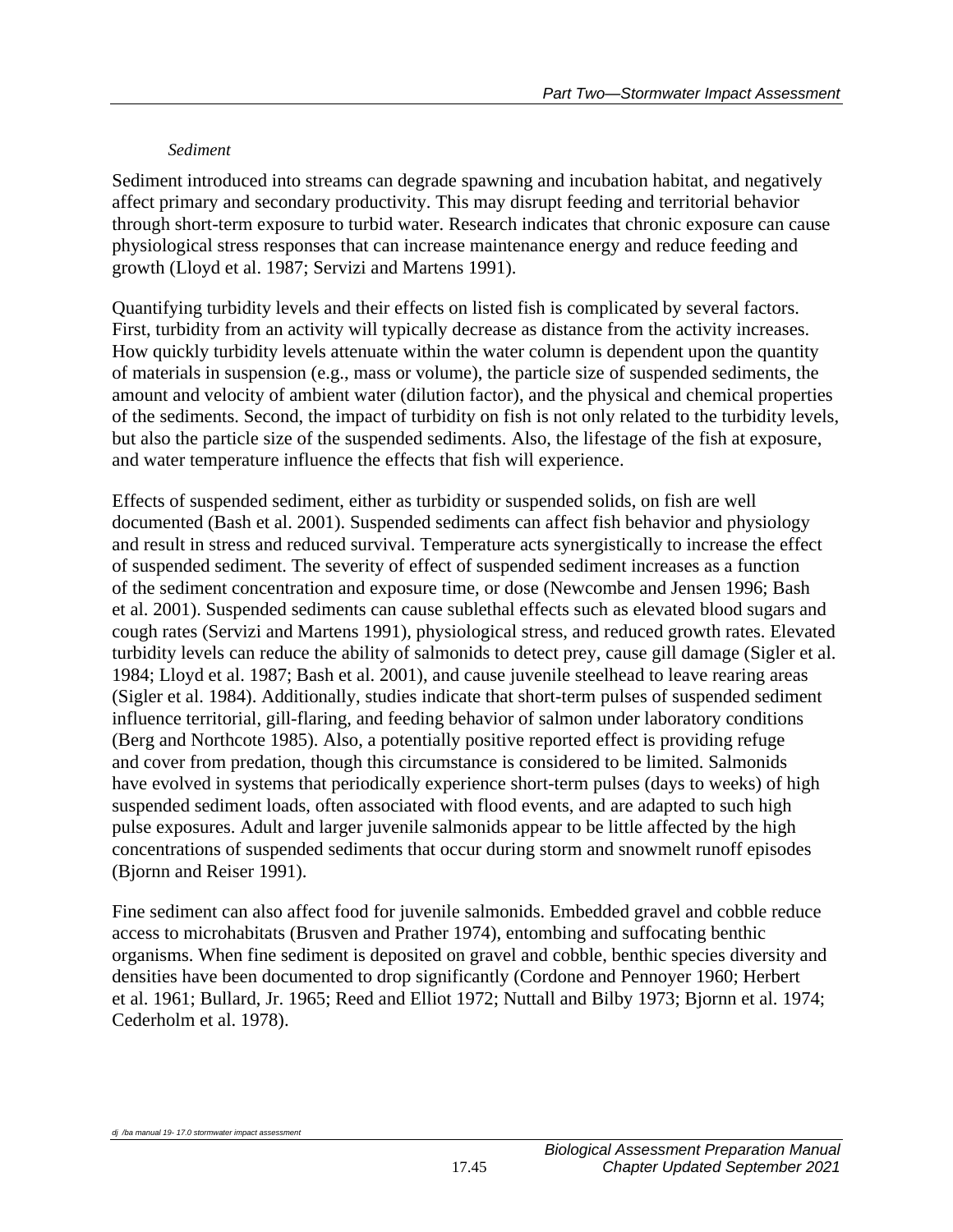### *Sediment*

Sediment introduced into streams can degrade spawning and incubation habitat, and negatively affect primary and secondary productivity. This may disrupt feeding and territorial behavior through short-term exposure to turbid water. Research indicates that chronic exposure can cause physiological stress responses that can increase maintenance energy and reduce feeding and growth (Lloyd et al. 1987; Servizi and Martens 1991).

Quantifying turbidity levels and their effects on listed fish is complicated by several factors. First, turbidity from an activity will typically decrease as distance from the activity increases. How quickly turbidity levels attenuate within the water column is dependent upon the quantity of materials in suspension (e.g., mass or volume), the particle size of suspended sediments, the amount and velocity of ambient water (dilution factor), and the physical and chemical properties of the sediments. Second, the impact of turbidity on fish is not only related to the turbidity levels, but also the particle size of the suspended sediments. Also, the lifestage of the fish at exposure, and water temperature influence the effects that fish will experience.

Effects of suspended sediment, either as turbidity or suspended solids, on fish are well documented (Bash et al. 2001). Suspended sediments can affect fish behavior and physiology and result in stress and reduced survival. Temperature acts synergistically to increase the effect of suspended sediment. The severity of effect of suspended sediment increases as a function of the sediment concentration and exposure time, or dose (Newcombe and Jensen 1996; Bash et al. 2001). Suspended sediments can cause sublethal effects such as elevated blood sugars and cough rates (Servizi and Martens 1991), physiological stress, and reduced growth rates. Elevated turbidity levels can reduce the ability of salmonids to detect prey, cause gill damage (Sigler et al. 1984; Lloyd et al. 1987; Bash et al. 2001), and cause juvenile steelhead to leave rearing areas (Sigler et al. 1984). Additionally, studies indicate that short-term pulses of suspended sediment influence territorial, gill-flaring, and feeding behavior of salmon under laboratory conditions (Berg and Northcote 1985). Also, a potentially positive reported effect is providing refuge and cover from predation, though this circumstance is considered to be limited. Salmonids have evolved in systems that periodically experience short-term pulses (days to weeks) of high suspended sediment loads, often associated with flood events, and are adapted to such high pulse exposures. Adult and larger juvenile salmonids appear to be little affected by the high concentrations of suspended sediments that occur during storm and snowmelt runoff episodes (Bjornn and Reiser 1991).

Fine sediment can also affect food for juvenile salmonids. Embedded gravel and cobble reduce access to microhabitats (Brusven and Prather 1974), entombing and suffocating benthic organisms. When fine sediment is deposited on gravel and cobble, benthic species diversity and densities have been documented to drop significantly (Cordone and Pennoyer 1960; Herbert et al. 1961; Bullard, Jr. 1965; Reed and Elliot 1972; Nuttall and Bilby 1973; Bjornn et al. 1974; Cederholm et al. 1978).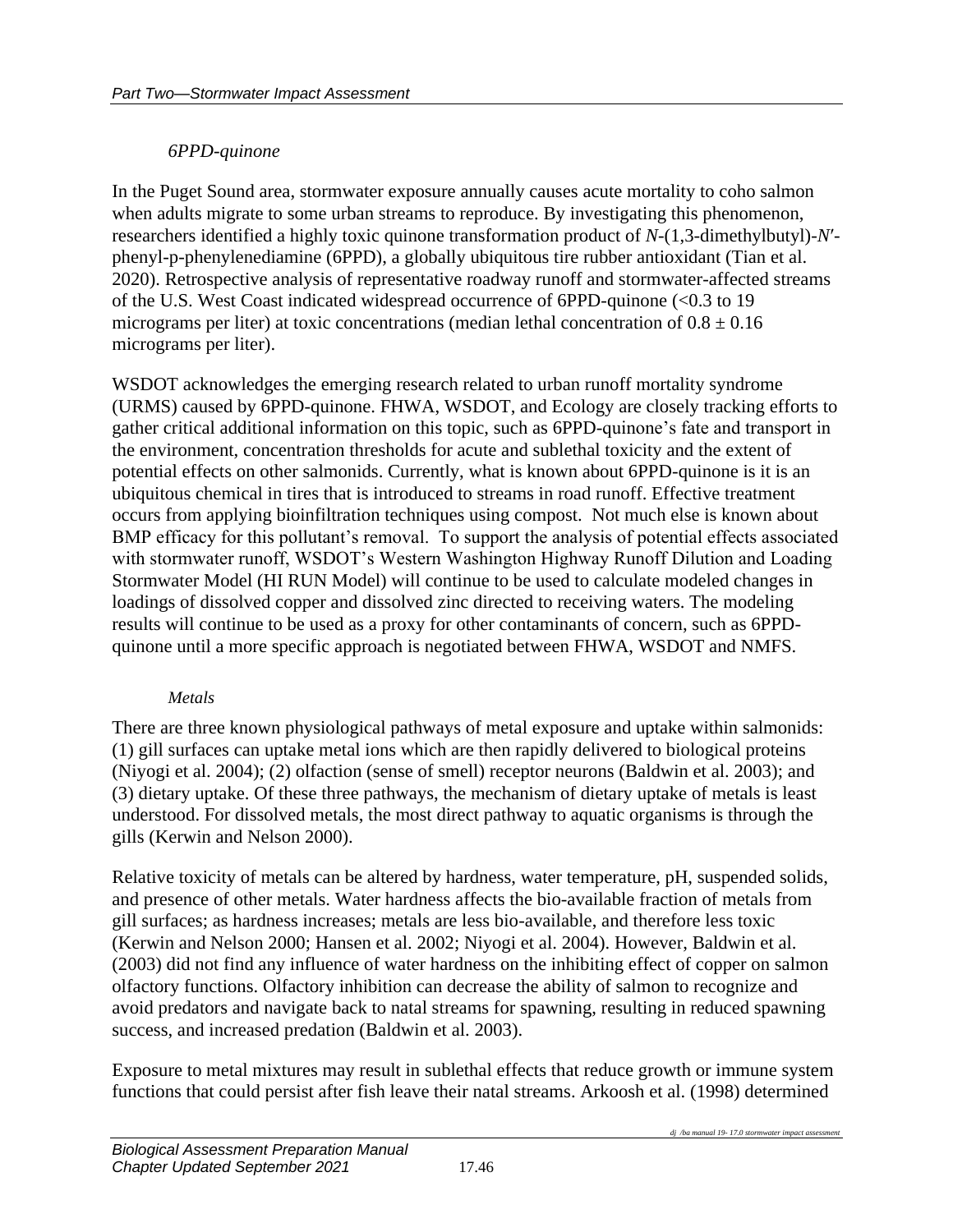### *6PPD-quinone*

In the Puget Sound area, stormwater exposure annually causes acute mortality to coho salmon when adults migrate to some urban streams to reproduce. By investigating this phenomenon, researchers identified a highly toxic quinone transformation product of *N*-(1,3-dimethylbutyl)-*N*′ phenyl-p-phenylenediamine (6PPD), a globally ubiquitous tire rubber antioxidant (Tian et al. 2020). Retrospective analysis of representative roadway runoff and stormwater-affected streams of the U.S. West Coast indicated widespread occurrence of 6PPD-quinone (<0.3 to 19 micrograms per liter) at toxic concentrations (median lethal concentration of  $0.8 \pm 0.16$ micrograms per liter).

WSDOT acknowledges the emerging research related to urban runoff mortality syndrome (URMS) caused by 6PPD-quinone. FHWA, WSDOT, and Ecology are closely tracking efforts to gather critical additional information on this topic, such as 6PPD-quinone's fate and transport in the environment, concentration thresholds for acute and sublethal toxicity and the extent of potential effects on other salmonids. Currently, what is known about 6PPD-quinone is it is an ubiquitous chemical in tires that is introduced to streams in road runoff. Effective treatment occurs from applying bioinfiltration techniques using compost. Not much else is known about BMP efficacy for this pollutant's removal. To support the analysis of potential effects associated with stormwater runoff, WSDOT's Western Washington Highway Runoff Dilution and Loading Stormwater Model (HI RUN Model) will continue to be used to calculate modeled changes in loadings of dissolved copper and dissolved zinc directed to receiving waters. The modeling results will continue to be used as a proxy for other contaminants of concern, such as 6PPDquinone until a more specific approach is negotiated between FHWA, WSDOT and NMFS.

#### *Metals*

There are three known physiological pathways of metal exposure and uptake within salmonids: (1) gill surfaces can uptake metal ions which are then rapidly delivered to biological proteins (Niyogi et al. 2004); (2) olfaction (sense of smell) receptor neurons (Baldwin et al. 2003); and (3) dietary uptake. Of these three pathways, the mechanism of dietary uptake of metals is least understood. For dissolved metals, the most direct pathway to aquatic organisms is through the gills (Kerwin and Nelson 2000).

Relative toxicity of metals can be altered by hardness, water temperature, pH, suspended solids, and presence of other metals. Water hardness affects the bio-available fraction of metals from gill surfaces; as hardness increases; metals are less bio-available, and therefore less toxic (Kerwin and Nelson 2000; Hansen et al. 2002; Niyogi et al. 2004). However, Baldwin et al. (2003) did not find any influence of water hardness on the inhibiting effect of copper on salmon olfactory functions. Olfactory inhibition can decrease the ability of salmon to recognize and avoid predators and navigate back to natal streams for spawning, resulting in reduced spawning success, and increased predation (Baldwin et al. 2003).

Exposure to metal mixtures may result in sublethal effects that reduce growth or immune system functions that could persist after fish leave their natal streams. Arkoosh et al. (1998) determined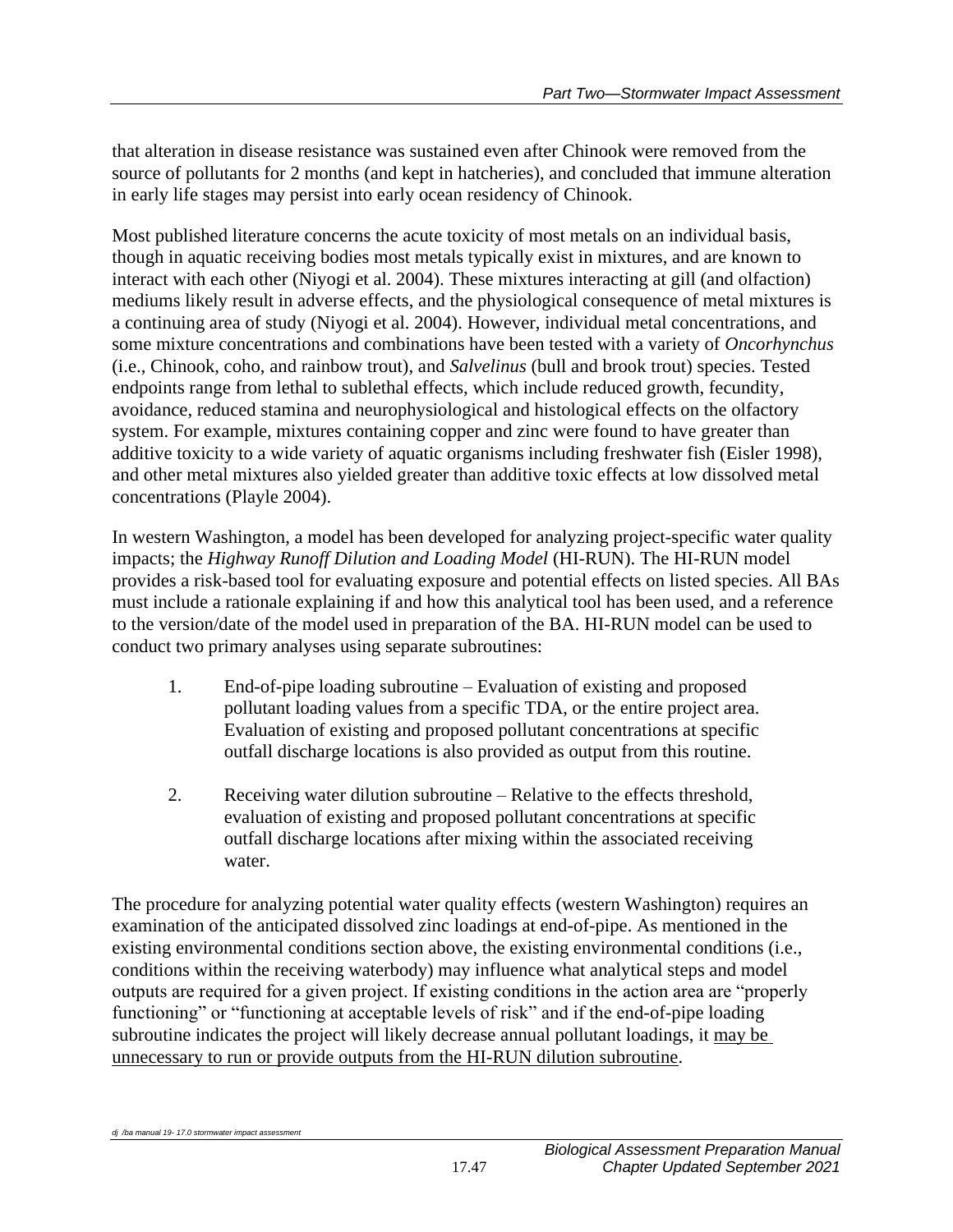that alteration in disease resistance was sustained even after Chinook were removed from the source of pollutants for 2 months (and kept in hatcheries), and concluded that immune alteration in early life stages may persist into early ocean residency of Chinook.

Most published literature concerns the acute toxicity of most metals on an individual basis, though in aquatic receiving bodies most metals typically exist in mixtures, and are known to interact with each other (Niyogi et al. 2004). These mixtures interacting at gill (and olfaction) mediums likely result in adverse effects, and the physiological consequence of metal mixtures is a continuing area of study (Niyogi et al. 2004). However, individual metal concentrations, and some mixture concentrations and combinations have been tested with a variety of *Oncorhynchus* (i.e., Chinook, coho, and rainbow trout), and *Salvelinus* (bull and brook trout) species. Tested endpoints range from lethal to sublethal effects, which include reduced growth, fecundity, avoidance, reduced stamina and neurophysiological and histological effects on the olfactory system. For example, mixtures containing copper and zinc were found to have greater than additive toxicity to a wide variety of aquatic organisms including freshwater fish (Eisler 1998), and other metal mixtures also yielded greater than additive toxic effects at low dissolved metal concentrations (Playle 2004).

In western Washington, a model has been developed for analyzing project-specific water quality impacts; the *Highway Runoff Dilution and Loading Model* (HI-RUN). The HI-RUN model provides a risk-based tool for evaluating exposure and potential effects on listed species. All BAs must include a rationale explaining if and how this analytical tool has been used, and a reference to the version/date of the model used in preparation of the BA. HI-RUN model can be used to conduct two primary analyses using separate subroutines:

- 1. End-of-pipe loading subroutine Evaluation of existing and proposed pollutant loading values from a specific TDA, or the entire project area. Evaluation of existing and proposed pollutant concentrations at specific outfall discharge locations is also provided as output from this routine.
- 2. Receiving water dilution subroutine Relative to the effects threshold, evaluation of existing and proposed pollutant concentrations at specific outfall discharge locations after mixing within the associated receiving water.

The procedure for analyzing potential water quality effects (western Washington) requires an examination of the anticipated dissolved zinc loadings at end-of-pipe. As mentioned in the existing environmental conditions section above, the existing environmental conditions (i.e., conditions within the receiving waterbody) may influence what analytical steps and model outputs are required for a given project. If existing conditions in the action area are "properly functioning" or "functioning at acceptable levels of risk" and if the end-of-pipe loading subroutine indicates the project will likely decrease annual pollutant loadings, it may be unnecessary to run or provide outputs from the HI-RUN dilution subroutine.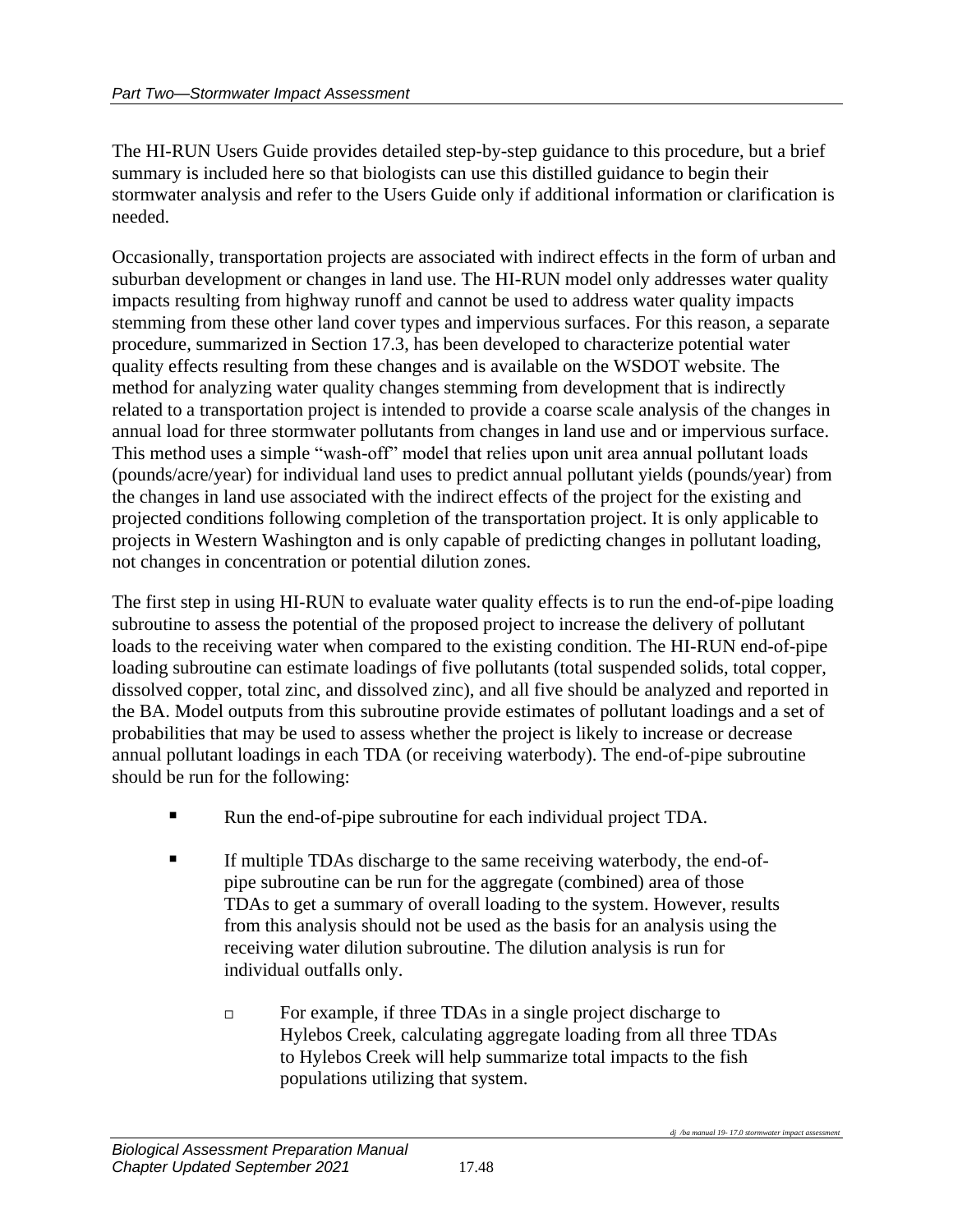The HI-RUN Users Guide provides detailed step-by-step guidance to this procedure, but a brief summary is included here so that biologists can use this distilled guidance to begin their stormwater analysis and refer to the Users Guide only if additional information or clarification is needed.

Occasionally, transportation projects are associated with indirect effects in the form of urban and suburban development or changes in land use. The HI-RUN model only addresses water quality impacts resulting from highway runoff and cannot be used to address water quality impacts stemming from these other land cover types and impervious surfaces. For this reason, a separate procedure, summarized in Section 17.3, has been developed to characterize potential water quality effects resulting from these changes and is available on the WSDOT website. The method for analyzing water quality changes stemming from development that is indirectly related to a transportation project is intended to provide a coarse scale analysis of the changes in annual load for three stormwater pollutants from changes in land use and or impervious surface. This method uses a simple "wash-off" model that relies upon unit area annual pollutant loads (pounds/acre/year) for individual land uses to predict annual pollutant yields (pounds/year) from the changes in land use associated with the indirect effects of the project for the existing and projected conditions following completion of the transportation project. It is only applicable to projects in Western Washington and is only capable of predicting changes in pollutant loading, not changes in concentration or potential dilution zones.

The first step in using HI-RUN to evaluate water quality effects is to run the end-of-pipe loading subroutine to assess the potential of the proposed project to increase the delivery of pollutant loads to the receiving water when compared to the existing condition. The HI-RUN end-of-pipe loading subroutine can estimate loadings of five pollutants (total suspended solids, total copper, dissolved copper, total zinc, and dissolved zinc), and all five should be analyzed and reported in the BA. Model outputs from this subroutine provide estimates of pollutant loadings and a set of probabilities that may be used to assess whether the project is likely to increase or decrease annual pollutant loadings in each TDA (or receiving waterbody). The end-of-pipe subroutine should be run for the following:

- Run the end-of-pipe subroutine for each individual project TDA.
- If multiple TDAs discharge to the same receiving waterbody, the end-ofpipe subroutine can be run for the aggregate (combined) area of those TDAs to get a summary of overall loading to the system. However, results from this analysis should not be used as the basis for an analysis using the receiving water dilution subroutine. The dilution analysis is run for individual outfalls only.
	- □ For example, if three TDAs in a single project discharge to Hylebos Creek, calculating aggregate loading from all three TDAs to Hylebos Creek will help summarize total impacts to the fish populations utilizing that system.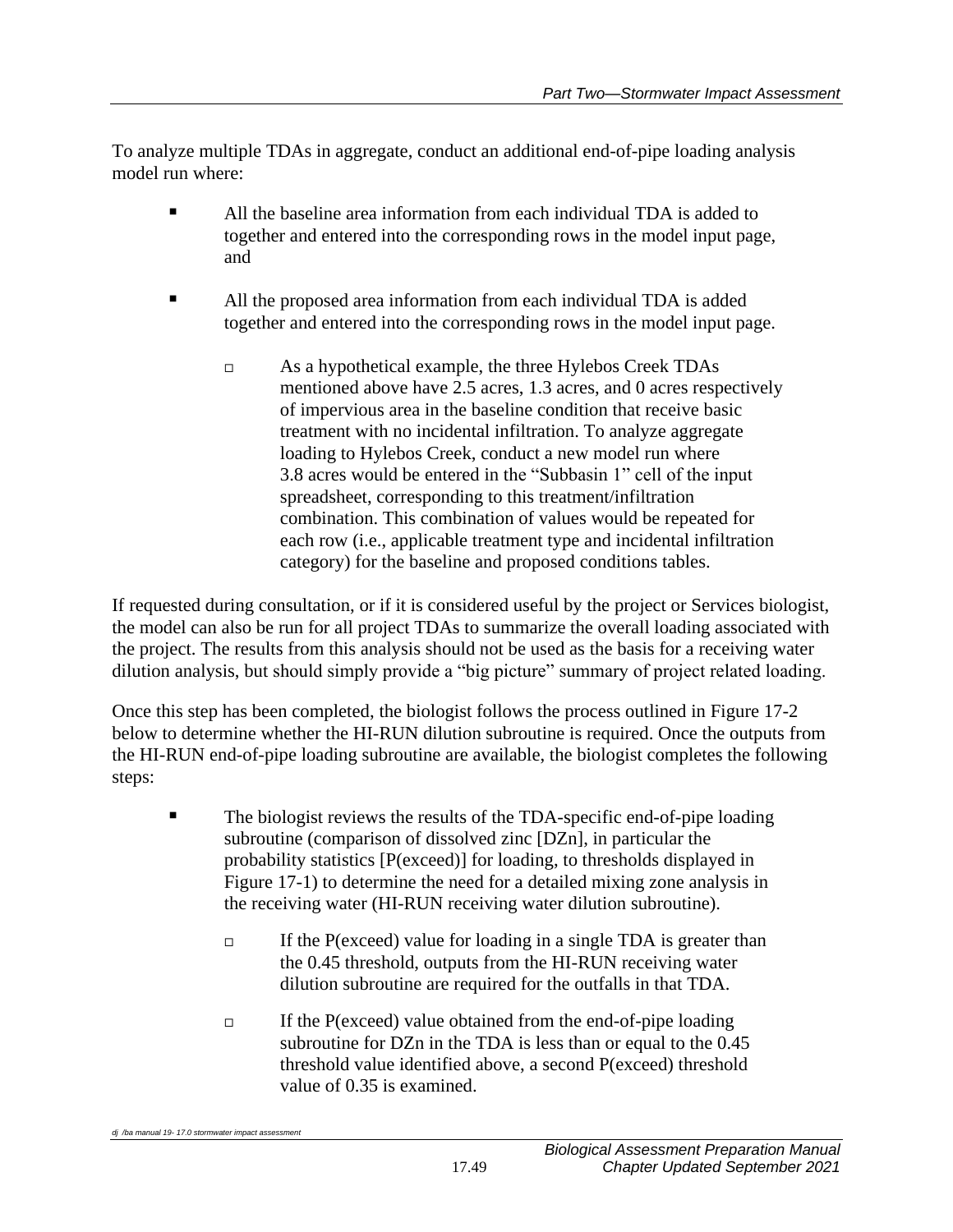To analyze multiple TDAs in aggregate, conduct an additional end-of-pipe loading analysis model run where:

- All the baseline area information from each individual TDA is added to together and entered into the corresponding rows in the model input page, and
- All the proposed area information from each individual TDA is added together and entered into the corresponding rows in the model input page.
	- As a hypothetical example, the three Hylebos Creek TDAs mentioned above have 2.5 acres, 1.3 acres, and 0 acres respectively of impervious area in the baseline condition that receive basic treatment with no incidental infiltration. To analyze aggregate loading to Hylebos Creek, conduct a new model run where 3.8 acres would be entered in the "Subbasin 1" cell of the input spreadsheet, corresponding to this treatment/infiltration combination. This combination of values would be repeated for each row (i.e., applicable treatment type and incidental infiltration category) for the baseline and proposed conditions tables.

If requested during consultation, or if it is considered useful by the project or Services biologist, the model can also be run for all project TDAs to summarize the overall loading associated with the project. The results from this analysis should not be used as the basis for a receiving water dilution analysis, but should simply provide a "big picture" summary of project related loading.

Once this step has been completed, the biologist follows the process outlined in Figure 17-2 below to determine whether the HI-RUN dilution subroutine is required. Once the outputs from the HI-RUN end-of-pipe loading subroutine are available, the biologist completes the following steps:

- The biologist reviews the results of the TDA-specific end-of-pipe loading subroutine (comparison of dissolved zinc [DZn], in particular the probability statistics [P(exceed)] for loading, to thresholds displayed in Figure 17-1) to determine the need for a detailed mixing zone analysis in the receiving water (HI-RUN receiving water dilution subroutine).
	- $\Box$  If the P(exceed) value for loading in a single TDA is greater than the 0.45 threshold, outputs from the HI-RUN receiving water dilution subroutine are required for the outfalls in that TDA.
	- $\Box$  If the P(exceed) value obtained from the end-of-pipe loading subroutine for DZn in the TDA is less than or equal to the 0.45 threshold value identified above, a second P(exceed) threshold value of 0.35 is examined.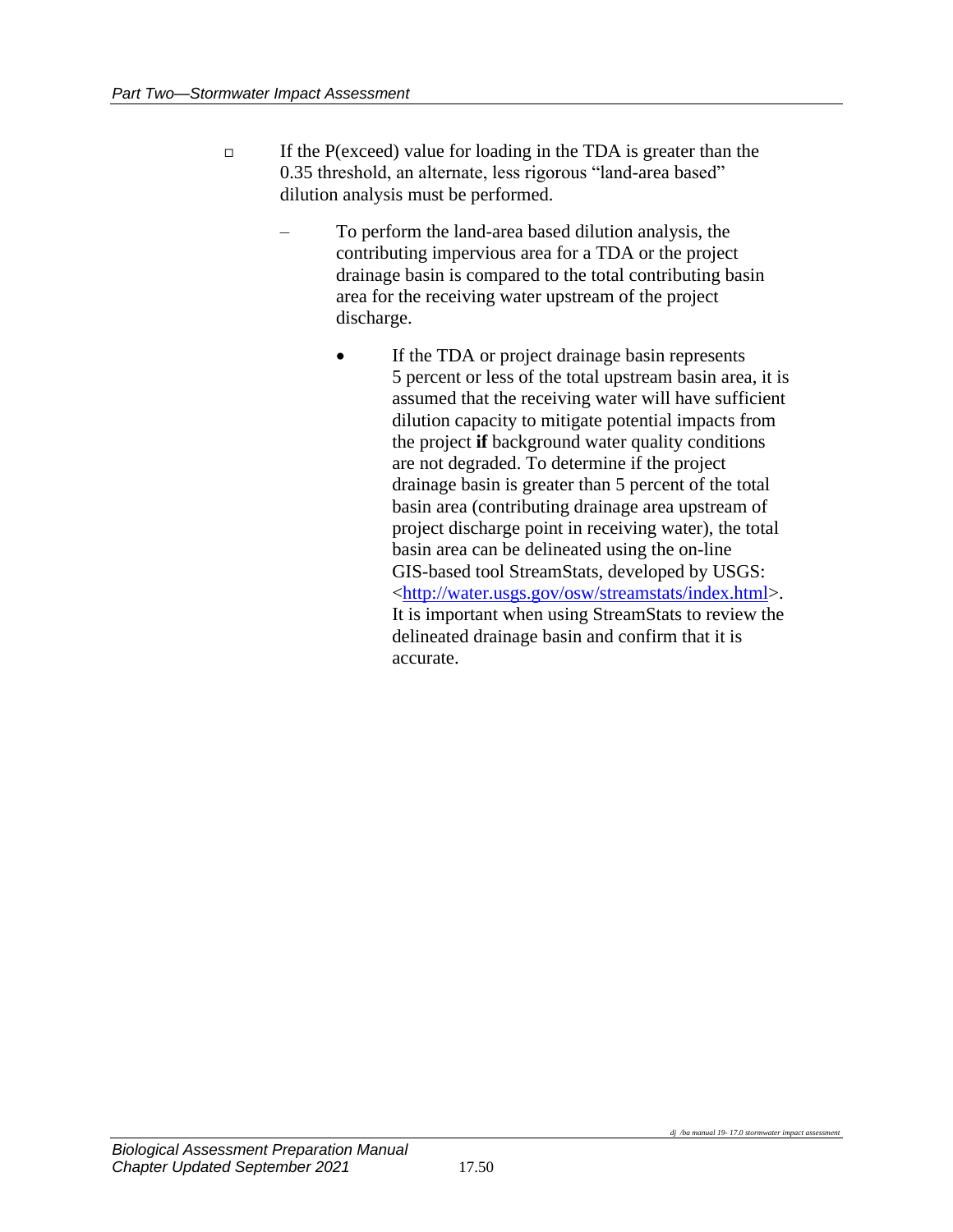- $\Box$  If the P(exceed) value for loading in the TDA is greater than the 0.35 threshold, an alternate, less rigorous "land-area based" dilution analysis must be performed.
	- To perform the land-area based dilution analysis, the contributing impervious area for a TDA or the project drainage basin is compared to the total contributing basin area for the receiving water upstream of the project discharge.
		- If the TDA or project drainage basin represents 5 percent or less of the total upstream basin area, it is assumed that the receiving water will have sufficient dilution capacity to mitigate potential impacts from the project **if** background water quality conditions are not degraded. To determine if the project drainage basin is greater than 5 percent of the total basin area (contributing drainage area upstream of project discharge point in receiving water), the total basin area can be delineated using the on-line GIS-based tool StreamStats, developed by USGS: [<http://water.usgs.gov/osw/streamstats/index.html>](http://water.usgs.gov/osw/streamstats/index.html). It is important when using StreamStats to review the delineated drainage basin and confirm that it is accurate.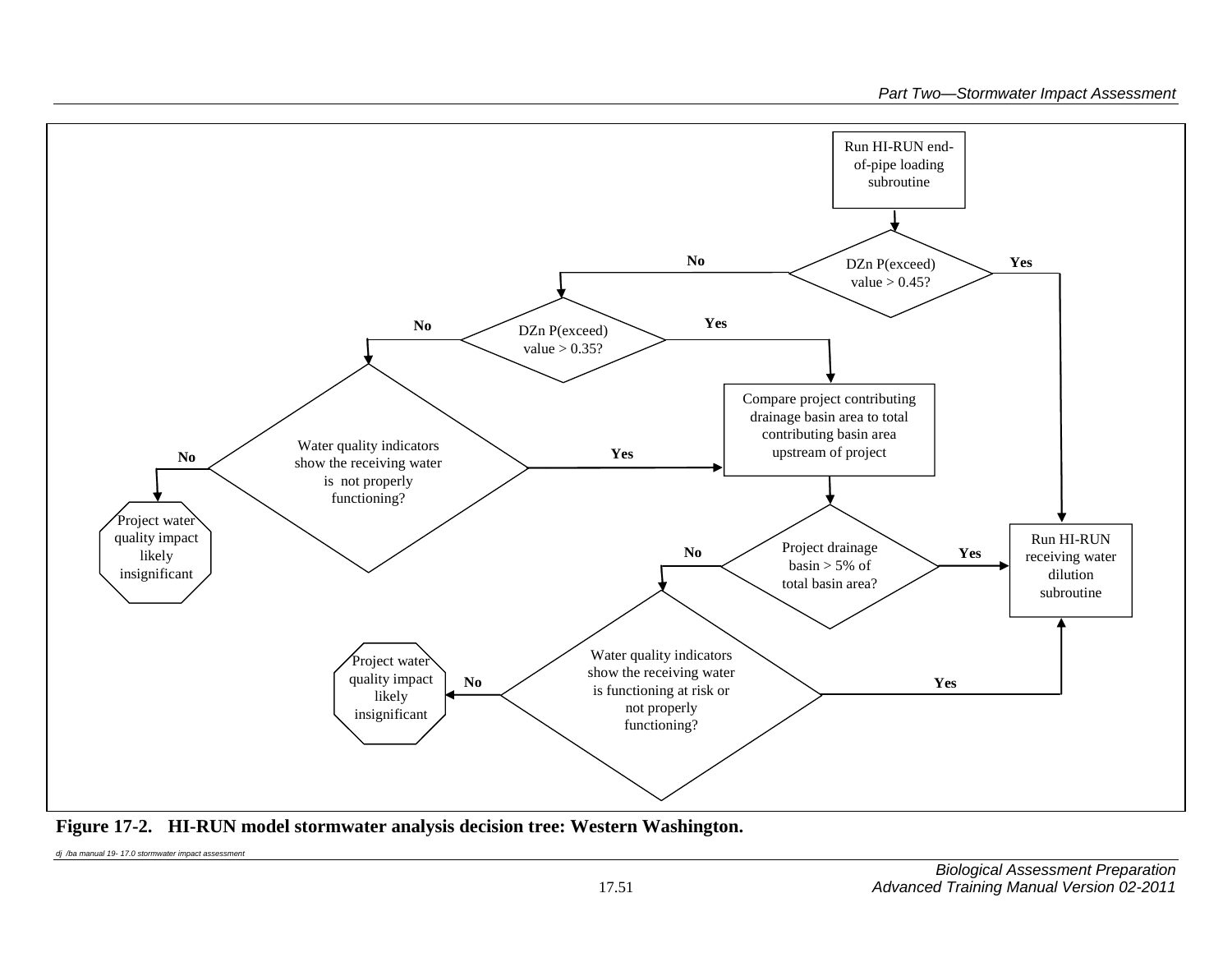

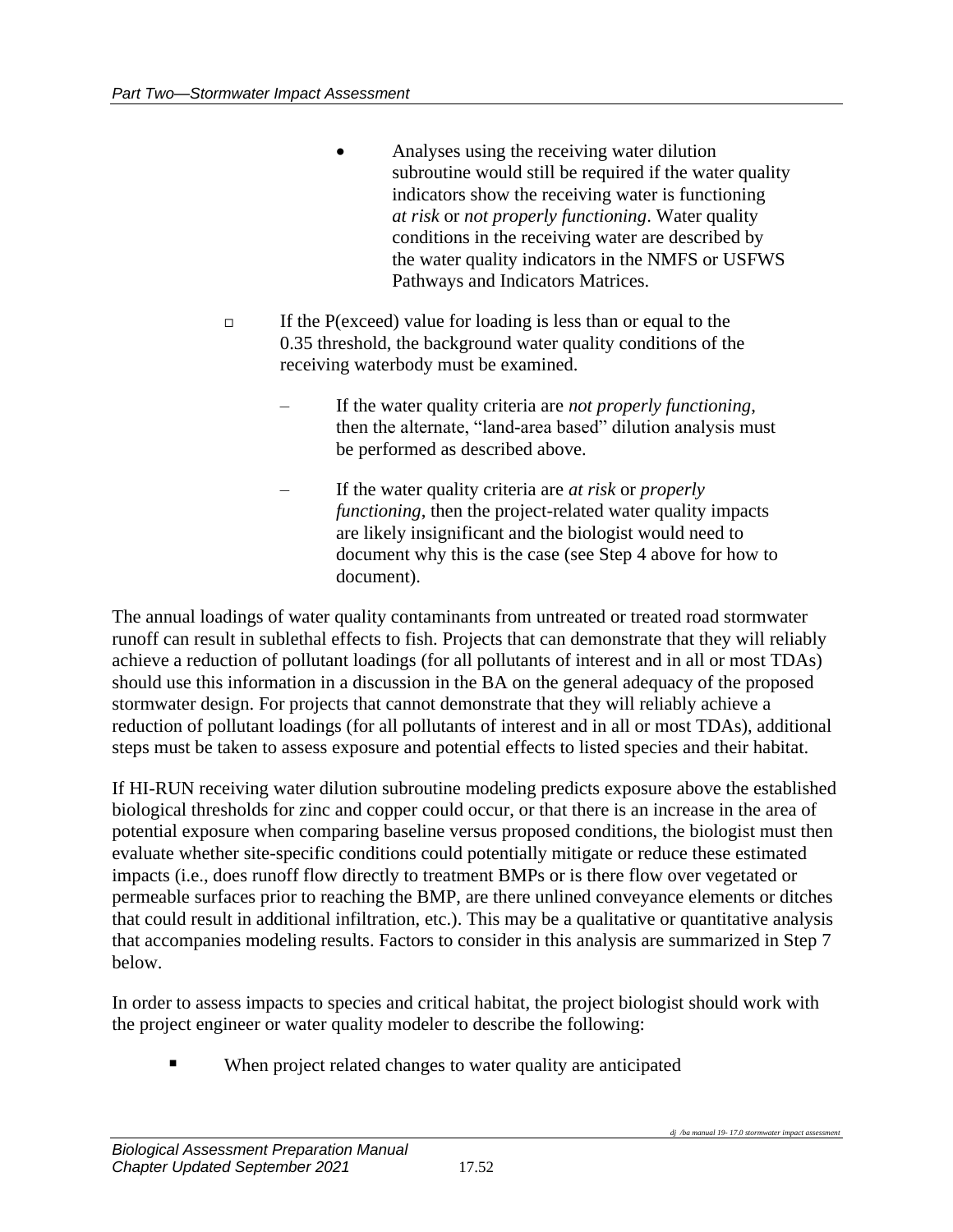- Analyses using the receiving water dilution subroutine would still be required if the water quality indicators show the receiving water is functioning *at risk* or *not properly functioning*. Water quality conditions in the receiving water are described by the water quality indicators in the NMFS or USFWS Pathways and Indicators Matrices.
- $\Box$  If the P(exceed) value for loading is less than or equal to the 0.35 threshold, the background water quality conditions of the receiving waterbody must be examined.
	- If the water quality criteria are *not properly functioning*, then the alternate, "land-area based" dilution analysis must be performed as described above.
	- If the water quality criteria are *at risk* or *properly functioning*, then the project-related water quality impacts are likely insignificant and the biologist would need to document why this is the case (see Step 4 above for how to document).

The annual loadings of water quality contaminants from untreated or treated road stormwater runoff can result in sublethal effects to fish. Projects that can demonstrate that they will reliably achieve a reduction of pollutant loadings (for all pollutants of interest and in all or most TDAs) should use this information in a discussion in the BA on the general adequacy of the proposed stormwater design. For projects that cannot demonstrate that they will reliably achieve a reduction of pollutant loadings (for all pollutants of interest and in all or most TDAs), additional steps must be taken to assess exposure and potential effects to listed species and their habitat.

If HI-RUN receiving water dilution subroutine modeling predicts exposure above the established biological thresholds for zinc and copper could occur, or that there is an increase in the area of potential exposure when comparing baseline versus proposed conditions, the biologist must then evaluate whether site-specific conditions could potentially mitigate or reduce these estimated impacts (i.e., does runoff flow directly to treatment BMPs or is there flow over vegetated or permeable surfaces prior to reaching the BMP, are there unlined conveyance elements or ditches that could result in additional infiltration, etc.). This may be a qualitative or quantitative analysis that accompanies modeling results. Factors to consider in this analysis are summarized in Step 7 below.

In order to assess impacts to species and critical habitat, the project biologist should work with the project engineer or water quality modeler to describe the following:

When project related changes to water quality are anticipated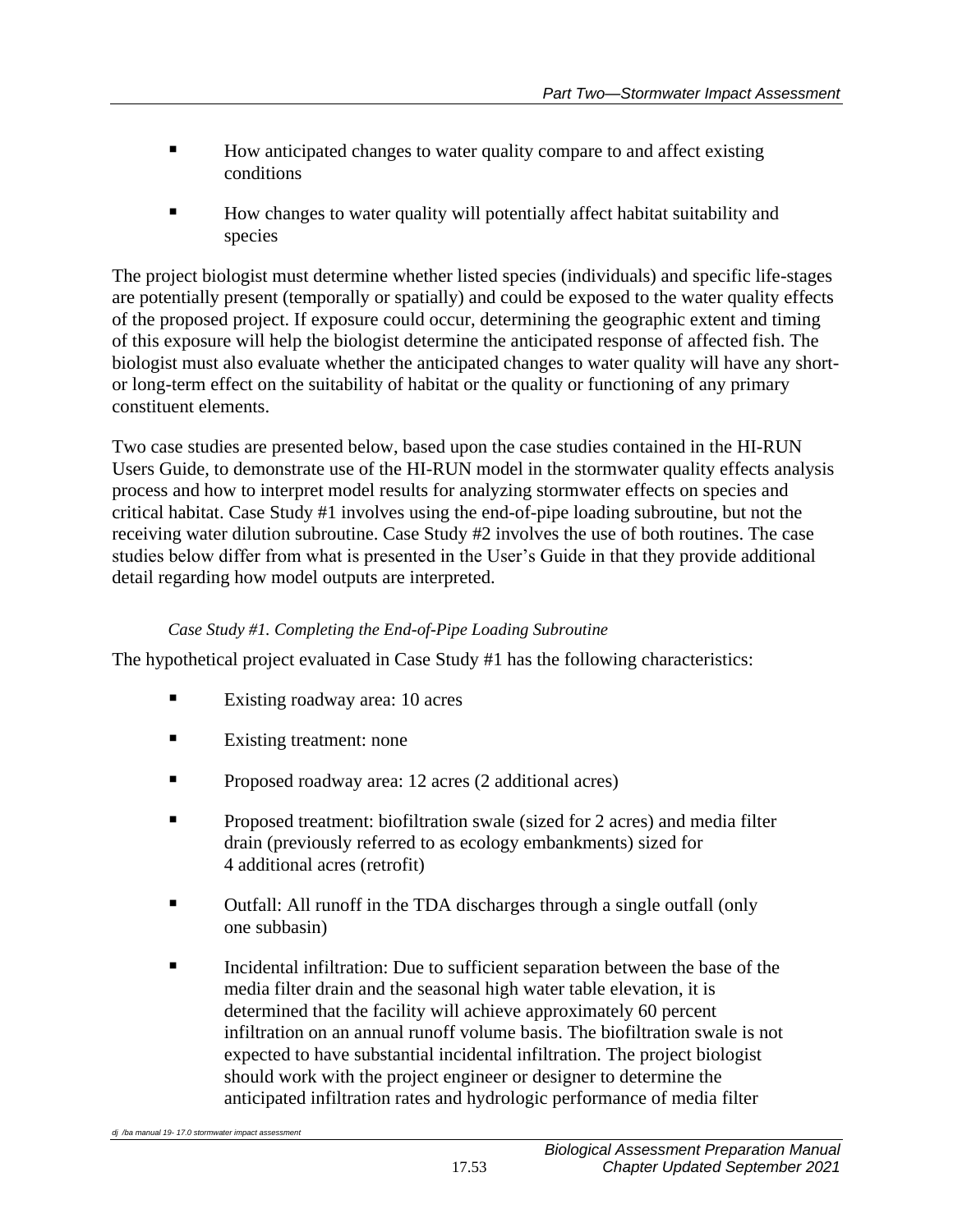- How anticipated changes to water quality compare to and affect existing conditions
- How changes to water quality will potentially affect habitat suitability and species

The project biologist must determine whether listed species (individuals) and specific life-stages are potentially present (temporally or spatially) and could be exposed to the water quality effects of the proposed project. If exposure could occur, determining the geographic extent and timing of this exposure will help the biologist determine the anticipated response of affected fish. The biologist must also evaluate whether the anticipated changes to water quality will have any shortor long-term effect on the suitability of habitat or the quality or functioning of any primary constituent elements.

Two case studies are presented below, based upon the case studies contained in the HI-RUN Users Guide, to demonstrate use of the HI-RUN model in the stormwater quality effects analysis process and how to interpret model results for analyzing stormwater effects on species and critical habitat. Case Study #1 involves using the end-of-pipe loading subroutine, but not the receiving water dilution subroutine. Case Study #2 involves the use of both routines. The case studies below differ from what is presented in the User's Guide in that they provide additional detail regarding how model outputs are interpreted.

## *Case Study #1. Completing the End-of-Pipe Loading Subroutine*

The hypothetical project evaluated in Case Study #1 has the following characteristics:

- Existing roadway area: 10 acres
- Existing treatment: none
- Proposed roadway area: 12 acres (2 additional acres)
- **•** Proposed treatment: biofiltration swale (sized for 2 acres) and media filter drain (previously referred to as ecology embankments) sized for 4 additional acres (retrofit)
- Outfall: All runoff in the TDA discharges through a single outfall (only one subbasin)
- Incidental infiltration: Due to sufficient separation between the base of the media filter drain and the seasonal high water table elevation, it is determined that the facility will achieve approximately 60 percent infiltration on an annual runoff volume basis. The biofiltration swale is not expected to have substantial incidental infiltration. The project biologist should work with the project engineer or designer to determine the anticipated infiltration rates and hydrologic performance of media filter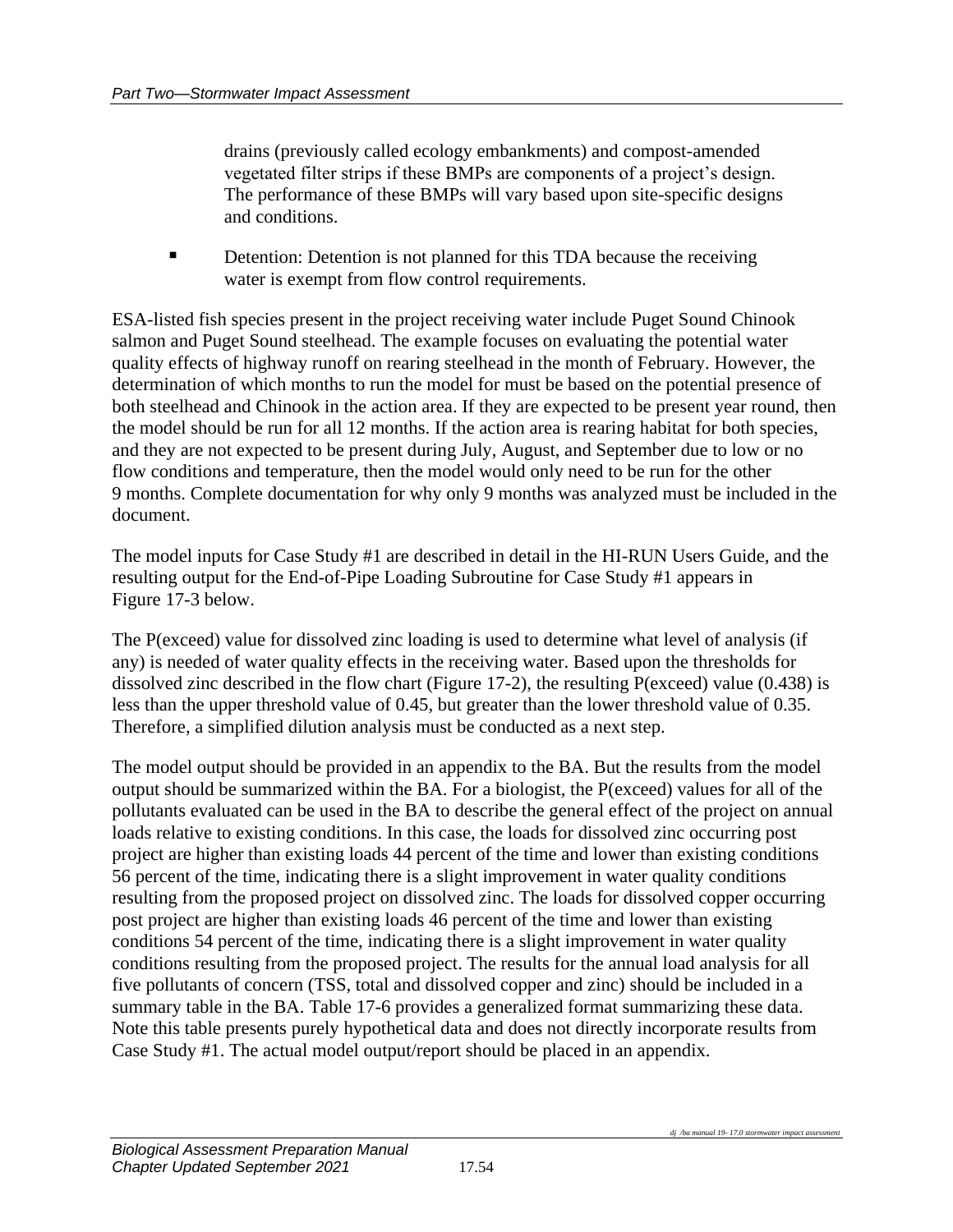drains (previously called ecology embankments) and compost-amended vegetated filter strips if these BMPs are components of a project's design. The performance of these BMPs will vary based upon site-specific designs and conditions.

■ Detention: Detention is not planned for this TDA because the receiving water is exempt from flow control requirements.

ESA-listed fish species present in the project receiving water include Puget Sound Chinook salmon and Puget Sound steelhead. The example focuses on evaluating the potential water quality effects of highway runoff on rearing steelhead in the month of February. However, the determination of which months to run the model for must be based on the potential presence of both steelhead and Chinook in the action area. If they are expected to be present year round, then the model should be run for all 12 months. If the action area is rearing habitat for both species, and they are not expected to be present during July, August, and September due to low or no flow conditions and temperature, then the model would only need to be run for the other 9 months. Complete documentation for why only 9 months was analyzed must be included in the document.

The model inputs for Case Study #1 are described in detail in the HI-RUN Users Guide, and the resulting output for the End-of-Pipe Loading Subroutine for Case Study #1 appears in Figure 17-3 below.

The P(exceed) value for dissolved zinc loading is used to determine what level of analysis (if any) is needed of water quality effects in the receiving water. Based upon the thresholds for dissolved zinc described in the flow chart (Figure 17-2), the resulting P(exceed) value (0.438) is less than the upper threshold value of 0.45, but greater than the lower threshold value of 0.35. Therefore, a simplified dilution analysis must be conducted as a next step.

The model output should be provided in an appendix to the BA. But the results from the model output should be summarized within the BA. For a biologist, the P(exceed) values for all of the pollutants evaluated can be used in the BA to describe the general effect of the project on annual loads relative to existing conditions. In this case, the loads for dissolved zinc occurring post project are higher than existing loads 44 percent of the time and lower than existing conditions 56 percent of the time, indicating there is a slight improvement in water quality conditions resulting from the proposed project on dissolved zinc. The loads for dissolved copper occurring post project are higher than existing loads 46 percent of the time and lower than existing conditions 54 percent of the time, indicating there is a slight improvement in water quality conditions resulting from the proposed project. The results for the annual load analysis for all five pollutants of concern (TSS, total and dissolved copper and zinc) should be included in a summary table in the BA. Table 17-6 provides a generalized format summarizing these data. Note this table presents purely hypothetical data and does not directly incorporate results from Case Study #1. The actual model output/report should be placed in an appendix.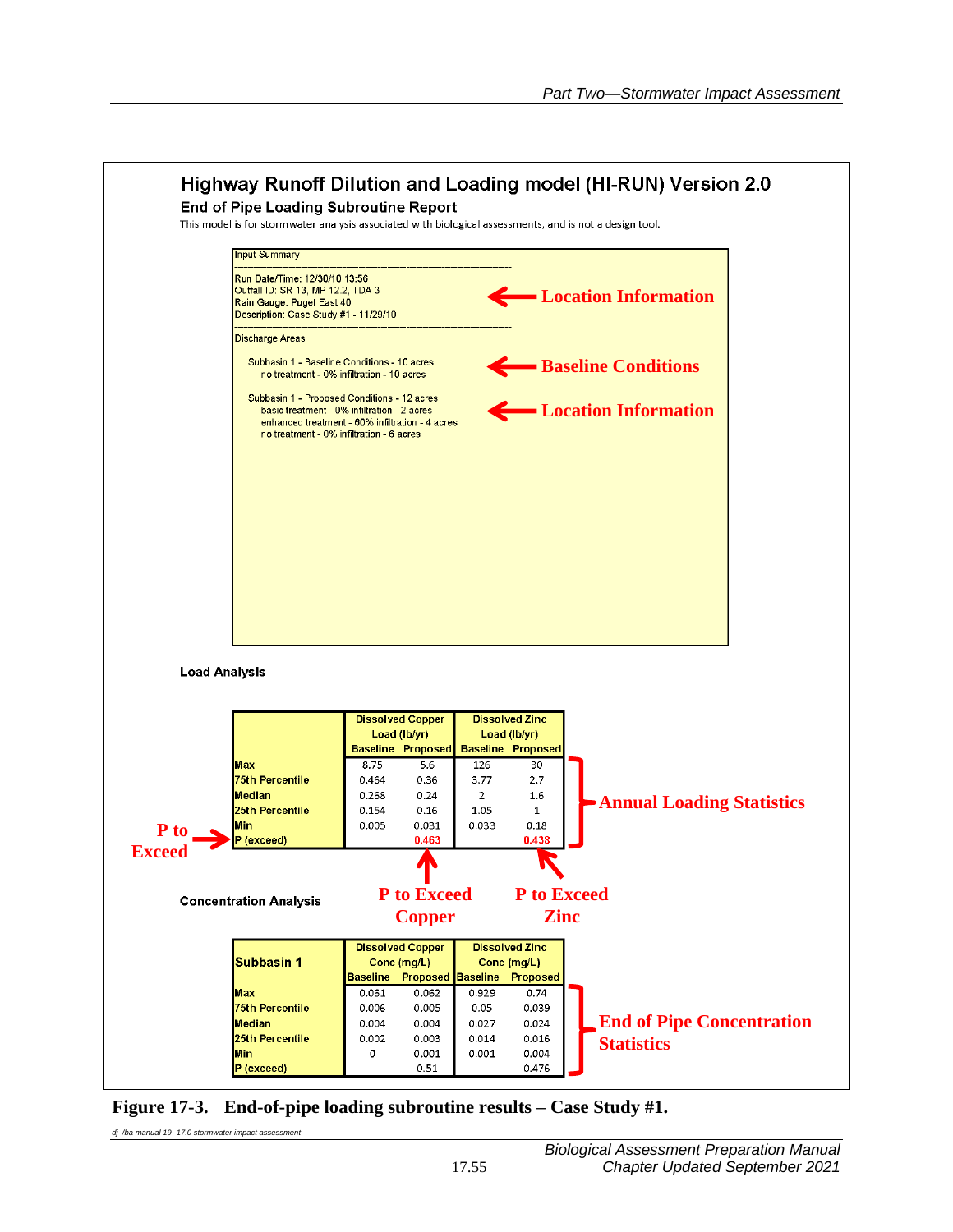

**Figure 17-3. End-of-pipe loading subroutine results – Case Study #1.**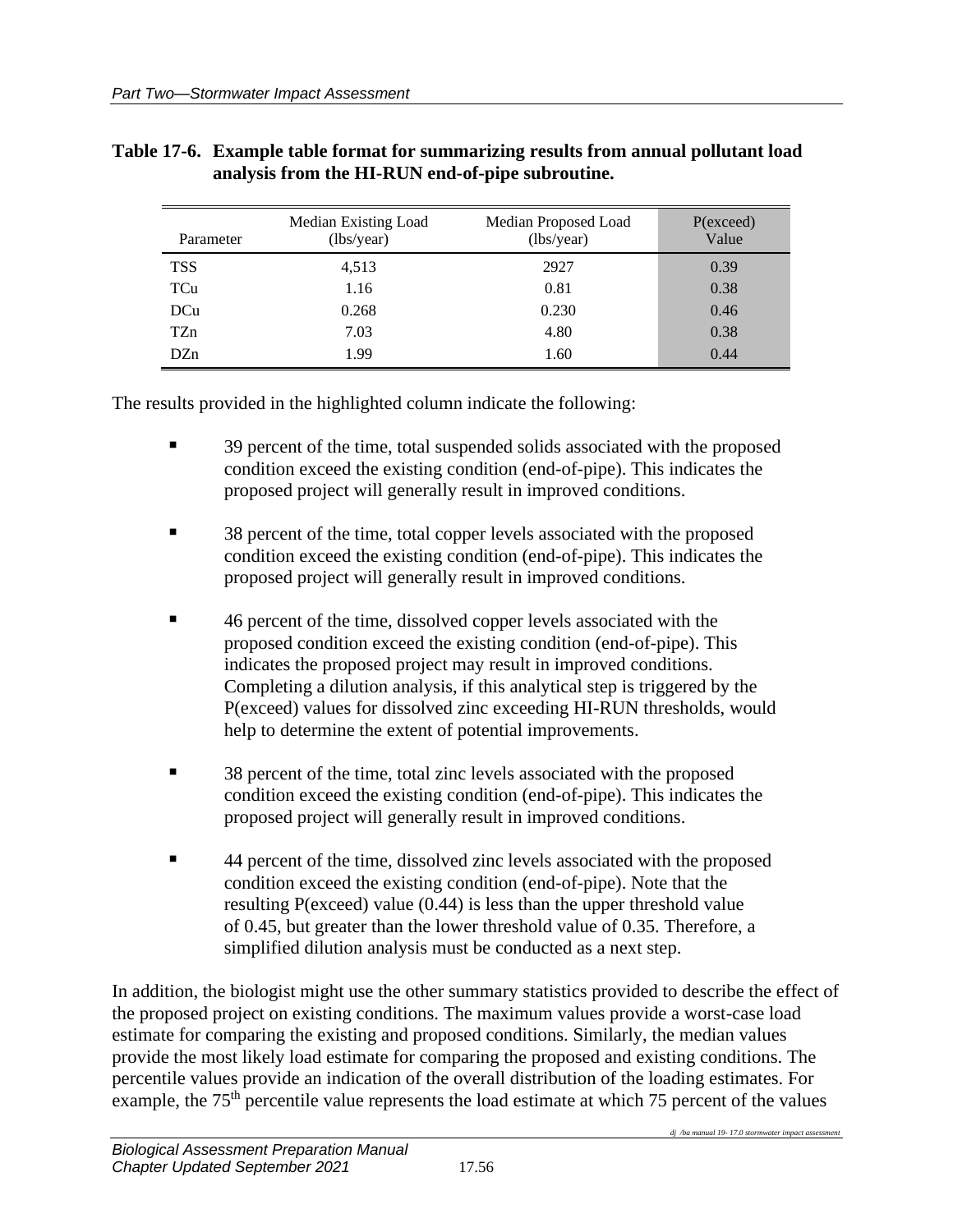| Parameter       | Median Existing Load<br>(lbs/year) | Median Proposed Load<br>(lbs/year) | P(exceed)<br>Value |
|-----------------|------------------------------------|------------------------------------|--------------------|
| <b>TSS</b>      | 4,513                              | 2927                               | 0.39               |
| TCu             | 1.16                               | 0.81                               | 0.38               |
| DCu             | 0.268                              | 0.230                              | 0.46               |
| TZ <sub>n</sub> | 7.03                               | 4.80                               | 0.38               |
| DZn             | 1.99                               | 1.60                               | 0.44               |

### **Table 17-6. Example table format for summarizing results from annual pollutant load analysis from the HI-RUN end-of-pipe subroutine.**

The results provided in the highlighted column indicate the following:

- 39 percent of the time, total suspended solids associated with the proposed condition exceed the existing condition (end-of-pipe). This indicates the proposed project will generally result in improved conditions.
- 38 percent of the time, total copper levels associated with the proposed condition exceed the existing condition (end-of-pipe). This indicates the proposed project will generally result in improved conditions.
- 46 percent of the time, dissolved copper levels associated with the proposed condition exceed the existing condition (end-of-pipe). This indicates the proposed project may result in improved conditions. Completing a dilution analysis, if this analytical step is triggered by the P(exceed) values for dissolved zinc exceeding HI-RUN thresholds, would help to determine the extent of potential improvements.
- 38 percent of the time, total zinc levels associated with the proposed condition exceed the existing condition (end-of-pipe). This indicates the proposed project will generally result in improved conditions.
- 44 percent of the time, dissolved zinc levels associated with the proposed condition exceed the existing condition (end-of-pipe). Note that the resulting P(exceed) value (0.44) is less than the upper threshold value of 0.45, but greater than the lower threshold value of 0.35. Therefore, a simplified dilution analysis must be conducted as a next step.

In addition, the biologist might use the other summary statistics provided to describe the effect of the proposed project on existing conditions. The maximum values provide a worst-case load estimate for comparing the existing and proposed conditions. Similarly, the median values provide the most likely load estimate for comparing the proposed and existing conditions. The percentile values provide an indication of the overall distribution of the loading estimates. For example, the 75<sup>th</sup> percentile value represents the load estimate at which 75 percent of the values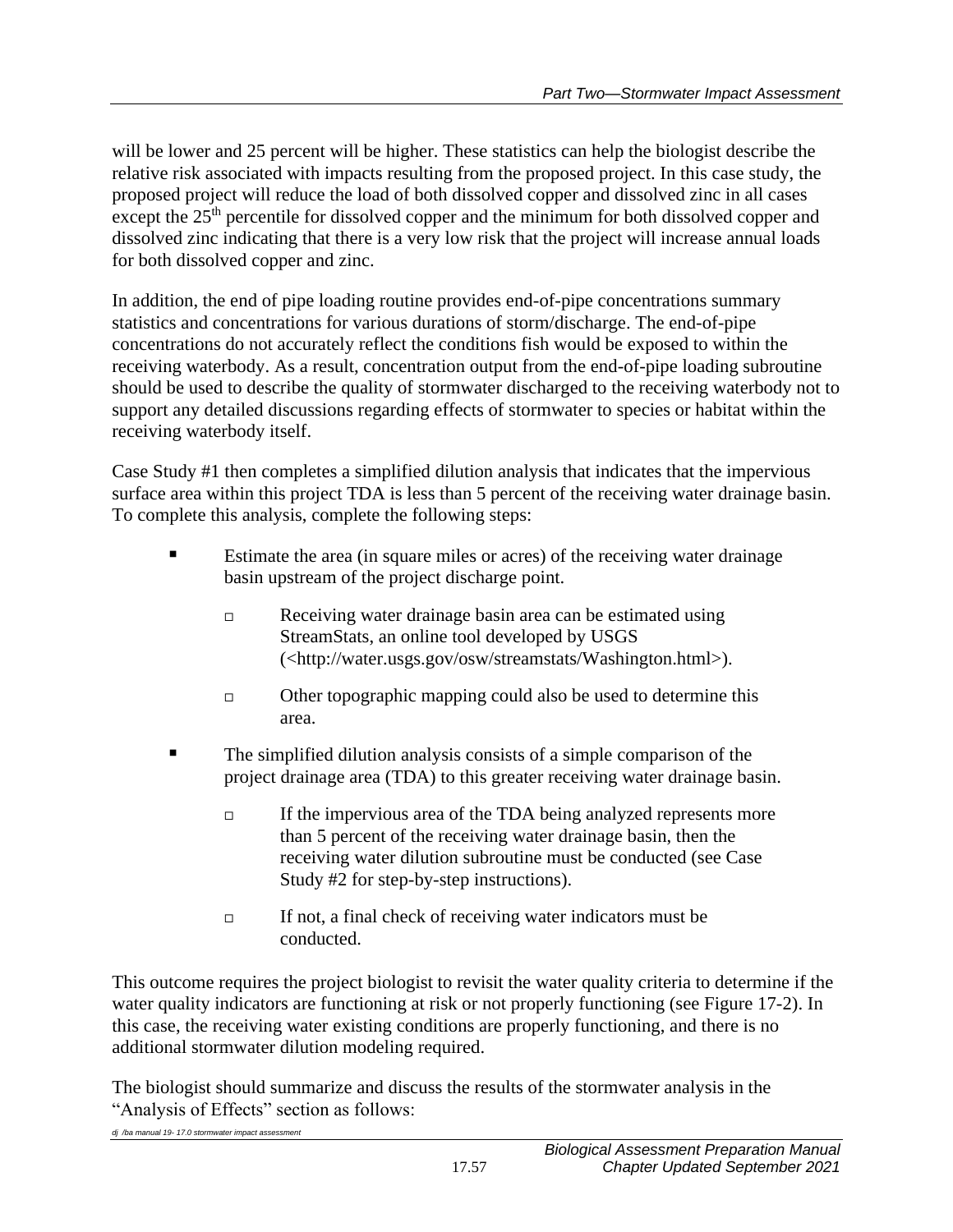will be lower and 25 percent will be higher. These statistics can help the biologist describe the relative risk associated with impacts resulting from the proposed project. In this case study, the proposed project will reduce the load of both dissolved copper and dissolved zinc in all cases except the 25<sup>th</sup> percentile for dissolved copper and the minimum for both dissolved copper and dissolved zinc indicating that there is a very low risk that the project will increase annual loads for both dissolved copper and zinc.

In addition, the end of pipe loading routine provides end-of-pipe concentrations summary statistics and concentrations for various durations of storm/discharge. The end-of-pipe concentrations do not accurately reflect the conditions fish would be exposed to within the receiving waterbody. As a result, concentration output from the end-of-pipe loading subroutine should be used to describe the quality of stormwater discharged to the receiving waterbody not to support any detailed discussions regarding effects of stormwater to species or habitat within the receiving waterbody itself.

Case Study #1 then completes a simplified dilution analysis that indicates that the impervious surface area within this project TDA is less than 5 percent of the receiving water drainage basin. To complete this analysis, complete the following steps:

- Estimate the area (in square miles or acres) of the receiving water drainage basin upstream of the project discharge point.
	- Receiving water drainage basin area can be estimated using StreamStats, an online tool developed by USGS (<http://water.usgs.gov/osw/streamstats/Washington.html>).
	- $\Box$  Other topographic mapping could also be used to determine this area.
- The simplified dilution analysis consists of a simple comparison of the project drainage area (TDA) to this greater receiving water drainage basin.
	- $\Box$  If the impervious area of the TDA being analyzed represents more than 5 percent of the receiving water drainage basin, then the receiving water dilution subroutine must be conducted (see Case Study #2 for step-by-step instructions).
	- $\Box$  If not, a final check of receiving water indicators must be conducted.

This outcome requires the project biologist to revisit the water quality criteria to determine if the water quality indicators are functioning at risk or not properly functioning (see Figure 17-2). In this case, the receiving water existing conditions are properly functioning, and there is no additional stormwater dilution modeling required.

The biologist should summarize and discuss the results of the stormwater analysis in the "Analysis of Effects" section as follows: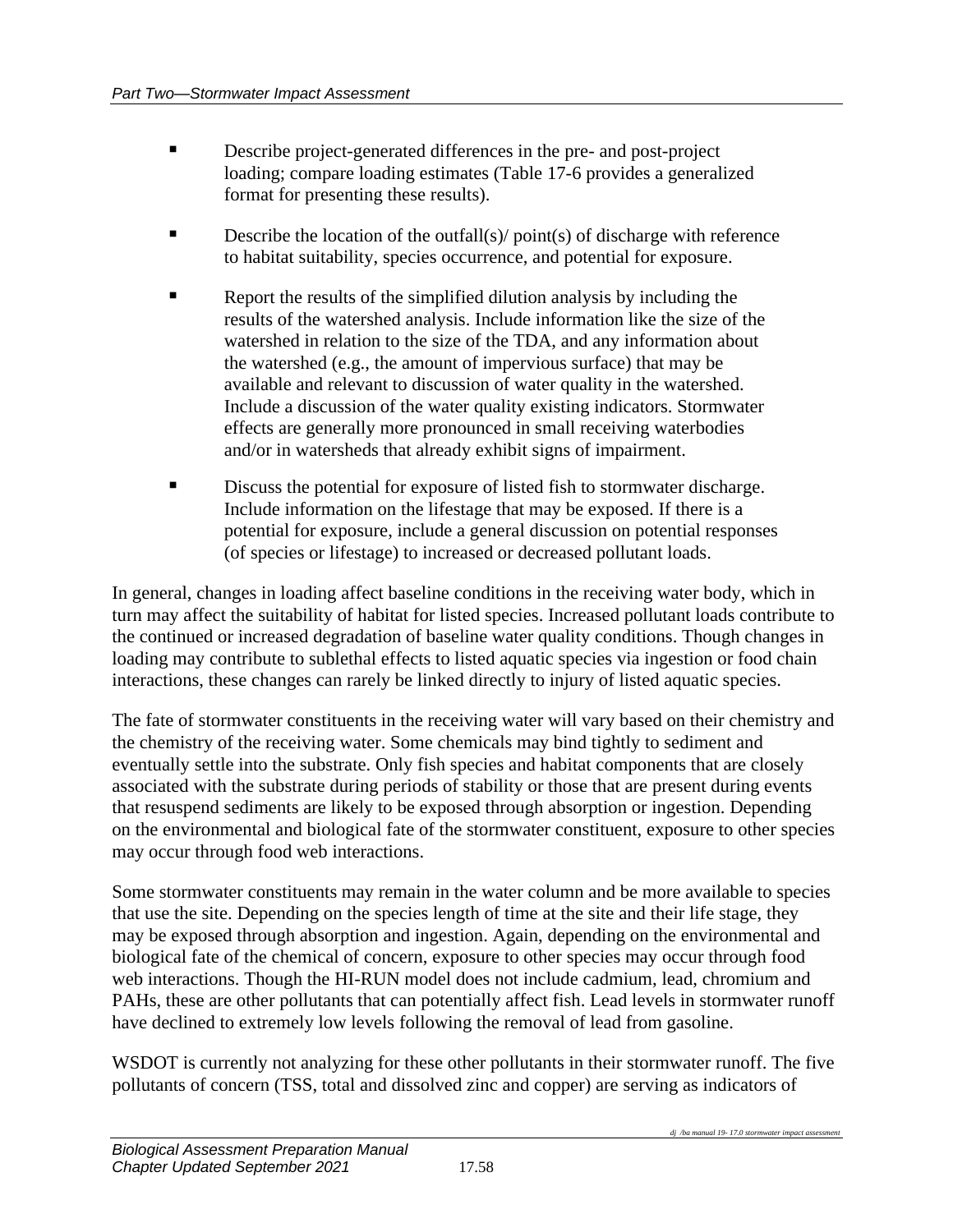- Describe project-generated differences in the pre- and post-project loading; compare loading estimates (Table 17-6 provides a generalized format for presenting these results).
- $\blacksquare$  Describe the location of the outfall(s)/ point(s) of discharge with reference to habitat suitability, species occurrence, and potential for exposure.
- Report the results of the simplified dilution analysis by including the results of the watershed analysis. Include information like the size of the watershed in relation to the size of the TDA, and any information about the watershed (e.g., the amount of impervious surface) that may be available and relevant to discussion of water quality in the watershed. Include a discussion of the water quality existing indicators. Stormwater effects are generally more pronounced in small receiving waterbodies and/or in watersheds that already exhibit signs of impairment.
- Discuss the potential for exposure of listed fish to stormwater discharge. Include information on the lifestage that may be exposed. If there is a potential for exposure, include a general discussion on potential responses (of species or lifestage) to increased or decreased pollutant loads.

In general, changes in loading affect baseline conditions in the receiving water body, which in turn may affect the suitability of habitat for listed species. Increased pollutant loads contribute to the continued or increased degradation of baseline water quality conditions. Though changes in loading may contribute to sublethal effects to listed aquatic species via ingestion or food chain interactions, these changes can rarely be linked directly to injury of listed aquatic species.

The fate of stormwater constituents in the receiving water will vary based on their chemistry and the chemistry of the receiving water. Some chemicals may bind tightly to sediment and eventually settle into the substrate. Only fish species and habitat components that are closely associated with the substrate during periods of stability or those that are present during events that resuspend sediments are likely to be exposed through absorption or ingestion. Depending on the environmental and biological fate of the stormwater constituent, exposure to other species may occur through food web interactions.

Some stormwater constituents may remain in the water column and be more available to species that use the site. Depending on the species length of time at the site and their life stage, they may be exposed through absorption and ingestion. Again, depending on the environmental and biological fate of the chemical of concern, exposure to other species may occur through food web interactions. Though the HI-RUN model does not include cadmium, lead, chromium and PAHs, these are other pollutants that can potentially affect fish. Lead levels in stormwater runoff have declined to extremely low levels following the removal of lead from gasoline.

WSDOT is currently not analyzing for these other pollutants in their stormwater runoff. The five pollutants of concern (TSS, total and dissolved zinc and copper) are serving as indicators of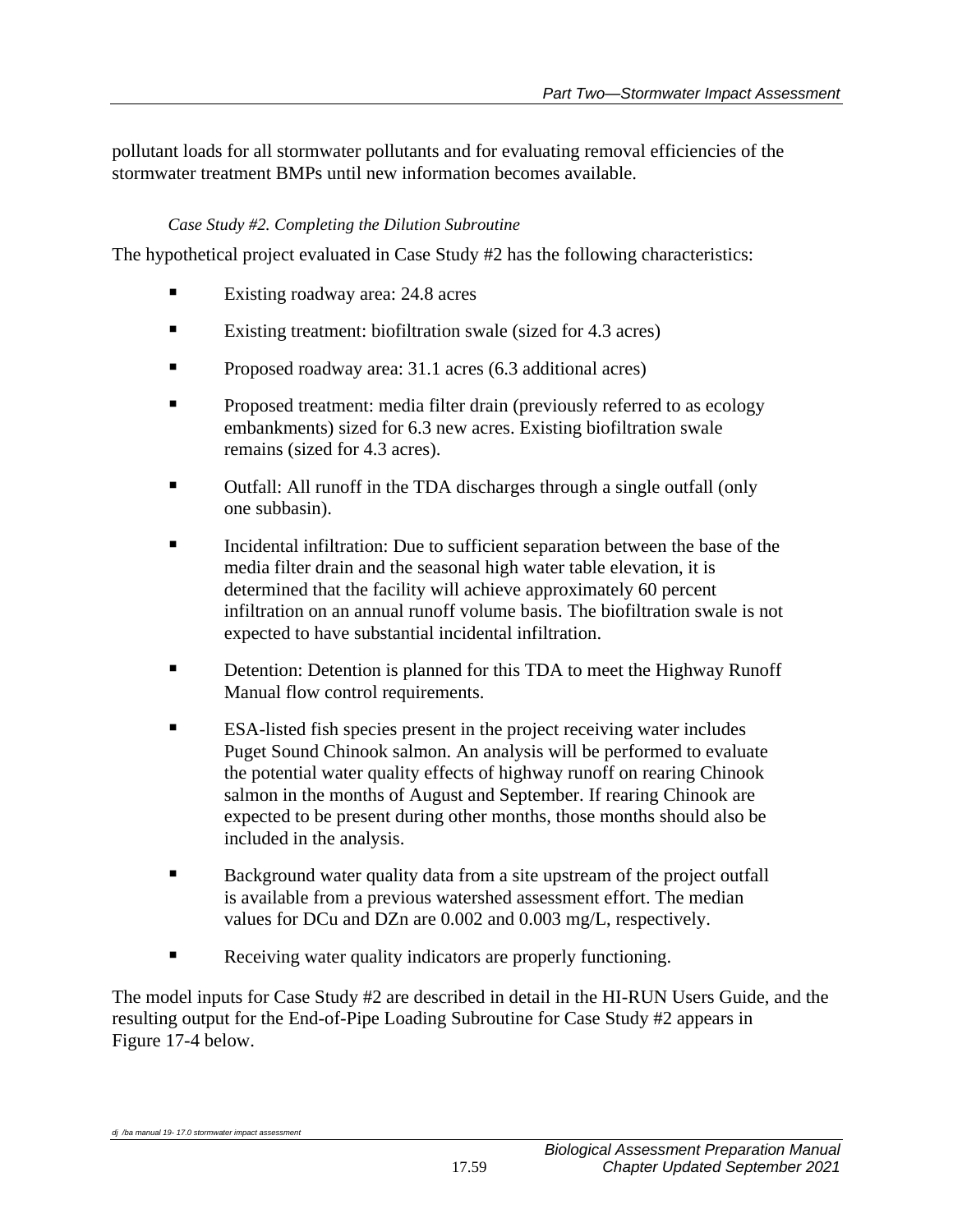pollutant loads for all stormwater pollutants and for evaluating removal efficiencies of the stormwater treatment BMPs until new information becomes available.

### *Case Study #2. Completing the Dilution Subroutine*

The hypothetical project evaluated in Case Study #2 has the following characteristics:

- Existing roadway area: 24.8 acres
- Existing treatment: biofiltration swale (sized for 4.3 acres)
- Proposed roadway area: 31.1 acres (6.3 additional acres)
- **Proposed treatment: media filter drain (previously referred to as ecology** embankments) sized for 6.3 new acres. Existing biofiltration swale remains (sized for 4.3 acres).
- Outfall: All runoff in the TDA discharges through a single outfall (only one subbasin).
- Incidental infiltration: Due to sufficient separation between the base of the media filter drain and the seasonal high water table elevation, it is determined that the facility will achieve approximately 60 percent infiltration on an annual runoff volume basis. The biofiltration swale is not expected to have substantial incidental infiltration.
- Detention: Detention is planned for this TDA to meet the Highway Runoff Manual flow control requirements.
- ESA-listed fish species present in the project receiving water includes Puget Sound Chinook salmon. An analysis will be performed to evaluate the potential water quality effects of highway runoff on rearing Chinook salmon in the months of August and September. If rearing Chinook are expected to be present during other months, those months should also be included in the analysis.
- Background water quality data from a site upstream of the project outfall is available from a previous watershed assessment effort. The median values for DCu and DZn are 0.002 and 0.003 mg/L, respectively.
- Receiving water quality indicators are properly functioning.

The model inputs for Case Study #2 are described in detail in the HI-RUN Users Guide, and the resulting output for the End-of-Pipe Loading Subroutine for Case Study #2 appears in Figure 17-4 below.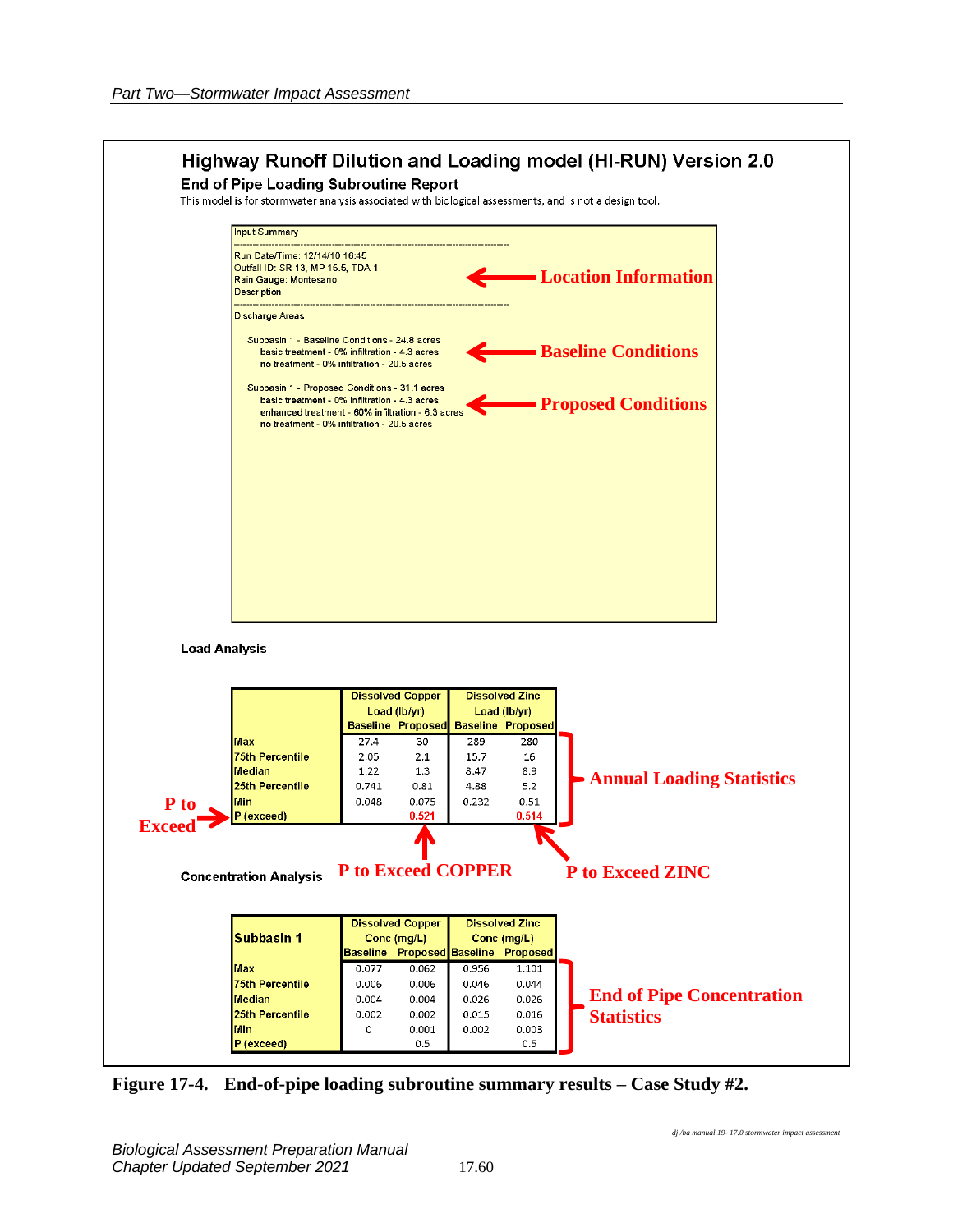

**Figure 17-4. End-of-pipe loading subroutine summary results – Case Study #2.**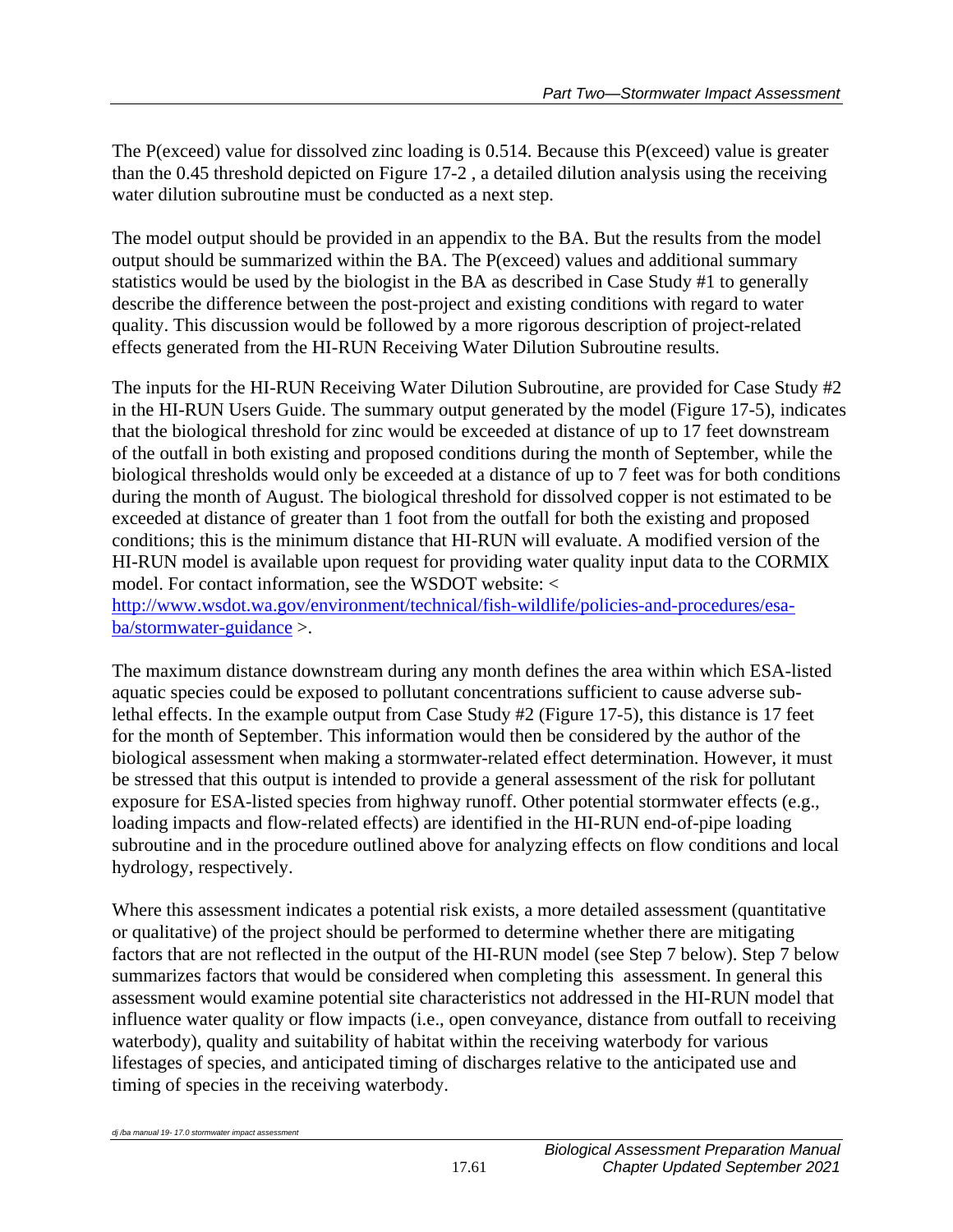The P(exceed) value for dissolved zinc loading is 0.514. Because this P(exceed) value is greater than the 0.45 threshold depicted on Figure 17-2 , a detailed dilution analysis using the receiving water dilution subroutine must be conducted as a next step.

The model output should be provided in an appendix to the BA. But the results from the model output should be summarized within the BA. The P(exceed) values and additional summary statistics would be used by the biologist in the BA as described in Case Study #1 to generally describe the difference between the post-project and existing conditions with regard to water quality. This discussion would be followed by a more rigorous description of project-related effects generated from the HI-RUN Receiving Water Dilution Subroutine results.

The inputs for the HI-RUN Receiving Water Dilution Subroutine, are provided for Case Study #2 in the HI-RUN Users Guide. The summary output generated by the model (Figure 17-5), indicates that the biological threshold for zinc would be exceeded at distance of up to 17 feet downstream of the outfall in both existing and proposed conditions during the month of September, while the biological thresholds would only be exceeded at a distance of up to 7 feet was for both conditions during the month of August. The biological threshold for dissolved copper is not estimated to be exceeded at distance of greater than 1 foot from the outfall for both the existing and proposed conditions; this is the minimum distance that HI-RUN will evaluate. A modified version of the HI-RUN model is available upon request for providing water quality input data to the CORMIX model. For contact information, see the WSDOT website: <

[http://www.wsdot.wa.gov/environment/technical/fish-wildlife/policies-and-procedures/esa](http://www.wsdot.wa.gov/environment/technical/fish-wildlife/policies-and-procedures/esa-ba/stormwater-guidance)[ba/stormwater-guidance](http://www.wsdot.wa.gov/environment/technical/fish-wildlife/policies-and-procedures/esa-ba/stormwater-guidance) >.

The maximum distance downstream during any month defines the area within which ESA-listed aquatic species could be exposed to pollutant concentrations sufficient to cause adverse sublethal effects. In the example output from Case Study #2 (Figure 17-5), this distance is 17 feet for the month of September. This information would then be considered by the author of the biological assessment when making a stormwater-related effect determination. However, it must be stressed that this output is intended to provide a general assessment of the risk for pollutant exposure for ESA-listed species from highway runoff. Other potential stormwater effects (e.g., loading impacts and flow-related effects) are identified in the HI-RUN end-of-pipe loading subroutine and in the procedure outlined above for analyzing effects on flow conditions and local hydrology, respectively.

Where this assessment indicates a potential risk exists, a more detailed assessment (quantitative or qualitative) of the project should be performed to determine whether there are mitigating factors that are not reflected in the output of the HI-RUN model (see Step 7 below). Step 7 below summarizes factors that would be considered when completing this assessment. In general this assessment would examine potential site characteristics not addressed in the HI-RUN model that influence water quality or flow impacts (i.e., open conveyance, distance from outfall to receiving waterbody), quality and suitability of habitat within the receiving waterbody for various lifestages of species, and anticipated timing of discharges relative to the anticipated use and timing of species in the receiving waterbody.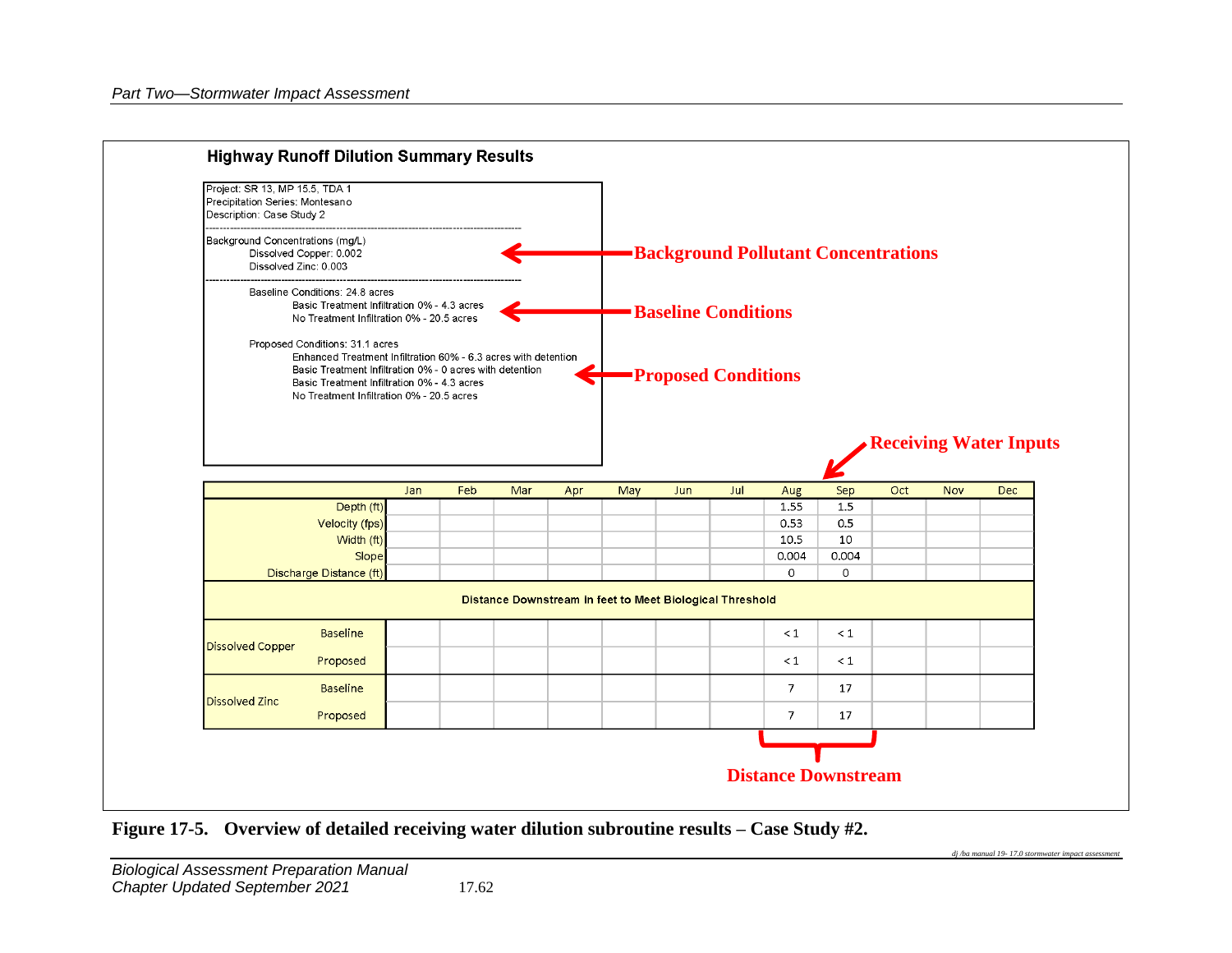

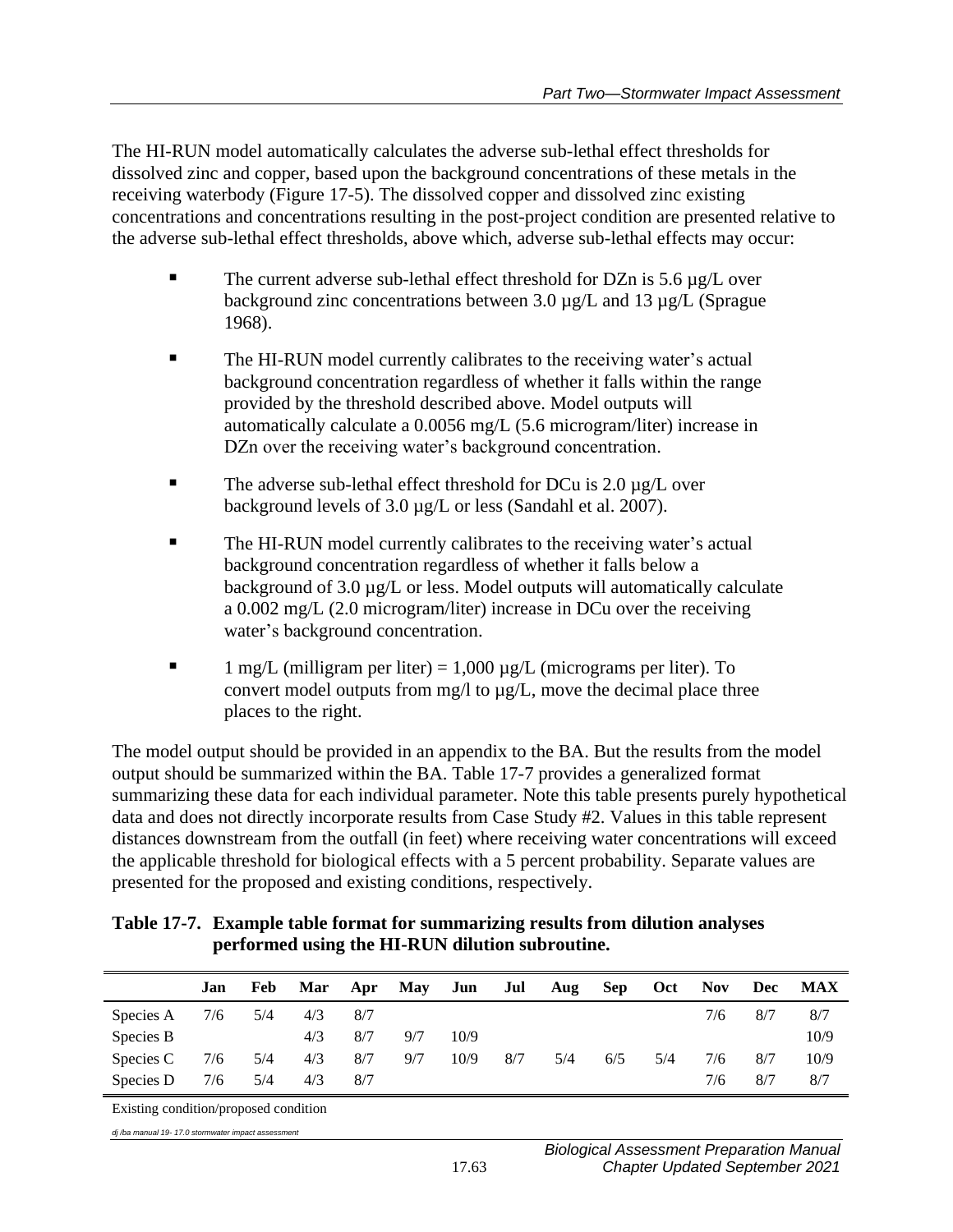The HI-RUN model automatically calculates the adverse sub-lethal effect thresholds for dissolved zinc and copper, based upon the background concentrations of these metals in the receiving waterbody (Figure 17-5). The dissolved copper and dissolved zinc existing concentrations and concentrations resulting in the post-project condition are presented relative to the adverse sub-lethal effect thresholds, above which, adverse sub-lethal effects may occur:

- The current adverse sub-lethal effect threshold for  $DZn$  is 5.6  $\mu$ g/L over background zinc concentrations between 3.0  $\mu$ g/L and 13  $\mu$ g/L (Sprague) 1968).
- The HI-RUN model currently calibrates to the receiving water's actual background concentration regardless of whether it falls within the range provided by the threshold described above. Model outputs will automatically calculate a 0.0056 mg/L (5.6 microgram/liter) increase in DZn over the receiving water's background concentration.
- The adverse sub-lethal effect threshold for DCu is  $2.0 \mu$ g/L over background levels of 3.0  $\mu$ g/L or less (Sandahl et al. 2007).
- The HI-RUN model currently calibrates to the receiving water's actual background concentration regardless of whether it falls below a background of 3.0 µg/L or less. Model outputs will automatically calculate a 0.002 mg/L (2.0 microgram/liter) increase in DCu over the receiving water's background concentration.
- 1 mg/L (milligram per liter) =  $1,000 \mu$ g/L (micrograms per liter). To convert model outputs from mg/l to µg/L, move the decimal place three places to the right.

The model output should be provided in an appendix to the BA. But the results from the model output should be summarized within the BA. Table 17-7 provides a generalized format summarizing these data for each individual parameter. Note this table presents purely hypothetical data and does not directly incorporate results from Case Study #2. Values in this table represent distances downstream from the outfall (in feet) where receiving water concentrations will exceed the applicable threshold for biological effects with a 5 percent probability. Separate values are presented for the proposed and existing conditions, respectively.

| Table 17-7. Example table format for summarizing results from dilution analyses |
|---------------------------------------------------------------------------------|
| performed using the HI-RUN dilution subroutine.                                 |

|           | Jan | Feb | Mar | Apr | May | Jun  | Jul | Aug | <b>Sep</b> | Oct | <b>Nov</b> | <b>Dec</b> | <b>MAX</b> |
|-----------|-----|-----|-----|-----|-----|------|-----|-----|------------|-----|------------|------------|------------|
| Species A | 7/6 | 5/4 | 4/3 | 8/7 |     |      |     |     |            |     | 7/6        | 8/7        | 8/7        |
| Species B |     |     | 4/3 | 8/7 | 9/7 | 10/9 |     |     |            |     |            |            | 10/9       |
| Species C | 7/6 | 5/4 | 4/3 | 8/7 | 9/7 | 10/9 | 8/7 | 5/4 | 6/5        | 5/4 | 7/6        | 8/7        | 10/9       |
| Species D | 7/6 | 5/4 | 4/3 | 8/7 |     |      |     |     |            |     | 7/6        | 8/7        | 8/7        |

Existing condition/proposed condition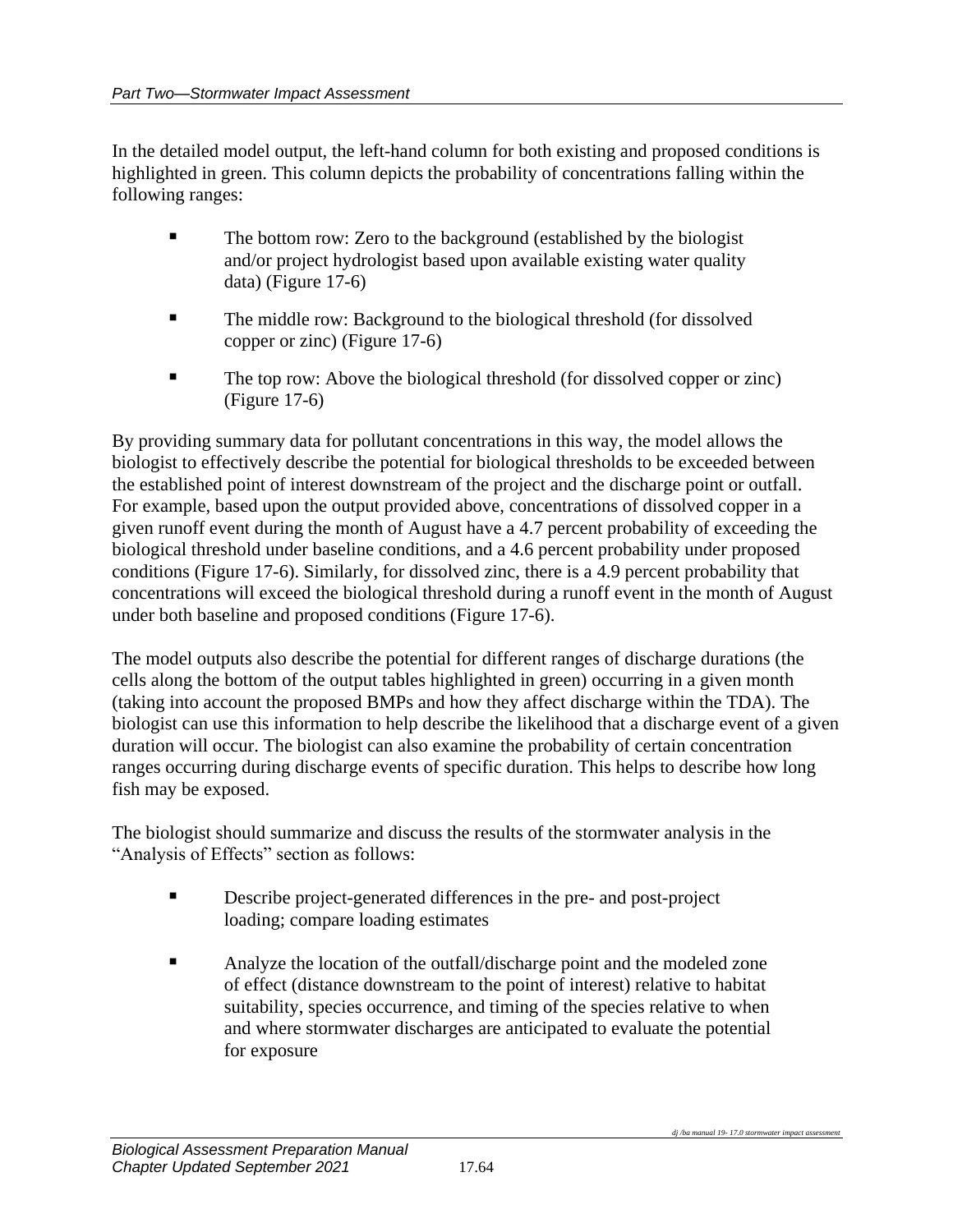In the detailed model output, the left-hand column for both existing and proposed conditions is highlighted in green. This column depicts the probability of concentrations falling within the following ranges:

- The bottom row: Zero to the background (established by the biologist and/or project hydrologist based upon available existing water quality data) (Figure 17-6)
- The middle row: Background to the biological threshold (for dissolved copper or zinc) (Figure 17-6)
- The top row: Above the biological threshold (for dissolved copper or zinc) (Figure 17-6)

By providing summary data for pollutant concentrations in this way, the model allows the biologist to effectively describe the potential for biological thresholds to be exceeded between the established point of interest downstream of the project and the discharge point or outfall. For example, based upon the output provided above, concentrations of dissolved copper in a given runoff event during the month of August have a 4.7 percent probability of exceeding the biological threshold under baseline conditions, and a 4.6 percent probability under proposed conditions (Figure 17-6). Similarly, for dissolved zinc, there is a 4.9 percent probability that concentrations will exceed the biological threshold during a runoff event in the month of August under both baseline and proposed conditions (Figure 17-6).

The model outputs also describe the potential for different ranges of discharge durations (the cells along the bottom of the output tables highlighted in green) occurring in a given month (taking into account the proposed BMPs and how they affect discharge within the TDA). The biologist can use this information to help describe the likelihood that a discharge event of a given duration will occur. The biologist can also examine the probability of certain concentration ranges occurring during discharge events of specific duration. This helps to describe how long fish may be exposed.

The biologist should summarize and discuss the results of the stormwater analysis in the "Analysis of Effects" section as follows:

- **EXECRED** Describe project-generated differences in the pre- and post-project loading; compare loading estimates
- Analyze the location of the outfall/discharge point and the modeled zone of effect (distance downstream to the point of interest) relative to habitat suitability, species occurrence, and timing of the species relative to when and where stormwater discharges are anticipated to evaluate the potential for exposure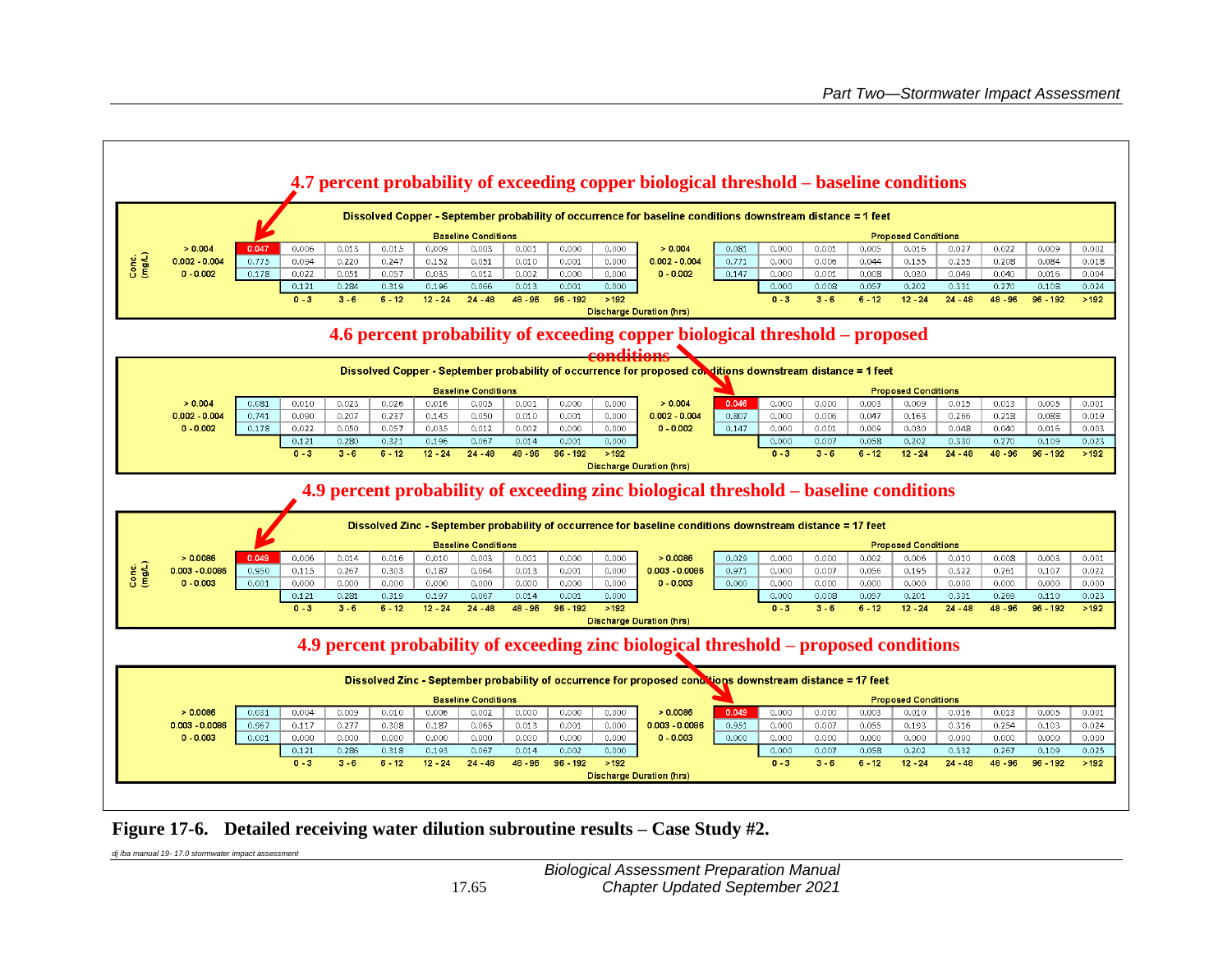

**Figure 17-6. Detailed receiving water dilution subroutine results – Case Study #2.**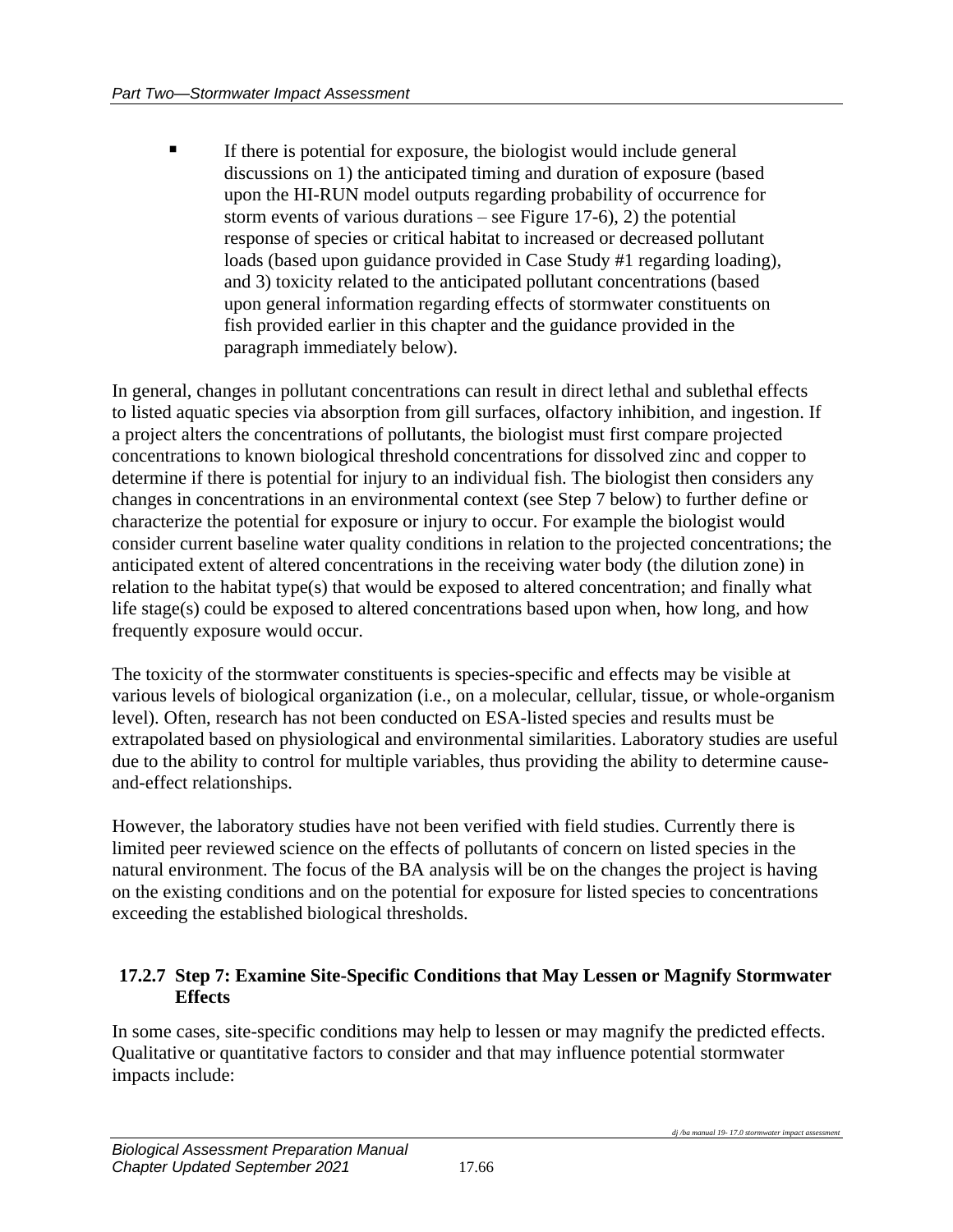■ If there is potential for exposure, the biologist would include general discussions on 1) the anticipated timing and duration of exposure (based upon the HI-RUN model outputs regarding probability of occurrence for storm events of various durations – see Figure 17-6), 2) the potential response of species or critical habitat to increased or decreased pollutant loads (based upon guidance provided in Case Study #1 regarding loading), and 3) toxicity related to the anticipated pollutant concentrations (based upon general information regarding effects of stormwater constituents on fish provided earlier in this chapter and the guidance provided in the paragraph immediately below).

In general, changes in pollutant concentrations can result in direct lethal and sublethal effects to listed aquatic species via absorption from gill surfaces, olfactory inhibition, and ingestion. If a project alters the concentrations of pollutants, the biologist must first compare projected concentrations to known biological threshold concentrations for dissolved zinc and copper to determine if there is potential for injury to an individual fish. The biologist then considers any changes in concentrations in an environmental context (see Step 7 below) to further define or characterize the potential for exposure or injury to occur. For example the biologist would consider current baseline water quality conditions in relation to the projected concentrations; the anticipated extent of altered concentrations in the receiving water body (the dilution zone) in relation to the habitat type(s) that would be exposed to altered concentration; and finally what life stage(s) could be exposed to altered concentrations based upon when, how long, and how frequently exposure would occur.

The toxicity of the stormwater constituents is species-specific and effects may be visible at various levels of biological organization (i.e., on a molecular, cellular, tissue, or whole-organism level). Often, research has not been conducted on ESA-listed species and results must be extrapolated based on physiological and environmental similarities. Laboratory studies are useful due to the ability to control for multiple variables, thus providing the ability to determine causeand-effect relationships.

However, the laboratory studies have not been verified with field studies. Currently there is limited peer reviewed science on the effects of pollutants of concern on listed species in the natural environment. The focus of the BA analysis will be on the changes the project is having on the existing conditions and on the potential for exposure for listed species to concentrations exceeding the established biological thresholds.

#### **17.2.7 Step 7: Examine Site-Specific Conditions that May Lessen or Magnify Stormwater Effects**

In some cases, site-specific conditions may help to lessen or may magnify the predicted effects. Qualitative or quantitative factors to consider and that may influence potential stormwater impacts include: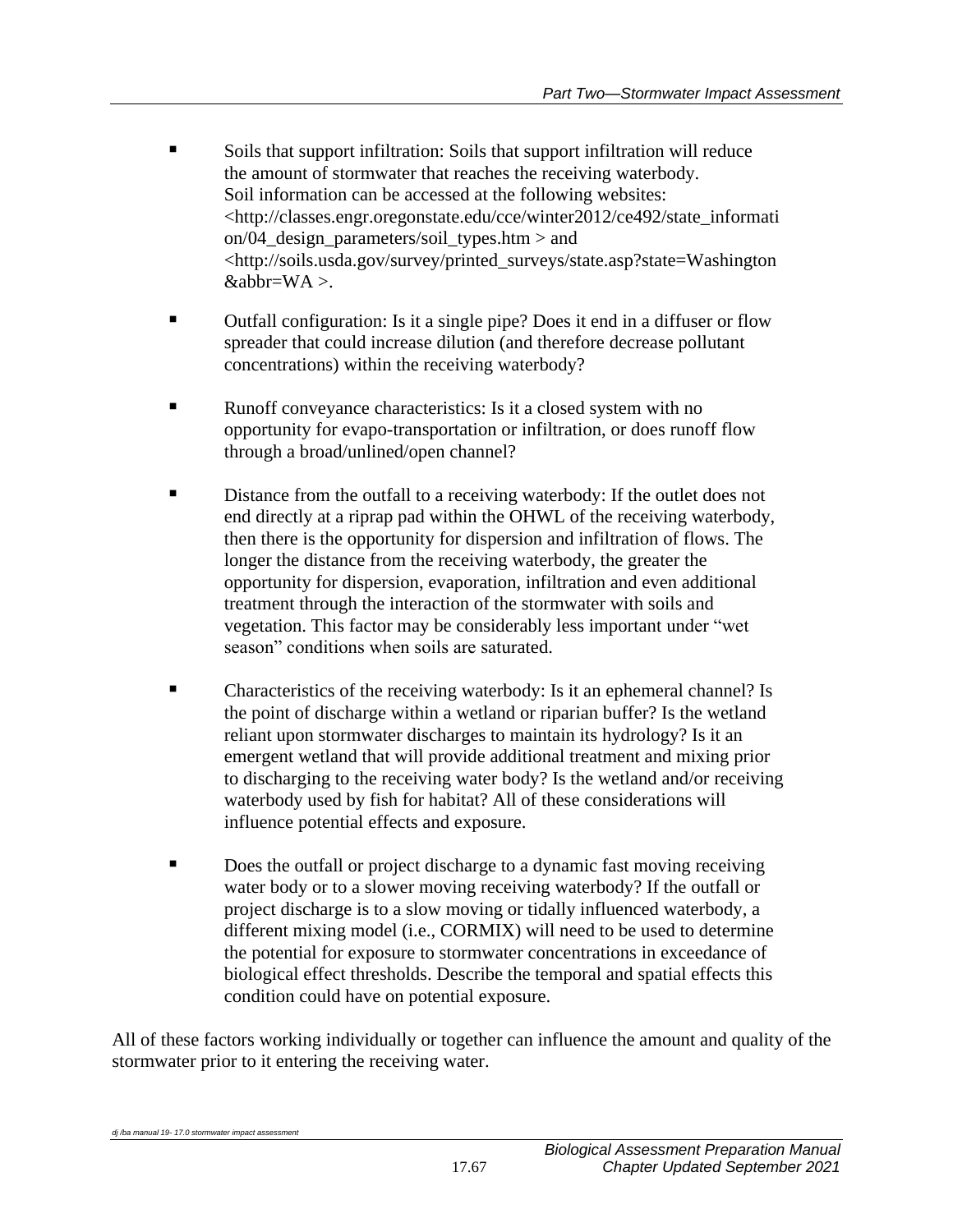- Soils that support infiltration: Soils that support infiltration will reduce the amount of stormwater that reaches the receiving waterbody. Soil information can be accessed at the following websites: <http://classes.engr.oregonstate.edu/cce/winter2012/ce492/state\_informati on/04\_design\_parameters/soil\_types.htm > and <http://soils.usda.gov/survey/printed\_surveys/state.asp?state=Washington  $&abbr=WA>$ .
- Outfall configuration: Is it a single pipe? Does it end in a diffuser or flow spreader that could increase dilution (and therefore decrease pollutant concentrations) within the receiving waterbody?
- Runoff conveyance characteristics: Is it a closed system with no opportunity for evapo-transportation or infiltration, or does runoff flow through a broad/unlined/open channel?
- **EXECUTE:** Distance from the outfall to a receiving waterbody: If the outlet does not end directly at a riprap pad within the OHWL of the receiving waterbody, then there is the opportunity for dispersion and infiltration of flows. The longer the distance from the receiving waterbody, the greater the opportunity for dispersion, evaporation, infiltration and even additional treatment through the interaction of the stormwater with soils and vegetation. This factor may be considerably less important under "wet season" conditions when soils are saturated.
- Characteristics of the receiving waterbody: Is it an ephemeral channel? Is the point of discharge within a wetland or riparian buffer? Is the wetland reliant upon stormwater discharges to maintain its hydrology? Is it an emergent wetland that will provide additional treatment and mixing prior to discharging to the receiving water body? Is the wetland and/or receiving waterbody used by fish for habitat? All of these considerations will influence potential effects and exposure.
- Does the outfall or project discharge to a dynamic fast moving receiving water body or to a slower moving receiving waterbody? If the outfall or project discharge is to a slow moving or tidally influenced waterbody, a different mixing model (i.e., CORMIX) will need to be used to determine the potential for exposure to stormwater concentrations in exceedance of biological effect thresholds. Describe the temporal and spatial effects this condition could have on potential exposure.

All of these factors working individually or together can influence the amount and quality of the stormwater prior to it entering the receiving water.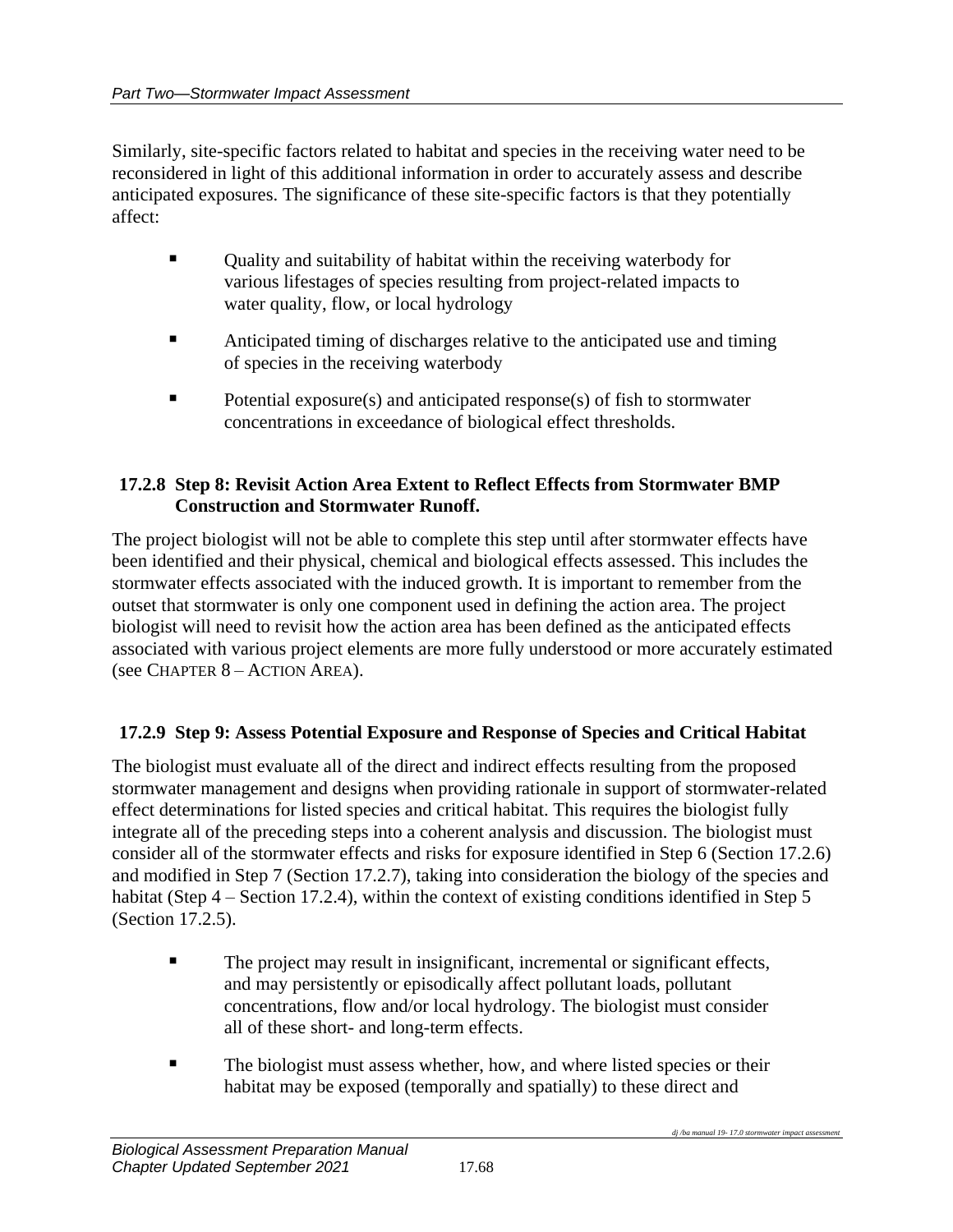Similarly, site-specific factors related to habitat and species in the receiving water need to be reconsidered in light of this additional information in order to accurately assess and describe anticipated exposures. The significance of these site-specific factors is that they potentially affect:

- Quality and suitability of habitat within the receiving waterbody for various lifestages of species resulting from project-related impacts to water quality, flow, or local hydrology
- Anticipated timing of discharges relative to the anticipated use and timing of species in the receiving waterbody
- Potential exposure(s) and anticipated response(s) of fish to stormwater concentrations in exceedance of biological effect thresholds.

## **17.2.8 Step 8: Revisit Action Area Extent to Reflect Effects from Stormwater BMP Construction and Stormwater Runoff.**

The project biologist will not be able to complete this step until after stormwater effects have been identified and their physical, chemical and biological effects assessed. This includes the stormwater effects associated with the induced growth. It is important to remember from the outset that stormwater is only one component used in defining the action area. The project biologist will need to revisit how the action area has been defined as the anticipated effects associated with various project elements are more fully understood or more accurately estimated (see CHAPTER 8 – ACTION AREA).

## **17.2.9 Step 9: Assess Potential Exposure and Response of Species and Critical Habitat**

The biologist must evaluate all of the direct and indirect effects resulting from the proposed stormwater management and designs when providing rationale in support of stormwater-related effect determinations for listed species and critical habitat. This requires the biologist fully integrate all of the preceding steps into a coherent analysis and discussion. The biologist must consider all of the stormwater effects and risks for exposure identified in Step 6 (Section 17.2.6) and modified in Step 7 (Section 17.2.7), taking into consideration the biology of the species and habitat (Step 4 – Section 17.2.4), within the context of existing conditions identified in Step 5 (Section 17.2.5).

- The project may result in insignificant, incremental or significant effects, and may persistently or episodically affect pollutant loads, pollutant concentrations, flow and/or local hydrology. The biologist must consider all of these short- and long-term effects.
- **The biologist must assess whether, how, and where listed species or their** habitat may be exposed (temporally and spatially) to these direct and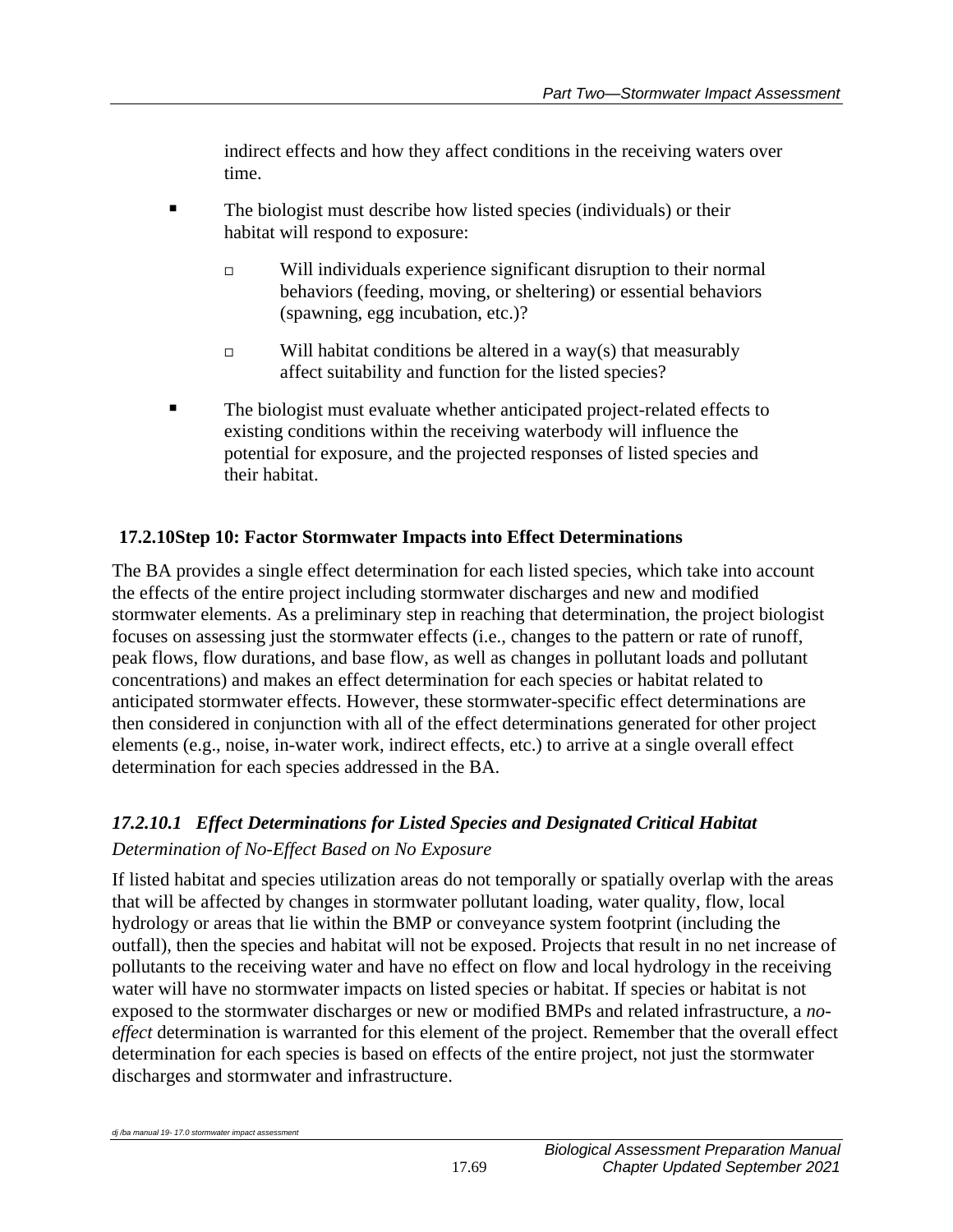indirect effects and how they affect conditions in the receiving waters over time.

- The biologist must describe how listed species (individuals) or their habitat will respond to exposure:
	- $\Box$  Will individuals experience significant disruption to their normal behaviors (feeding, moving, or sheltering) or essential behaviors (spawning, egg incubation, etc.)?
	- $\Box$  Will habitat conditions be altered in a way(s) that measurably affect suitability and function for the listed species?
- The biologist must evaluate whether anticipated project-related effects to existing conditions within the receiving waterbody will influence the potential for exposure, and the projected responses of listed species and their habitat.

## **17.2.10Step 10: Factor Stormwater Impacts into Effect Determinations**

The BA provides a single effect determination for each listed species, which take into account the effects of the entire project including stormwater discharges and new and modified stormwater elements. As a preliminary step in reaching that determination, the project biologist focuses on assessing just the stormwater effects (i.e., changes to the pattern or rate of runoff, peak flows, flow durations, and base flow, as well as changes in pollutant loads and pollutant concentrations) and makes an effect determination for each species or habitat related to anticipated stormwater effects. However, these stormwater-specific effect determinations are then considered in conjunction with all of the effect determinations generated for other project elements (e.g., noise, in-water work, indirect effects, etc.) to arrive at a single overall effect determination for each species addressed in the BA.

# *17.2.10.1 Effect Determinations for Listed Species and Designated Critical Habitat Determination of No-Effect Based on No Exposure*

If listed habitat and species utilization areas do not temporally or spatially overlap with the areas that will be affected by changes in stormwater pollutant loading, water quality, flow, local hydrology or areas that lie within the BMP or conveyance system footprint (including the outfall), then the species and habitat will not be exposed. Projects that result in no net increase of pollutants to the receiving water and have no effect on flow and local hydrology in the receiving water will have no stormwater impacts on listed species or habitat. If species or habitat is not exposed to the stormwater discharges or new or modified BMPs and related infrastructure, a *noeffect* determination is warranted for this element of the project. Remember that the overall effect determination for each species is based on effects of the entire project, not just the stormwater discharges and stormwater and infrastructure.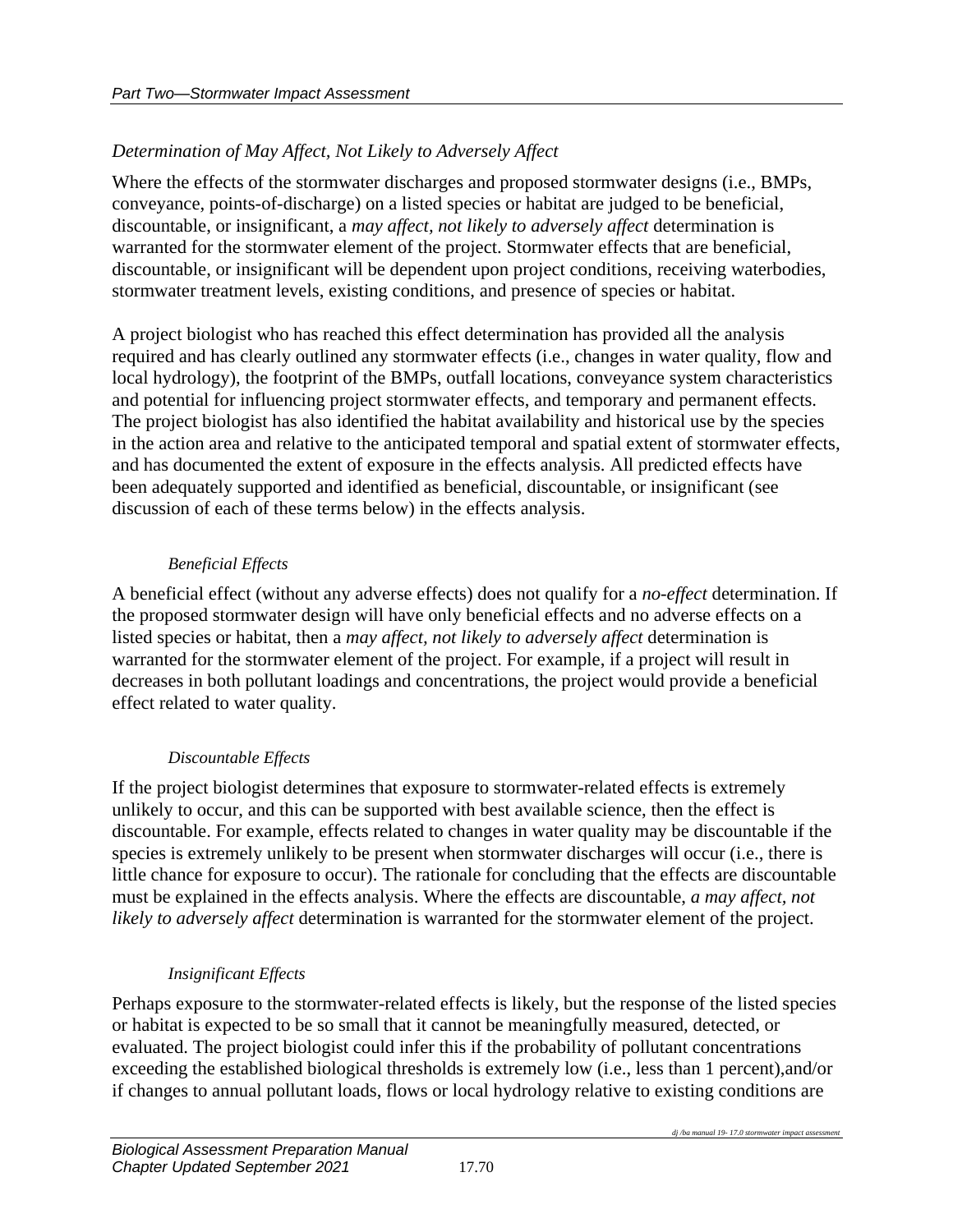# *Determination of May Affect, Not Likely to Adversely Affect*

Where the effects of the stormwater discharges and proposed stormwater designs (i.e., BMPs, conveyance, points-of-discharge) on a listed species or habitat are judged to be beneficial, discountable, or insignificant, a *may affect, not likely to adversely affect* determination is warranted for the stormwater element of the project. Stormwater effects that are beneficial, discountable, or insignificant will be dependent upon project conditions, receiving waterbodies, stormwater treatment levels, existing conditions, and presence of species or habitat.

A project biologist who has reached this effect determination has provided all the analysis required and has clearly outlined any stormwater effects (i.e., changes in water quality, flow and local hydrology), the footprint of the BMPs, outfall locations, conveyance system characteristics and potential for influencing project stormwater effects, and temporary and permanent effects. The project biologist has also identified the habitat availability and historical use by the species in the action area and relative to the anticipated temporal and spatial extent of stormwater effects, and has documented the extent of exposure in the effects analysis. All predicted effects have been adequately supported and identified as beneficial, discountable, or insignificant (see discussion of each of these terms below) in the effects analysis.

## *Beneficial Effects*

A beneficial effect (without any adverse effects) does not qualify for a *no-effect* determination. If the proposed stormwater design will have only beneficial effects and no adverse effects on a listed species or habitat, then a *may affect, not likely to adversely affect* determination is warranted for the stormwater element of the project. For example, if a project will result in decreases in both pollutant loadings and concentrations, the project would provide a beneficial effect related to water quality.

## *Discountable Effects*

If the project biologist determines that exposure to stormwater-related effects is extremely unlikely to occur, and this can be supported with best available science, then the effect is discountable. For example, effects related to changes in water quality may be discountable if the species is extremely unlikely to be present when stormwater discharges will occur (i.e., there is little chance for exposure to occur). The rationale for concluding that the effects are discountable must be explained in the effects analysis. Where the effects are discountable, *a may affect, not likely to adversely affect* determination is warranted for the stormwater element of the project.

## *Insignificant Effects*

Perhaps exposure to the stormwater-related effects is likely, but the response of the listed species or habitat is expected to be so small that it cannot be meaningfully measured, detected, or evaluated. The project biologist could infer this if the probability of pollutant concentrations exceeding the established biological thresholds is extremely low (i.e., less than 1 percent),and/or if changes to annual pollutant loads, flows or local hydrology relative to existing conditions are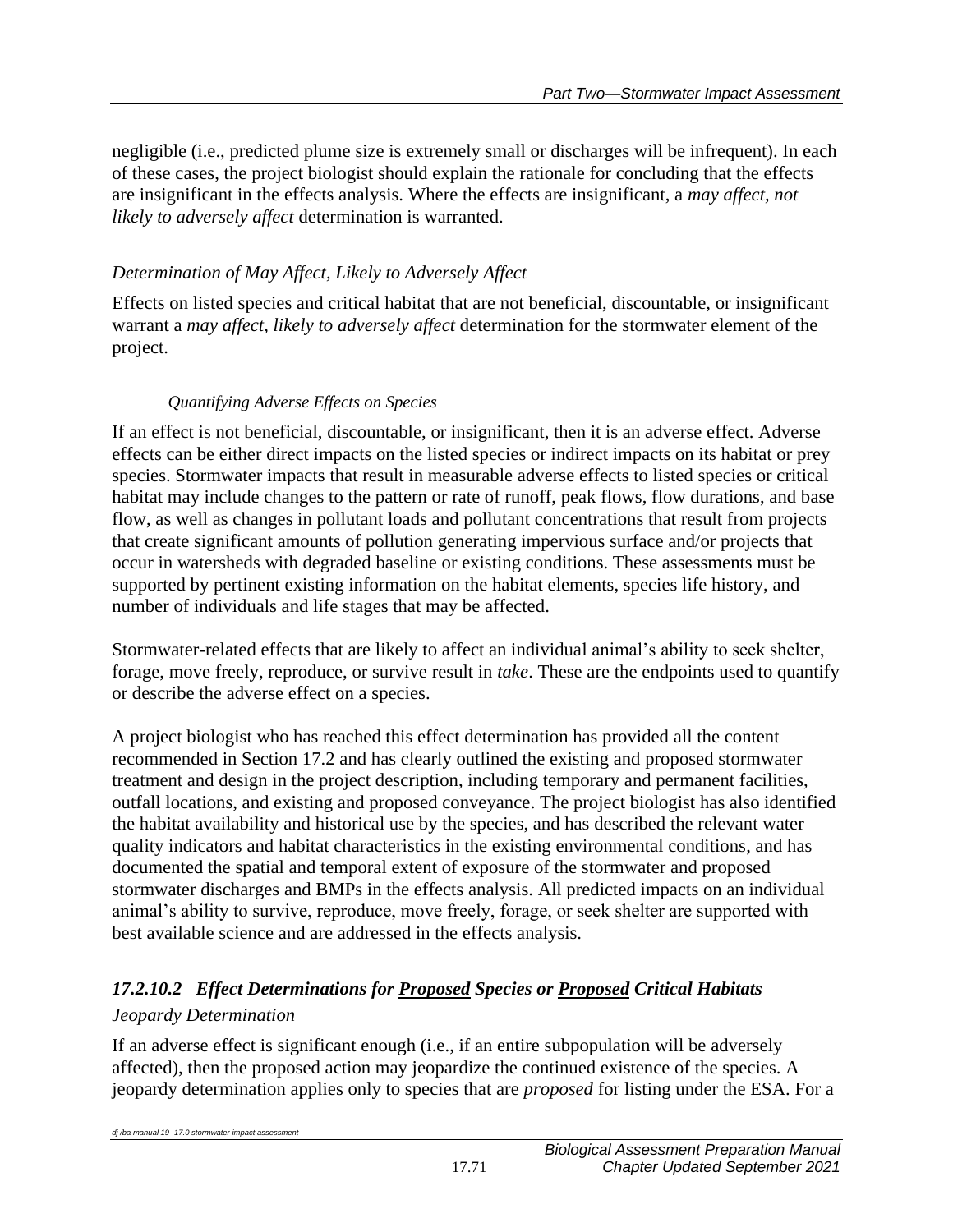negligible (i.e., predicted plume size is extremely small or discharges will be infrequent). In each of these cases, the project biologist should explain the rationale for concluding that the effects are insignificant in the effects analysis. Where the effects are insignificant, a *may affect, not likely to adversely affect* determination is warranted.

# *Determination of May Affect, Likely to Adversely Affect*

Effects on listed species and critical habitat that are not beneficial, discountable, or insignificant warrant a *may affect, likely to adversely affect* determination for the stormwater element of the project.

## *Quantifying Adverse Effects on Species*

If an effect is not beneficial, discountable, or insignificant, then it is an adverse effect. Adverse effects can be either direct impacts on the listed species or indirect impacts on its habitat or prey species. Stormwater impacts that result in measurable adverse effects to listed species or critical habitat may include changes to the pattern or rate of runoff, peak flows, flow durations, and base flow, as well as changes in pollutant loads and pollutant concentrations that result from projects that create significant amounts of pollution generating impervious surface and/or projects that occur in watersheds with degraded baseline or existing conditions. These assessments must be supported by pertinent existing information on the habitat elements, species life history, and number of individuals and life stages that may be affected.

Stormwater-related effects that are likely to affect an individual animal's ability to seek shelter, forage, move freely, reproduce, or survive result in *take*. These are the endpoints used to quantify or describe the adverse effect on a species.

A project biologist who has reached this effect determination has provided all the content recommended in Section 17.2 and has clearly outlined the existing and proposed stormwater treatment and design in the project description, including temporary and permanent facilities, outfall locations, and existing and proposed conveyance. The project biologist has also identified the habitat availability and historical use by the species, and has described the relevant water quality indicators and habitat characteristics in the existing environmental conditions, and has documented the spatial and temporal extent of exposure of the stormwater and proposed stormwater discharges and BMPs in the effects analysis. All predicted impacts on an individual animal's ability to survive, reproduce, move freely, forage, or seek shelter are supported with best available science and are addressed in the effects analysis.

# *17.2.10.2 Effect Determinations for Proposed Species or Proposed Critical Habitats Jeopardy Determination*

If an adverse effect is significant enough (i.e., if an entire subpopulation will be adversely affected), then the proposed action may jeopardize the continued existence of the species. A jeopardy determination applies only to species that are *proposed* for listing under the ESA. For a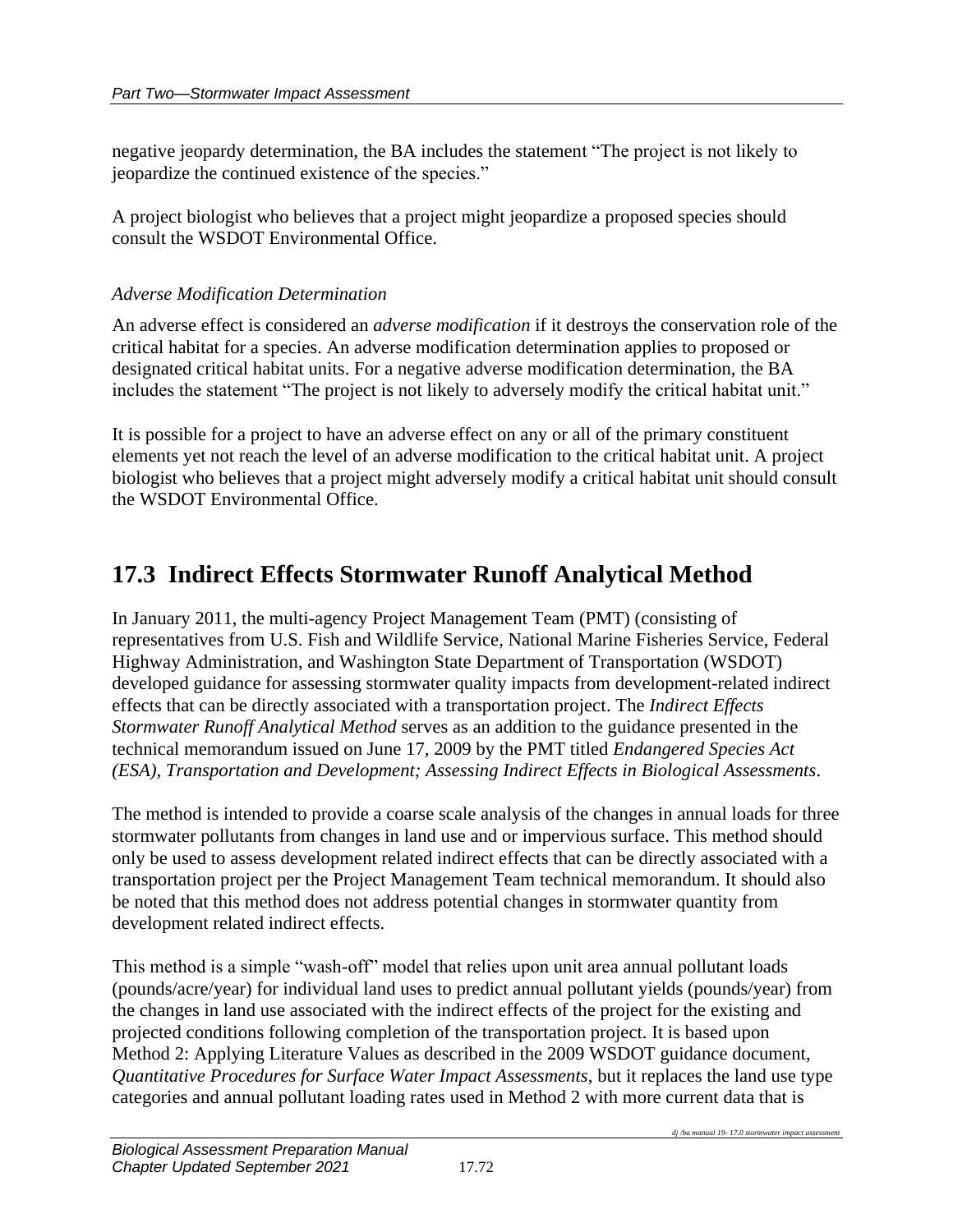negative jeopardy determination, the BA includes the statement "The project is not likely to jeopardize the continued existence of the species."

A project biologist who believes that a project might jeopardize a proposed species should consult the WSDOT Environmental Office.

#### *Adverse Modification Determination*

An adverse effect is considered an *adverse modification* if it destroys the conservation role of the critical habitat for a species. An adverse modification determination applies to proposed or designated critical habitat units. For a negative adverse modification determination, the BA includes the statement "The project is not likely to adversely modify the critical habitat unit."

It is possible for a project to have an adverse effect on any or all of the primary constituent elements yet not reach the level of an adverse modification to the critical habitat unit. A project biologist who believes that a project might adversely modify a critical habitat unit should consult the WSDOT Environmental Office.

# **17.3 Indirect Effects Stormwater Runoff Analytical Method**

In January 2011, the multi-agency Project Management Team (PMT) (consisting of representatives from U.S. Fish and Wildlife Service, National Marine Fisheries Service, Federal Highway Administration, and Washington State Department of Transportation (WSDOT) developed guidance for assessing stormwater quality impacts from development-related indirect effects that can be directly associated with a transportation project. The *Indirect Effects Stormwater Runoff Analytical Method* serves as an addition to the guidance presented in the technical memorandum issued on June 17, 2009 by the PMT titled *Endangered Species Act (ESA), Transportation and Development; Assessing Indirect Effects in Biological Assessments*.

The method is intended to provide a coarse scale analysis of the changes in annual loads for three stormwater pollutants from changes in land use and or impervious surface. This method should only be used to assess development related indirect effects that can be directly associated with a transportation project per the Project Management Team technical memorandum. It should also be noted that this method does not address potential changes in stormwater quantity from development related indirect effects.

This method is a simple "wash-off" model that relies upon unit area annual pollutant loads (pounds/acre/year) for individual land uses to predict annual pollutant yields (pounds/year) from the changes in land use associated with the indirect effects of the project for the existing and projected conditions following completion of the transportation project. It is based upon Method 2: Applying Literature Values as described in the 2009 WSDOT guidance document, *Quantitative Procedures for Surface Water Impact Assessments*, but it replaces the land use type categories and annual pollutant loading rates used in Method 2 with more current data that is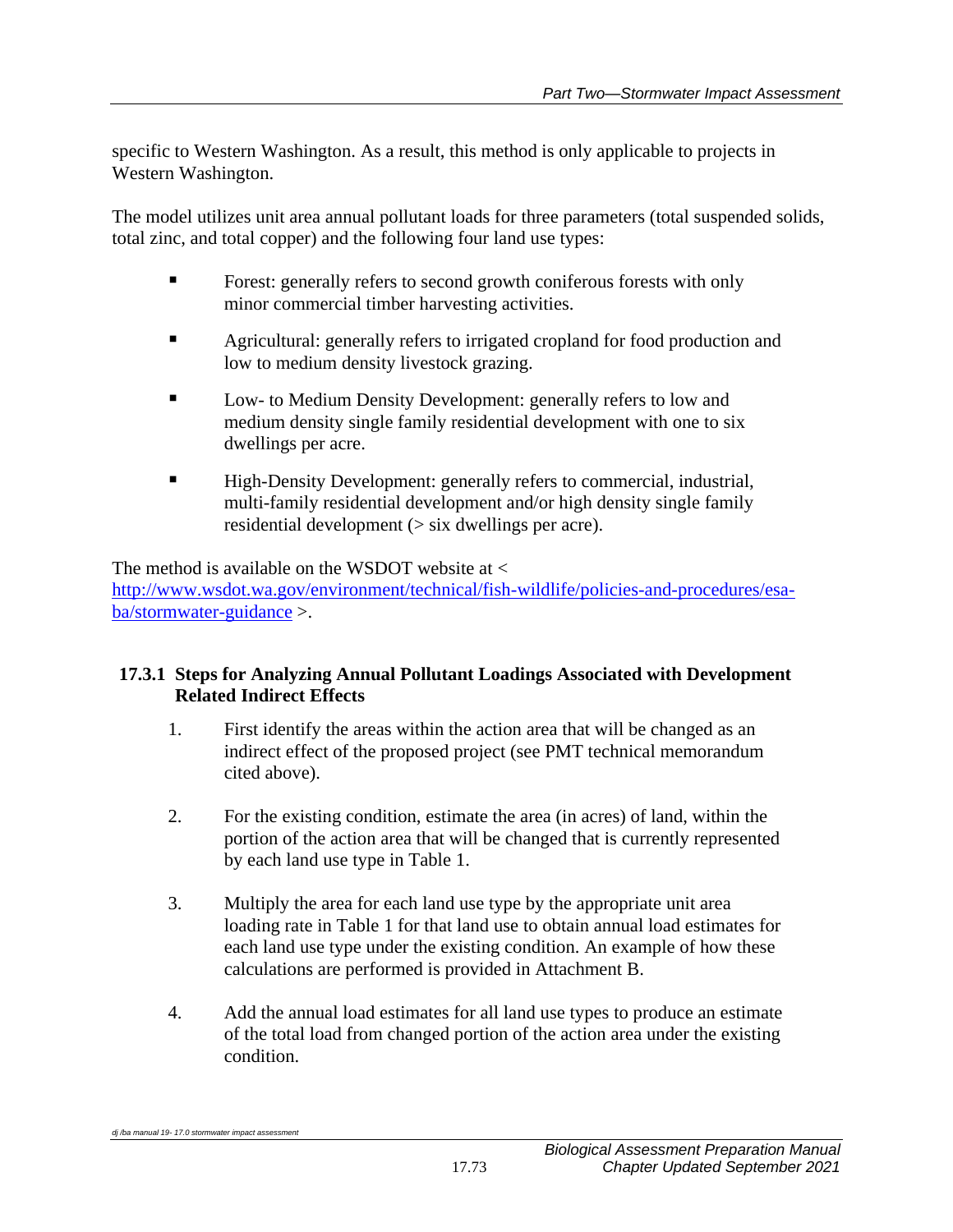specific to Western Washington. As a result, this method is only applicable to projects in Western Washington.

The model utilizes unit area annual pollutant loads for three parameters (total suspended solids, total zinc, and total copper) and the following four land use types:

- Forest: generally refers to second growth coniferous forests with only minor commercial timber harvesting activities.
- **Example 3** Agricultural: generally refers to irrigated cropland for food production and low to medium density livestock grazing.
- Low- to Medium Density Development: generally refers to low and medium density single family residential development with one to six dwellings per acre.
- High-Density Development: generally refers to commercial, industrial, multi-family residential development and/or high density single family residential development (> six dwellings per acre).

The method is available on the WSDOT website at < [http://www.wsdot.wa.gov/environment/technical/fish-wildlife/policies-and-procedures/esa](http://www.wsdot.wa.gov/environment/technical/fish-wildlife/policies-and-procedures/esa-ba/stormwater-guidance)[ba/stormwater-guidance](http://www.wsdot.wa.gov/environment/technical/fish-wildlife/policies-and-procedures/esa-ba/stormwater-guidance) >.

#### **17.3.1 Steps for Analyzing Annual Pollutant Loadings Associated with Development Related Indirect Effects**

- 1. First identify the areas within the action area that will be changed as an indirect effect of the proposed project (see PMT technical memorandum cited above).
- 2. For the existing condition, estimate the area (in acres) of land, within the portion of the action area that will be changed that is currently represented by each land use type in Table 1.
- 3. Multiply the area for each land use type by the appropriate unit area loading rate in Table 1 for that land use to obtain annual load estimates for each land use type under the existing condition. An example of how these calculations are performed is provided in Attachment B.
- 4. Add the annual load estimates for all land use types to produce an estimate of the total load from changed portion of the action area under the existing condition.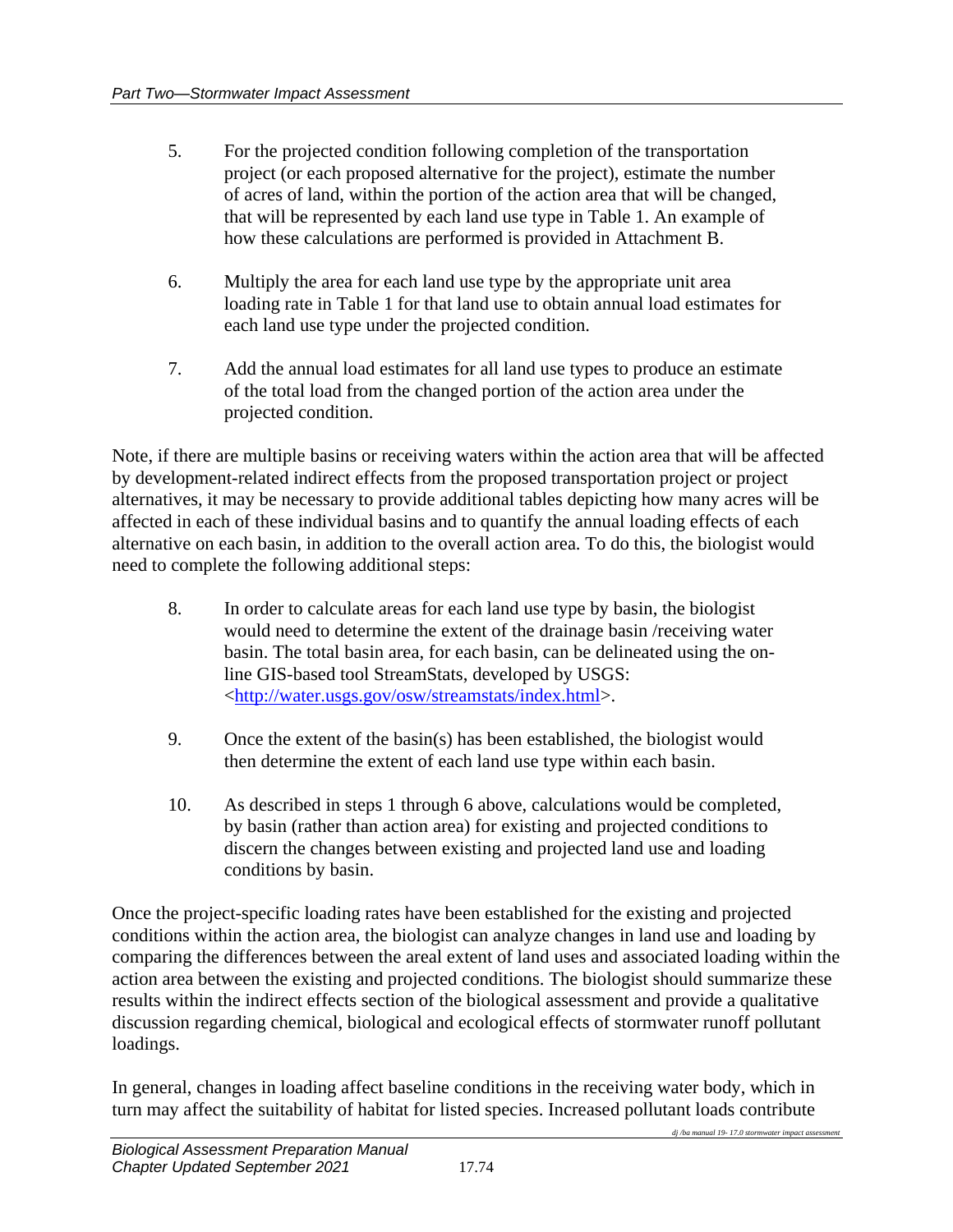- 5. For the projected condition following completion of the transportation project (or each proposed alternative for the project), estimate the number of acres of land, within the portion of the action area that will be changed, that will be represented by each land use type in Table 1. An example of how these calculations are performed is provided in Attachment B.
- 6. Multiply the area for each land use type by the appropriate unit area loading rate in Table 1 for that land use to obtain annual load estimates for each land use type under the projected condition.
- 7. Add the annual load estimates for all land use types to produce an estimate of the total load from the changed portion of the action area under the projected condition.

Note, if there are multiple basins or receiving waters within the action area that will be affected by development-related indirect effects from the proposed transportation project or project alternatives, it may be necessary to provide additional tables depicting how many acres will be affected in each of these individual basins and to quantify the annual loading effects of each alternative on each basin, in addition to the overall action area. To do this, the biologist would need to complete the following additional steps:

- 8. In order to calculate areas for each land use type by basin, the biologist would need to determine the extent of the drainage basin /receiving water basin. The total basin area, for each basin, can be delineated using the online GIS-based tool StreamStats, developed by USGS: [<http://water.usgs.gov/osw/streamstats/index.html>](http://water.usgs.gov/osw/streamstats/index.html).
- 9. Once the extent of the basin(s) has been established, the biologist would then determine the extent of each land use type within each basin.
- 10. As described in steps 1 through 6 above, calculations would be completed, by basin (rather than action area) for existing and projected conditions to discern the changes between existing and projected land use and loading conditions by basin.

Once the project-specific loading rates have been established for the existing and projected conditions within the action area, the biologist can analyze changes in land use and loading by comparing the differences between the areal extent of land uses and associated loading within the action area between the existing and projected conditions. The biologist should summarize these results within the indirect effects section of the biological assessment and provide a qualitative discussion regarding chemical, biological and ecological effects of stormwater runoff pollutant loadings.

In general, changes in loading affect baseline conditions in the receiving water body, which in turn may affect the suitability of habitat for listed species. Increased pollutant loads contribute

*dj /ba manual 19- 17.0 stormwater impact assessment*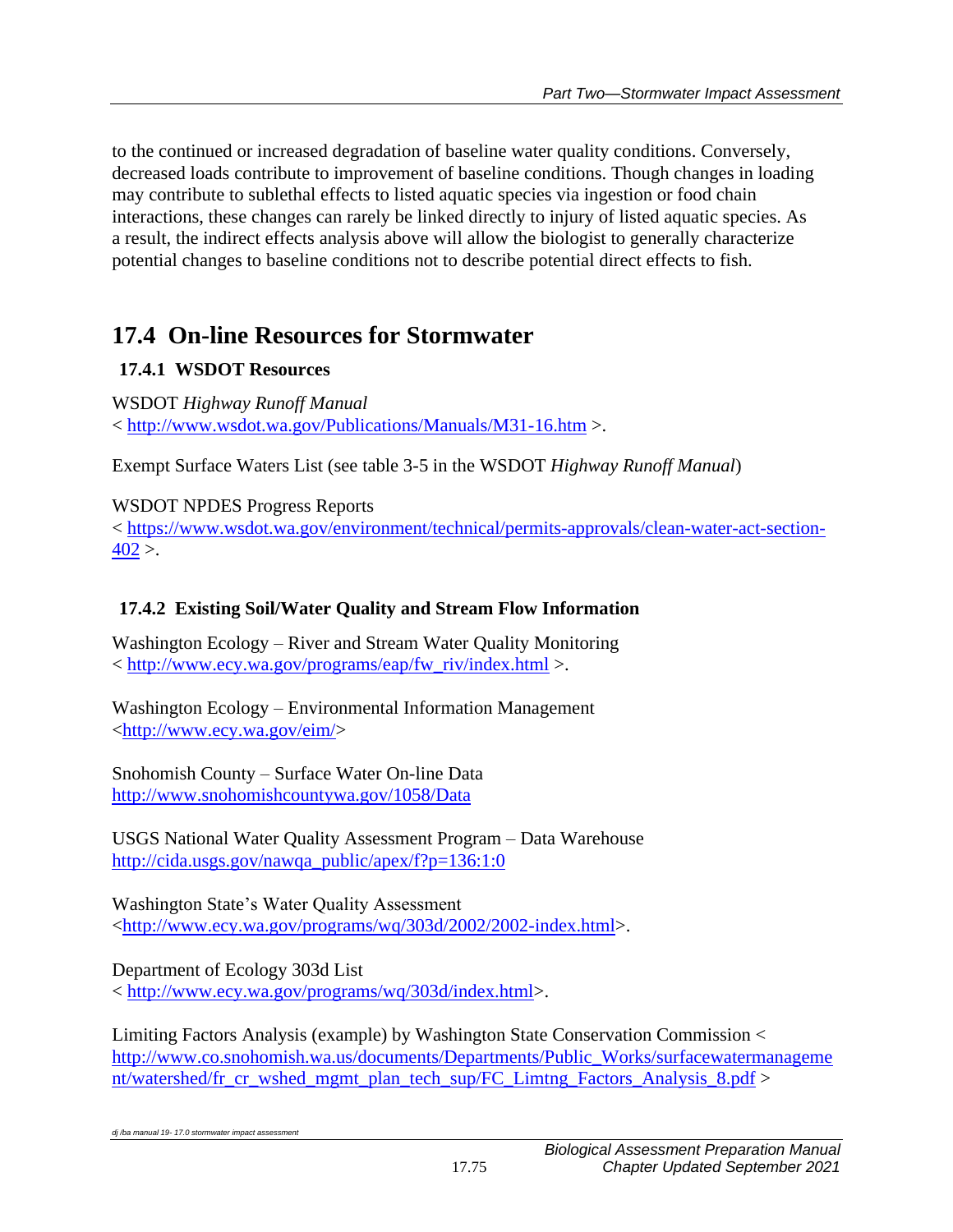to the continued or increased degradation of baseline water quality conditions. Conversely, decreased loads contribute to improvement of baseline conditions. Though changes in loading may contribute to sublethal effects to listed aquatic species via ingestion or food chain interactions, these changes can rarely be linked directly to injury of listed aquatic species. As a result, the indirect effects analysis above will allow the biologist to generally characterize potential changes to baseline conditions not to describe potential direct effects to fish.

# **17.4 On-line Resources for Stormwater**

# **17.4.1 WSDOT Resources**

WSDOT *Highway Runoff Manual* < <http://www.wsdot.wa.gov/Publications/Manuals/M31-16.htm> >.

Exempt Surface Waters List (see table 3-5 in the WSDOT *Highway Runoff Manual*)

## WSDOT NPDES Progress Reports

< [https://www.wsdot.wa.gov/environment/technical/permits-approvals/clean-water-act-section-](https://www.wsdot.wa.gov/environment/technical/permits-approvals/clean-water-act-section-402) $402$ .

# **17.4.2 Existing Soil/Water Quality and Stream Flow Information**

Washington Ecology – River and Stream Water Quality Monitoring < [http://www.ecy.wa.gov/programs/eap/fw\\_riv/index.html](http://www.ecy.wa.gov/programs/eap/fw_riv/index.html) >.

Washington Ecology – Environmental Information Management [<http://www.ecy.wa.gov/eim/>](http://www.ecy.wa.gov/eim/)

Snohomish County – Surface Water On-line Data <http://www.snohomishcountywa.gov/1058/Data>

USGS National Water Quality Assessment Program – Data Warehouse [http://cida.usgs.gov/nawqa\\_public/apex/f?p=136:1:0](http://cida.usgs.gov/nawqa_public/apex/f?p=136:1:0)

Washington State's Water Quality Assessment [<http://www.ecy.wa.gov/programs/wq/303d/2002/2002-index.html>](http://www.ecy.wa.gov/programs/wq/303d/2002/2002-index.html).

Department of Ecology 303d List < [http://www.ecy.wa.gov/programs/wq/303d/index.html>](http://www.ecy.wa.gov/programs/wq/303d/index.html).

Limiting Factors Analysis (example) by Washington State Conservation Commission < [http://www.co.snohomish.wa.us/documents/Departments/Public\\_Works/surfacewatermanageme](http://www.co.snohomish.wa.us/documents/Departments/Public_Works/surfacewatermanagement/watershed/fr_cr_wshed_mgmt_plan_tech_sup/FC_Limtng_Factors_Analysis_8.pdf) [nt/watershed/fr\\_cr\\_wshed\\_mgmt\\_plan\\_tech\\_sup/FC\\_Limtng\\_Factors\\_Analysis\\_8.pdf](http://www.co.snohomish.wa.us/documents/Departments/Public_Works/surfacewatermanagement/watershed/fr_cr_wshed_mgmt_plan_tech_sup/FC_Limtng_Factors_Analysis_8.pdf) >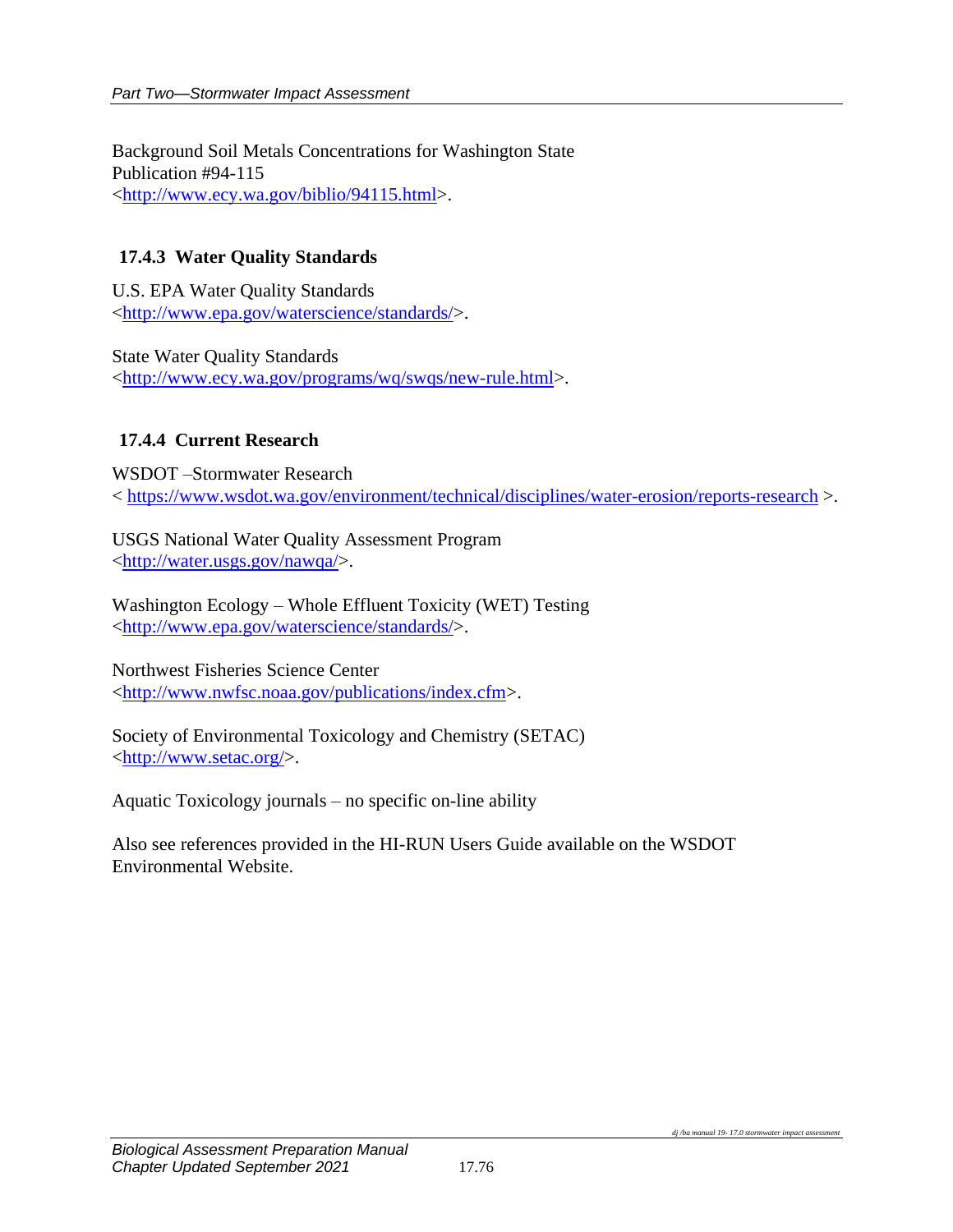Background Soil Metals Concentrations for Washington State Publication #94-115 [<http://www.ecy.wa.gov/biblio/94115.html>](http://www.ecy.wa.gov/biblio/94115.html).

#### **17.4.3 Water Quality Standards**

U.S. EPA Water Quality Standards [<http://www.epa.gov/waterscience/standards/>](http://www.epa.gov/waterscience/standards/).

State Water Quality Standards [<http://www.ecy.wa.gov/programs/wq/swqs/new-rule.html>](http://www.ecy.wa.gov/programs/wq/swqs/new-rule.html).

#### **17.4.4 Current Research**

WSDOT –Stormwater Research < <https://www.wsdot.wa.gov/environment/technical/disciplines/water-erosion/reports-research> >.

USGS National Water Quality Assessment Program [<http://water.usgs.gov/nawqa/>](http://water.usgs.gov/nawqa/).

Washington Ecology – Whole Effluent Toxicity (WET) Testing [<http://www.epa.gov/waterscience/standards/>](http://www.epa.gov/waterscience/standards/).

Northwest Fisheries Science Center [<http://www.nwfsc.noaa.gov/publications/index.cfm>](http://www.nwfsc.noaa.gov/publications/index.cfm).

Society of Environmental Toxicology and Chemistry (SETAC) [<http://www.setac.org/>](http://www.setac.org/).

Aquatic Toxicology journals – no specific on-line ability

Also see references provided in the HI-RUN Users Guide available on the WSDOT Environmental Website.